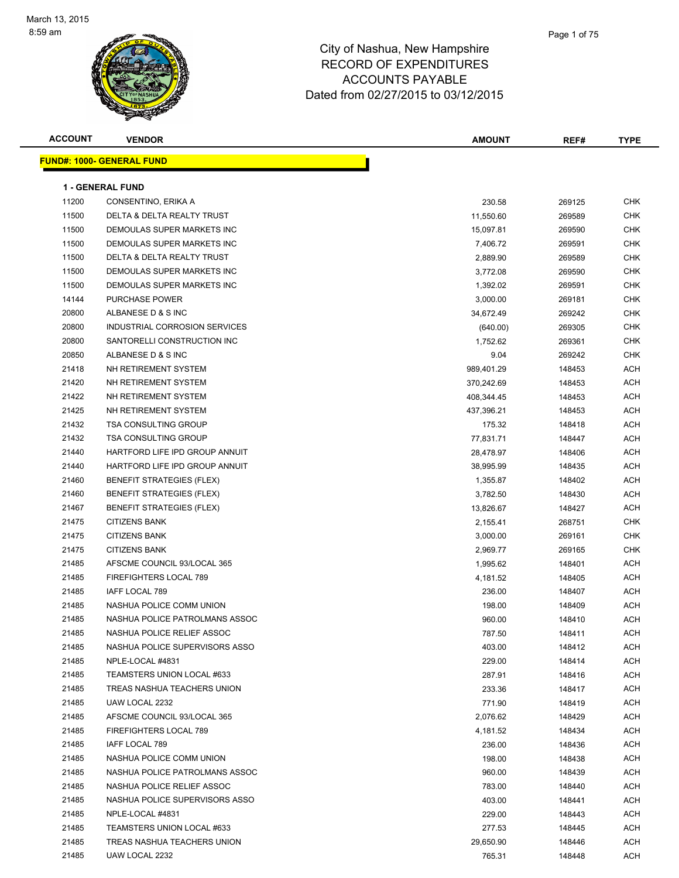

| <b>ACCOUNT</b> | <b>VENDOR</b>                    | <b>AMOUNT</b> | REF#   | <b>TYPE</b> |
|----------------|----------------------------------|---------------|--------|-------------|
|                | <b>FUND#: 1000- GENERAL FUND</b> |               |        |             |
|                |                                  |               |        |             |
|                | <b>1 - GENERAL FUND</b>          |               |        |             |
| 11200          | CONSENTINO, ERIKA A              | 230.58        | 269125 | CHK         |
| 11500          | DELTA & DELTA REALTY TRUST       | 11,550.60     | 269589 | CHK         |
| 11500          | DEMOULAS SUPER MARKETS INC       | 15,097.81     | 269590 | <b>CHK</b>  |
| 11500          | DEMOULAS SUPER MARKETS INC       | 7,406.72      | 269591 | <b>CHK</b>  |
| 11500          | DELTA & DELTA REALTY TRUST       | 2,889.90      | 269589 | <b>CHK</b>  |
| 11500          | DEMOULAS SUPER MARKETS INC       | 3,772.08      | 269590 | <b>CHK</b>  |
| 11500          | DEMOULAS SUPER MARKETS INC       | 1,392.02      | 269591 | CHK         |
| 14144          | <b>PURCHASE POWER</b>            | 3,000.00      | 269181 | CHK         |
| 20800          | ALBANESE D & S INC               | 34,672.49     | 269242 | <b>CHK</b>  |
| 20800          | INDUSTRIAL CORROSION SERVICES    | (640.00)      | 269305 | <b>CHK</b>  |
| 20800          | SANTORELLI CONSTRUCTION INC      | 1,752.62      | 269361 | <b>CHK</b>  |
| 20850          | ALBANESE D & S INC               | 9.04          | 269242 | <b>CHK</b>  |
| 21418          | NH RETIREMENT SYSTEM             | 989,401.29    | 148453 | ACH         |
| 21420          | NH RETIREMENT SYSTEM             | 370,242.69    | 148453 | <b>ACH</b>  |
| 21422          | NH RETIREMENT SYSTEM             | 408,344.45    | 148453 | ACH         |
| 21425          | NH RETIREMENT SYSTEM             | 437,396.21    | 148453 | ACH         |
| 21432          | <b>TSA CONSULTING GROUP</b>      | 175.32        | 148418 | ACH         |
| 21432          | <b>TSA CONSULTING GROUP</b>      | 77,831.71     | 148447 | ACH         |
| 21440          | HARTFORD LIFE IPD GROUP ANNUIT   | 28,478.97     | 148406 | ACH         |
| 21440          | HARTFORD LIFE IPD GROUP ANNUIT   | 38,995.99     | 148435 | ACH         |
| 21460          | <b>BENEFIT STRATEGIES (FLEX)</b> | 1,355.87      | 148402 | ACH         |
| 21460          | <b>BENEFIT STRATEGIES (FLEX)</b> | 3,782.50      | 148430 | <b>ACH</b>  |
| 21467          | <b>BENEFIT STRATEGIES (FLEX)</b> | 13,826.67     | 148427 | <b>ACH</b>  |
| 21475          | <b>CITIZENS BANK</b>             | 2,155.41      | 268751 | <b>CHK</b>  |
| 21475          | <b>CITIZENS BANK</b>             | 3,000.00      | 269161 | <b>CHK</b>  |
| 21475          | <b>CITIZENS BANK</b>             | 2,969.77      | 269165 | <b>CHK</b>  |
| 21485          | AFSCME COUNCIL 93/LOCAL 365      | 1,995.62      | 148401 | <b>ACH</b>  |
| 21485          | FIREFIGHTERS LOCAL 789           | 4,181.52      | 148405 | <b>ACH</b>  |
| 21485          | IAFF LOCAL 789                   | 236.00        | 148407 | <b>ACH</b>  |
| 21485          | NASHUA POLICE COMM UNION         | 198.00        | 148409 | ACH         |
| 21485          | NASHUA POLICE PATROLMANS ASSOC   | 960.00        | 148410 | <b>ACH</b>  |
| 21485          | NASHUA POLICE RELIEF ASSOC       | 787.50        | 148411 | ACH         |
| 21485          | NASHUA POLICE SUPERVISORS ASSO   | 403.00        | 148412 | ACH         |
| 21485          | NPLE-LOCAL #4831                 | 229.00        | 148414 | ACH         |
| 21485          | TEAMSTERS UNION LOCAL #633       | 287.91        | 148416 | ACH         |
| 21485          | TREAS NASHUA TEACHERS UNION      | 233.36        | 148417 | <b>ACH</b>  |
| 21485          | UAW LOCAL 2232                   | 771.90        | 148419 | ACH         |
| 21485          | AFSCME COUNCIL 93/LOCAL 365      | 2,076.62      | 148429 | ACH         |
| 21485          | FIREFIGHTERS LOCAL 789           |               | 148434 | ACH         |
|                | IAFF LOCAL 789                   | 4,181.52      |        |             |
| 21485          | NASHUA POLICE COMM UNION         | 236.00        | 148436 | ACH         |
| 21485          |                                  | 198.00        | 148438 | ACH         |
| 21485          | NASHUA POLICE PATROLMANS ASSOC   | 960.00        | 148439 | ACH         |
| 21485          | NASHUA POLICE RELIEF ASSOC       | 783.00        | 148440 | ACH         |
| 21485          | NASHUA POLICE SUPERVISORS ASSO   | 403.00        | 148441 | <b>ACH</b>  |
| 21485          | NPLE-LOCAL #4831                 | 229.00        | 148443 | ACH         |
| 21485          | TEAMSTERS UNION LOCAL #633       | 277.53        | 148445 | ACH         |
| 21485          | TREAS NASHUA TEACHERS UNION      | 29,650.90     | 148446 | <b>ACH</b>  |
| 21485          | UAW LOCAL 2232                   | 765.31        | 148448 | ACH         |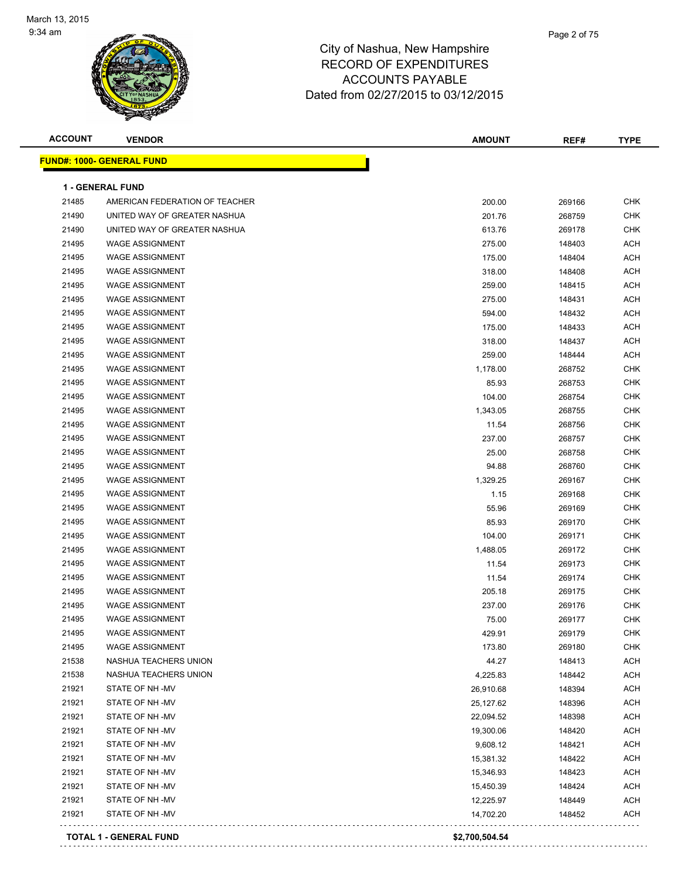

| <b>ACCOUNT</b> | <b>VENDOR</b>                    | <b>AMOUNT</b> | REF#   | <b>TYPE</b> |
|----------------|----------------------------------|---------------|--------|-------------|
|                | <b>FUND#: 1000- GENERAL FUND</b> |               |        |             |
|                | 1 - GENERAL FUND                 |               |        |             |
| 21485          | AMERICAN FEDERATION OF TEACHER   | 200.00        | 269166 | CHK         |
| 21490          | UNITED WAY OF GREATER NASHUA     | 201.76        | 268759 | <b>CHK</b>  |
| 21490          | UNITED WAY OF GREATER NASHUA     | 613.76        | 269178 | <b>CHK</b>  |
| 21495          | <b>WAGE ASSIGNMENT</b>           | 275.00        | 148403 | <b>ACH</b>  |
| 21495          | <b>WAGE ASSIGNMENT</b>           | 175.00        | 148404 | <b>ACH</b>  |
| 21495          | <b>WAGE ASSIGNMENT</b>           | 318.00        | 148408 | <b>ACH</b>  |
| 21495          | <b>WAGE ASSIGNMENT</b>           | 259.00        | 148415 | <b>ACH</b>  |
| 21495          | <b>WAGE ASSIGNMENT</b>           | 275.00        | 148431 | <b>ACH</b>  |
| 21495          | <b>WAGE ASSIGNMENT</b>           | 594.00        | 148432 | <b>ACH</b>  |
| 21495          | <b>WAGE ASSIGNMENT</b>           | 175.00        | 148433 | <b>ACH</b>  |
| 21495          | <b>WAGE ASSIGNMENT</b>           | 318.00        | 148437 | <b>ACH</b>  |
| 21495          | <b>WAGE ASSIGNMENT</b>           | 259.00        | 148444 | <b>ACH</b>  |
| 21495          | <b>WAGE ASSIGNMENT</b>           | 1,178.00      | 268752 | <b>CHK</b>  |
| 21495          | <b>WAGE ASSIGNMENT</b>           | 85.93         | 268753 | <b>CHK</b>  |
| 21495          | <b>WAGE ASSIGNMENT</b>           |               |        | CHK         |
|                | <b>WAGE ASSIGNMENT</b>           | 104.00        | 268754 |             |
| 21495<br>21495 | <b>WAGE ASSIGNMENT</b>           | 1,343.05      | 268755 | CHK<br>CHK  |
| 21495          | <b>WAGE ASSIGNMENT</b>           | 11.54         | 268756 |             |
|                |                                  | 237.00        | 268757 | CHK         |
| 21495          | <b>WAGE ASSIGNMENT</b>           | 25.00         | 268758 | CHK         |
| 21495          | <b>WAGE ASSIGNMENT</b>           | 94.88         | 268760 | CHK         |
| 21495          | <b>WAGE ASSIGNMENT</b>           | 1,329.25      | 269167 | CHK         |
| 21495          | <b>WAGE ASSIGNMENT</b>           | 1.15          | 269168 | CHK         |
| 21495          | <b>WAGE ASSIGNMENT</b>           | 55.96         | 269169 | <b>CHK</b>  |
| 21495          | <b>WAGE ASSIGNMENT</b>           | 85.93         | 269170 | <b>CHK</b>  |
| 21495          | <b>WAGE ASSIGNMENT</b>           | 104.00        | 269171 | <b>CHK</b>  |
| 21495          | <b>WAGE ASSIGNMENT</b>           | 1,488.05      | 269172 | CHK         |
| 21495          | <b>WAGE ASSIGNMENT</b>           | 11.54         | 269173 | <b>CHK</b>  |
| 21495          | <b>WAGE ASSIGNMENT</b>           | 11.54         | 269174 | CHK         |
| 21495          | <b>WAGE ASSIGNMENT</b>           | 205.18        | 269175 | CHK         |
| 21495          | <b>WAGE ASSIGNMENT</b>           | 237.00        | 269176 | CHK         |
| 21495          | <b>WAGE ASSIGNMENT</b>           | 75.00         | 269177 | CHK         |
| 21495          | <b>WAGE ASSIGNMENT</b>           | 429.91        | 269179 | <b>CHK</b>  |
| 21495          | <b>WAGE ASSIGNMENT</b>           | 173.80        | 269180 | CHK         |
| 21538          | NASHUA TEACHERS UNION            | 44.27         | 148413 | ACH         |
| 21538          | NASHUA TEACHERS UNION            | 4,225.83      | 148442 | <b>ACH</b>  |
| 21921          | STATE OF NH-MV                   | 26,910.68     | 148394 | <b>ACH</b>  |
| 21921          | STATE OF NH-MV                   | 25,127.62     | 148396 | <b>ACH</b>  |
| 21921          | STATE OF NH-MV                   | 22,094.52     | 148398 | ACH         |
| 21921          | STATE OF NH-MV                   | 19,300.06     | 148420 | <b>ACH</b>  |
| 21921          | STATE OF NH-MV                   | 9,608.12      | 148421 | <b>ACH</b>  |
| 21921          | STATE OF NH-MV                   | 15,381.32     | 148422 | <b>ACH</b>  |
| 21921          | STATE OF NH-MV                   | 15,346.93     | 148423 | <b>ACH</b>  |
| 21921          | STATE OF NH -MV                  | 15,450.39     | 148424 | ACH         |
| 21921          | STATE OF NH -MV                  | 12,225.97     | 148449 | <b>ACH</b>  |
| 21921          | STATE OF NH -MV                  | 14,702.20     | 148452 | <b>ACH</b>  |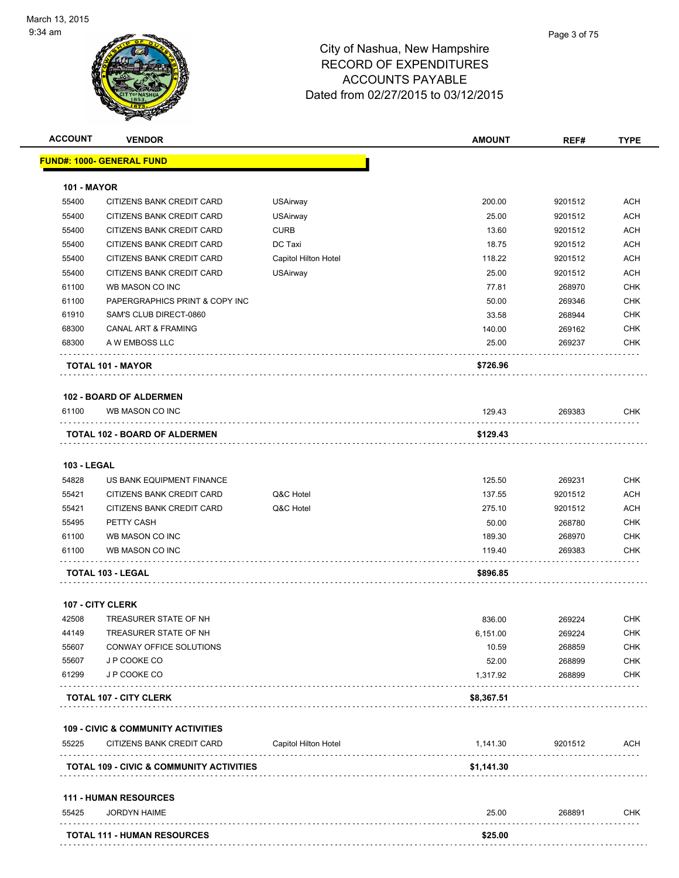| <b>ACCOUNT</b>     | <b>VENDOR</b>                                       |                      | <b>AMOUNT</b> | REF#    | <b>TYPE</b> |
|--------------------|-----------------------------------------------------|----------------------|---------------|---------|-------------|
|                    | <u> FUND#: 1000- GENERAL FUND</u>                   |                      |               |         |             |
| <b>101 - MAYOR</b> |                                                     |                      |               |         |             |
| 55400              | CITIZENS BANK CREDIT CARD                           | <b>USAirway</b>      | 200.00        | 9201512 | ACH         |
| 55400              | CITIZENS BANK CREDIT CARD                           | <b>USAirway</b>      | 25.00         | 9201512 | <b>ACH</b>  |
| 55400              | CITIZENS BANK CREDIT CARD                           | <b>CURB</b>          | 13.60         | 9201512 | ACH         |
| 55400              | CITIZENS BANK CREDIT CARD                           | DC Taxi              | 18.75         | 9201512 | <b>ACH</b>  |
| 55400              | CITIZENS BANK CREDIT CARD                           | Capitol Hilton Hotel | 118.22        | 9201512 | <b>ACH</b>  |
| 55400              | CITIZENS BANK CREDIT CARD                           | <b>USAirway</b>      | 25.00         | 9201512 | <b>ACH</b>  |
| 61100              | WB MASON CO INC                                     |                      | 77.81         | 268970  | <b>CHK</b>  |
| 61100              | PAPERGRAPHICS PRINT & COPY INC                      |                      | 50.00         | 269346  | <b>CHK</b>  |
| 61910              | SAM'S CLUB DIRECT-0860                              |                      | 33.58         | 268944  | CHK         |
| 68300              | <b>CANAL ART &amp; FRAMING</b>                      |                      | 140.00        | 269162  | CHK         |
| 68300              | A W EMBOSS LLC                                      |                      | 25.00         | 269237  | CHK         |
|                    | TOTAL 101 - MAYOR                                   |                      | \$726.96      |         |             |
|                    | <b>102 - BOARD OF ALDERMEN</b>                      |                      |               |         |             |
| 61100              | WB MASON CO INC                                     |                      | 129.43        | 269383  | CHK         |
|                    | TOTAL 102 - BOARD OF ALDERMEN                       |                      | \$129.43      |         |             |
| <b>103 - LEGAL</b> |                                                     |                      |               |         |             |
| 54828              | US BANK EQUIPMENT FINANCE                           |                      | 125.50        | 269231  | <b>CHK</b>  |
| 55421              | CITIZENS BANK CREDIT CARD                           | Q&C Hotel            | 137.55        | 9201512 | <b>ACH</b>  |
| 55421              | CITIZENS BANK CREDIT CARD                           | Q&C Hotel            | 275.10        | 9201512 | <b>ACH</b>  |
| 55495              | PETTY CASH                                          |                      | 50.00         | 268780  | CHK         |
| 61100              | WB MASON CO INC                                     |                      | 189.30        | 268970  | CHK         |
| 61100              | WB MASON CO INC                                     |                      | 119.40        | 269383  | CHK         |
|                    | TOTAL 103 - LEGAL                                   |                      | \$896.85      |         |             |
|                    |                                                     |                      |               |         |             |
|                    | <b>107 - CITY CLERK</b>                             |                      |               |         |             |
| 42508              | TREASURER STATE OF NH                               |                      | 836.00        | 269224  | CHK         |
| 44149              | TREASURER STATE OF NH                               |                      | 6,151.00      | 269224  | <b>CHK</b>  |
| 55607              | CONWAY OFFICE SOLUTIONS                             |                      | 10.59         | 268859  | <b>CHK</b>  |
| 55607              | J P COOKE CO                                        |                      | 52.00         | 268899  | <b>CHK</b>  |
| 61299              | J P COOKE CO                                        |                      | 1,317.92      | 268899  | <b>CHK</b>  |
|                    | <b>TOTAL 107 - CITY CLERK</b>                       |                      | \$8,367.51    |         |             |
|                    | <b>109 - CIVIC &amp; COMMUNITY ACTIVITIES</b>       |                      |               |         |             |
| 55225              | CITIZENS BANK CREDIT CARD                           | Capitol Hilton Hotel | 1,141.30      | 9201512 | ACH         |
|                    | <b>TOTAL 109 - CIVIC &amp; COMMUNITY ACTIVITIES</b> |                      | \$1,141.30    |         |             |
|                    | <b>111 - HUMAN RESOURCES</b>                        |                      |               |         |             |
| 55425              | <b>JORDYN HAIME</b>                                 |                      | 25.00         | 268891  | <b>CHK</b>  |
|                    | <b>TOTAL 111 - HUMAN RESOURCES</b>                  |                      | \$25.00       |         |             |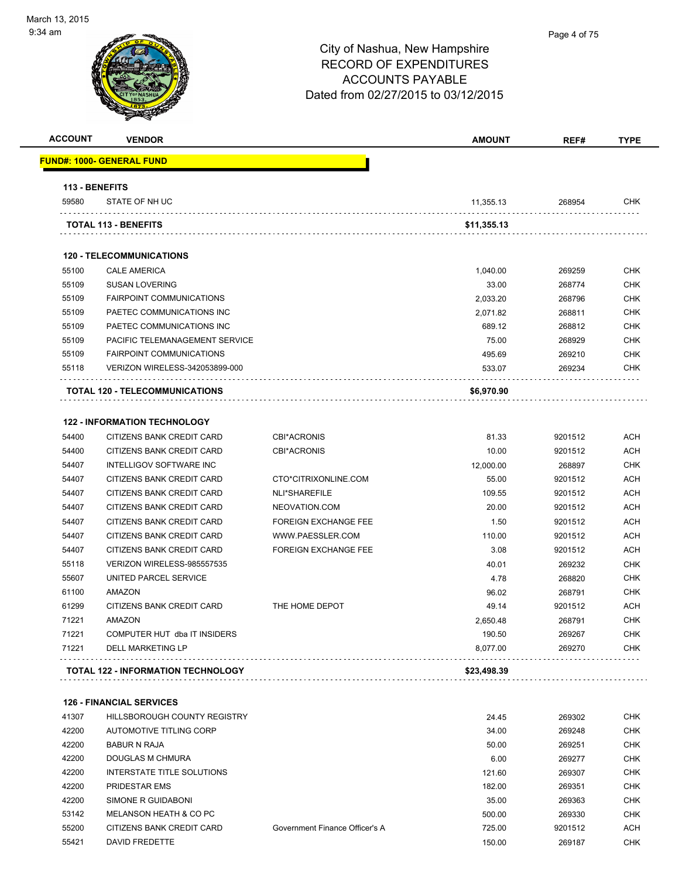

| <b>ACCOUNT</b> | <b>VENDOR</b>                                                    |                             | <b>AMOUNT</b> | REF#    | <b>TYPE</b> |
|----------------|------------------------------------------------------------------|-----------------------------|---------------|---------|-------------|
|                | FUND#: 1000- GENERAL FUND                                        |                             |               |         |             |
|                | 113 - BENEFITS                                                   |                             |               |         |             |
| 59580          | STATE OF NH UC                                                   |                             | 11,355.13     | 268954  | CHK         |
|                | <b>TOTAL 113 - BENEFITS</b>                                      |                             | \$11,355.13   |         |             |
|                | <b>120 - TELECOMMUNICATIONS</b>                                  |                             |               |         |             |
| 55100          | <b>CALE AMERICA</b>                                              |                             | 1,040.00      | 269259  | <b>CHK</b>  |
| 55109          | <b>SUSAN LOVERING</b>                                            |                             | 33.00         | 268774  | <b>CHK</b>  |
| 55109          | <b>FAIRPOINT COMMUNICATIONS</b>                                  |                             | 2,033.20      | 268796  | <b>CHK</b>  |
| 55109          | PAETEC COMMUNICATIONS INC                                        |                             | 2,071.82      | 268811  | <b>CHK</b>  |
| 55109          | PAETEC COMMUNICATIONS INC                                        |                             | 689.12        | 268812  | <b>CHK</b>  |
| 55109          | PACIFIC TELEMANAGEMENT SERVICE                                   |                             | 75.00         | 268929  | <b>CHK</b>  |
| 55109          | <b>FAIRPOINT COMMUNICATIONS</b>                                  |                             | 495.69        | 269210  | <b>CHK</b>  |
| 55118          | <b>VERIZON WIRELESS-342053899-000</b>                            |                             | 533.07        | 269234  | <b>CHK</b>  |
|                | TOTAL 120 - TELECOMMUNICATIONS                                   |                             | \$6,970.90    |         |             |
| 54400          | <b>122 - INFORMATION TECHNOLOGY</b><br>CITIZENS BANK CREDIT CARD | <b>CBI*ACRONIS</b>          | 81.33         | 9201512 | ACH         |
| 54400          | <b>CITIZENS BANK CREDIT CARD</b>                                 | <b>CBI*ACRONIS</b>          | 10.00         | 9201512 | <b>ACH</b>  |
| 54407          | <b>INTELLIGOV SOFTWARE INC</b>                                   |                             | 12,000.00     | 268897  | <b>CHK</b>  |
| 54407          | CITIZENS BANK CREDIT CARD                                        | CTO*CITRIXONLINE.COM        | 55.00         | 9201512 | <b>ACH</b>  |
| 54407          | <b>CITIZENS BANK CREDIT CARD</b>                                 | NLI*SHAREFILE               | 109.55        | 9201512 | <b>ACH</b>  |
| 54407          | CITIZENS BANK CREDIT CARD                                        | NEOVATION.COM               | 20.00         | 9201512 | <b>ACH</b>  |
| 54407          | CITIZENS BANK CREDIT CARD                                        | <b>FOREIGN EXCHANGE FEE</b> | 1.50          | 9201512 | ACH         |
| 54407          | CITIZENS BANK CREDIT CARD                                        | WWW.PAESSLER.COM            | 110.00        | 9201512 | <b>ACH</b>  |
| 54407          | CITIZENS BANK CREDIT CARD                                        | <b>FOREIGN EXCHANGE FEE</b> | 3.08          | 9201512 | <b>ACH</b>  |
| 55118          | VERIZON WIRELESS-985557535                                       |                             | 40.01         | 269232  | <b>CHK</b>  |
| 55607          | UNITED PARCEL SERVICE                                            |                             | 4.78          | 268820  | <b>CHK</b>  |
| 61100          | <b>AMAZON</b>                                                    |                             | 96.02         | 268791  | <b>CHK</b>  |
| 61299          | CITIZENS BANK CREDIT CARD                                        | THE HOME DEPOT              | 49.14         | 9201512 | <b>ACH</b>  |
| 71221          | <b>AMAZON</b>                                                    |                             | 2,650.48      | 268791  | <b>CHK</b>  |
| 71221          | COMPUTER HUT dba IT INSIDERS                                     |                             | 190.50        | 269267  | <b>CHK</b>  |
| 71221          | DELL MARKETING LP                                                |                             | 8,077.00      | 269270  | <b>CHK</b>  |
|                | <b>TOTAL 122 - INFORMATION TECHNOLOGY</b>                        |                             | \$23,498.39   |         |             |
|                |                                                                  |                             |               |         |             |

**126 - FINANCIAL SERVICES**

| 41307 | HILLSBOROUGH COUNTY REGISTRY |                                | 24.45  | 269302  | <b>CHK</b> |
|-------|------------------------------|--------------------------------|--------|---------|------------|
| 42200 | AUTOMOTIVE TITLING CORP      |                                | 34.00  | 269248  | <b>CHK</b> |
| 42200 | BABUR N RAJA                 |                                | 50.00  | 269251  | <b>CHK</b> |
| 42200 | DOUGLAS M CHMURA             |                                | 6.00   | 269277  | <b>CHK</b> |
| 42200 | INTERSTATE TITLE SOLUTIONS   |                                | 121.60 | 269307  | <b>CHK</b> |
| 42200 | PRIDESTAR EMS                |                                | 182.00 | 269351  | <b>CHK</b> |
| 42200 | SIMONE R GUIDABONI           |                                | 35.00  | 269363  | <b>CHK</b> |
| 53142 | MELANSON HEATH & CO PC       |                                | 500.00 | 269330  | <b>CHK</b> |
| 55200 | CITIZENS BANK CREDIT CARD    | Government Finance Officer's A | 725.00 | 9201512 | <b>ACH</b> |
| 55421 | <b>DAVID FREDETTE</b>        |                                | 150.00 | 269187  | <b>CHK</b> |
|       |                              |                                |        |         |            |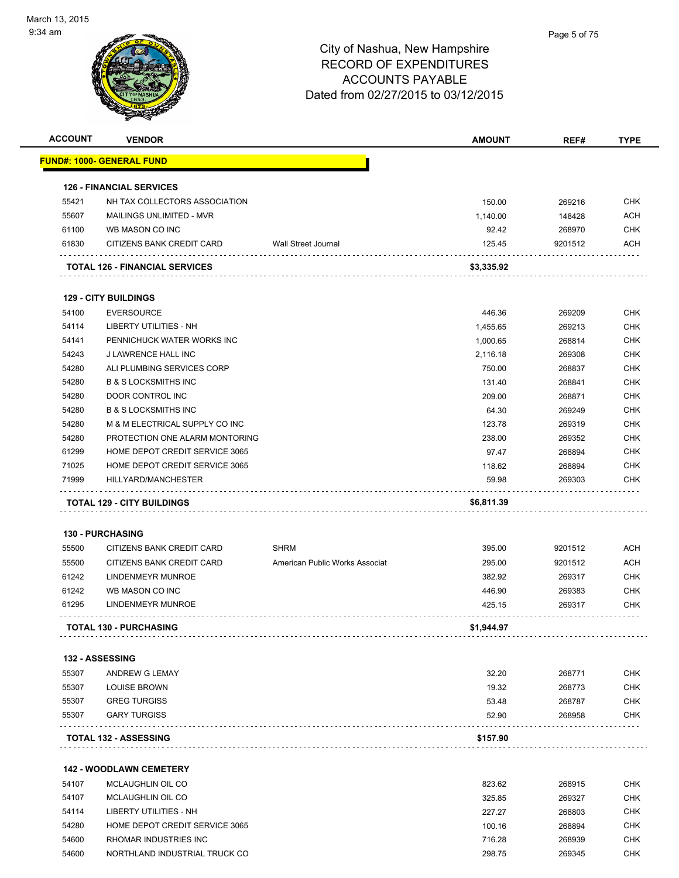

|                | <b>VENDOR</b>                                            |                                | <b>AMOUNT</b>       | REF#             | <b>TYPE</b>                                                                                                                |
|----------------|----------------------------------------------------------|--------------------------------|---------------------|------------------|----------------------------------------------------------------------------------------------------------------------------|
|                | <u> FUND#: 1000- GENERAL FUND</u>                        |                                |                     |                  |                                                                                                                            |
|                | <b>126 - FINANCIAL SERVICES</b>                          |                                |                     |                  |                                                                                                                            |
| 55421          | NH TAX COLLECTORS ASSOCIATION                            |                                | 150.00              | 269216           | <b>CHK</b>                                                                                                                 |
| 55607          | <b>MAILINGS UNLIMITED - MVR</b>                          |                                | 1,140.00            | 148428           | ACH                                                                                                                        |
| 61100          | WB MASON CO INC                                          |                                | 92.42               | 268970           | <b>CHK</b>                                                                                                                 |
| 61830          | CITIZENS BANK CREDIT CARD                                | Wall Street Journal            | 125.45              | 9201512          | ACH                                                                                                                        |
|                | <b>TOTAL 126 - FINANCIAL SERVICES</b>                    |                                | \$3,335.92          |                  |                                                                                                                            |
|                | <b>129 - CITY BUILDINGS</b>                              |                                |                     |                  |                                                                                                                            |
| 54100          | <b>EVERSOURCE</b>                                        |                                | 446.36              | 269209           | <b>CHK</b>                                                                                                                 |
| 54114          | LIBERTY UTILITIES - NH                                   |                                | 1,455.65            | 269213           | <b>CHK</b>                                                                                                                 |
| 54141          | PENNICHUCK WATER WORKS INC                               |                                | 1,000.65            | 268814           | <b>CHK</b>                                                                                                                 |
| 54243          | J LAWRENCE HALL INC                                      |                                | 2,116.18            | 269308           | <b>CHK</b>                                                                                                                 |
| 54280          | ALI PLUMBING SERVICES CORP                               |                                | 750.00              | 268837           | <b>CHK</b>                                                                                                                 |
| 54280          | <b>B &amp; S LOCKSMITHS INC</b>                          |                                | 131.40              | 268841           | <b>CHK</b>                                                                                                                 |
| 54280          | DOOR CONTROL INC                                         |                                | 209.00              | 268871           | <b>CHK</b>                                                                                                                 |
| 54280          | <b>B &amp; S LOCKSMITHS INC</b>                          |                                | 64.30               | 269249           | <b>CHK</b>                                                                                                                 |
| 54280          | M & M ELECTRICAL SUPPLY CO INC                           |                                | 123.78              | 269319           | <b>CHK</b>                                                                                                                 |
| 54280          | PROTECTION ONE ALARM MONTORING                           |                                | 238.00              | 269352           | <b>CHK</b>                                                                                                                 |
| 61299          | HOME DEPOT CREDIT SERVICE 3065                           |                                | 97.47               | 268894           | <b>CHK</b>                                                                                                                 |
|                | HOME DEPOT CREDIT SERVICE 3065                           |                                | 118.62              | 268894           | <b>CHK</b>                                                                                                                 |
|                |                                                          |                                |                     |                  |                                                                                                                            |
| 71025<br>71999 | HILLYARD/MANCHESTER<br><b>TOTAL 129 - CITY BUILDINGS</b> |                                | 59.98<br>\$6,811.39 | 269303           |                                                                                                                            |
|                | <b>130 - PURCHASING</b>                                  |                                |                     |                  |                                                                                                                            |
| 55500          | CITIZENS BANK CREDIT CARD                                | <b>SHRM</b>                    | 395.00              | 9201512          |                                                                                                                            |
| 55500          | CITIZENS BANK CREDIT CARD                                | American Public Works Associat | 295.00              | 9201512          |                                                                                                                            |
| 61242          | <b>LINDENMEYR MUNROE</b>                                 |                                | 382.92              | 269317           |                                                                                                                            |
| 61242          | WB MASON CO INC                                          |                                | 446.90              | 269383           |                                                                                                                            |
| 61295          | LINDENMEYR MUNROE                                        |                                | 425.15              | 269317           |                                                                                                                            |
|                | <b>TOTAL 130 - PURCHASING</b>                            |                                | \$1,944.97          |                  | <b>CHK</b><br>ACH<br><b>ACH</b><br><b>CHK</b><br><b>CHK</b><br><b>CHK</b>                                                  |
|                | 132 - ASSESSING                                          |                                |                     |                  |                                                                                                                            |
| 55307          | ANDREW G LEMAY                                           |                                | 32.20               | 268771           |                                                                                                                            |
| 55307          | <b>LOUISE BROWN</b>                                      |                                | 19.32               | 268773           |                                                                                                                            |
| 55307          | <b>GREG TURGISS</b>                                      |                                | 53.48               | 268787           |                                                                                                                            |
| 55307          | <b>GARY TURGISS</b>                                      |                                | 52.90               | 268958           |                                                                                                                            |
|                | <b>TOTAL 132 - ASSESSING</b>                             |                                | \$157.90            |                  |                                                                                                                            |
|                |                                                          |                                |                     |                  |                                                                                                                            |
|                | <b>142 - WOODLAWN CEMETERY</b>                           |                                |                     |                  |                                                                                                                            |
| 54107          | MCLAUGHLIN OIL CO                                        |                                | 823.62              | 268915           |                                                                                                                            |
| 54107          | <b>MCLAUGHLIN OIL CO</b>                                 |                                | 325.85              | 269327           |                                                                                                                            |
| 54114          | LIBERTY UTILITIES - NH                                   |                                | 227.27              | 268803           |                                                                                                                            |
| 54280<br>54600 | HOME DEPOT CREDIT SERVICE 3065<br>RHOMAR INDUSTRIES INC  |                                | 100.16<br>716.28    | 268894<br>268939 | <b>CHK</b><br><b>CHK</b><br><b>CHK</b><br><b>CHK</b><br><b>CHK</b><br><b>CHK</b><br><b>CHK</b><br><b>CHK</b><br><b>CHK</b> |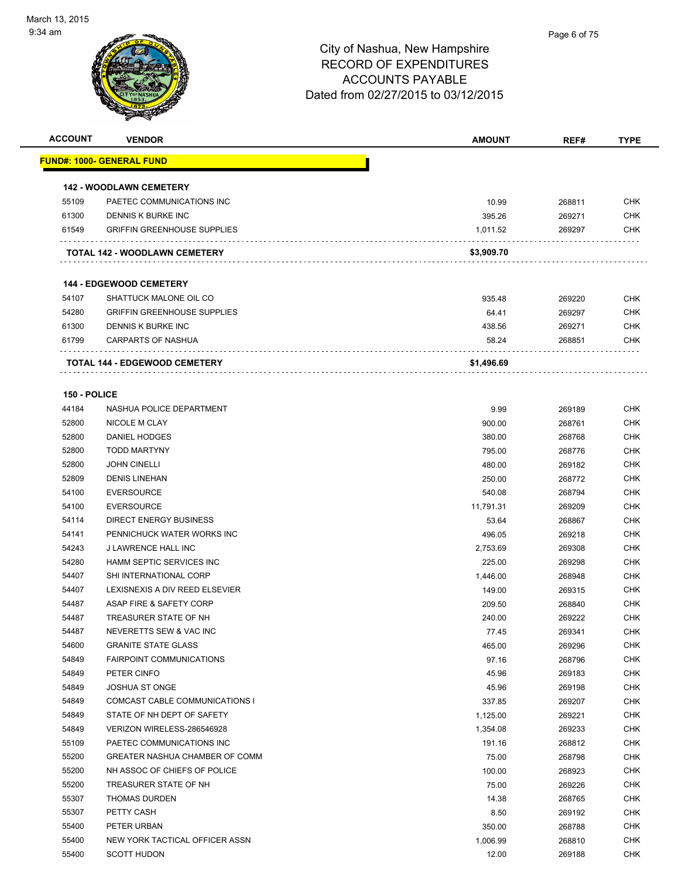

| <b>ACCOUNT</b> | <b>VENDOR</b>                        | <b>AMOUNT</b> | REF#   | <b>TYPE</b> |
|----------------|--------------------------------------|---------------|--------|-------------|
|                | <b>FUND#: 1000- GENERAL FUND</b>     |               |        |             |
|                |                                      |               |        |             |
|                | <b>142 - WOODLAWN CEMETERY</b>       |               |        |             |
| 55109          | PAETEC COMMUNICATIONS INC            | 10.99         | 268811 | <b>CHK</b>  |
| 61300          | DENNIS K BURKE INC                   | 395.26        | 269271 | <b>CHK</b>  |
| 61549          | <b>GRIFFIN GREENHOUSE SUPPLIES</b>   | 1,011.52      | 269297 | <b>CHK</b>  |
|                |                                      |               |        |             |
|                | TOTAL 142 - WOODLAWN CEMETERY        | \$3,909.70    |        |             |
|                |                                      |               |        |             |
|                | <b>144 - EDGEWOOD CEMETERY</b>       |               |        |             |
| 54107          | SHATTUCK MALONE OIL CO               | 935.48        | 269220 | <b>CHK</b>  |
| 54280          | <b>GRIFFIN GREENHOUSE SUPPLIES</b>   | 64.41         | 269297 | <b>CHK</b>  |
| 61300          | DENNIS K BURKE INC                   | 438.56        | 269271 | <b>CHK</b>  |
| 61799          | <b>CARPARTS OF NASHUA</b>            | 58.24         | 268851 | <b>CHK</b>  |
|                | <b>TOTAL 144 - EDGEWOOD CEMETERY</b> | \$1,496.69    |        |             |
|                |                                      |               |        |             |
| 150 - POLICE   |                                      |               |        |             |
| 44184          | NASHUA POLICE DEPARTMENT             | 9.99          | 269189 | <b>CHK</b>  |
| 52800          | NICOLE M CLAY                        | 900.00        | 268761 | <b>CHK</b>  |
| 52800          | DANIEL HODGES                        | 380.00        | 268768 | <b>CHK</b>  |
| 52800          | <b>TODD MARTYNY</b>                  | 795.00        | 268776 | <b>CHK</b>  |
| 52800          | <b>JOHN CINELLI</b>                  | 480.00        | 269182 | <b>CHK</b>  |
| 52809          | <b>DENIS LINEHAN</b>                 | 250.00        | 268772 | <b>CHK</b>  |
| 54100          | <b>EVERSOURCE</b>                    | 540.08        | 268794 | <b>CHK</b>  |
| 54100          | <b>EVERSOURCE</b>                    | 11,791.31     | 269209 | <b>CHK</b>  |
| 54114          | <b>DIRECT ENERGY BUSINESS</b>        | 53.64         | 268867 | <b>CHK</b>  |
| 54141          | PENNICHUCK WATER WORKS INC           | 496.05        | 269218 | <b>CHK</b>  |
| 54243          | J LAWRENCE HALL INC                  | 2,753.69      | 269308 | <b>CHK</b>  |
| 54280          | <b>HAMM SEPTIC SERVICES INC</b>      | 225.00        | 269298 | <b>CHK</b>  |
| 54407          | SHI INTERNATIONAL CORP               | 1,446.00      | 268948 | <b>CHK</b>  |
| 54407          | LEXISNEXIS A DIV REED ELSEVIER       | 149.00        | 269315 | <b>CHK</b>  |
| 54487          | ASAP FIRE & SAFETY CORP              | 209.50        | 268840 | <b>CHK</b>  |
| 54487          | TREASURER STATE OF NH                | 240.00        | 269222 | <b>CHK</b>  |
| 54487          | NEVERETTS SEW & VAC INC              | 77.45         | 269341 | <b>CHK</b>  |
| 54600          | <b>GRANITE STATE GLASS</b>           | 465.00        | 269296 | <b>CHK</b>  |
| 54849          | <b>FAIRPOINT COMMUNICATIONS</b>      | 97.16         | 268796 | <b>CHK</b>  |
| 54849          | PETER CINFO                          | 45.96         | 269183 | <b>CHK</b>  |
| 54849          | <b>JOSHUA ST ONGE</b>                | 45.96         | 269198 | <b>CHK</b>  |
| 54849          | COMCAST CABLE COMMUNICATIONS I       | 337.85        | 269207 | <b>CHK</b>  |
| 54849          | STATE OF NH DEPT OF SAFETY           | 1,125.00      | 269221 | <b>CHK</b>  |
| 54849          | VERIZON WIRELESS-286546928           | 1,354.08      | 269233 | <b>CHK</b>  |
| 55109          | PAETEC COMMUNICATIONS INC            | 191.16        | 268812 | <b>CHK</b>  |
| 55200          | GREATER NASHUA CHAMBER OF COMM       | 75.00         | 268798 | <b>CHK</b>  |
| 55200          | NH ASSOC OF CHIEFS OF POLICE         | 100.00        | 268923 | <b>CHK</b>  |
| 55200          | TREASURER STATE OF NH                | 75.00         | 269226 | <b>CHK</b>  |
| 55307          | <b>THOMAS DURDEN</b>                 | 14.38         | 268765 | <b>CHK</b>  |
| 55307          | PETTY CASH                           | 8.50          | 269192 | <b>CHK</b>  |
| 55400          | PETER URBAN                          | 350.00        | 268788 | <b>CHK</b>  |
| 55400          | NEW YORK TACTICAL OFFICER ASSN       | 1,006.99      | 268810 | <b>CHK</b>  |
| 55400          | <b>SCOTT HUDON</b>                   | 12.00         | 269188 | <b>CHK</b>  |
|                |                                      |               |        |             |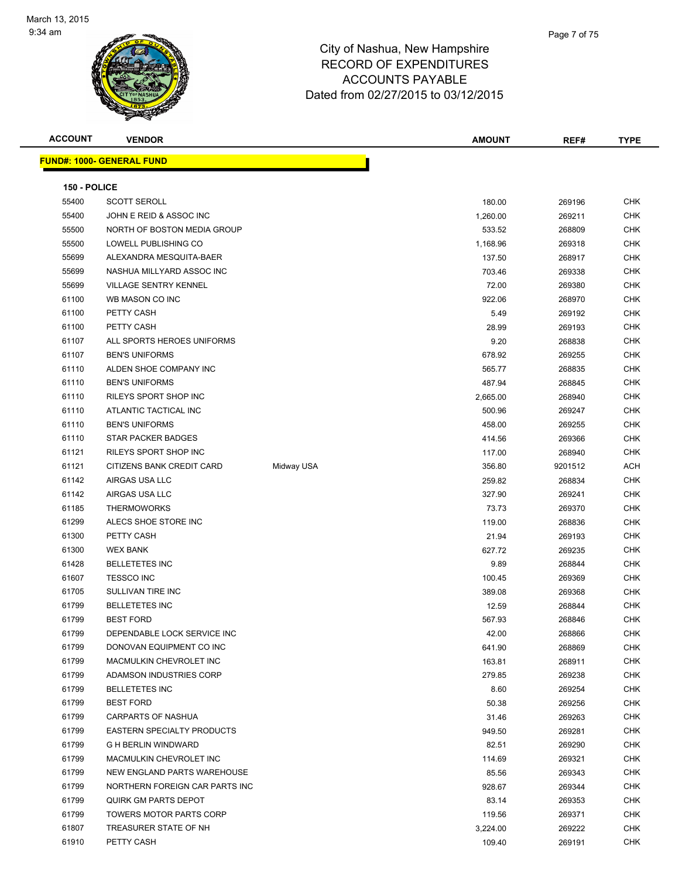

| <b>ACCOUNT</b> | <b>VENDOR</b>                     |            | <b>AMOUNT</b> | REF#    | <b>TYPE</b> |
|----------------|-----------------------------------|------------|---------------|---------|-------------|
|                | <b>FUND#: 1000- GENERAL FUND</b>  |            |               |         |             |
|                |                                   |            |               |         |             |
| 150 - POLICE   |                                   |            |               |         |             |
| 55400          | <b>SCOTT SEROLL</b>               |            | 180.00        | 269196  | <b>CHK</b>  |
| 55400          | JOHN E REID & ASSOC INC           |            | 1,260.00      | 269211  | <b>CHK</b>  |
| 55500          | NORTH OF BOSTON MEDIA GROUP       |            | 533.52        | 268809  | CHK         |
| 55500          | LOWELL PUBLISHING CO              |            | 1,168.96      | 269318  | <b>CHK</b>  |
| 55699          | ALEXANDRA MESQUITA-BAER           |            | 137.50        | 268917  | CHK         |
| 55699          | NASHUA MILLYARD ASSOC INC         |            | 703.46        | 269338  | CHK         |
| 55699          | <b>VILLAGE SENTRY KENNEL</b>      |            | 72.00         | 269380  | CHK         |
| 61100          | WB MASON CO INC                   |            | 922.06        | 268970  | CHK         |
| 61100          | PETTY CASH                        |            | 5.49          | 269192  | CHK         |
| 61100          | PETTY CASH                        |            | 28.99         | 269193  | CHK         |
| 61107          | ALL SPORTS HEROES UNIFORMS        |            | 9.20          | 268838  | CHK         |
| 61107          | <b>BEN'S UNIFORMS</b>             |            | 678.92        | 269255  | <b>CHK</b>  |
| 61110          | ALDEN SHOE COMPANY INC            |            | 565.77        | 268835  | <b>CHK</b>  |
| 61110          | <b>BEN'S UNIFORMS</b>             |            | 487.94        | 268845  | CHK         |
| 61110          | RILEYS SPORT SHOP INC             |            | 2,665.00      | 268940  | CHK         |
| 61110          | ATLANTIC TACTICAL INC             |            | 500.96        | 269247  | CHK         |
| 61110          | <b>BEN'S UNIFORMS</b>             |            | 458.00        | 269255  | CHK         |
| 61110          | STAR PACKER BADGES                |            | 414.56        | 269366  | CHK         |
| 61121          | RILEYS SPORT SHOP INC             |            | 117.00        | 268940  | CHK         |
| 61121          | CITIZENS BANK CREDIT CARD         | Midway USA | 356.80        | 9201512 | ACH         |
| 61142          | AIRGAS USA LLC                    |            | 259.82        | 268834  | CHK         |
| 61142          | AIRGAS USA LLC                    |            | 327.90        | 269241  | CHK         |
| 61185          | <b>THERMOWORKS</b>                |            | 73.73         | 269370  | <b>CHK</b>  |
| 61299          | ALECS SHOE STORE INC              |            | 119.00        | 268836  | CHK         |
| 61300          | PETTY CASH                        |            | 21.94         | 269193  | <b>CHK</b>  |
| 61300          | <b>WEX BANK</b>                   |            | 627.72        | 269235  | <b>CHK</b>  |
| 61428          | <b>BELLETETES INC</b>             |            | 9.89          | 268844  | CHK         |
| 61607          | <b>TESSCO INC</b>                 |            | 100.45        | 269369  | CHK         |
| 61705          | SULLIVAN TIRE INC                 |            | 389.08        | 269368  | CHK         |
| 61799          | <b>BELLETETES INC</b>             |            | 12.59         | 268844  | CHK         |
| 61799          | <b>BEST FORD</b>                  |            | 567.93        | 268846  | CHK         |
| 61799          | DEPENDABLE LOCK SERVICE INC       |            | 42.00         | 268866  | <b>CHK</b>  |
| 61799          | DONOVAN EQUIPMENT CO INC          |            | 641.90        | 268869  | CHK         |
| 61799          | MACMULKIN CHEVROLET INC           |            | 163.81        | 268911  | <b>CHK</b>  |
| 61799          | ADAMSON INDUSTRIES CORP           |            | 279.85        | 269238  | CHK         |
| 61799          | <b>BELLETETES INC</b>             |            | 8.60          | 269254  | <b>CHK</b>  |
| 61799          | <b>BEST FORD</b>                  |            | 50.38         | 269256  | <b>CHK</b>  |
| 61799          | <b>CARPARTS OF NASHUA</b>         |            | 31.46         | 269263  | CHK         |
| 61799          | <b>EASTERN SPECIALTY PRODUCTS</b> |            | 949.50        | 269281  | CHK         |
| 61799          | <b>G H BERLIN WINDWARD</b>        |            | 82.51         | 269290  | CHK         |
| 61799          | MACMULKIN CHEVROLET INC           |            | 114.69        | 269321  | CHK         |
| 61799          | NEW ENGLAND PARTS WAREHOUSE       |            | 85.56         | 269343  | CHK         |
| 61799          | NORTHERN FOREIGN CAR PARTS INC    |            | 928.67        | 269344  | CHK         |
| 61799          | QUIRK GM PARTS DEPOT              |            | 83.14         | 269353  | CHK         |
| 61799          | TOWERS MOTOR PARTS CORP           |            | 119.56        | 269371  | CHK         |
| 61807          | TREASURER STATE OF NH             |            | 3,224.00      | 269222  | CHK         |
| 61910          | PETTY CASH                        |            | 109.40        | 269191  | <b>CHK</b>  |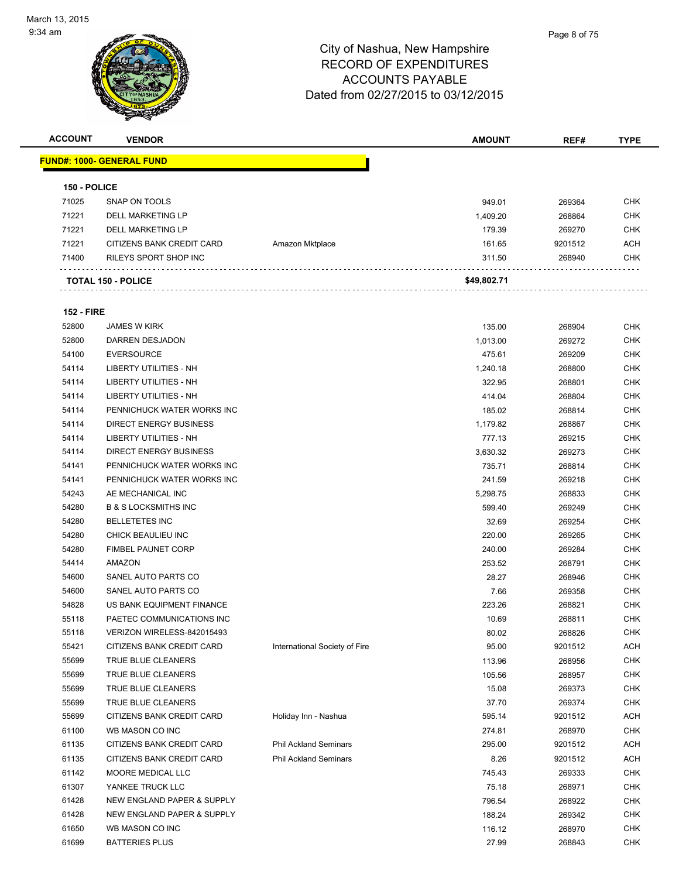

| <b>ACCOUNT</b>    | <b>VENDOR</b>                     |                               | <b>AMOUNT</b> | REF#    | <b>TYPE</b> |
|-------------------|-----------------------------------|-------------------------------|---------------|---------|-------------|
|                   | <u> FUND#: 1000- GENERAL FUND</u> |                               |               |         |             |
|                   |                                   |                               |               |         |             |
| 150 - POLICE      |                                   |                               |               |         |             |
| 71025             | SNAP ON TOOLS                     |                               | 949.01        | 269364  | <b>CHK</b>  |
| 71221             | DELL MARKETING LP                 |                               | 1,409.20      | 268864  | <b>CHK</b>  |
| 71221             | <b>DELL MARKETING LP</b>          |                               | 179.39        | 269270  | <b>CHK</b>  |
| 71221             | CITIZENS BANK CREDIT CARD         | Amazon Mktplace               | 161.65        | 9201512 | <b>ACH</b>  |
| 71400             | RILEYS SPORT SHOP INC             |                               | 311.50        | 268940  | <b>CHK</b>  |
|                   | <b>TOTAL 150 - POLICE</b>         |                               | \$49,802.71   |         |             |
|                   |                                   |                               |               |         |             |
| <b>152 - FIRE</b> |                                   |                               |               |         |             |
| 52800             | <b>JAMES W KIRK</b>               |                               | 135.00        | 268904  | <b>CHK</b>  |
| 52800             | DARREN DESJADON                   |                               | 1,013.00      | 269272  | <b>CHK</b>  |
| 54100             | <b>EVERSOURCE</b>                 |                               | 475.61        | 269209  | <b>CHK</b>  |
| 54114             | LIBERTY UTILITIES - NH            |                               | 1,240.18      | 268800  | <b>CHK</b>  |
| 54114             | <b>LIBERTY UTILITIES - NH</b>     |                               | 322.95        | 268801  | <b>CHK</b>  |
| 54114             | LIBERTY UTILITIES - NH            |                               | 414.04        | 268804  | <b>CHK</b>  |
| 54114             | PENNICHUCK WATER WORKS INC        |                               | 185.02        | 268814  | <b>CHK</b>  |
| 54114             | <b>DIRECT ENERGY BUSINESS</b>     |                               | 1,179.82      | 268867  | <b>CHK</b>  |
| 54114             | LIBERTY UTILITIES - NH            |                               | 777.13        | 269215  | <b>CHK</b>  |
| 54114             | <b>DIRECT ENERGY BUSINESS</b>     |                               | 3,630.32      | 269273  | <b>CHK</b>  |
| 54141             | PENNICHUCK WATER WORKS INC        |                               | 735.71        | 268814  | <b>CHK</b>  |
| 54141             | PENNICHUCK WATER WORKS INC        |                               | 241.59        | 269218  | <b>CHK</b>  |
| 54243             | AE MECHANICAL INC                 |                               | 5,298.75      | 268833  | <b>CHK</b>  |
| 54280             | <b>B &amp; S LOCKSMITHS INC</b>   |                               | 599.40        | 269249  | <b>CHK</b>  |
| 54280             | <b>BELLETETES INC</b>             |                               | 32.69         | 269254  | <b>CHK</b>  |
| 54280             | CHICK BEAULIEU INC                |                               | 220.00        | 269265  | <b>CHK</b>  |
| 54280             | <b>FIMBEL PAUNET CORP</b>         |                               | 240.00        | 269284  | <b>CHK</b>  |
| 54414             | AMAZON                            |                               | 253.52        | 268791  | <b>CHK</b>  |
| 54600             | SANEL AUTO PARTS CO               |                               | 28.27         | 268946  | <b>CHK</b>  |
| 54600             | SANEL AUTO PARTS CO               |                               | 7.66          | 269358  | <b>CHK</b>  |
| 54828             | US BANK EQUIPMENT FINANCE         |                               | 223.26        | 268821  | <b>CHK</b>  |
| 55118             | PAETEC COMMUNICATIONS INC         |                               | 10.69         | 268811  | <b>CHK</b>  |
| 55118             | VERIZON WIRELESS-842015493        |                               | 80.02         | 268826  | <b>CHK</b>  |
| 55421             | CITIZENS BANK CREDIT CARD         | International Society of Fire | 95.00         | 9201512 | <b>ACH</b>  |
| 55699             | TRUE BLUE CLEANERS                |                               | 113.96        | 268956  | <b>CHK</b>  |
| 55699             | TRUE BLUE CLEANERS                |                               | 105.56        | 268957  | <b>CHK</b>  |
| 55699             | TRUE BLUE CLEANERS                |                               | 15.08         | 269373  | <b>CHK</b>  |
| 55699             | TRUE BLUE CLEANERS                |                               | 37.70         | 269374  | <b>CHK</b>  |
| 55699             | CITIZENS BANK CREDIT CARD         | Holiday Inn - Nashua          | 595.14        | 9201512 | <b>ACH</b>  |
| 61100             | WB MASON CO INC                   |                               | 274.81        | 268970  | <b>CHK</b>  |
| 61135             | CITIZENS BANK CREDIT CARD         | <b>Phil Ackland Seminars</b>  | 295.00        | 9201512 | <b>ACH</b>  |
|                   |                                   |                               |               |         |             |
| 61135             | CITIZENS BANK CREDIT CARD         | <b>Phil Ackland Seminars</b>  | 8.26          | 9201512 | <b>ACH</b>  |
| 61142             | MOORE MEDICAL LLC                 |                               | 745.43        | 269333  | <b>CHK</b>  |
| 61307             | YANKEE TRUCK LLC                  |                               | 75.18         | 268971  | <b>CHK</b>  |
| 61428             | NEW ENGLAND PAPER & SUPPLY        |                               | 796.54        | 268922  | <b>CHK</b>  |
| 61428             | NEW ENGLAND PAPER & SUPPLY        |                               | 188.24        | 269342  | <b>CHK</b>  |
| 61650             | WB MASON CO INC                   |                               | 116.12        | 268970  | <b>CHK</b>  |
| 61699             | <b>BATTERIES PLUS</b>             |                               | 27.99         | 268843  | <b>CHK</b>  |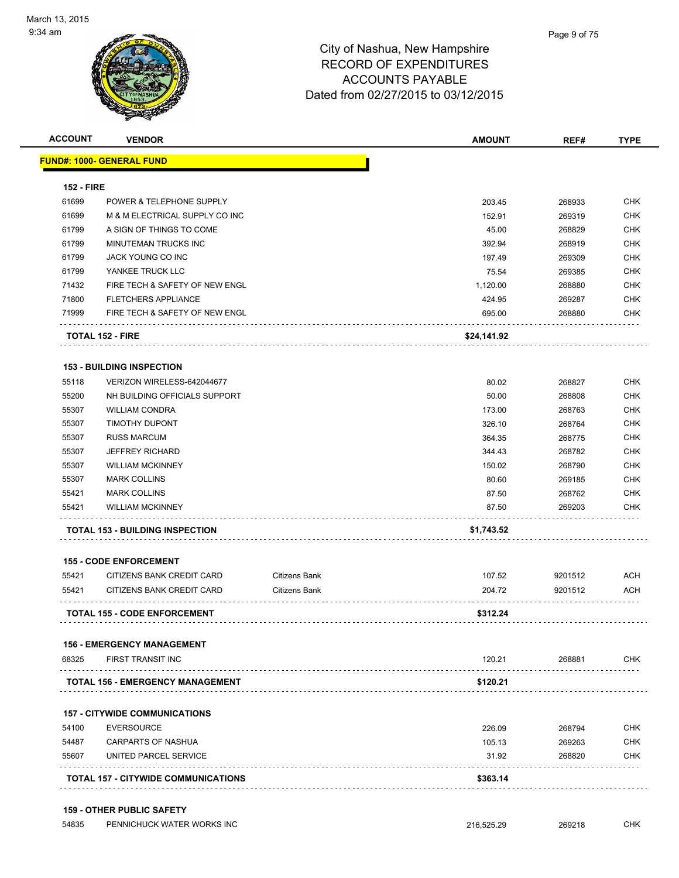| <b>ACCOUNT</b>    | <b>VENDOR</b>                          |                      | <b>AMOUNT</b> | REF#    | <b>TYPE</b> |
|-------------------|----------------------------------------|----------------------|---------------|---------|-------------|
|                   | <u> FUND#: 1000- GENERAL FUND</u>      |                      |               |         |             |
| <b>152 - FIRE</b> |                                        |                      |               |         |             |
| 61699             | POWER & TELEPHONE SUPPLY               |                      | 203.45        | 268933  | <b>CHK</b>  |
| 61699             | M & M ELECTRICAL SUPPLY CO INC         |                      | 152.91        | 269319  | <b>CHK</b>  |
| 61799             | A SIGN OF THINGS TO COME               |                      | 45.00         | 268829  | <b>CHK</b>  |
| 61799             | MINUTEMAN TRUCKS INC                   |                      | 392.94        | 268919  | <b>CHK</b>  |
| 61799             | JACK YOUNG CO INC                      |                      | 197.49        | 269309  | <b>CHK</b>  |
| 61799             | YANKEE TRUCK LLC                       |                      | 75.54         | 269385  | <b>CHK</b>  |
| 71432             | FIRE TECH & SAFETY OF NEW ENGL         |                      | 1,120.00      | 268880  | <b>CHK</b>  |
| 71800             | <b>FLETCHERS APPLIANCE</b>             |                      | 424.95        | 269287  | <b>CHK</b>  |
| 71999             | FIRE TECH & SAFETY OF NEW ENGL         |                      | 695.00        | 268880  | <b>CHK</b>  |
|                   | <b>TOTAL 152 - FIRE</b>                |                      | \$24,141.92   |         |             |
|                   | <b>153 - BUILDING INSPECTION</b>       |                      |               |         |             |
| 55118             | VERIZON WIRELESS-642044677             |                      | 80.02         | 268827  | <b>CHK</b>  |
| 55200             | NH BUILDING OFFICIALS SUPPORT          |                      | 50.00         | 268808  | <b>CHK</b>  |
| 55307             | <b>WILLIAM CONDRA</b>                  |                      | 173.00        | 268763  | <b>CHK</b>  |
| 55307             | <b>TIMOTHY DUPONT</b>                  |                      | 326.10        | 268764  | <b>CHK</b>  |
| 55307             | <b>RUSS MARCUM</b>                     |                      | 364.35        | 268775  | <b>CHK</b>  |
| 55307             | <b>JEFFREY RICHARD</b>                 |                      | 344.43        | 268782  | <b>CHK</b>  |
| 55307             | <b>WILLIAM MCKINNEY</b>                |                      | 150.02        | 268790  | <b>CHK</b>  |
| 55307             | <b>MARK COLLINS</b>                    |                      | 80.60         | 269185  | <b>CHK</b>  |
| 55421             | <b>MARK COLLINS</b>                    |                      | 87.50         | 268762  | <b>CHK</b>  |
| 55421             | <b>WILLIAM MCKINNEY</b>                |                      | 87.50         | 269203  | <b>CHK</b>  |
|                   | <b>TOTAL 153 - BUILDING INSPECTION</b> |                      | \$1,743.52    |         |             |
|                   | <b>155 - CODE ENFORCEMENT</b>          |                      |               |         |             |
| 55421             | CITIZENS BANK CREDIT CARD              | <b>Citizens Bank</b> | 107.52        | 9201512 | <b>ACH</b>  |
| 55421             | CITIZENS BANK CREDIT CARD              | <b>Citizens Bank</b> | 204.72        | 9201512 | <b>ACH</b>  |
|                   | <b>TOTAL 155 - CODE ENFORCEMENT</b>    |                      | \$312.24      |         |             |
|                   | <b>156 - EMERGENCY MANAGEMENT</b>      |                      |               |         |             |
| 68325             | FIRST TRANSIT INC<br>.                 |                      | 120.21        | 268881  | <b>CHK</b>  |
|                   | TOTAL 156 - EMERGENCY MANAGEMENT       |                      | \$120.21      |         |             |
|                   | <b>157 - CITYWIDE COMMUNICATIONS</b>   |                      |               |         |             |
| 54100             | <b>EVERSOURCE</b>                      |                      | 226.09        | 268794  | <b>CHK</b>  |
| 54487             | <b>CARPARTS OF NASHUA</b>              |                      | 105.13        | 269263  | <b>CHK</b>  |
|                   |                                        |                      | 31.92         | 268820  | <b>CHK</b>  |
| 55607             | UNITED PARCEL SERVICE                  |                      |               |         |             |

#### **159 - OTHER PUBLIC SAFETY**

| 54835 | PENNICHUCK WATER WORKS INC | 216.525.29 | 269218 | C <sub>1</sub> 11Z<br>∪⊓พ |
|-------|----------------------------|------------|--------|---------------------------|
|       |                            |            |        |                           |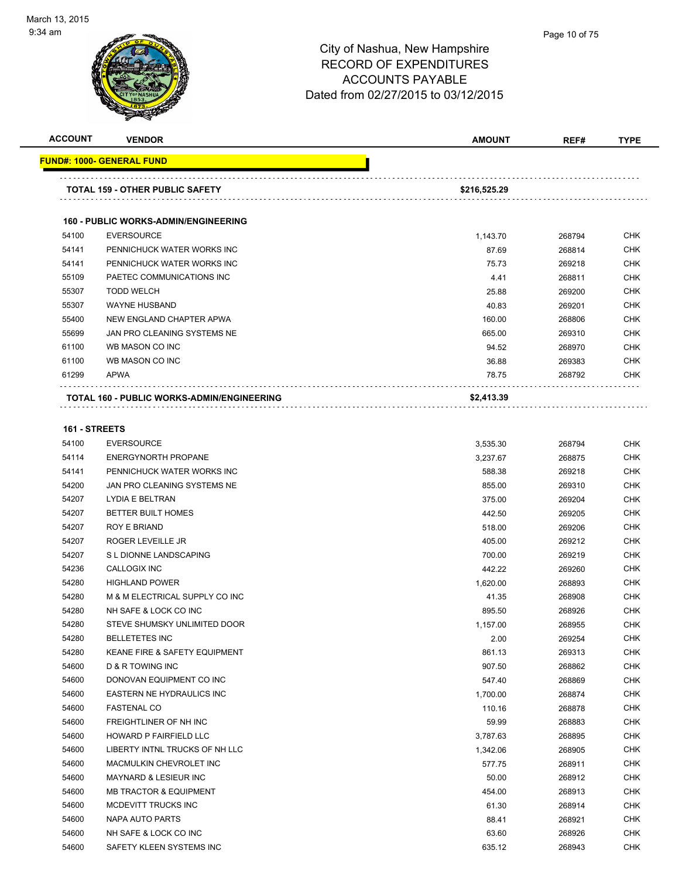

| <b>ACCOUNT</b> | <b>VENDOR</b>                               | <b>AMOUNT</b> | REF#   | TYPE       |
|----------------|---------------------------------------------|---------------|--------|------------|
|                | <b>FUND#: 1000- GENERAL FUND</b>            |               |        |            |
|                | <b>TOTAL 159 - OTHER PUBLIC SAFETY</b>      | \$216,525.29  |        |            |
|                | <b>160 - PUBLIC WORKS-ADMIN/ENGINEERING</b> |               |        |            |
| 54100          | <b>EVERSOURCE</b>                           | 1,143.70      | 268794 | <b>CHK</b> |
| 54141          | PENNICHUCK WATER WORKS INC                  | 87.69         | 268814 | <b>CHK</b> |
| 54141          | PENNICHUCK WATER WORKS INC                  | 75.73         | 269218 | <b>CHK</b> |
| 55109          | PAETEC COMMUNICATIONS INC                   | 4.41          | 268811 | <b>CHK</b> |
| 55307          | <b>TODD WELCH</b>                           | 25.88         | 269200 | <b>CHK</b> |
| 55307          | <b>WAYNE HUSBAND</b>                        | 40.83         | 269201 | <b>CHK</b> |
| 55400          | NEW ENGLAND CHAPTER APWA                    | 160.00        | 268806 | <b>CHK</b> |
| 55699          | JAN PRO CLEANING SYSTEMS NE                 | 665.00        | 269310 | <b>CHK</b> |
| 61100          | WB MASON CO INC                             | 94.52         | 268970 | <b>CHK</b> |
| 61100          | WB MASON CO INC                             | 36.88         | 269383 | <b>CHK</b> |
| 61299          | <b>APWA</b>                                 | 78.75         | 268792 | <b>CHK</b> |
|                | TOTAL 160 - PUBLIC WORKS-ADMIN/ENGINEERING  | \$2,413.39    |        |            |
| 161 - STREETS  |                                             |               |        |            |
| 54100          | <b>EVERSOURCE</b>                           | 3,535.30      | 268794 | <b>CHK</b> |
| 54114          | <b>ENERGYNORTH PROPANE</b>                  | 3,237.67      | 268875 | <b>CHK</b> |
| 54141          | PENNICHUCK WATER WORKS INC                  | 588.38        | 269218 | <b>CHK</b> |
| 54200          | JAN PRO CLEANING SYSTEMS NE                 | 855.00        | 269310 | <b>CHK</b> |
| 54207          | LYDIA E BELTRAN                             | 375.00        | 269204 | <b>CHK</b> |
| 54207          | <b>BETTER BUILT HOMES</b>                   | 442.50        | 269205 | <b>CHK</b> |
| 54207          | ROY E BRIAND                                | 518.00        | 269206 | <b>CHK</b> |
| 54207          | ROGER LEVEILLE JR                           | 405.00        | 269212 | <b>CHK</b> |
| 54207          | S L DIONNE LANDSCAPING                      | 700.00        | 269219 | <b>CHK</b> |
| 54236          | <b>CALLOGIX INC</b>                         | 442.22        | 269260 | <b>CHK</b> |
| 54280          | <b>HIGHLAND POWER</b>                       | 1,620.00      | 268893 | <b>CHK</b> |
| 54280          | M & M ELECTRICAL SUPPLY CO INC              | 41.35         | 268908 | <b>CHK</b> |
| 54280          | NH SAFE & LOCK CO INC                       | 895.50        | 268926 | <b>CHK</b> |
| 54280          | STEVE SHUMSKY UNLIMITED DOOR                | 1,157.00      | 268955 | <b>CHK</b> |
| 54280          | <b>BELLETETES INC</b>                       | 2.00          | 269254 | <b>CHK</b> |
| 54280          | KEANE FIRE & SAFETY EQUIPMENT               | 861.13        | 269313 | <b>CHK</b> |
| 54600          | D & R TOWING INC                            | 907.50        | 268862 | <b>CHK</b> |
| 54600          | DONOVAN EQUIPMENT CO INC                    | 547.40        | 268869 | <b>CHK</b> |
| 54600          | EASTERN NE HYDRAULICS INC                   | 1,700.00      | 268874 | <b>CHK</b> |
| 54600          | <b>FASTENAL CO</b>                          | 110.16        | 268878 | <b>CHK</b> |
| 54600          | FREIGHTLINER OF NH INC                      | 59.99         | 268883 | <b>CHK</b> |
| 54600          | HOWARD P FAIRFIELD LLC                      | 3,787.63      | 268895 | <b>CHK</b> |
| 54600          | LIBERTY INTNL TRUCKS OF NH LLC              | 1,342.06      | 268905 | <b>CHK</b> |
| 54600          | MACMULKIN CHEVROLET INC                     | 577.75        | 268911 | <b>CHK</b> |
| 54600          | <b>MAYNARD &amp; LESIEUR INC</b>            | 50.00         | 268912 | <b>CHK</b> |
| 54600          | <b>MB TRACTOR &amp; EQUIPMENT</b>           | 454.00        | 268913 | <b>CHK</b> |
| 54600          | MCDEVITT TRUCKS INC                         | 61.30         | 268914 | <b>CHK</b> |
| 54600          | NAPA AUTO PARTS                             | 88.41         | 268921 | <b>CHK</b> |
| 54600          | NH SAFE & LOCK CO INC                       | 63.60         | 268926 | <b>CHK</b> |
| 54600          | SAFETY KLEEN SYSTEMS INC                    | 635.12        | 268943 | <b>CHK</b> |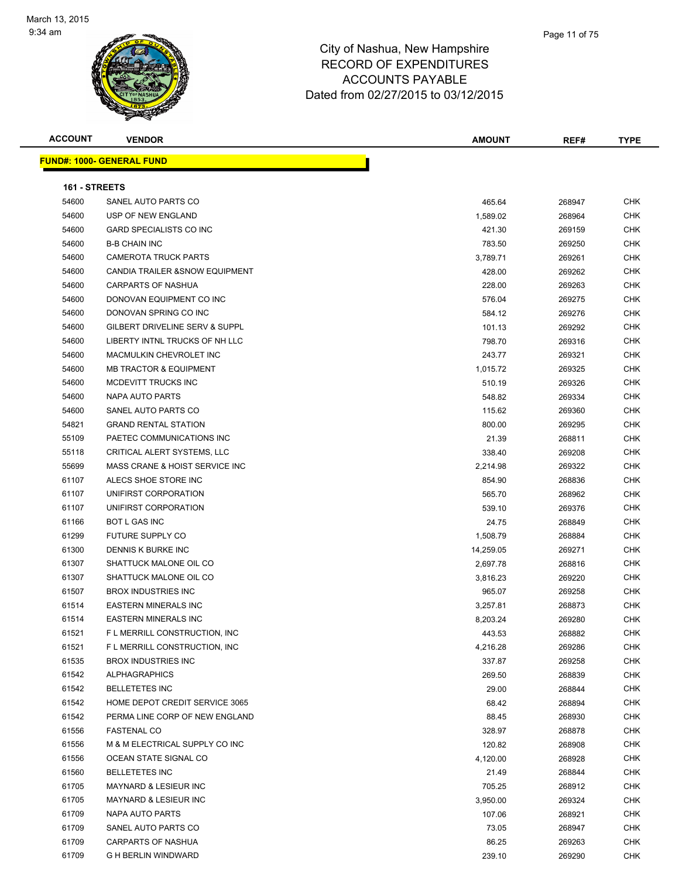

| <b>ACCOUNT</b>       | <b>VENDOR</b>                     | <b>AMOUNT</b> | REF#   | <b>TYPE</b> |
|----------------------|-----------------------------------|---------------|--------|-------------|
|                      | <u> FUND#: 1000- GENERAL FUND</u> |               |        |             |
|                      |                                   |               |        |             |
| <b>161 - STREETS</b> |                                   |               |        |             |
| 54600                | SANEL AUTO PARTS CO               | 465.64        | 268947 | <b>CHK</b>  |
| 54600                | USP OF NEW ENGLAND                | 1,589.02      | 268964 | <b>CHK</b>  |
| 54600                | <b>GARD SPECIALISTS CO INC</b>    | 421.30        | 269159 | CHK         |
| 54600                | <b>B-B CHAIN INC</b>              | 783.50        | 269250 | CHK         |
| 54600                | <b>CAMEROTA TRUCK PARTS</b>       | 3,789.71      | 269261 | <b>CHK</b>  |
| 54600                | CANDIA TRAILER & SNOW EQUIPMENT   | 428.00        | 269262 | <b>CHK</b>  |
| 54600                | <b>CARPARTS OF NASHUA</b>         | 228.00        | 269263 | <b>CHK</b>  |
| 54600                | DONOVAN EQUIPMENT CO INC          | 576.04        | 269275 | <b>CHK</b>  |
| 54600                | DONOVAN SPRING CO INC             | 584.12        | 269276 | <b>CHK</b>  |
| 54600                | GILBERT DRIVELINE SERV & SUPPL    | 101.13        | 269292 | <b>CHK</b>  |
| 54600                | LIBERTY INTNL TRUCKS OF NH LLC    | 798.70        | 269316 | <b>CHK</b>  |
| 54600                | MACMULKIN CHEVROLET INC           | 243.77        | 269321 | CHK         |
| 54600                | <b>MB TRACTOR &amp; EQUIPMENT</b> | 1,015.72      | 269325 | <b>CHK</b>  |
| 54600                | MCDEVITT TRUCKS INC               | 510.19        | 269326 | CHK         |
| 54600                | NAPA AUTO PARTS                   | 548.82        | 269334 | CHK         |
| 54600                | SANEL AUTO PARTS CO               | 115.62        | 269360 | <b>CHK</b>  |
| 54821                | <b>GRAND RENTAL STATION</b>       | 800.00        | 269295 | <b>CHK</b>  |
| 55109                | PAETEC COMMUNICATIONS INC         | 21.39         | 268811 | <b>CHK</b>  |
| 55118                | CRITICAL ALERT SYSTEMS, LLC       | 338.40        | 269208 | <b>CHK</b>  |
| 55699                | MASS CRANE & HOIST SERVICE INC    | 2,214.98      | 269322 | <b>CHK</b>  |
| 61107                | ALECS SHOE STORE INC              | 854.90        | 268836 | <b>CHK</b>  |
| 61107                | UNIFIRST CORPORATION              | 565.70        | 268962 | <b>CHK</b>  |
| 61107                | UNIFIRST CORPORATION              | 539.10        | 269376 | <b>CHK</b>  |
| 61166                | BOT L GAS INC                     | 24.75         | 268849 | <b>CHK</b>  |
| 61299                | FUTURE SUPPLY CO                  | 1,508.79      | 268884 | CHK         |
| 61300                | DENNIS K BURKE INC                | 14,259.05     | 269271 | <b>CHK</b>  |
| 61307                | SHATTUCK MALONE OIL CO            | 2,697.78      | 268816 | <b>CHK</b>  |
| 61307                | SHATTUCK MALONE OIL CO            | 3,816.23      | 269220 | <b>CHK</b>  |
| 61507                | <b>BROX INDUSTRIES INC</b>        | 965.07        | 269258 | CHK         |
| 61514                | <b>EASTERN MINERALS INC</b>       | 3,257.81      | 268873 | <b>CHK</b>  |
| 61514                | <b>EASTERN MINERALS INC</b>       | 8,203.24      | 269280 | <b>CHK</b>  |
| 61521                | F L MERRILL CONSTRUCTION, INC     | 443.53        | 268882 | <b>CHK</b>  |
| 61521                | F L MERRILL CONSTRUCTION, INC     | 4,216.28      | 269286 | <b>CHK</b>  |
| 61535                | <b>BROX INDUSTRIES INC</b>        | 337.87        | 269258 | <b>CHK</b>  |
| 61542                | <b>ALPHAGRAPHICS</b>              | 269.50        | 268839 | <b>CHK</b>  |
| 61542                | <b>BELLETETES INC</b>             | 29.00         | 268844 | <b>CHK</b>  |
| 61542                | HOME DEPOT CREDIT SERVICE 3065    | 68.42         | 268894 | <b>CHK</b>  |
| 61542                | PERMA LINE CORP OF NEW ENGLAND    | 88.45         | 268930 | <b>CHK</b>  |
| 61556                | <b>FASTENAL CO</b>                | 328.97        | 268878 | <b>CHK</b>  |
| 61556                | M & M ELECTRICAL SUPPLY CO INC    | 120.82        | 268908 | <b>CHK</b>  |
| 61556                | OCEAN STATE SIGNAL CO             | 4,120.00      | 268928 | <b>CHK</b>  |
| 61560                | <b>BELLETETES INC</b>             | 21.49         | 268844 | <b>CHK</b>  |
| 61705                | <b>MAYNARD &amp; LESIEUR INC</b>  | 705.25        | 268912 | CHK         |
| 61705                | MAYNARD & LESIEUR INC             | 3,950.00      | 269324 | <b>CHK</b>  |
| 61709                | NAPA AUTO PARTS                   | 107.06        | 268921 | <b>CHK</b>  |
| 61709                | SANEL AUTO PARTS CO               | 73.05         | 268947 | CHK         |
| 61709                | <b>CARPARTS OF NASHUA</b>         | 86.25         | 269263 | CHK         |
| 61709                | G H BERLIN WINDWARD               | 239.10        | 269290 | CHK         |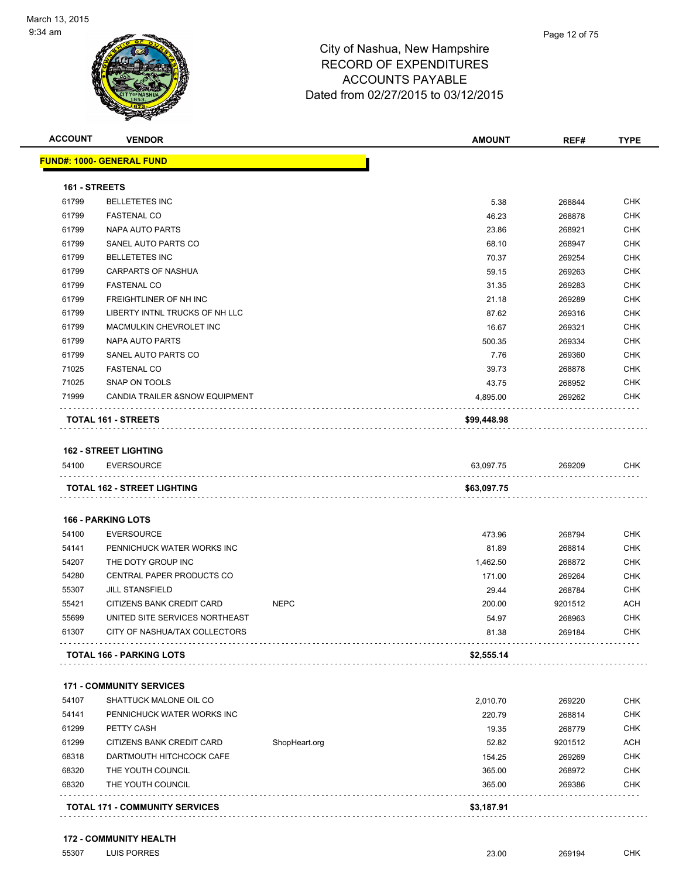

Page 12 of 75

|               | <b>VENDOR</b>                     |               | <b>AMOUNT</b> | REF#    | <b>TYPE</b>                                                               |
|---------------|-----------------------------------|---------------|---------------|---------|---------------------------------------------------------------------------|
|               | <u> FUND#: 1000- GENERAL FUND</u> |               |               |         |                                                                           |
| 161 - STREETS |                                   |               |               |         |                                                                           |
| 61799         | <b>BELLETETES INC</b>             |               | 5.38          | 268844  | CHK                                                                       |
| 61799         | <b>FASTENAL CO</b>                |               | 46.23         | 268878  | <b>CHK</b>                                                                |
| 61799         | NAPA AUTO PARTS                   |               | 23.86         | 268921  | <b>CHK</b>                                                                |
| 61799         | SANEL AUTO PARTS CO               |               | 68.10         | 268947  | <b>CHK</b>                                                                |
| 61799         | <b>BELLETETES INC</b>             |               | 70.37         | 269254  | <b>CHK</b>                                                                |
| 61799         | <b>CARPARTS OF NASHUA</b>         |               | 59.15         | 269263  | <b>CHK</b>                                                                |
| 61799         | <b>FASTENAL CO</b>                |               | 31.35         | 269283  | <b>CHK</b>                                                                |
| 61799         | FREIGHTLINER OF NH INC            |               | 21.18         | 269289  | <b>CHK</b>                                                                |
| 61799         | LIBERTY INTNL TRUCKS OF NH LLC    |               | 87.62         | 269316  | <b>CHK</b>                                                                |
| 61799         | MACMULKIN CHEVROLET INC           |               | 16.67         | 269321  | <b>CHK</b>                                                                |
| 61799         | NAPA AUTO PARTS                   |               | 500.35        | 269334  | <b>CHK</b>                                                                |
| 61799         | SANEL AUTO PARTS CO               |               | 7.76          | 269360  | <b>CHK</b>                                                                |
| 71025         | <b>FASTENAL CO</b>                |               | 39.73         | 268878  | <b>CHK</b>                                                                |
| 71025         | SNAP ON TOOLS                     |               | 43.75         | 268952  | <b>CHK</b>                                                                |
| 71999         | CANDIA TRAILER & SNOW EQUIPMENT   |               | 4,895.00      | 269262  | CHK                                                                       |
|               | TOTAL 161 - STREETS               |               | \$99,448.98   |         |                                                                           |
|               |                                   |               |               |         |                                                                           |
|               | <b>162 - STREET LIGHTING</b>      |               |               |         |                                                                           |
| 54100         | <b>EVERSOURCE</b>                 |               | 63,097.75     | 269209  | CHK                                                                       |
|               | TOTAL 162 - STREET LIGHTING       |               | \$63,097.75   |         |                                                                           |
|               |                                   |               |               |         |                                                                           |
|               | <b>166 - PARKING LOTS</b>         |               |               |         |                                                                           |
| 54100         | <b>EVERSOURCE</b>                 |               | 473.96        | 268794  |                                                                           |
| 54141         | PENNICHUCK WATER WORKS INC        |               | 81.89         | 268814  |                                                                           |
| 54207         | THE DOTY GROUP INC                |               | 1,462.50      | 268872  |                                                                           |
| 54280         | CENTRAL PAPER PRODUCTS CO         |               | 171.00        | 269264  |                                                                           |
| 55307         | <b>JILL STANSFIELD</b>            |               | 29.44         | 268784  | CHK<br><b>CHK</b><br><b>CHK</b><br><b>CHK</b><br><b>CHK</b>               |
| 55421         | CITIZENS BANK CREDIT CARD         | <b>NEPC</b>   | 200.00        | 9201512 | <b>ACH</b>                                                                |
| 55699         | UNITED SITE SERVICES NORTHEAST    |               | 54.97         | 268963  | <b>CHK</b>                                                                |
| 61307         | CITY OF NASHUA/TAX COLLECTORS     |               | 81.38         | 269184  | <b>CHK</b>                                                                |
|               | <b>TOTAL 166 - PARKING LOTS</b>   |               | \$2,555.14    |         |                                                                           |
|               |                                   |               |               |         |                                                                           |
|               | <b>171 - COMMUNITY SERVICES</b>   |               |               |         |                                                                           |
| 54107         | SHATTUCK MALONE OIL CO            |               | 2,010.70      | 269220  |                                                                           |
| 54141         | PENNICHUCK WATER WORKS INC        |               | 220.79        | 268814  |                                                                           |
| 61299         | PETTY CASH                        |               | 19.35         | 268779  |                                                                           |
| 61299         | CITIZENS BANK CREDIT CARD         | ShopHeart.org | 52.82         | 9201512 |                                                                           |
| 68318         | DARTMOUTH HITCHCOCK CAFE          |               | 154.25        | 269269  |                                                                           |
| 68320         | THE YOUTH COUNCIL                 |               | 365.00        | 268972  | CHK<br><b>CHK</b><br><b>CHK</b><br><b>ACH</b><br><b>CHK</b><br><b>CHK</b> |

#### **172 - COMMUNITY HEALTH**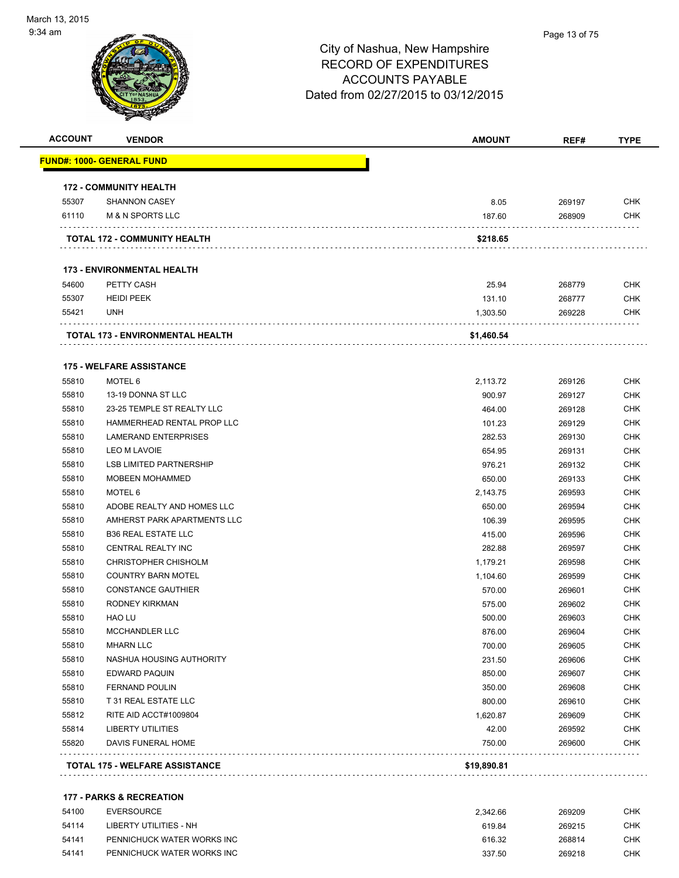#### Page 13 of 75

| <b>ACCOUNT</b> | <b>VENDOR</b>                     | <b>AMOUNT</b> | REF#   | <b>TYPE</b> |
|----------------|-----------------------------------|---------------|--------|-------------|
|                | <u> FUND#: 1000- GENERAL FUND</u> |               |        |             |
|                | <b>172 - COMMUNITY HEALTH</b>     |               |        |             |
| 55307          | <b>SHANNON CASEY</b>              | 8.05          | 269197 | <b>CHK</b>  |
| 61110          | M & N SPORTS LLC                  | 187.60        | 268909 | <b>CHK</b>  |
|                | TOTAL 172 - COMMUNITY HEALTH      | \$218.65      |        |             |
|                | <b>173 - ENVIRONMENTAL HEALTH</b> |               |        |             |
| 54600          | PETTY CASH                        | 25.94         | 268779 | <b>CHK</b>  |
| 55307          | <b>HEIDI PEEK</b>                 | 131.10        | 268777 | <b>CHK</b>  |
| 55421          | <b>UNH</b>                        | 1,303.50      | 269228 | <b>CHK</b>  |
|                | TOTAL 173 - ENVIRONMENTAL HEALTH  | \$1,460.54    |        |             |
|                | <b>175 - WELFARE ASSISTANCE</b>   |               |        |             |
| 55810          | MOTEL 6                           | 2,113.72      | 269126 | <b>CHK</b>  |
| 55810          | 13-19 DONNA ST LLC                | 900.97        | 269127 | <b>CHK</b>  |
| 55810          | 23-25 TEMPLE ST REALTY LLC        | 464.00        | 269128 | <b>CHK</b>  |
| 55810          | HAMMERHEAD RENTAL PROP LLC        | 101.23        | 269129 | <b>CHK</b>  |
| 55810          | <b>LAMERAND ENTERPRISES</b>       | 282.53        | 269130 | <b>CHK</b>  |
| 55810          | LEO M LAVOIE                      | 654.95        | 269131 | <b>CHK</b>  |
| 55810          | <b>LSB LIMITED PARTNERSHIP</b>    | 976.21        | 269132 | <b>CHK</b>  |
| 55810          | <b>MOBEEN MOHAMMED</b>            | 650.00        | 269133 | <b>CHK</b>  |
| 55810          | MOTEL 6                           | 2,143.75      | 269593 | <b>CHK</b>  |
| 55810          | ADOBE REALTY AND HOMES LLC        | 650.00        | 269594 | <b>CHK</b>  |
| 55810          | AMHERST PARK APARTMENTS LLC       | 106.39        | 269595 | <b>CHK</b>  |
| 55810          | <b>B36 REAL ESTATE LLC</b>        | 415.00        | 269596 | <b>CHK</b>  |
| 55810          | CENTRAL REALTY INC                | 282.88        | 269597 | <b>CHK</b>  |
| 55810          | <b>CHRISTOPHER CHISHOLM</b>       | 1,179.21      | 269598 | <b>CHK</b>  |
| 55810          | <b>COUNTRY BARN MOTEL</b>         | 1,104.60      | 269599 | <b>CHK</b>  |
| 55810          | <b>CONSTANCE GAUTHIER</b>         | 570.00        | 269601 | <b>CHK</b>  |
| 55810          | RODNEY KIRKMAN                    | 575.00        | 269602 | <b>CHK</b>  |
| 55810          | <b>HAO LU</b>                     | 500.00        | 269603 | <b>CHK</b>  |
| 55810          | MCCHANDLER LLC                    | 876.00        | 269604 | <b>CHK</b>  |
| 55810          | <b>MHARN LLC</b>                  | 700.00        | 269605 | <b>CHK</b>  |
| 55810          | NASHUA HOUSING AUTHORITY          | 231.50        | 269606 | <b>CHK</b>  |
| 55810          | EDWARD PAQUIN                     | 850.00        | 269607 | <b>CHK</b>  |
| 55810          | <b>FERNAND POULIN</b>             | 350.00        | 269608 | <b>CHK</b>  |
| 55810          | T 31 REAL ESTATE LLC              | 800.00        | 269610 | <b>CHK</b>  |
| 55812          | RITE AID ACCT#1009804             | 1,620.87      | 269609 | <b>CHK</b>  |
| 55814          | <b>LIBERTY UTILITIES</b>          | 42.00         | 269592 | <b>CHK</b>  |
| 55820          | DAVIS FUNERAL HOME                | 750.00        | 269600 | <b>CHK</b>  |
|                | TOTAL 175 - WELFARE ASSISTANCE    | \$19,890.81   |        |             |

| 54100 | EVERSOURCE                 | 2.342.66 | 269209 | СНК |
|-------|----------------------------|----------|--------|-----|
| 54114 | LIBERTY UTILITIES - NH     | 619.84   | 269215 | снк |
| 54141 | PENNICHUCK WATER WORKS INC | 616.32   | 268814 | СНК |
| 54141 | PENNICHUCK WATER WORKS INC | 337.50   | 269218 | CHK |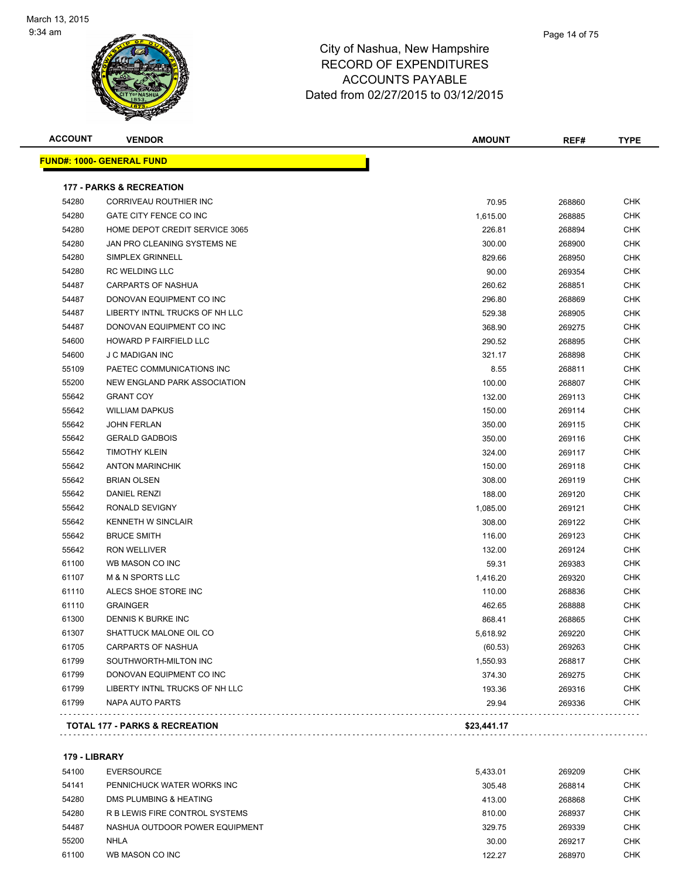

| <b>ACCOUNT</b> | <b>VENDOR</b>                             | <b>AMOUNT</b> | REF#   | <b>TYPE</b> |
|----------------|-------------------------------------------|---------------|--------|-------------|
|                | <u> FUND#: 1000- GENERAL FUND</u>         |               |        |             |
|                | <b>177 - PARKS &amp; RECREATION</b>       |               |        |             |
| 54280          | CORRIVEAU ROUTHIER INC                    | 70.95         | 268860 | CHK         |
| 54280          | GATE CITY FENCE CO INC                    | 1,615.00      | 268885 | <b>CHK</b>  |
| 54280          | HOME DEPOT CREDIT SERVICE 3065            | 226.81        | 268894 | <b>CHK</b>  |
| 54280          | JAN PRO CLEANING SYSTEMS NE               | 300.00        | 268900 | <b>CHK</b>  |
| 54280          | SIMPLEX GRINNELL                          | 829.66        | 268950 | <b>CHK</b>  |
| 54280          | <b>RC WELDING LLC</b>                     | 90.00         | 269354 | <b>CHK</b>  |
| 54487          | <b>CARPARTS OF NASHUA</b>                 | 260.62        | 268851 | <b>CHK</b>  |
| 54487          | DONOVAN EQUIPMENT CO INC                  | 296.80        | 268869 | <b>CHK</b>  |
| 54487          | LIBERTY INTNL TRUCKS OF NH LLC            | 529.38        | 268905 | <b>CHK</b>  |
| 54487          | DONOVAN EQUIPMENT CO INC                  | 368.90        | 269275 | <b>CHK</b>  |
| 54600          | HOWARD P FAIRFIELD LLC                    | 290.52        | 268895 | <b>CHK</b>  |
| 54600          | <b>J C MADIGAN INC</b>                    | 321.17        | 268898 | <b>CHK</b>  |
| 55109          | PAETEC COMMUNICATIONS INC                 | 8.55          | 268811 | <b>CHK</b>  |
| 55200          | NEW ENGLAND PARK ASSOCIATION              | 100.00        | 268807 | <b>CHK</b>  |
| 55642          | <b>GRANT COY</b>                          | 132.00        | 269113 | <b>CHK</b>  |
| 55642          | <b>WILLIAM DAPKUS</b>                     | 150.00        | 269114 | <b>CHK</b>  |
| 55642          | <b>JOHN FERLAN</b>                        | 350.00        | 269115 | <b>CHK</b>  |
| 55642          | <b>GERALD GADBOIS</b>                     | 350.00        | 269116 | <b>CHK</b>  |
| 55642          | <b>TIMOTHY KLEIN</b>                      | 324.00        | 269117 | <b>CHK</b>  |
| 55642          | <b>ANTON MARINCHIK</b>                    | 150.00        | 269118 | <b>CHK</b>  |
| 55642          | <b>BRIAN OLSEN</b>                        | 308.00        | 269119 | <b>CHK</b>  |
| 55642          | DANIEL RENZI                              | 188.00        | 269120 | <b>CHK</b>  |
| 55642          | RONALD SEVIGNY                            | 1,085.00      | 269121 | <b>CHK</b>  |
| 55642          | <b>KENNETH W SINCLAIR</b>                 | 308.00        | 269122 | <b>CHK</b>  |
| 55642          | <b>BRUCE SMITH</b>                        | 116.00        | 269123 | <b>CHK</b>  |
| 55642          | RON WELLIVER                              | 132.00        | 269124 | <b>CHK</b>  |
| 61100          | WB MASON CO INC                           | 59.31         | 269383 | <b>CHK</b>  |
| 61107          | <b>M &amp; N SPORTS LLC</b>               | 1,416.20      | 269320 | <b>CHK</b>  |
| 61110          | ALECS SHOE STORE INC                      | 110.00        | 268836 | <b>CHK</b>  |
| 61110          | <b>GRAINGER</b>                           | 462.65        | 268888 | CHK         |
| 61300          | DENNIS K BURKE INC                        | 868.41        | 268865 | <b>CHK</b>  |
| 61307          | SHATTUCK MALONE OIL CO                    | 5,618.92      | 269220 | <b>CHK</b>  |
| 61705          | <b>CARPARTS OF NASHUA</b>                 | (60.53)       | 269263 | <b>CHK</b>  |
| 61799          | SOUTHWORTH-MILTON INC                     | 1,550.93      | 268817 | <b>CHK</b>  |
| 61799          | DONOVAN EQUIPMENT CO INC                  | 374.30        | 269275 | <b>CHK</b>  |
| 61799          | LIBERTY INTNL TRUCKS OF NH LLC            | 193.36        | 269316 | <b>CHK</b>  |
| 61799          | NAPA AUTO PARTS                           | 29.94         | 269336 | <b>CHK</b>  |
|                | <b>TOTAL 177 - PARKS &amp; RECREATION</b> | \$23,441.17   |        |             |

**179 - LIBRARY**

| 54100 | EVERSOURCE                     | 5.433.01 | 269209 | CHK        |
|-------|--------------------------------|----------|--------|------------|
| 54141 | PENNICHUCK WATER WORKS INC     | 305.48   | 268814 | <b>CHK</b> |
| 54280 | DMS PLUMBING & HEATING         | 413.00   | 268868 | CHK        |
| 54280 | R B LEWIS FIRE CONTROL SYSTEMS | 810.00   | 268937 | CHK        |
| 54487 | NASHUA OUTDOOR POWER EQUIPMENT | 329.75   | 269339 | <b>CHK</b> |
| 55200 | NHLA                           | 30.00    | 269217 | CHK        |
| 61100 | WB MASON CO INC                | 122.27   | 268970 | CHK        |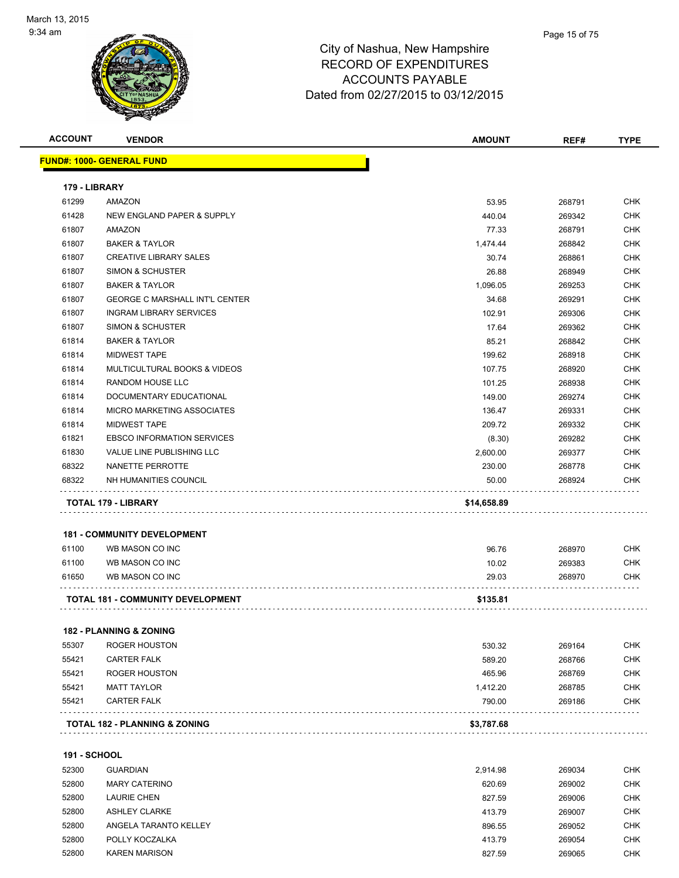

| <b>ACCOUNT</b>      | <b>VENDOR</b>                            | <b>AMOUNT</b> | REF#   | <b>TYPE</b> |
|---------------------|------------------------------------------|---------------|--------|-------------|
|                     | <u> FUND#: 1000- GENERAL FUND</u>        |               |        |             |
| 179 - LIBRARY       |                                          |               |        |             |
| 61299               | AMAZON                                   | 53.95         | 268791 | CHK         |
| 61428               | NEW ENGLAND PAPER & SUPPLY               | 440.04        | 269342 | CHK         |
| 61807               | AMAZON                                   | 77.33         | 268791 | <b>CHK</b>  |
| 61807               | <b>BAKER &amp; TAYLOR</b>                | 1,474.44      | 268842 | <b>CHK</b>  |
| 61807               | <b>CREATIVE LIBRARY SALES</b>            | 30.74         | 268861 | <b>CHK</b>  |
| 61807               | <b>SIMON &amp; SCHUSTER</b>              | 26.88         | 268949 | <b>CHK</b>  |
| 61807               | <b>BAKER &amp; TAYLOR</b>                | 1,096.05      | 269253 | <b>CHK</b>  |
| 61807               | <b>GEORGE C MARSHALL INT'L CENTER</b>    | 34.68         | 269291 | <b>CHK</b>  |
| 61807               | <b>INGRAM LIBRARY SERVICES</b>           | 102.91        | 269306 | <b>CHK</b>  |
| 61807               | SIMON & SCHUSTER                         | 17.64         | 269362 | CHK         |
| 61814               | <b>BAKER &amp; TAYLOR</b>                | 85.21         | 268842 | CHK         |
| 61814               | <b>MIDWEST TAPE</b>                      | 199.62        | 268918 | <b>CHK</b>  |
| 61814               | MULTICULTURAL BOOKS & VIDEOS             | 107.75        | 268920 | CHK         |
| 61814               | RANDOM HOUSE LLC                         | 101.25        | 268938 | <b>CHK</b>  |
| 61814               | DOCUMENTARY EDUCATIONAL                  | 149.00        | 269274 | <b>CHK</b>  |
| 61814               | MICRO MARKETING ASSOCIATES               | 136.47        | 269331 | <b>CHK</b>  |
| 61814               | <b>MIDWEST TAPE</b>                      | 209.72        | 269332 | <b>CHK</b>  |
| 61821               | <b>EBSCO INFORMATION SERVICES</b>        | (8.30)        | 269282 | CHK         |
| 61830               | <b>VALUE LINE PUBLISHING LLC</b>         | 2,600.00      | 269377 | CHK         |
| 68322               | NANETTE PERROTTE                         | 230.00        | 268778 | CHK         |
| 68322               | NH HUMANITIES COUNCIL                    | 50.00         | 268924 | CHK         |
|                     |                                          |               |        |             |
|                     | TOTAL 179 - LIBRARY                      | \$14,658.89   |        |             |
|                     | <b>181 - COMMUNITY DEVELOPMENT</b>       |               |        |             |
| 61100               | WB MASON CO INC                          | 96.76         | 268970 | <b>CHK</b>  |
| 61100               | WB MASON CO INC                          | 10.02         | 269383 | <b>CHK</b>  |
| 61650               | WB MASON CO INC                          | 29.03         | 268970 | CHK         |
|                     | <b>TOTAL 181 - COMMUNITY DEVELOPMENT</b> | \$135.81      |        |             |
|                     |                                          |               |        |             |
|                     | <b>182 - PLANNING &amp; ZONING</b>       |               |        |             |
| 55307               | <b>ROGER HOUSTON</b>                     | 530.32        | 269164 | <b>CHK</b>  |
| 55421               | <b>CARTER FALK</b>                       | 589.20        | 268766 | <b>CHK</b>  |
| 55421               | <b>ROGER HOUSTON</b>                     | 465.96        | 268769 | <b>CHK</b>  |
| 55421               | <b>MATT TAYLOR</b>                       | 1,412.20      | 268785 | <b>CHK</b>  |
| 55421               | <b>CARTER FALK</b>                       | 790.00        | 269186 | <b>CHK</b>  |
|                     | TOTAL 182 - PLANNING & ZONING            | \$3,787.68    |        |             |
|                     |                                          |               |        |             |
| <b>191 - SCHOOL</b> |                                          |               |        |             |
| 52300               | <b>GUARDIAN</b>                          | 2,914.98      | 269034 | <b>CHK</b>  |
| 52800               | <b>MARY CATERINO</b>                     | 620.69        | 269002 | <b>CHK</b>  |
| 52800               | <b>LAURIE CHEN</b>                       | 827.59        | 269006 | <b>CHK</b>  |
| 52800               | <b>ASHLEY CLARKE</b>                     | 413.79        | 269007 | <b>CHK</b>  |
| 52800               | ANGELA TARANTO KELLEY                    | 896.55        | 269052 | <b>CHK</b>  |
| 52800               | POLLY KOCZALKA                           | 413.79        | 269054 | <b>CHK</b>  |
| 52800               | <b>KAREN MARISON</b>                     | 827.59        | 269065 | <b>CHK</b>  |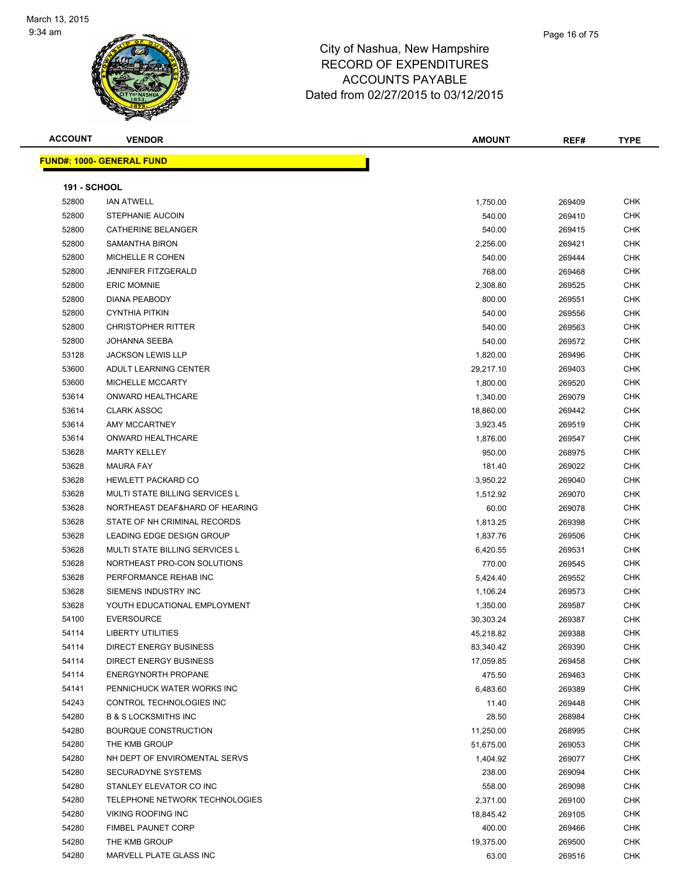

| <b>ACCOUNT</b>      | <b>VENDOR</b>                     | <b>AMOUNT</b>      | REF#             | <b>TYPE</b> |
|---------------------|-----------------------------------|--------------------|------------------|-------------|
|                     | <u> FUND#: 1000- GENERAL FUND</u> |                    |                  |             |
|                     |                                   |                    |                  |             |
| <b>191 - SCHOOL</b> |                                   |                    |                  |             |
| 52800               | <b>IAN ATWELL</b>                 | 1,750.00           | 269409           | CHK         |
| 52800               | <b>STEPHANIE AUCOIN</b>           | 540.00             | 269410           | <b>CHK</b>  |
| 52800               | CATHERINE BELANGER                | 540.00             | 269415           | CHK         |
| 52800               | SAMANTHA BIRON                    | 2,256.00           | 269421           | <b>CHK</b>  |
| 52800               | <b>MICHELLE R COHEN</b>           | 540.00             | 269444           | CHK         |
| 52800               | <b>JENNIFER FITZGERALD</b>        | 768.00             | 269468           | CHK         |
| 52800               | <b>ERIC MOMNIE</b>                | 2,308.80           | 269525           | <b>CHK</b>  |
| 52800               | <b>DIANA PEABODY</b>              | 800.00             | 269551           | CHK         |
| 52800               | <b>CYNTHIA PITKIN</b>             | 540.00             | 269556           | CHK         |
| 52800               | <b>CHRISTOPHER RITTER</b>         | 540.00             | 269563           | CHK         |
| 52800               | JOHANNA SEEBA                     | 540.00             | 269572           | CHK         |
| 53128               | <b>JACKSON LEWIS LLP</b>          | 1,820.00           | 269496           | CHK         |
| 53600               | ADULT LEARNING CENTER             | 29,217.10          | 269403           | <b>CHK</b>  |
| 53600               | <b>MICHELLE MCCARTY</b>           | 1,800.00           | 269520           | CHK         |
| 53614               | ONWARD HEALTHCARE                 | 1,340.00           | 269079           | CHK         |
| 53614               | <b>CLARK ASSOC</b>                | 18,860.00          | 269442           | CHK         |
| 53614               | AMY MCCARTNEY                     | 3,923.45           | 269519           | CHK         |
| 53614               | <b>ONWARD HEALTHCARE</b>          | 1,876.00           | 269547           | <b>CHK</b>  |
| 53628               | <b>MARTY KELLEY</b>               | 950.00             | 268975           | CHK         |
| 53628               | <b>MAURA FAY</b>                  | 181.40             | 269022           | CHK         |
| 53628               | <b>HEWLETT PACKARD CO</b>         | 3,950.22           | 269040           | CHK         |
| 53628               | MULTI STATE BILLING SERVICES L    | 1,512.92           | 269070           | CHK         |
| 53628               | NORTHEAST DEAF&HARD OF HEARING    | 60.00              | 269078           | CHK         |
| 53628               | STATE OF NH CRIMINAL RECORDS      | 1,813.25           | 269398           | <b>CHK</b>  |
| 53628               | LEADING EDGE DESIGN GROUP         | 1,837.76           | 269506           | CHK         |
| 53628               | MULTI STATE BILLING SERVICES L    | 6,420.55           | 269531           | <b>CHK</b>  |
| 53628               | NORTHEAST PRO-CON SOLUTIONS       | 770.00             | 269545           | <b>CHK</b>  |
| 53628               | PERFORMANCE REHAB INC             | 5,424.40           | 269552           | CHK         |
| 53628               | SIEMENS INDUSTRY INC              | 1,106.24           | 269573           | <b>CHK</b>  |
| 53628               | YOUTH EDUCATIONAL EMPLOYMENT      | 1,350.00           | 269587           | CHK         |
| 54100               | <b>EVERSOURCE</b>                 | 30,303.24          | 269387           | CHK         |
| 54114               | <b>LIBERTY UTILITIES</b>          | 45,218.82          | 269388           | <b>CHK</b>  |
| 54114               | <b>DIRECT ENERGY BUSINESS</b>     | 83,340.42          | 269390           | CHK         |
| 54114               | <b>DIRECT ENERGY BUSINESS</b>     | 17,059.85          | 269458           | CHK         |
| 54114               | <b>ENERGYNORTH PROPANE</b>        | 475.50             | 269463           | <b>CHK</b>  |
| 54141               | PENNICHUCK WATER WORKS INC        | 6,483.60           | 269389           | CHK         |
| 54243               | CONTROL TECHNOLOGIES INC          | 11.40              | 269448           | <b>CHK</b>  |
| 54280               | <b>B &amp; S LOCKSMITHS INC</b>   | 28.50              | 268984           | <b>CHK</b>  |
| 54280               | <b>BOURQUE CONSTRUCTION</b>       | 11,250.00          | 268995           | <b>CHK</b>  |
| 54280               | THE KMB GROUP                     | 51,675.00          | 269053           | <b>CHK</b>  |
| 54280               | NH DEPT OF ENVIROMENTAL SERVS     | 1,404.92           | 269077           | CHK         |
| 54280               | SECURADYNE SYSTEMS                | 238.00             | 269094           | CHK         |
| 54280               | STANLEY ELEVATOR CO INC           |                    |                  | CHK         |
| 54280               | TELEPHONE NETWORK TECHNOLOGIES    | 558.00<br>2,371.00 | 269098<br>269100 | CHK         |
| 54280               | <b>VIKING ROOFING INC</b>         |                    |                  | CHK         |
| 54280               |                                   | 18,845.42          | 269105           | <b>CHK</b>  |
| 54280               | <b>FIMBEL PAUNET CORP</b>         | 400.00             | 269466           |             |
|                     | THE KMB GROUP                     | 19,375.00          | 269500           | <b>CHK</b>  |
| 54280               | MARVELL PLATE GLASS INC           | 63.00              | 269516           | <b>CHK</b>  |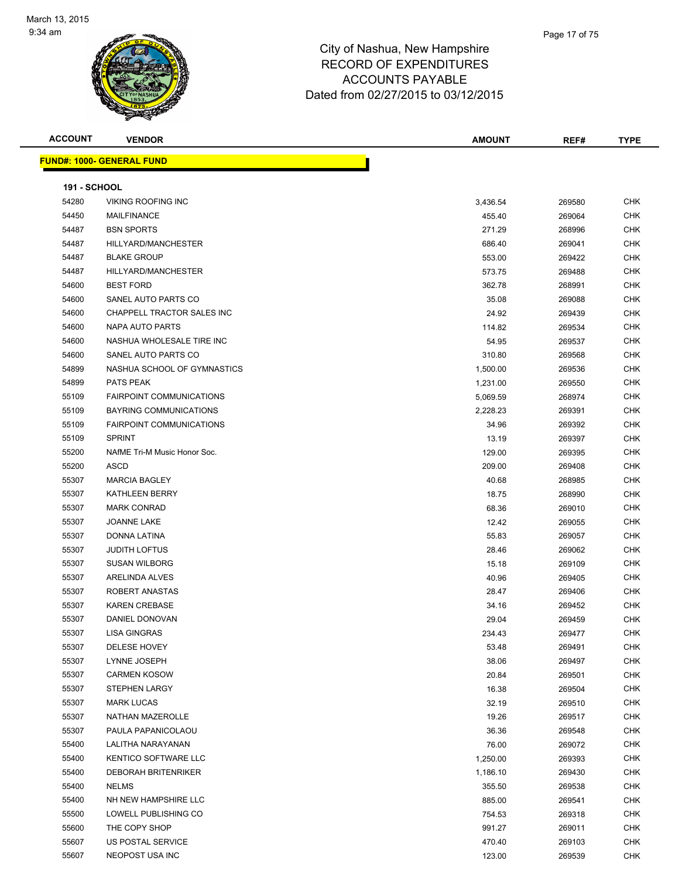

| <b>ACCOUNT</b>      | <b>VENDOR</b>                    | <b>AMOUNT</b> | REF#   | <b>TYPE</b> |
|---------------------|----------------------------------|---------------|--------|-------------|
|                     | <b>FUND#: 1000- GENERAL FUND</b> |               |        |             |
|                     |                                  |               |        |             |
| <b>191 - SCHOOL</b> |                                  |               |        |             |
| 54280               | <b>VIKING ROOFING INC</b>        | 3,436.54      | 269580 | CHK         |
| 54450               | <b>MAILFINANCE</b>               | 455.40        | 269064 | <b>CHK</b>  |
| 54487               | <b>BSN SPORTS</b>                | 271.29        | 268996 | <b>CHK</b>  |
| 54487               | HILLYARD/MANCHESTER              | 686.40        | 269041 | <b>CHK</b>  |
| 54487               | <b>BLAKE GROUP</b>               | 553.00        | 269422 | <b>CHK</b>  |
| 54487               | HILLYARD/MANCHESTER              | 573.75        | 269488 | <b>CHK</b>  |
| 54600               | <b>BEST FORD</b>                 | 362.78        | 268991 | <b>CHK</b>  |
| 54600               | SANEL AUTO PARTS CO              | 35.08         | 269088 | <b>CHK</b>  |
| 54600               | CHAPPELL TRACTOR SALES INC       | 24.92         | 269439 | <b>CHK</b>  |
| 54600               | NAPA AUTO PARTS                  | 114.82        | 269534 | <b>CHK</b>  |
| 54600               | NASHUA WHOLESALE TIRE INC        | 54.95         | 269537 | <b>CHK</b>  |
| 54600               | SANEL AUTO PARTS CO              | 310.80        | 269568 | <b>CHK</b>  |
| 54899               | NASHUA SCHOOL OF GYMNASTICS      | 1,500.00      | 269536 | <b>CHK</b>  |
| 54899               | PATS PEAK                        | 1,231.00      | 269550 | <b>CHK</b>  |
| 55109               | <b>FAIRPOINT COMMUNICATIONS</b>  | 5,069.59      | 268974 | <b>CHK</b>  |
| 55109               | <b>BAYRING COMMUNICATIONS</b>    | 2,228.23      | 269391 | CHK         |
| 55109               | <b>FAIRPOINT COMMUNICATIONS</b>  | 34.96         | 269392 | <b>CHK</b>  |
| 55109               | <b>SPRINT</b>                    | 13.19         | 269397 | <b>CHK</b>  |
| 55200               | NAfME Tri-M Music Honor Soc.     | 129.00        | 269395 | <b>CHK</b>  |
| 55200               | <b>ASCD</b>                      | 209.00        | 269408 | <b>CHK</b>  |
| 55307               | <b>MARCIA BAGLEY</b>             | 40.68         | 268985 | <b>CHK</b>  |
| 55307               | <b>KATHLEEN BERRY</b>            | 18.75         | 268990 | <b>CHK</b>  |
| 55307               | <b>MARK CONRAD</b>               | 68.36         | 269010 | <b>CHK</b>  |
| 55307               | <b>JOANNE LAKE</b>               | 12.42         | 269055 | <b>CHK</b>  |
| 55307               | DONNA LATINA                     | 55.83         | 269057 | <b>CHK</b>  |
| 55307               | <b>JUDITH LOFTUS</b>             | 28.46         | 269062 | <b>CHK</b>  |
| 55307               | <b>SUSAN WILBORG</b>             | 15.18         | 269109 | <b>CHK</b>  |
| 55307               | ARELINDA ALVES                   | 40.96         | 269405 | <b>CHK</b>  |
| 55307               | ROBERT ANASTAS                   | 28.47         | 269406 | <b>CHK</b>  |
| 55307               | <b>KAREN CREBASE</b>             | 34.16         | 269452 | CHK         |
| 55307               | DANIEL DONOVAN                   | 29.04         | 269459 | CHK         |
| 55307               | <b>LISA GINGRAS</b>              | 234.43        | 269477 | CHK         |
| 55307               | <b>DELESE HOVEY</b>              | 53.48         | 269491 | <b>CHK</b>  |
| 55307               | LYNNE JOSEPH                     | 38.06         | 269497 | <b>CHK</b>  |
| 55307               | <b>CARMEN KOSOW</b>              | 20.84         | 269501 | <b>CHK</b>  |
| 55307               | <b>STEPHEN LARGY</b>             | 16.38         | 269504 | <b>CHK</b>  |
| 55307               | <b>MARK LUCAS</b>                | 32.19         | 269510 | <b>CHK</b>  |
| 55307               | NATHAN MAZEROLLE                 | 19.26         | 269517 | <b>CHK</b>  |
| 55307               | PAULA PAPANICOLAOU               | 36.36         | 269548 | CHK         |
| 55400               | LALITHA NARAYANAN                | 76.00         | 269072 | CHK         |
| 55400               | KENTICO SOFTWARE LLC             | 1,250.00      | 269393 | <b>CHK</b>  |
| 55400               | <b>DEBORAH BRITENRIKER</b>       | 1,186.10      | 269430 | <b>CHK</b>  |
| 55400               | <b>NELMS</b>                     | 355.50        | 269538 | <b>CHK</b>  |
| 55400               | NH NEW HAMPSHIRE LLC             | 885.00        | 269541 | <b>CHK</b>  |
| 55500               | LOWELL PUBLISHING CO             | 754.53        | 269318 | CHK         |
| 55600               | THE COPY SHOP                    | 991.27        | 269011 | <b>CHK</b>  |
| 55607               | US POSTAL SERVICE                | 470.40        | 269103 | <b>CHK</b>  |
| 55607               | NEOPOST USA INC                  | 123.00        | 269539 | <b>CHK</b>  |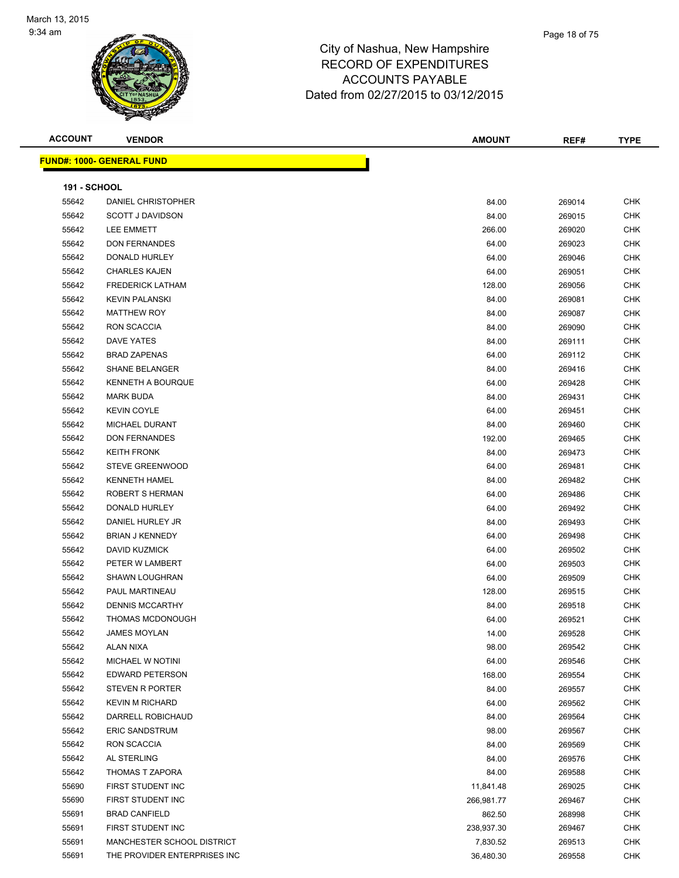# City of Nashua, New Hampshire RECORD OF EXPENDITURES

ACCOUNTS PAYABLE Dated from 02/27/2015 to 03/12/2015

| <b>ACCOUNT</b>      | <b>VENDOR</b>                    | <b>AMOUNT</b> | REF#   | <b>TYPE</b> |
|---------------------|----------------------------------|---------------|--------|-------------|
|                     | <b>FUND#: 1000- GENERAL FUND</b> |               |        |             |
|                     |                                  |               |        |             |
| <b>191 - SCHOOL</b> |                                  |               |        |             |
| 55642               | DANIEL CHRISTOPHER               | 84.00         | 269014 | <b>CHK</b>  |
| 55642               | <b>SCOTT J DAVIDSON</b>          | 84.00         | 269015 | CHK         |
| 55642               | LEE EMMETT                       | 266.00        | 269020 | <b>CHK</b>  |
| 55642               | <b>DON FERNANDES</b>             | 64.00         | 269023 | <b>CHK</b>  |
| 55642               | DONALD HURLEY                    | 64.00         | 269046 | <b>CHK</b>  |
| 55642               | <b>CHARLES KAJEN</b>             | 64.00         | 269051 | <b>CHK</b>  |
| 55642               | <b>FREDERICK LATHAM</b>          | 128.00        | 269056 | CHK         |
| 55642               | <b>KEVIN PALANSKI</b>            | 84.00         | 269081 | <b>CHK</b>  |
| 55642               | <b>MATTHEW ROY</b>               | 84.00         | 269087 | CHK         |
| 55642               | RON SCACCIA                      | 84.00         | 269090 | CHK         |
| 55642               | DAVE YATES                       | 84.00         | 269111 | CHK         |
| 55642               | <b>BRAD ZAPENAS</b>              | 64.00         | 269112 | CHK         |
| 55642               | <b>SHANE BELANGER</b>            | 84.00         | 269416 | CHK         |
| 55642               | <b>KENNETH A BOURQUE</b>         | 64.00         | 269428 | <b>CHK</b>  |
| 55642               | <b>MARK BUDA</b>                 | 84.00         | 269431 | <b>CHK</b>  |
| 55642               | <b>KEVIN COYLE</b>               | 64.00         | 269451 | <b>CHK</b>  |
| 55642               | MICHAEL DURANT                   | 84.00         | 269460 | <b>CHK</b>  |
| 55642               | <b>DON FERNANDES</b>             | 192.00        | 269465 | CHK         |
| 55642               | <b>KEITH FRONK</b>               | 84.00         | 269473 | CHK         |
| 55642               | <b>STEVE GREENWOOD</b>           | 64.00         | 269481 | CHK         |
| 55642               | <b>KENNETH HAMEL</b>             | 84.00         | 269482 | CHK         |
| 55642               | ROBERT S HERMAN                  | 64.00         | 269486 | CHK         |
| 55642               | DONALD HURLEY                    | 64.00         | 269492 | CHK         |
| 55642               | DANIEL HURLEY JR                 | 84.00         | 269493 | <b>CHK</b>  |
| 55642               | <b>BRIAN J KENNEDY</b>           | 64.00         | 269498 | <b>CHK</b>  |
| 55642               | DAVID KUZMICK                    | 64.00         | 269502 | <b>CHK</b>  |
| 55642               | PETER W LAMBERT                  | 64.00         | 269503 | <b>CHK</b>  |
| 55642               | <b>SHAWN LOUGHRAN</b>            | 64.00         | 269509 | <b>CHK</b>  |
| 55642               | PAUL MARTINEAU                   | 128.00        | 269515 | <b>CHK</b>  |
| 55642               | <b>DENNIS MCCARTHY</b>           | 84.00         | 269518 | <b>CHK</b>  |
| 55642               | THOMAS MCDONOUGH                 | 64.00         | 269521 | <b>CHK</b>  |
| 55642               | JAMES MOYLAN                     | 14.00         | 269528 | <b>CHK</b>  |
| 55642               | ALAN NIXA                        | 98.00         | 269542 | CHK         |
| 55642               | MICHAEL W NOTINI                 | 64.00         | 269546 | CHK         |
| 55642               | EDWARD PETERSON                  | 168.00        | 269554 | <b>CHK</b>  |
| 55642               | <b>STEVEN R PORTER</b>           | 84.00         | 269557 | <b>CHK</b>  |
| 55642               | <b>KEVIN M RICHARD</b>           | 64.00         | 269562 | <b>CHK</b>  |
| 55642               | DARRELL ROBICHAUD                | 84.00         | 269564 | <b>CHK</b>  |
| 55642               | <b>ERIC SANDSTRUM</b>            | 98.00         | 269567 | <b>CHK</b>  |
| 55642               | RON SCACCIA                      | 84.00         | 269569 | CHK         |
| 55642               | AL STERLING                      | 84.00         |        | CHK         |
| 55642               | <b>THOMAS T ZAPORA</b>           | 84.00         | 269576 | CHK         |
| 55690               | FIRST STUDENT INC                |               | 269588 | CHK         |
|                     |                                  | 11,841.48     | 269025 |             |
| 55690               | FIRST STUDENT INC                | 266,981.77    | 269467 | CHK         |
| 55691               | <b>BRAD CANFIELD</b>             | 862.50        | 268998 | CHK         |
| 55691               | FIRST STUDENT INC                | 238,937.30    | 269467 | <b>CHK</b>  |
| 55691               | MANCHESTER SCHOOL DISTRICT       | 7,830.52      | 269513 | <b>CHK</b>  |
| 55691               | THE PROVIDER ENTERPRISES INC     | 36,480.30     | 269558 | CHK         |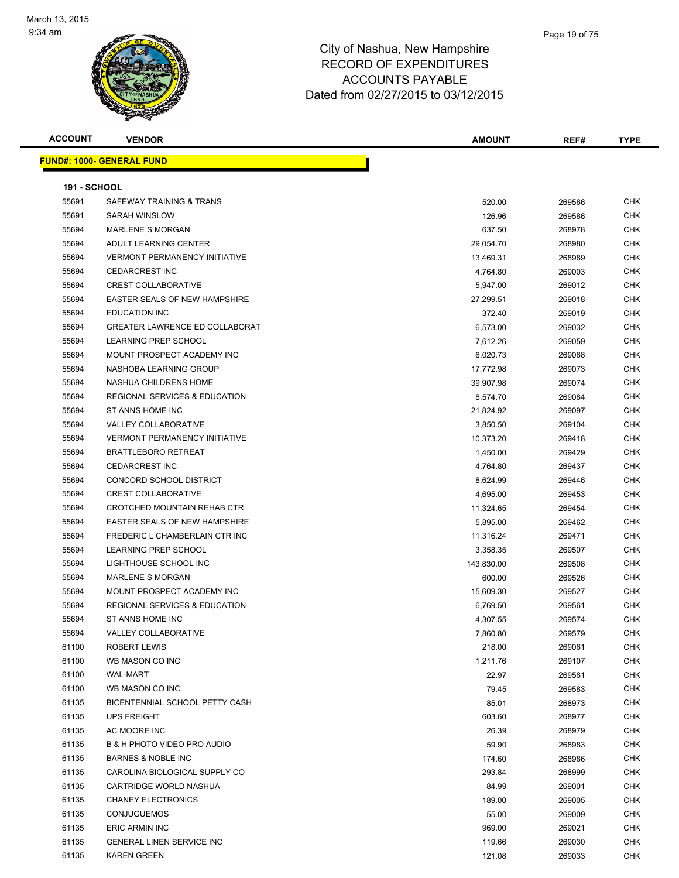

| <b>ACCOUNT</b> | <b>VENDOR</b>                            | <b>AMOUNT</b> | REF#   | TYPE       |
|----------------|------------------------------------------|---------------|--------|------------|
|                | <u> FUND#: 1000- GENERAL FUND</u>        |               |        |            |
|                |                                          |               |        |            |
| 191 - SCHOOL   |                                          |               |        |            |
| 55691          | SAFEWAY TRAINING & TRANS                 | 520.00        | 269566 | CHK        |
| 55691          | <b>SARAH WINSLOW</b>                     | 126.96        | 269586 | <b>CHK</b> |
| 55694          | <b>MARLENE S MORGAN</b>                  | 637.50        | 268978 | CHK        |
| 55694          | ADULT LEARNING CENTER                    | 29,054.70     | 268980 | <b>CHK</b> |
| 55694          | <b>VERMONT PERMANENCY INITIATIVE</b>     | 13,469.31     | 268989 | CHK        |
| 55694          | <b>CEDARCREST INC</b>                    | 4,764.80      | 269003 | CHK        |
| 55694          | <b>CREST COLLABORATIVE</b>               | 5,947.00      | 269012 | <b>CHK</b> |
| 55694          | EASTER SEALS OF NEW HAMPSHIRE            | 27,299.51     | 269018 | <b>CHK</b> |
| 55694          | <b>EDUCATION INC</b>                     | 372.40        | 269019 | <b>CHK</b> |
| 55694          | <b>GREATER LAWRENCE ED COLLABORAT</b>    | 6,573.00      | 269032 | CHK        |
| 55694          | LEARNING PREP SCHOOL                     | 7,612.26      | 269059 | <b>CHK</b> |
| 55694          | MOUNT PROSPECT ACADEMY INC               | 6,020.73      | 269068 | CHK        |
| 55694          | NASHOBA LEARNING GROUP                   | 17,772.98     | 269073 | CHK        |
| 55694          | NASHUA CHILDRENS HOME                    | 39,907.98     | 269074 | CHK        |
| 55694          | <b>REGIONAL SERVICES &amp; EDUCATION</b> | 8,574.70      | 269084 | CHK        |
| 55694          | ST ANNS HOME INC                         | 21,824.92     | 269097 | CHK        |
| 55694          | <b>VALLEY COLLABORATIVE</b>              | 3,850.50      | 269104 | CHK        |
| 55694          | <b>VERMONT PERMANENCY INITIATIVE</b>     | 10,373.20     | 269418 | CHK        |
| 55694          | <b>BRATTLEBORO RETREAT</b>               | 1,450.00      | 269429 | <b>CHK</b> |
| 55694          | <b>CEDARCREST INC</b>                    | 4,764.80      | 269437 | CHK        |
| 55694          | CONCORD SCHOOL DISTRICT                  | 8,624.99      | 269446 | CHK        |
| 55694          | <b>CREST COLLABORATIVE</b>               | 4,695.00      | 269453 | CHK        |
| 55694          | CROTCHED MOUNTAIN REHAB CTR              | 11,324.65     | 269454 | CHK        |
| 55694          | <b>EASTER SEALS OF NEW HAMPSHIRE</b>     | 5,895.00      | 269462 | <b>CHK</b> |
| 55694          | FREDERIC L CHAMBERLAIN CTR INC           | 11,316.24     | 269471 | CHK        |
| 55694          | LEARNING PREP SCHOOL                     | 3,358.35      | 269507 | CHK        |
| 55694          | LIGHTHOUSE SCHOOL INC                    | 143,830.00    | 269508 | CHK        |
| 55694          | <b>MARLENE S MORGAN</b>                  | 600.00        | 269526 | <b>CHK</b> |
| 55694          | MOUNT PROSPECT ACADEMY INC               | 15,609.30     | 269527 | <b>CHK</b> |
| 55694          | <b>REGIONAL SERVICES &amp; EDUCATION</b> | 6,769.50      | 269561 | <b>CHK</b> |
| 55694          | ST ANNS HOME INC                         | 4,307.55      | 269574 | <b>CHK</b> |
| 55694          | VALLEY COLLABORATIVE                     | 7,860.80      | 269579 | CHK        |
| 61100          | <b>ROBERT LEWIS</b>                      | 218.00        | 269061 | CHK        |
| 61100          | WB MASON CO INC                          | 1,211.76      | 269107 | CHK        |
| 61100          | WAL-MART                                 | 22.97         | 269581 | <b>CHK</b> |
| 61100          | WB MASON CO INC                          | 79.45         | 269583 | <b>CHK</b> |
| 61135          | BICENTENNIAL SCHOOL PETTY CASH           | 85.01         | 268973 | CHK        |
| 61135          | <b>UPS FREIGHT</b>                       | 603.60        | 268977 | CHK        |
| 61135          | AC MOORE INC                             | 26.39         | 268979 | CHK        |
| 61135          | B & H PHOTO VIDEO PRO AUDIO              | 59.90         | 268983 | CHK        |
| 61135          | BARNES & NOBLE INC                       | 174.60        | 268986 | <b>CHK</b> |
| 61135          | CAROLINA BIOLOGICAL SUPPLY CO            | 293.84        | 268999 | CHK        |
| 61135          | CARTRIDGE WORLD NASHUA                   | 84.99         | 269001 | <b>CHK</b> |
| 61135          | <b>CHANEY ELECTRONICS</b>                | 189.00        | 269005 | CHK        |
| 61135          | <b>CONJUGUEMOS</b>                       | 55.00         | 269009 | CHK        |
| 61135          | <b>ERIC ARMIN INC</b>                    | 969.00        | 269021 | <b>CHK</b> |
| 61135          | GENERAL LINEN SERVICE INC                | 119.66        | 269030 | CHK        |
| 61135          | <b>KAREN GREEN</b>                       | 121.08        | 269033 | <b>CHK</b> |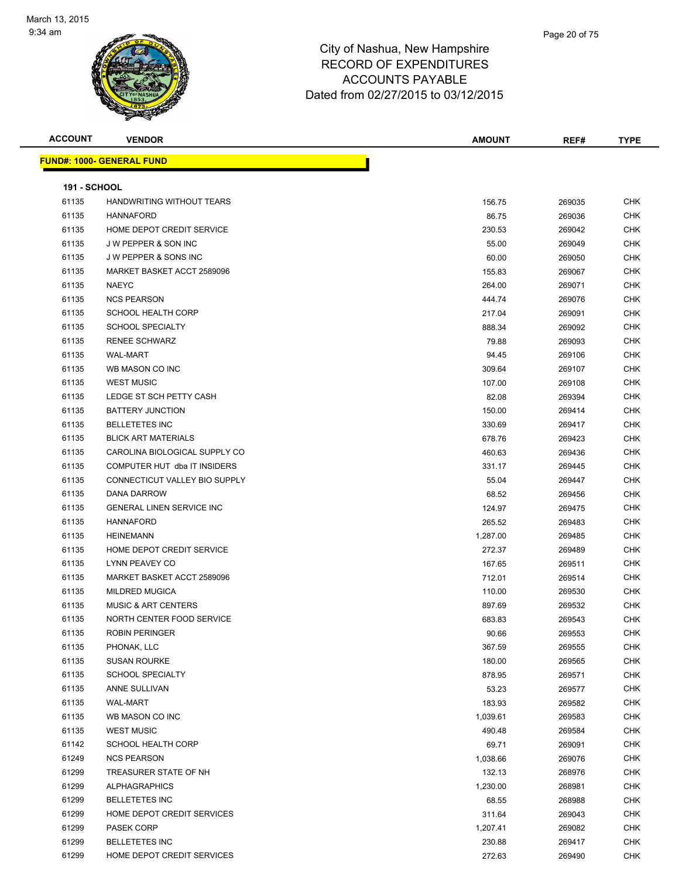

| <b>ACCOUNT</b>      | <b>VENDOR</b>                     | <b>AMOUNT</b> | REF#   | <b>TYPE</b> |
|---------------------|-----------------------------------|---------------|--------|-------------|
|                     | <u> FUND#: 1000- GENERAL FUND</u> |               |        |             |
|                     |                                   |               |        |             |
| <b>191 - SCHOOL</b> |                                   |               |        |             |
| 61135               | HANDWRITING WITHOUT TEARS         | 156.75        | 269035 | CHK         |
| 61135               | <b>HANNAFORD</b>                  | 86.75         | 269036 | <b>CHK</b>  |
| 61135               | HOME DEPOT CREDIT SERVICE         | 230.53        | 269042 | <b>CHK</b>  |
| 61135               | <b>JW PEPPER &amp; SON INC</b>    | 55.00         | 269049 | CHK         |
| 61135               | J W PEPPER & SONS INC             | 60.00         | 269050 | <b>CHK</b>  |
| 61135               | MARKET BASKET ACCT 2589096        | 155.83        | 269067 | CHK         |
| 61135               | <b>NAEYC</b>                      | 264.00        | 269071 | CHK         |
| 61135               | <b>NCS PEARSON</b>                | 444.74        | 269076 | <b>CHK</b>  |
| 61135               | <b>SCHOOL HEALTH CORP</b>         | 217.04        | 269091 | CHK         |
| 61135               | <b>SCHOOL SPECIALTY</b>           | 888.34        | 269092 | <b>CHK</b>  |
| 61135               | <b>RENEE SCHWARZ</b>              | 79.88         | 269093 | <b>CHK</b>  |
| 61135               | <b>WAL-MART</b>                   | 94.45         | 269106 | CHK         |
| 61135               | WB MASON CO INC                   | 309.64        | 269107 | CHK         |
| 61135               | <b>WEST MUSIC</b>                 | 107.00        | 269108 | CHK         |
| 61135               | LEDGE ST SCH PETTY CASH           | 82.08         | 269394 | CHK         |
| 61135               | <b>BATTERY JUNCTION</b>           | 150.00        | 269414 | CHK         |
| 61135               | <b>BELLETETES INC</b>             | 330.69        | 269417 | CHK         |
| 61135               | <b>BLICK ART MATERIALS</b>        | 678.76        | 269423 | CHK         |
| 61135               | CAROLINA BIOLOGICAL SUPPLY CO     | 460.63        | 269436 | <b>CHK</b>  |
| 61135               | COMPUTER HUT dba IT INSIDERS      | 331.17        | 269445 | CHK         |
| 61135               | CONNECTICUT VALLEY BIO SUPPLY     | 55.04         | 269447 | <b>CHK</b>  |
| 61135               | DANA DARROW                       | 68.52         | 269456 | <b>CHK</b>  |
| 61135               | <b>GENERAL LINEN SERVICE INC</b>  | 124.97        | 269475 | <b>CHK</b>  |
| 61135               | <b>HANNAFORD</b>                  | 265.52        | 269483 | <b>CHK</b>  |
| 61135               | <b>HEINEMANN</b>                  | 1,287.00      | 269485 | CHK         |
| 61135               | HOME DEPOT CREDIT SERVICE         | 272.37        | 269489 | CHK         |
| 61135               | LYNN PEAVEY CO                    | 167.65        | 269511 | <b>CHK</b>  |
| 61135               | MARKET BASKET ACCT 2589096        | 712.01        | 269514 | CHK         |
| 61135               | <b>MILDRED MUGICA</b>             | 110.00        | 269530 | CHK         |
| 61135               | <b>MUSIC &amp; ART CENTERS</b>    | 897.69        | 269532 | <b>CHK</b>  |
| 61135               | NORTH CENTER FOOD SERVICE         | 683.83        | 269543 | <b>CHK</b>  |
| 61135               | <b>ROBIN PERINGER</b>             | 90.66         | 269553 | <b>CHK</b>  |
| 61135               | PHONAK, LLC                       | 367.59        | 269555 | <b>CHK</b>  |
| 61135               | <b>SUSAN ROURKE</b>               | 180.00        | 269565 | <b>CHK</b>  |
| 61135               | <b>SCHOOL SPECIALTY</b>           | 878.95        | 269571 | <b>CHK</b>  |
| 61135               | ANNE SULLIVAN                     | 53.23         | 269577 | <b>CHK</b>  |
| 61135               | <b>WAL-MART</b>                   | 183.93        | 269582 | <b>CHK</b>  |
| 61135               | WB MASON CO INC                   | 1,039.61      | 269583 | <b>CHK</b>  |
| 61135               | <b>WEST MUSIC</b>                 | 490.48        | 269584 | CHK         |
| 61142               | <b>SCHOOL HEALTH CORP</b>         | 69.71         | 269091 | <b>CHK</b>  |
| 61249               | <b>NCS PEARSON</b>                | 1,038.66      | 269076 | <b>CHK</b>  |
| 61299               | TREASURER STATE OF NH             | 132.13        | 268976 | <b>CHK</b>  |
| 61299               | <b>ALPHAGRAPHICS</b>              | 1,230.00      | 268981 | <b>CHK</b>  |
| 61299               | <b>BELLETETES INC</b>             | 68.55         | 268988 | <b>CHK</b>  |
| 61299               | HOME DEPOT CREDIT SERVICES        | 311.64        | 269043 | <b>CHK</b>  |
| 61299               | PASEK CORP                        | 1,207.41      | 269082 | <b>CHK</b>  |
| 61299               | <b>BELLETETES INC</b>             | 230.88        | 269417 | CHK         |
| 61299               | HOME DEPOT CREDIT SERVICES        | 272.63        | 269490 | <b>CHK</b>  |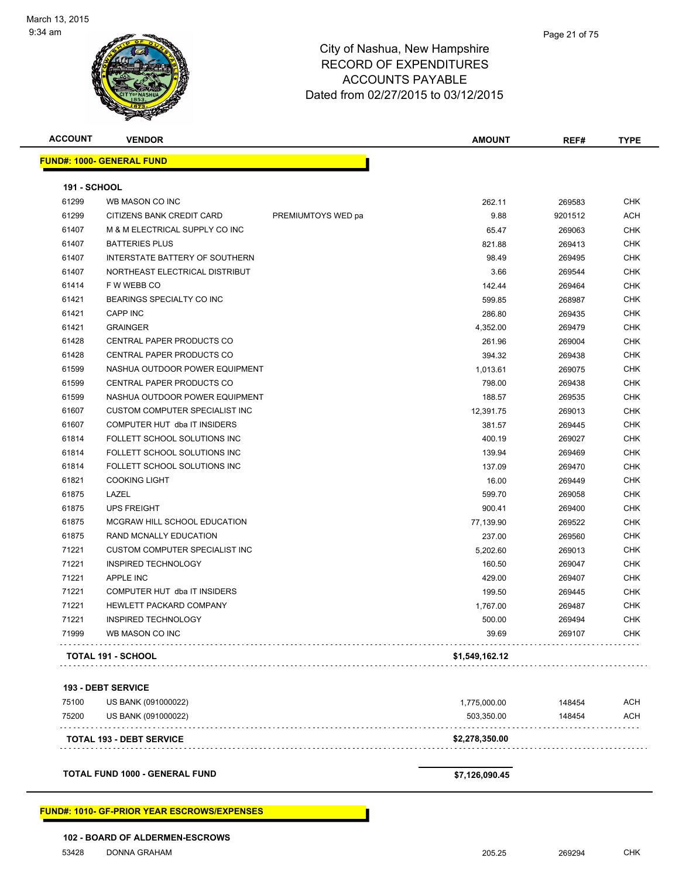

| <b>ACCOUNT</b>      | <b>VENDOR</b>                         |                    | <b>AMOUNT</b>  | REF#    | TYPE       |
|---------------------|---------------------------------------|--------------------|----------------|---------|------------|
|                     | <b>FUND#: 1000- GENERAL FUND</b>      |                    |                |         |            |
| <b>191 - SCHOOL</b> |                                       |                    |                |         |            |
| 61299               | WB MASON CO INC                       |                    | 262.11         | 269583  | <b>CHK</b> |
| 61299               | CITIZENS BANK CREDIT CARD             | PREMIUMTOYS WED pa | 9.88           | 9201512 | <b>ACH</b> |
| 61407               | M & M ELECTRICAL SUPPLY CO INC        |                    | 65.47          | 269063  | CHK        |
| 61407               | <b>BATTERIES PLUS</b>                 |                    | 821.88         | 269413  | <b>CHK</b> |
| 61407               | <b>INTERSTATE BATTERY OF SOUTHERN</b> |                    | 98.49          | 269495  | <b>CHK</b> |
| 61407               | NORTHEAST ELECTRICAL DISTRIBUT        |                    | 3.66           | 269544  | <b>CHK</b> |
| 61414               | F W WEBB CO                           |                    | 142.44         | 269464  | <b>CHK</b> |
| 61421               | BEARINGS SPECIALTY CO INC             |                    | 599.85         | 268987  | CHK        |
| 61421               | <b>CAPP INC</b>                       |                    | 286.80         | 269435  | CHK        |
| 61421               | <b>GRAINGER</b>                       |                    | 4,352.00       | 269479  | <b>CHK</b> |
| 61428               | CENTRAL PAPER PRODUCTS CO             |                    | 261.96         | 269004  | <b>CHK</b> |
| 61428               | CENTRAL PAPER PRODUCTS CO             |                    | 394.32         | 269438  | <b>CHK</b> |
| 61599               | NASHUA OUTDOOR POWER EQUIPMENT        |                    | 1,013.61       | 269075  | CHK        |
| 61599               | CENTRAL PAPER PRODUCTS CO             |                    | 798.00         | 269438  | <b>CHK</b> |
| 61599               | NASHUA OUTDOOR POWER EQUIPMENT        |                    | 188.57         | 269535  | <b>CHK</b> |
| 61607               | CUSTOM COMPUTER SPECIALIST INC        |                    | 12,391.75      | 269013  | CHK        |
| 61607               | COMPUTER HUT dba IT INSIDERS          |                    | 381.57         | 269445  | <b>CHK</b> |
| 61814               | FOLLETT SCHOOL SOLUTIONS INC          |                    | 400.19         | 269027  | <b>CHK</b> |
| 61814               | FOLLETT SCHOOL SOLUTIONS INC          |                    | 139.94         | 269469  | CHK        |
| 61814               | FOLLETT SCHOOL SOLUTIONS INC          |                    | 137.09         | 269470  | CHK        |
| 61821               | <b>COOKING LIGHT</b>                  |                    | 16.00          | 269449  | CHK        |
| 61875               | LAZEL                                 |                    | 599.70         | 269058  | CHK        |
| 61875               | <b>UPS FREIGHT</b>                    |                    | 900.41         | 269400  | <b>CHK</b> |
| 61875               | MCGRAW HILL SCHOOL EDUCATION          |                    | 77,139.90      | 269522  | <b>CHK</b> |
| 61875               | RAND MCNALLY EDUCATION                |                    | 237.00         | 269560  | <b>CHK</b> |
| 71221               | <b>CUSTOM COMPUTER SPECIALIST INC</b> |                    | 5,202.60       | 269013  | <b>CHK</b> |
| 71221               | INSPIRED TECHNOLOGY                   |                    | 160.50         | 269047  | CHK        |
| 71221               | <b>APPLE INC</b>                      |                    | 429.00         | 269407  | CHK        |
| 71221               | COMPUTER HUT dba IT INSIDERS          |                    | 199.50         | 269445  | CHK        |
| 71221               | HEWLETT PACKARD COMPANY               |                    | 1,767.00       | 269487  | CHK        |
| 71221               | INSPIRED TECHNOLOGY                   |                    | 500.00         | 269494  | CHK        |
| 71999               | WB MASON CO INC                       |                    | 39.69          | 269107  | <b>CHK</b> |
|                     | <b>TOTAL 191 - SCHOOL</b>             |                    | \$1,549,162.12 |         |            |
|                     | <b>193 - DEBT SERVICE</b>             |                    |                |         |            |
| 75100               | US BANK (091000022)                   |                    | 1,775,000.00   | 148454  | ACH        |
| 75200               | US BANK (091000022)                   |                    | 503,350.00     | 148454  | <b>ACH</b> |
|                     | TOTAL 193 - DEBT SERVICE              |                    | \$2,278,350.00 |         |            |
|                     |                                       |                    |                |         |            |
|                     |                                       |                    |                |         |            |

**TOTAL FUND 1000 - GENERAL FUND \$7,126,090.45** 

**FUND#: 1010- GF-PRIOR YEAR ESCROWS/EXPENSES**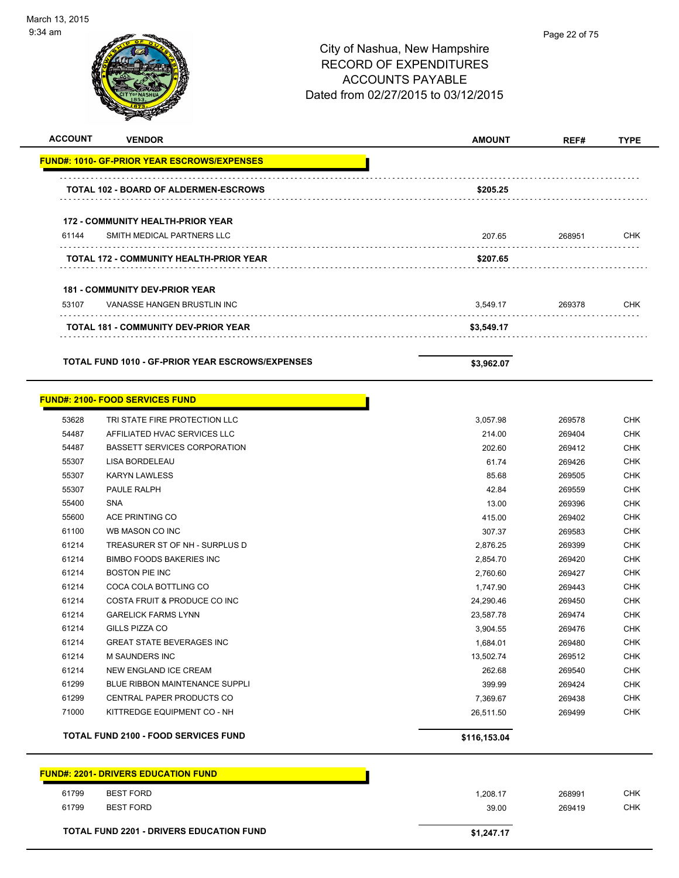

#### Page 22 of 75

#### City of Nashua, New Hampshire RECORD OF EXPENDITURES ACCOUNTS PAYABLE Dated from 02/27/2015 to 03/12/2015

| <b>ACCOUNT</b> | <b>VENDOR</b>                                      | <b>AMOUNT</b> | REF#   | <b>TYPE</b> |
|----------------|----------------------------------------------------|---------------|--------|-------------|
|                | <b>FUND#: 1010- GF-PRIOR YEAR ESCROWS/EXPENSES</b> |               |        |             |
|                | <b>TOTAL 102 - BOARD OF ALDERMEN-ESCROWS</b>       | \$205.25      |        |             |
|                | <b>172 - COMMUNITY HEALTH-PRIOR YEAR</b>           |               |        |             |
| 61144          | SMITH MEDICAL PARTNERS LLC                         | 207.65        | 268951 | CHK         |
|                | TOTAL 172 - COMMUNITY HEALTH-PRIOR YEAR            | \$207.65      |        |             |
|                | <b>181 - COMMUNITY DEV-PRIOR YEAR</b>              |               |        |             |
| 53107          | VANASSE HANGEN BRUSTLIN INC                        | 3,549.17      | 269378 | <b>CHK</b>  |
|                | TOTAL 181 - COMMUNITY DEV-PRIOR YEAR               | \$3,549.17    |        |             |
|                |                                                    |               |        |             |
|                | TOTAL FUND 1010 - GF-PRIOR YEAR ESCROWS/EXPENSES   | \$3,962.07    |        |             |
|                | <b>FUND#: 2100- FOOD SERVICES FUND</b>             |               |        |             |
| 53628          | TRI STATE FIRE PROTECTION LLC                      | 3,057.98      | 269578 | CHK         |
| 54487          | AFFILIATED HVAC SERVICES LLC                       | 214.00        | 269404 | <b>CHK</b>  |
| 54487          | <b>BASSETT SERVICES CORPORATION</b>                | 202.60        | 269412 | CHK         |
| 55307          | LISA BORDELEAU                                     | 61.74         | 269426 | <b>CHK</b>  |
| 55307          | <b>KARYN LAWLESS</b>                               | 85.68         | 269505 | <b>CHK</b>  |
| 55307          | PAULE RALPH                                        | 42.84         | 269559 | <b>CHK</b>  |
| 55400          | <b>SNA</b>                                         | 13.00         | 269396 | <b>CHK</b>  |
| 55600          | <b>ACE PRINTING CO</b>                             | 415.00        | 269402 | <b>CHK</b>  |
| 61100          | WB MASON CO INC                                    | 307.37        | 269583 | <b>CHK</b>  |
| 61214          | TREASURER ST OF NH - SURPLUS D                     | 2,876.25      | 269399 | <b>CHK</b>  |
| 61214          | <b>BIMBO FOODS BAKERIES INC</b>                    | 2,854.70      | 269420 | <b>CHK</b>  |
| 61214          | <b>BOSTON PIE INC</b>                              | 2,760.60      | 269427 | <b>CHK</b>  |
| 61214          | COCA COLA BOTTLING CO                              | 1,747.90      | 269443 | <b>CHK</b>  |
| 61214          | COSTA FRUIT & PRODUCE CO INC                       | 24,290.46     | 269450 | <b>CHK</b>  |
| 61214          | <b>GARELICK FARMS LYNN</b>                         | 23,587.78     | 269474 | <b>CHK</b>  |
| 61214          | GILLS PIZZA CO                                     | 3,904.55      | 269476 | <b>CHK</b>  |
| 61214          | <b>GREAT STATE BEVERAGES INC</b>                   | 1,684.01      | 269480 | <b>CHK</b>  |
| 61214          | M SAUNDERS INC                                     | 13,502.74     | 269512 | <b>CHK</b>  |
| 61214          | NEW ENGLAND ICE CREAM                              | 262.68        | 269540 | <b>CHK</b>  |
| 61299          | BLUE RIBBON MAINTENANCE SUPPLI                     | 399.99        | 269424 | <b>CHK</b>  |
| 61299          | CENTRAL PAPER PRODUCTS CO                          | 7,369.67      | 269438 | CHK         |
| 71000          | KITTREDGE EQUIPMENT CO - NH                        | 26,511.50     | 269499 | <b>CHK</b>  |
|                | <b>TOTAL FUND 2100 - FOOD SERVICES FUND</b>        | \$116,153.04  |        |             |
|                | <b>FUND#: 2201- DRIVERS EDUCATION FUND</b>         |               |        |             |
| 61799          | <b>BEST FORD</b>                                   | 1,208.17      | 268991 | <b>CHK</b>  |

61799 BEST FORD 39.00 269419 CHK

TOTAL FUND 2201 - DRIVERS EDUCATION FUND<br>
\$1,247.17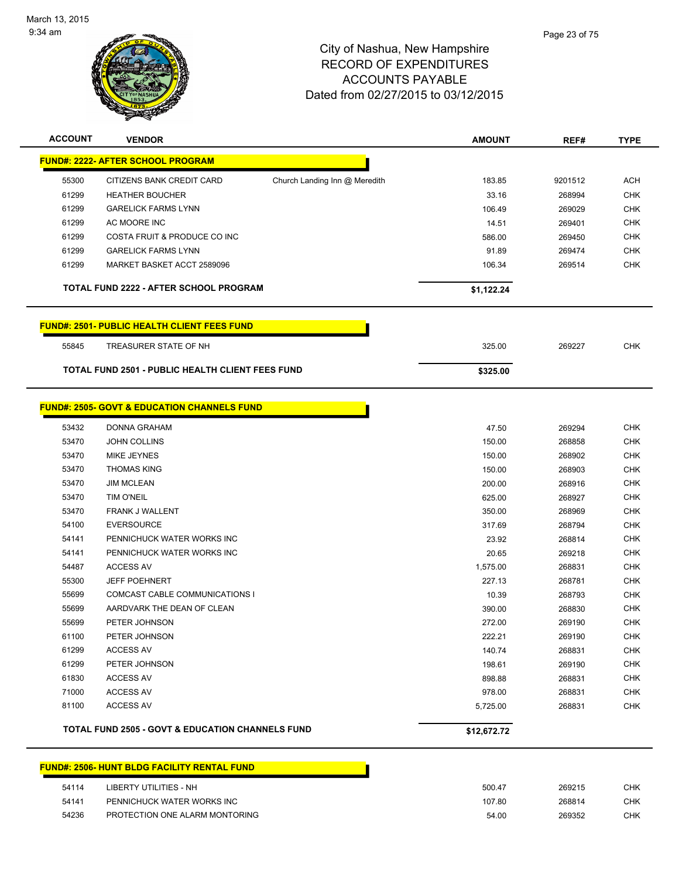

| <b>ACCOUNT</b>                                     | <b>VENDOR</b>                                               |                               | <b>AMOUNT</b> | REF#    | <b>TYPE</b> |  |
|----------------------------------------------------|-------------------------------------------------------------|-------------------------------|---------------|---------|-------------|--|
|                                                    | <b>FUND#: 2222- AFTER SCHOOL PROGRAM</b>                    |                               |               |         |             |  |
| 55300                                              | CITIZENS BANK CREDIT CARD                                   | Church Landing Inn @ Meredith | 183.85        | 9201512 | <b>ACH</b>  |  |
| 61299                                              | <b>HEATHER BOUCHER</b>                                      |                               | 33.16         | 268994  | <b>CHK</b>  |  |
| 61299                                              | <b>GARELICK FARMS LYNN</b>                                  |                               | 106.49        | 269029  | <b>CHK</b>  |  |
| 61299                                              | AC MOORE INC                                                |                               | 14.51         | 269401  | <b>CHK</b>  |  |
| 61299                                              | COSTA FRUIT & PRODUCE CO INC                                |                               | 586.00        | 269450  | <b>CHK</b>  |  |
| 61299                                              | <b>GARELICK FARMS LYNN</b>                                  |                               | 91.89         | 269474  | <b>CHK</b>  |  |
| 61299                                              | MARKET BASKET ACCT 2589096                                  |                               | 106.34        | 269514  | <b>CHK</b>  |  |
|                                                    | <b>TOTAL FUND 2222 - AFTER SCHOOL PROGRAM</b>               |                               | \$1,122.24    |         |             |  |
| <b>FUND#: 2501- PUBLIC HEALTH CLIENT FEES FUND</b> |                                                             |                               |               |         |             |  |
| 55845                                              | TREASURER STATE OF NH                                       |                               | 325.00        | 269227  | <b>CHK</b>  |  |
|                                                    | TOTAL FUND 2501 - PUBLIC HEALTH CLIENT FEES FUND            |                               | \$325.00      |         |             |  |
|                                                    | <b>FUND#: 2505- GOVT &amp; EDUCATION CHANNELS FUND</b>      |                               |               |         |             |  |
| 53432                                              | DONNA GRAHAM                                                |                               | 47.50         | 269294  | <b>CHK</b>  |  |
| 53470                                              | <b>JOHN COLLINS</b>                                         |                               | 150.00        | 268858  | <b>CHK</b>  |  |
| 53470                                              | <b>MIKE JEYNES</b>                                          |                               | 150.00        | 268902  | <b>CHK</b>  |  |
| 53470                                              | <b>THOMAS KING</b>                                          |                               | 150.00        | 268903  | <b>CHK</b>  |  |
| 53470                                              | <b>JIM MCLEAN</b>                                           |                               | 200.00        | 268916  | <b>CHK</b>  |  |
| 53470                                              | <b>TIM O'NEIL</b>                                           |                               | 625.00        | 268927  | <b>CHK</b>  |  |
| 53470                                              | FRANK J WALLENT                                             |                               | 350.00        | 268969  | <b>CHK</b>  |  |
| 54100                                              | <b>EVERSOURCE</b>                                           |                               | 317.69        | 268794  | <b>CHK</b>  |  |
| 54141                                              | PENNICHUCK WATER WORKS INC                                  |                               | 23.92         | 268814  | <b>CHK</b>  |  |
| 54141                                              | PENNICHUCK WATER WORKS INC                                  |                               | 20.65         | 269218  | <b>CHK</b>  |  |
| 54487                                              | <b>ACCESS AV</b>                                            |                               | 1,575.00      | 268831  | <b>CHK</b>  |  |
| 55300                                              | <b>JEFF POEHNERT</b>                                        |                               | 227.13        | 268781  | <b>CHK</b>  |  |
| 55699                                              | COMCAST CABLE COMMUNICATIONS I                              |                               | 10.39         | 268793  | <b>CHK</b>  |  |
| 55699                                              | AARDVARK THE DEAN OF CLEAN                                  |                               | 390.00        | 268830  | <b>CHK</b>  |  |
| 55699                                              | PETER JOHNSON                                               |                               | 272.00        | 269190  | <b>CHK</b>  |  |
| 61100                                              | PETER JOHNSON                                               |                               | 222.21        | 269190  | <b>CHK</b>  |  |
| 61299                                              | <b>ACCESS AV</b>                                            |                               | 140.74        | 268831  | CHK         |  |
| 61299                                              | PETER JOHNSON                                               |                               | 198.61        | 269190  | <b>CHK</b>  |  |
| 61830                                              | <b>ACCESS AV</b>                                            |                               | 898.88        | 268831  | <b>CHK</b>  |  |
| 71000                                              | <b>ACCESS AV</b>                                            |                               | 978.00        | 268831  | <b>CHK</b>  |  |
| 81100                                              | <b>ACCESS AV</b>                                            |                               | 5,725.00      | 268831  | <b>CHK</b>  |  |
|                                                    | <b>TOTAL FUND 2505 - GOVT &amp; EDUCATION CHANNELS FUND</b> |                               | \$12,672.72   |         |             |  |

# **FUND#: 2506- HUNT BLDG FACILITY RENTAL FUND**

| 54114 | LIBERTY UTILITIES - NH         | 500.47 | 269215 | CHK |
|-------|--------------------------------|--------|--------|-----|
| 54141 | PENNICHUCK WATER WORKS INC     | 107.80 | 268814 | CHK |
| 54236 | PROTECTION ONE ALARM MONTORING | 54.00  | 269352 | CHK |

h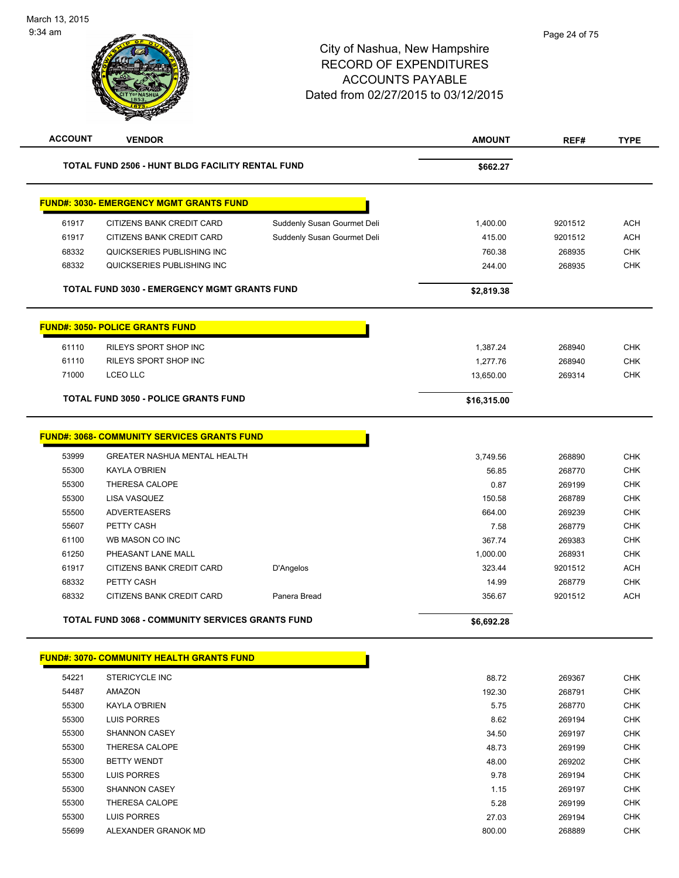| <b>ACCOUNT</b> | <b>VENDOR</b>                                           |                             | <b>AMOUNT</b> | REF#    | <b>TYPE</b> |
|----------------|---------------------------------------------------------|-----------------------------|---------------|---------|-------------|
|                | TOTAL FUND 2506 - HUNT BLDG FACILITY RENTAL FUND        |                             | \$662.27      |         |             |
|                | <b>FUND#: 3030- EMERGENCY MGMT GRANTS FUND</b>          |                             |               |         |             |
| 61917          | CITIZENS BANK CREDIT CARD                               | Suddenly Susan Gourmet Deli | 1,400.00      | 9201512 | <b>ACH</b>  |
| 61917          | CITIZENS BANK CREDIT CARD                               | Suddenly Susan Gourmet Deli | 415.00        | 9201512 | <b>ACH</b>  |
| 68332          | QUICKSERIES PUBLISHING INC                              |                             | 760.38        | 268935  | <b>CHK</b>  |
| 68332          | QUICKSERIES PUBLISHING INC                              |                             | 244.00        | 268935  | <b>CHK</b>  |
|                | <b>TOTAL FUND 3030 - EMERGENCY MGMT GRANTS FUND</b>     |                             | \$2,819.38    |         |             |
|                | <b>FUND#: 3050- POLICE GRANTS FUND</b>                  |                             |               |         |             |
| 61110          | RILEYS SPORT SHOP INC                                   |                             | 1,387.24      | 268940  | <b>CHK</b>  |
| 61110          | RILEYS SPORT SHOP INC                                   |                             | 1,277.76      | 268940  | <b>CHK</b>  |
| 71000          | <b>LCEO LLC</b>                                         |                             | 13,650.00     | 269314  | <b>CHK</b>  |
|                | <b>TOTAL FUND 3050 - POLICE GRANTS FUND</b>             |                             | \$16,315.00   |         |             |
|                | <b>FUND#: 3068- COMMUNITY SERVICES GRANTS FUND</b>      |                             |               |         |             |
| 53999          | GREATER NASHUA MENTAL HEALTH                            |                             | 3,749.56      | 268890  | <b>CHK</b>  |
| 55300          | <b>KAYLA O'BRIEN</b>                                    |                             | 56.85         | 268770  | <b>CHK</b>  |
| 55300          | THERESA CALOPE                                          |                             | 0.87          | 269199  | <b>CHK</b>  |
| 55300          | LISA VASQUEZ                                            |                             | 150.58        | 268789  | <b>CHK</b>  |
| 55500          | <b>ADVERTEASERS</b>                                     |                             | 664.00        | 269239  | <b>CHK</b>  |
| 55607          | PETTY CASH                                              |                             | 7.58          | 268779  | <b>CHK</b>  |
| 61100          | WB MASON CO INC                                         |                             | 367.74        | 269383  | <b>CHK</b>  |
| 61250          | PHEASANT LANE MALL                                      |                             | 1,000.00      | 268931  | <b>CHK</b>  |
| 61917          | CITIZENS BANK CREDIT CARD                               | D'Angelos                   | 323.44        | 9201512 | <b>ACH</b>  |
| 68332          | PETTY CASH                                              |                             | 14.99         | 268779  | <b>CHK</b>  |
| 68332          | CITIZENS BANK CREDIT CARD                               | Panera Bread                | 356.67        | 9201512 | <b>ACH</b>  |
|                | <b>TOTAL FUND 3068 - COMMUNITY SERVICES GRANTS FUND</b> |                             | \$6,692.28    |         |             |
|                | <b>FUND#: 3070- COMMUNITY HEALTH GRANTS FUND</b>        |                             |               |         |             |
| 54221          | STERICYCLE INC                                          |                             | 88.72         | 269367  | <b>CHK</b>  |
| 54487          | AMAZON                                                  |                             | 192.30        | 268791  | <b>CHK</b>  |
| 55300          | <b>KAYLA O'BRIEN</b>                                    |                             | 5.75          | 268770  | <b>CHK</b>  |
| 55300          | LUIS PORRES                                             |                             | 8.62          | 269194  | <b>CHK</b>  |

 SHANNON CASEY 34.50 269197 CHK THERESA CALOPE 48.73 269199 CHK BETTY WENDT 48.00 269202 CHK LUIS PORRES 9.78 269194 CHK SHANNON CASEY 1.15 269197 CHK THERESA CALOPE 5.28 269199 CHK LUIS PORRES 27.03 269194 CHK ALEXANDER GRANOK MD 800.00 268889 CHK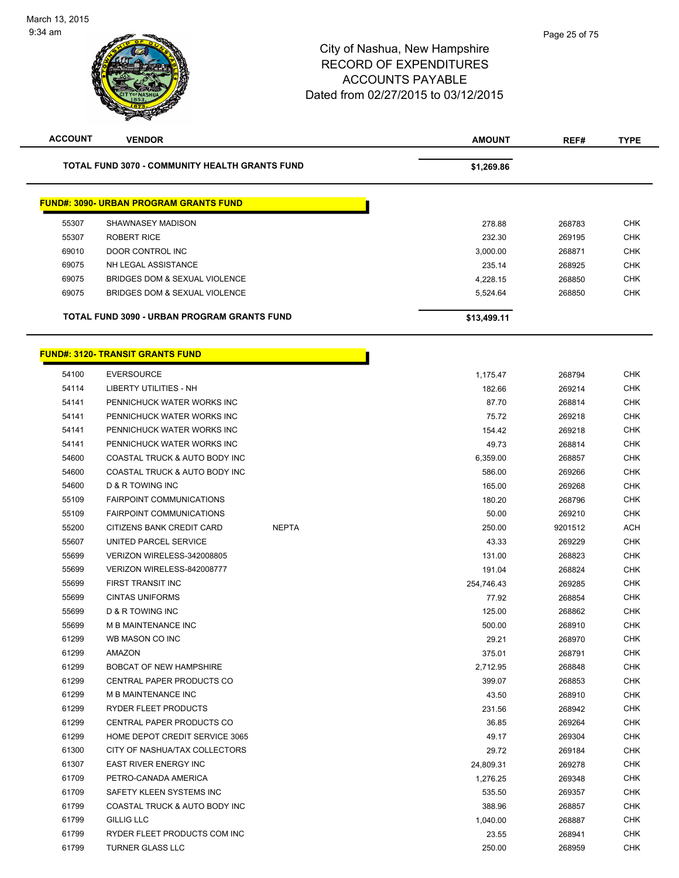| <b>ACCOUNT</b> | <b>VENDOR</b>                                         | <b>AMOUNT</b> | REF#    | <b>TYPE</b> |
|----------------|-------------------------------------------------------|---------------|---------|-------------|
|                | <b>TOTAL FUND 3070 - COMMUNITY HEALTH GRANTS FUND</b> | \$1,269.86    |         |             |
|                | <b>FUND#: 3090- URBAN PROGRAM GRANTS FUND</b>         |               |         |             |
| 55307          | SHAWNASEY MADISON                                     | 278.88        | 268783  | <b>CHK</b>  |
| 55307          | <b>ROBERT RICE</b>                                    | 232.30        | 269195  | CHK         |
| 69010          | <b>DOOR CONTROL INC</b>                               | 3,000.00      | 268871  | <b>CHK</b>  |
| 69075          | NH LEGAL ASSISTANCE                                   | 235.14        | 268925  | <b>CHK</b>  |
| 69075          | BRIDGES DOM & SEXUAL VIOLENCE                         | 4,228.15      | 268850  | <b>CHK</b>  |
| 69075          | BRIDGES DOM & SEXUAL VIOLENCE                         | 5,524.64      | 268850  | <b>CHK</b>  |
|                | TOTAL FUND 3090 - URBAN PROGRAM GRANTS FUND           | \$13,499.11   |         |             |
|                | <b>FUND#: 3120- TRANSIT GRANTS FUND</b>               |               |         |             |
|                |                                                       |               |         |             |
| 54100          | <b>EVERSOURCE</b>                                     | 1,175.47      | 268794  | <b>CHK</b>  |
| 54114          | <b>LIBERTY UTILITIES - NH</b>                         | 182.66        | 269214  | <b>CHK</b>  |
| 54141          | PENNICHUCK WATER WORKS INC                            | 87.70         | 268814  | <b>CHK</b>  |
| 54141          | PENNICHUCK WATER WORKS INC                            | 75.72         | 269218  | <b>CHK</b>  |
| 54141          | PENNICHUCK WATER WORKS INC                            | 154.42        | 269218  | <b>CHK</b>  |
| 54141          | PENNICHUCK WATER WORKS INC                            | 49.73         | 268814  | <b>CHK</b>  |
| 54600          | COASTAL TRUCK & AUTO BODY INC                         | 6,359.00      | 268857  | <b>CHK</b>  |
| 54600          | COASTAL TRUCK & AUTO BODY INC                         | 586.00        | 269266  | <b>CHK</b>  |
| 54600          | D & R TOWING INC                                      | 165.00        | 269268  | <b>CHK</b>  |
| 55109          | <b>FAIRPOINT COMMUNICATIONS</b>                       | 180.20        | 268796  | <b>CHK</b>  |
| 55109          | <b>FAIRPOINT COMMUNICATIONS</b>                       | 50.00         | 269210  | <b>CHK</b>  |
| 55200          | CITIZENS BANK CREDIT CARD<br><b>NEPTA</b>             | 250.00        | 9201512 | <b>ACH</b>  |
| 55607          | UNITED PARCEL SERVICE                                 | 43.33         | 269229  | <b>CHK</b>  |
| 55699          | VERIZON WIRELESS-342008805                            | 131.00        | 268823  | <b>CHK</b>  |
| 55699          | VERIZON WIRELESS-842008777                            | 191.04        | 268824  | <b>CHK</b>  |
| 55699          | FIRST TRANSIT INC                                     | 254,746.43    | 269285  | <b>CHK</b>  |
| 55699          | <b>CINTAS UNIFORMS</b>                                | 77.92         | 268854  | <b>CHK</b>  |
| 55699          | D & R TOWING INC                                      | 125.00        | 268862  | <b>CHK</b>  |
| 55699          | M B MAINTENANCE INC                                   | 500.00        | 268910  | <b>CHK</b>  |
| 61299          | WB MASON CO INC                                       | 29.21         | 268970  | <b>CHK</b>  |
| 61299          | AMAZON                                                | 375.01        | 268791  | CHK         |
| 61299          | <b>BOBCAT OF NEW HAMPSHIRE</b>                        | 2,712.95      | 268848  | <b>CHK</b>  |
| 61299          | CENTRAL PAPER PRODUCTS CO                             | 399.07        | 268853  | <b>CHK</b>  |
| 61299          | M B MAINTENANCE INC                                   | 43.50         | 268910  | <b>CHK</b>  |
| 61299          | <b>RYDER FLEET PRODUCTS</b>                           | 231.56        | 268942  | <b>CHK</b>  |
| 61299          | <b>CENTRAL PAPER PRODUCTS CO</b>                      | 36.85         | 269264  | <b>CHK</b>  |
| 61299          | HOME DEPOT CREDIT SERVICE 3065                        | 49.17         | 269304  | <b>CHK</b>  |
| 61300          | CITY OF NASHUA/TAX COLLECTORS                         | 29.72         | 269184  | <b>CHK</b>  |
| 61307          | <b>EAST RIVER ENERGY INC</b>                          | 24,809.31     | 269278  | CHK         |
| 61709          | PETRO-CANADA AMERICA                                  | 1,276.25      | 269348  | <b>CHK</b>  |
| 61709          | SAFETY KLEEN SYSTEMS INC                              | 535.50        | 269357  | <b>CHK</b>  |
| 61799          | COASTAL TRUCK & AUTO BODY INC                         | 388.96        | 268857  | <b>CHK</b>  |
| 61799          | GILLIG LLC                                            | 1,040.00      | 268887  | <b>CHK</b>  |
| 61799          | RYDER FLEET PRODUCTS COM INC                          | 23.55         | 268941  | <b>CHK</b>  |
| 61799          | <b>TURNER GLASS LLC</b>                               | 250.00        | 268959  | <b>CHK</b>  |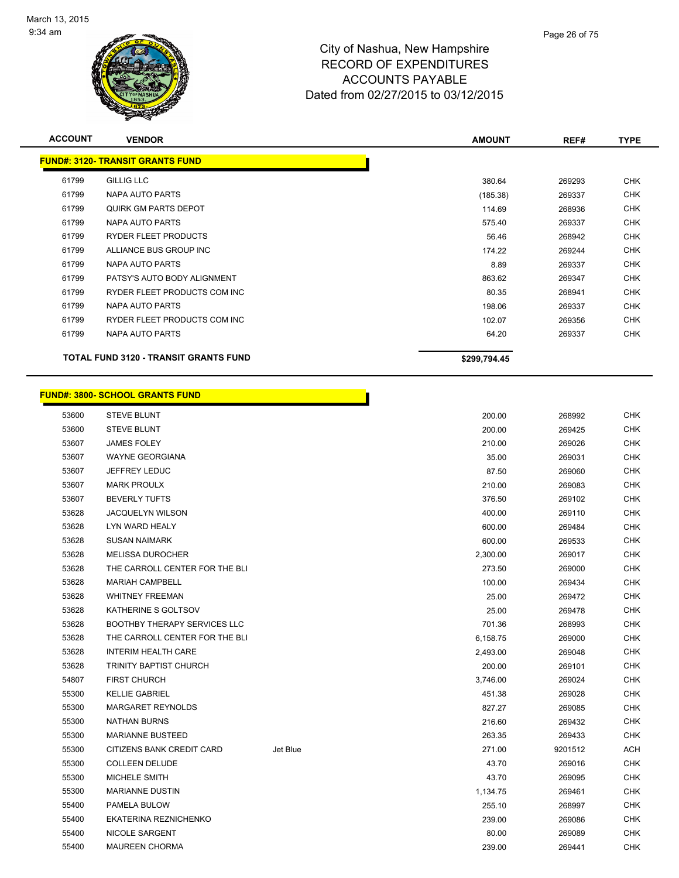

| <b>ACCOUNT</b> | <b>VENDOR</b>                                | <b>AMOUNT</b> | REF#   | <b>TYPE</b> |
|----------------|----------------------------------------------|---------------|--------|-------------|
|                | <b>FUND#: 3120- TRANSIT GRANTS FUND</b>      |               |        |             |
| 61799          | <b>GILLIG LLC</b>                            | 380.64        | 269293 | <b>CHK</b>  |
| 61799          | NAPA AUTO PARTS                              | (185.38)      | 269337 | <b>CHK</b>  |
| 61799          | QUIRK GM PARTS DEPOT                         | 114.69        | 268936 | <b>CHK</b>  |
| 61799          | NAPA AUTO PARTS                              | 575.40        | 269337 | <b>CHK</b>  |
| 61799          | <b>RYDER FLEET PRODUCTS</b>                  | 56.46         | 268942 | <b>CHK</b>  |
| 61799          | ALLIANCE BUS GROUP INC                       | 174.22        | 269244 | <b>CHK</b>  |
| 61799          | NAPA AUTO PARTS                              | 8.89          | 269337 | <b>CHK</b>  |
| 61799          | PATSY'S AUTO BODY ALIGNMENT                  | 863.62        | 269347 | <b>CHK</b>  |
| 61799          | RYDER FLEET PRODUCTS COM INC                 | 80.35         | 268941 | <b>CHK</b>  |
| 61799          | NAPA AUTO PARTS                              | 198.06        | 269337 | <b>CHK</b>  |
| 61799          | RYDER FLEET PRODUCTS COM INC                 | 102.07        | 269356 | <b>CHK</b>  |
| 61799          | NAPA AUTO PARTS                              | 64.20         | 269337 | <b>CHK</b>  |
|                | <b>TOTAL FUND 3120 - TRANSIT GRANTS FUND</b> | \$299,794.45  |        |             |

| <b>FUND#: 3800- SCHOOL GRANTS FUND</b> |  |                    |  |
|----------------------------------------|--|--------------------|--|
| 53600                                  |  | <b>STEVE BLUNT</b> |  |
| 50000                                  |  | CTTN/FD11NFT       |  |

| 53600 | <b>STEVE BLUNT</b>                  |          | 200.00   | 268992  | <b>CHK</b> |
|-------|-------------------------------------|----------|----------|---------|------------|
| 53600 | <b>STEVE BLUNT</b>                  |          | 200.00   | 269425  | <b>CHK</b> |
| 53607 | <b>JAMES FOLEY</b>                  |          | 210.00   | 269026  | <b>CHK</b> |
| 53607 | <b>WAYNE GEORGIANA</b>              |          | 35.00    | 269031  | <b>CHK</b> |
| 53607 | JEFFREY LEDUC                       |          | 87.50    | 269060  | <b>CHK</b> |
| 53607 | <b>MARK PROULX</b>                  |          | 210.00   | 269083  | <b>CHK</b> |
| 53607 | <b>BEVERLY TUFTS</b>                |          | 376.50   | 269102  | <b>CHK</b> |
| 53628 | <b>JACQUELYN WILSON</b>             |          | 400.00   | 269110  | <b>CHK</b> |
| 53628 | LYN WARD HEALY                      |          | 600.00   | 269484  | <b>CHK</b> |
| 53628 | <b>SUSAN NAIMARK</b>                |          | 600.00   | 269533  | <b>CHK</b> |
| 53628 | <b>MELISSA DUROCHER</b>             |          | 2,300.00 | 269017  | <b>CHK</b> |
| 53628 | THE CARROLL CENTER FOR THE BLI      |          | 273.50   | 269000  | <b>CHK</b> |
| 53628 | <b>MARIAH CAMPBELL</b>              |          | 100.00   | 269434  | CHK        |
| 53628 | <b>WHITNEY FREEMAN</b>              |          | 25.00    | 269472  | <b>CHK</b> |
| 53628 | KATHERINE S GOLTSOV                 |          | 25.00    | 269478  | <b>CHK</b> |
| 53628 | <b>BOOTHBY THERAPY SERVICES LLC</b> |          | 701.36   | 268993  | <b>CHK</b> |
| 53628 | THE CARROLL CENTER FOR THE BLI      |          | 6,158.75 | 269000  | <b>CHK</b> |
| 53628 | <b>INTERIM HEALTH CARE</b>          |          | 2,493.00 | 269048  | <b>CHK</b> |
| 53628 | <b>TRINITY BAPTIST CHURCH</b>       |          | 200.00   | 269101  | <b>CHK</b> |
| 54807 | <b>FIRST CHURCH</b>                 |          | 3,746.00 | 269024  | <b>CHK</b> |
| 55300 | <b>KELLIE GABRIEL</b>               |          | 451.38   | 269028  | <b>CHK</b> |
| 55300 | <b>MARGARET REYNOLDS</b>            |          | 827.27   | 269085  | <b>CHK</b> |
| 55300 | <b>NATHAN BURNS</b>                 |          | 216.60   | 269432  | <b>CHK</b> |
| 55300 | <b>MARIANNE BUSTEED</b>             |          | 263.35   | 269433  | <b>CHK</b> |
| 55300 | CITIZENS BANK CREDIT CARD           | Jet Blue | 271.00   | 9201512 | <b>ACH</b> |
| 55300 | <b>COLLEEN DELUDE</b>               |          | 43.70    | 269016  | <b>CHK</b> |
| 55300 | MICHELE SMITH                       |          | 43.70    | 269095  | <b>CHK</b> |
| 55300 | <b>MARIANNE DUSTIN</b>              |          | 1,134.75 | 269461  | <b>CHK</b> |
| 55400 | PAMELA BULOW                        |          | 255.10   | 268997  | <b>CHK</b> |
| 55400 | EKATERINA REZNICHENKO               |          | 239.00   | 269086  | <b>CHK</b> |
| 55400 | <b>NICOLE SARGENT</b>               |          | 80.00    | 269089  | <b>CHK</b> |
| 55400 | <b>MAUREEN CHORMA</b>               |          | 239.00   | 269441  | CHK        |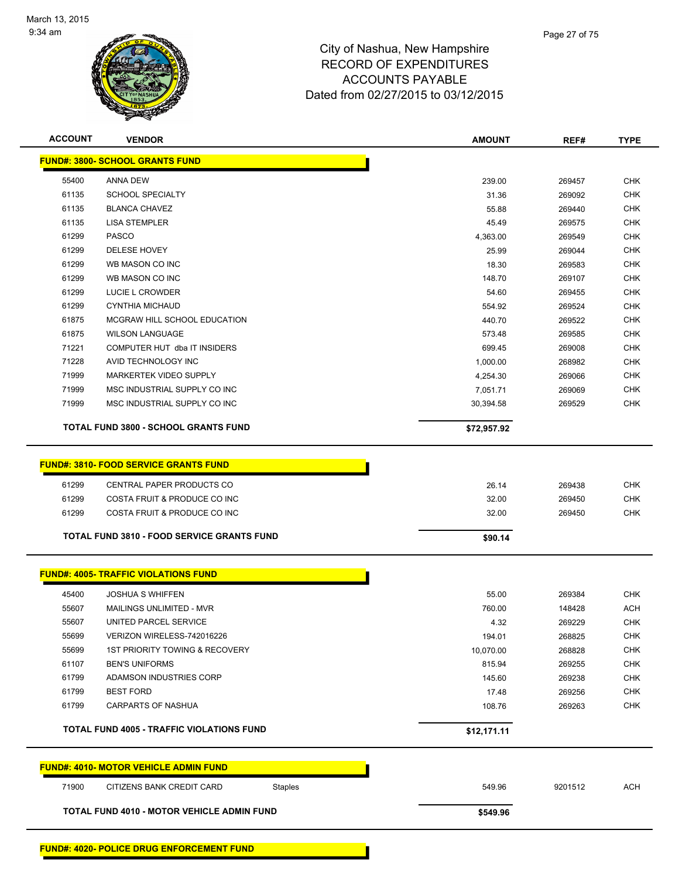

| <b>ACCOUNT</b> | <b>VENDOR</b>                                                             | <b>AMOUNT</b> | REF#    | <b>TYPE</b> |
|----------------|---------------------------------------------------------------------------|---------------|---------|-------------|
|                | <b>FUND#: 3800- SCHOOL GRANTS FUND</b>                                    |               |         |             |
| 55400          | <b>ANNA DEW</b>                                                           | 239.00        | 269457  | <b>CHK</b>  |
| 61135          | <b>SCHOOL SPECIALTY</b>                                                   | 31.36         | 269092  | <b>CHK</b>  |
| 61135          | <b>BLANCA CHAVEZ</b>                                                      | 55.88         | 269440  | <b>CHK</b>  |
| 61135          | <b>LISA STEMPLER</b>                                                      | 45.49         | 269575  | <b>CHK</b>  |
| 61299          | <b>PASCO</b>                                                              | 4,363.00      | 269549  | <b>CHK</b>  |
| 61299          | <b>DELESE HOVEY</b>                                                       | 25.99         | 269044  | <b>CHK</b>  |
| 61299          | WB MASON CO INC                                                           | 18.30         | 269583  | <b>CHK</b>  |
| 61299          | WB MASON CO INC                                                           | 148.70        | 269107  | <b>CHK</b>  |
| 61299          | LUCIE L CROWDER                                                           | 54.60         | 269455  | <b>CHK</b>  |
| 61299          | <b>CYNTHIA MICHAUD</b>                                                    | 554.92        | 269524  | <b>CHK</b>  |
| 61875          | MCGRAW HILL SCHOOL EDUCATION                                              | 440.70        | 269522  | <b>CHK</b>  |
| 61875          | <b>WILSON LANGUAGE</b>                                                    | 573.48        | 269585  | <b>CHK</b>  |
| 71221          | COMPUTER HUT dba IT INSIDERS                                              | 699.45        | 269008  | <b>CHK</b>  |
| 71228          | AVID TECHNOLOGY INC                                                       | 1,000.00      | 268982  | <b>CHK</b>  |
| 71999          | MARKERTEK VIDEO SUPPLY                                                    | 4,254.30      | 269066  | <b>CHK</b>  |
| 71999          | MSC INDUSTRIAL SUPPLY CO INC                                              | 7,051.71      | 269069  | <b>CHK</b>  |
| 71999          | MSC INDUSTRIAL SUPPLY CO INC                                              | 30,394.58     | 269529  | <b>CHK</b>  |
|                | TOTAL FUND 3800 - SCHOOL GRANTS FUND                                      | \$72,957.92   |         |             |
| 61299          | <b>FUND#: 3810- FOOD SERVICE GRANTS FUND</b><br>CENTRAL PAPER PRODUCTS CO | 26.14         | 269438  | <b>CHK</b>  |
| 61299          | COSTA FRUIT & PRODUCE CO INC                                              | 32.00         | 269450  | <b>CHK</b>  |
| 61299          | COSTA FRUIT & PRODUCE CO INC                                              | 32.00         | 269450  | <b>CHK</b>  |
|                |                                                                           |               |         |             |
|                | <b>TOTAL FUND 3810 - FOOD SERVICE GRANTS FUND</b>                         | \$90.14       |         |             |
|                | <b>FUND#: 4005- TRAFFIC VIOLATIONS FUND</b>                               |               |         |             |
| 45400          | <b>JOSHUA S WHIFFEN</b>                                                   | 55.00         | 269384  | <b>CHK</b>  |
| 55607          | MAILINGS UNLIMITED - MVR                                                  | 760.00        | 148428  | ACH         |
| 55607          | UNITED PARCEL SERVICE                                                     | 4.32          | 269229  | CHK         |
| 55699          | VERIZON WIRELESS-742016226                                                | 194.01        | 268825  | <b>CHK</b>  |
| 55699          | <b>1ST PRIORITY TOWING &amp; RECOVERY</b>                                 | 10,070.00     | 268828  | <b>CHK</b>  |
| 61107          | <b>BEN'S UNIFORMS</b>                                                     | 815.94        | 269255  | <b>CHK</b>  |
| 61799          | ADAMSON INDUSTRIES CORP                                                   | 145.60        | 269238  | <b>CHK</b>  |
| 61799          | <b>BEST FORD</b>                                                          | 17.48         | 269256  | <b>CHK</b>  |
| 61799          | <b>CARPARTS OF NASHUA</b>                                                 | 108.76        | 269263  | <b>CHK</b>  |
|                | TOTAL FUND 4005 - TRAFFIC VIOLATIONS FUND                                 | \$12,171.11   |         |             |
|                | <b>FUND#: 4010- MOTOR VEHICLE ADMIN FUND</b>                              |               |         |             |
| 71900          | CITIZENS BANK CREDIT CARD<br>Staples                                      | 549.96        | 9201512 | ACH         |
|                | <b>TOTAL FUND 4010 - MOTOR VEHICLE ADMIN FUND</b>                         | \$549.96      |         |             |
|                |                                                                           |               |         |             |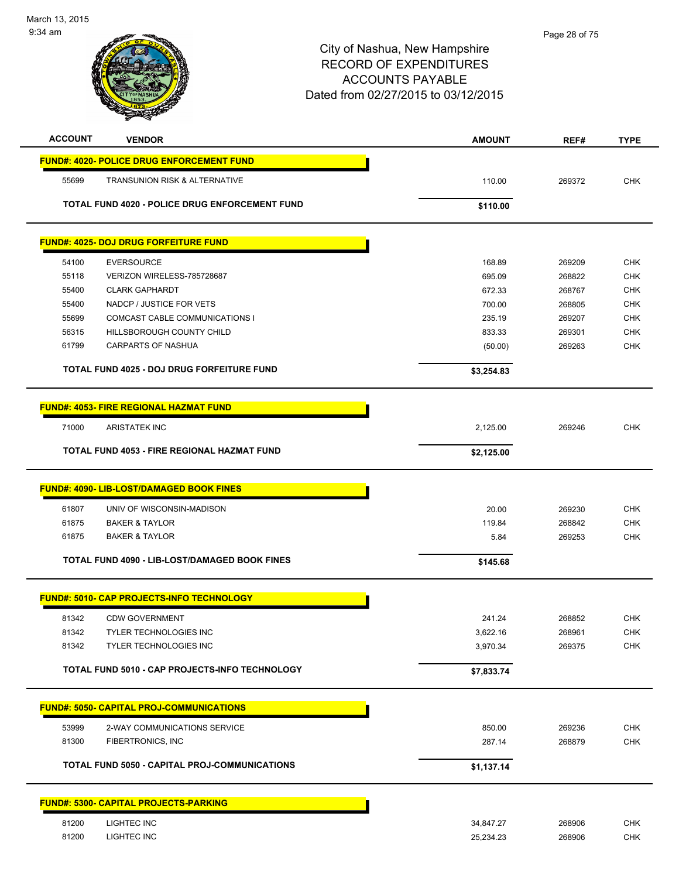

| <b>ACCOUNT</b><br><b>VENDOR</b>                       | <b>AMOUNT</b>    | REF#             | <b>TYPE</b> |
|-------------------------------------------------------|------------------|------------------|-------------|
| <b>FUND#: 4020- POLICE DRUG ENFORCEMENT FUND</b>      |                  |                  |             |
| 55699<br>TRANSUNION RISK & ALTERNATIVE                | 110.00           | 269372           | <b>CHK</b>  |
|                                                       |                  |                  |             |
| <b>TOTAL FUND 4020 - POLICE DRUG ENFORCEMENT FUND</b> | \$110.00         |                  |             |
| <b>FUND#: 4025- DOJ DRUG FORFEITURE FUND</b>          |                  |                  |             |
| <b>EVERSOURCE</b><br>54100                            |                  |                  | <b>CHK</b>  |
| 55118<br>VERIZON WIRELESS-785728687                   | 168.89<br>695.09 | 269209<br>268822 | <b>CHK</b>  |
| 55400<br><b>CLARK GAPHARDT</b>                        | 672.33           | 268767           | <b>CHK</b>  |
| NADCP / JUSTICE FOR VETS<br>55400                     | 700.00           | 268805           | <b>CHK</b>  |
| 55699<br>COMCAST CABLE COMMUNICATIONS I               | 235.19           | 269207           | <b>CHK</b>  |
| 56315<br>HILLSBOROUGH COUNTY CHILD                    | 833.33           | 269301           | <b>CHK</b>  |
| CARPARTS OF NASHUA<br>61799                           | (50.00)          | 269263           | <b>CHK</b>  |
| <b>TOTAL FUND 4025 - DOJ DRUG FORFEITURE FUND</b>     | \$3,254.83       |                  |             |
|                                                       |                  |                  |             |
| <b>FUND#: 4053- FIRE REGIONAL HAZMAT FUND</b>         |                  |                  |             |
| 71000<br><b>ARISTATEK INC</b>                         | 2,125.00         | 269246           | <b>CHK</b>  |
| TOTAL FUND 4053 - FIRE REGIONAL HAZMAT FUND           | \$2,125.00       |                  |             |
|                                                       |                  |                  |             |
| FUND#: 4090- LIB-LOST/DAMAGED BOOK FINES              |                  |                  |             |
| 61807<br>UNIV OF WISCONSIN-MADISON                    | 20.00            | 269230           | <b>CHK</b>  |
| 61875<br><b>BAKER &amp; TAYLOR</b>                    | 119.84           | 268842           | <b>CHK</b>  |
| 61875<br><b>BAKER &amp; TAYLOR</b>                    | 5.84             | 269253           | <b>CHK</b>  |
| TOTAL FUND 4090 - LIB-LOST/DAMAGED BOOK FINES         | \$145.68         |                  |             |
|                                                       |                  |                  |             |
| <b>FUND#: 5010- CAP PROJECTS-INFO TECHNOLOGY</b>      |                  |                  |             |
| 81342<br><b>CDW GOVERNMENT</b>                        | 241.24           | 268852           | <b>CHK</b>  |
| 81342<br>TYLER TECHNOLOGIES INC                       | 3,622.16         | 268961           | CHK         |
| 81342<br>TYLER TECHNOLOGIES INC                       | 3,970.34         | 269375           | <b>CHK</b>  |
| TOTAL FUND 5010 - CAP PROJECTS-INFO TECHNOLOGY        | \$7,833.74       |                  |             |
|                                                       |                  |                  |             |
| <b>FUND#: 5050- CAPITAL PROJ-COMMUNICATIONS</b>       |                  |                  |             |
| 53999<br>2-WAY COMMUNICATIONS SERVICE                 | 850.00           | 269236           | <b>CHK</b>  |
| 81300<br>FIBERTRONICS, INC                            | 287.14           | 268879           | CHK         |
| <b>TOTAL FUND 5050 - CAPITAL PROJ-COMMUNICATIONS</b>  | \$1,137.14       |                  |             |
|                                                       |                  |                  |             |
| <b>FUND#: 5300- CAPITAL PROJECTS-PARKING</b>          |                  |                  |             |
| 81200<br>LIGHTEC INC                                  | 34,847.27        | 268906           | <b>CHK</b>  |
| 81200<br>LIGHTEC INC                                  | 25,234.23        | 268906           | <b>CHK</b>  |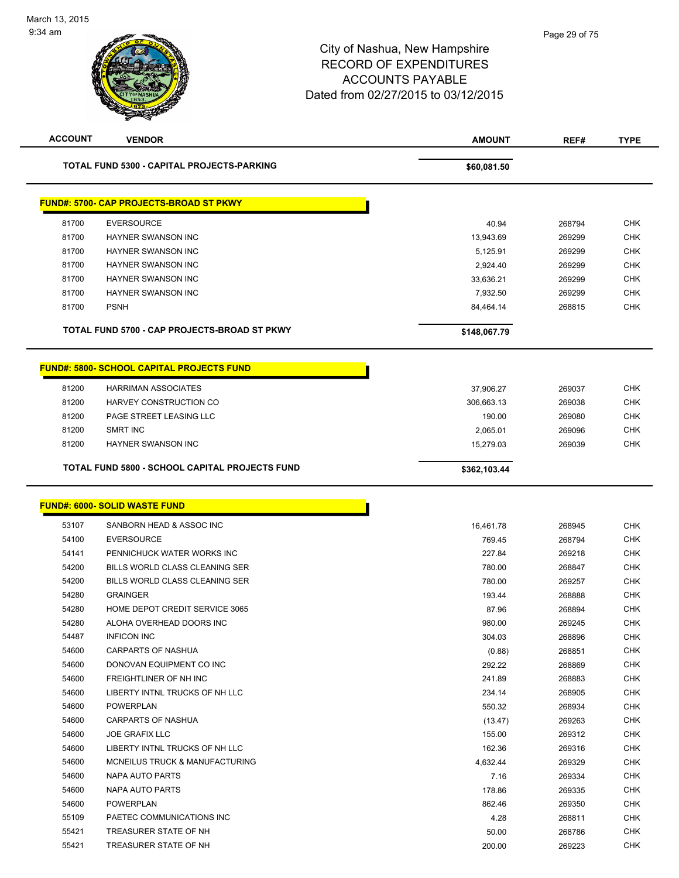| <b>ACCOUNT</b> | <b>VENDOR</b>                                     | <b>AMOUNT</b>    | REF#             | <b>TYPE</b>              |
|----------------|---------------------------------------------------|------------------|------------------|--------------------------|
|                | TOTAL FUND 5300 - CAPITAL PROJECTS-PARKING        | \$60,081.50      |                  |                          |
|                | <b>FUND#: 5700- CAP PROJECTS-BROAD ST PKWY</b>    |                  |                  |                          |
| 81700          | <b>EVERSOURCE</b>                                 | 40.94            | 268794           | <b>CHK</b>               |
| 81700          | HAYNER SWANSON INC                                | 13,943.69        | 269299           | <b>CHK</b>               |
| 81700          | <b>HAYNER SWANSON INC</b>                         | 5,125.91         | 269299           | <b>CHK</b>               |
| 81700          | <b>HAYNER SWANSON INC</b>                         | 2,924.40         | 269299           | <b>CHK</b>               |
| 81700          | HAYNER SWANSON INC                                | 33,636.21        | 269299           | <b>CHK</b>               |
| 81700          | <b>HAYNER SWANSON INC</b>                         | 7,932.50         | 269299           | <b>CHK</b>               |
| 81700          | <b>PSNH</b>                                       | 84,464.14        | 268815           | <b>CHK</b>               |
|                | TOTAL FUND 5700 - CAP PROJECTS-BROAD ST PKWY      | \$148,067.79     |                  |                          |
|                | <b>FUND#: 5800- SCHOOL CAPITAL PROJECTS FUND</b>  |                  |                  |                          |
|                |                                                   |                  |                  |                          |
| 81200          | <b>HARRIMAN ASSOCIATES</b>                        | 37,906.27        | 269037           | <b>CHK</b>               |
| 81200          | HARVEY CONSTRUCTION CO                            | 306,663.13       | 269038           | CHK                      |
| 81200          | PAGE STREET LEASING LLC                           | 190.00           | 269080           | <b>CHK</b>               |
| 81200          | <b>SMRT INC</b>                                   | 2,065.01         | 269096           | <b>CHK</b>               |
| 81200          | HAYNER SWANSON INC                                | 15,279.03        | 269039           | <b>CHK</b>               |
|                | TOTAL FUND 5800 - SCHOOL CAPITAL PROJECTS FUND    | \$362,103.44     |                  |                          |
|                | <b>FUND#: 6000- SOLID WASTE FUND</b>              |                  |                  |                          |
| 53107          | SANBORN HEAD & ASSOC INC                          | 16,461.78        | 268945           | <b>CHK</b>               |
| 54100          | <b>EVERSOURCE</b>                                 | 769.45           | 268794           | <b>CHK</b>               |
| 54141          | PENNICHUCK WATER WORKS INC                        | 227.84           | 269218           | <b>CHK</b>               |
| 54200          | BILLS WORLD CLASS CLEANING SER                    | 780.00           | 268847           | <b>CHK</b>               |
| 54200          | BILLS WORLD CLASS CLEANING SER                    | 780.00           | 269257           | <b>CHK</b>               |
| 54280          | <b>GRAINGER</b><br>HOME DEPOT CREDIT SERVICE 3065 | 193.44           | 268888           | <b>CHK</b>               |
| 54280<br>54280 | ALOHA OVERHEAD DOORS INC                          | 87.96            | 268894<br>269245 | <b>CHK</b>               |
|                |                                                   | 980.00           |                  | <b>CHK</b>               |
| 54487<br>54600 | <b>INFICON INC</b><br><b>CARPARTS OF NASHUA</b>   | 304.03           | 268896           | <b>CHK</b><br><b>CHK</b> |
| 54600          | DONOVAN EQUIPMENT CO INC                          | (0.88)<br>292.22 | 268851           | <b>CHK</b>               |
| 54600          | FREIGHTLINER OF NH INC                            | 241.89           | 268869<br>268883 | <b>CHK</b>               |
| 54600          | LIBERTY INTNL TRUCKS OF NH LLC                    | 234.14           | 268905           | <b>CHK</b>               |
| 54600          | <b>POWERPLAN</b>                                  | 550.32           | 268934           | <b>CHK</b>               |
| 54600          | <b>CARPARTS OF NASHUA</b>                         | (13.47)          | 269263           | <b>CHK</b>               |
| 54600          | <b>JOE GRAFIX LLC</b>                             | 155.00           | 269312           | <b>CHK</b>               |
| 54600          | LIBERTY INTNL TRUCKS OF NH LLC                    | 162.36           | 269316           | <b>CHK</b>               |
| 54600          | MCNEILUS TRUCK & MANUFACTURING                    | 4,632.44         | 269329           | <b>CHK</b>               |
| 54600          | NAPA AUTO PARTS                                   | 7.16             | 269334           | <b>CHK</b>               |
| 54600          | NAPA AUTO PARTS                                   | 178.86           | 269335           | <b>CHK</b>               |
| 54600          | POWERPLAN                                         | 862.46           | 269350           | <b>CHK</b>               |
| 55109          | PAETEC COMMUNICATIONS INC                         | 4.28             |                  | <b>CHK</b>               |
| 55421          | TREASURER STATE OF NH                             | 50.00            | 268811<br>268786 | <b>CHK</b>               |
|                | TREASURER STATE OF NH                             |                  |                  | <b>CHK</b>               |
| 55421          |                                                   | 200.00           | 269223           |                          |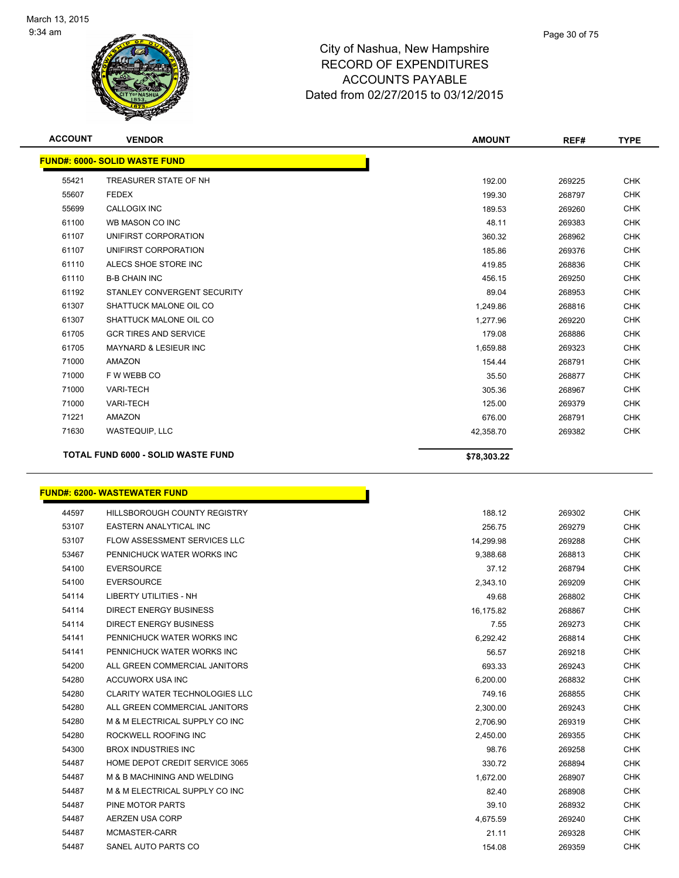

| <b>ACCOUNT</b> | <b>VENDOR</b>                             | <b>AMOUNT</b> | REF#   | <b>TYPE</b> |
|----------------|-------------------------------------------|---------------|--------|-------------|
|                | <b>FUND#: 6000- SOLID WASTE FUND</b>      |               |        |             |
| 55421          | TREASURER STATE OF NH                     | 192.00        | 269225 | <b>CHK</b>  |
| 55607          | <b>FEDEX</b>                              | 199.30        | 268797 | <b>CHK</b>  |
| 55699          | <b>CALLOGIX INC</b>                       | 189.53        | 269260 | <b>CHK</b>  |
| 61100          | WB MASON CO INC                           | 48.11         | 269383 | <b>CHK</b>  |
| 61107          | UNIFIRST CORPORATION                      | 360.32        | 268962 | <b>CHK</b>  |
| 61107          | UNIFIRST CORPORATION                      | 185.86        | 269376 | <b>CHK</b>  |
| 61110          | ALECS SHOE STORE INC                      | 419.85        | 268836 | <b>CHK</b>  |
| 61110          | <b>B-B CHAIN INC</b>                      | 456.15        | 269250 | <b>CHK</b>  |
| 61192          | STANLEY CONVERGENT SECURITY               | 89.04         | 268953 | <b>CHK</b>  |
| 61307          | SHATTUCK MALONE OIL CO                    | 1,249.86      | 268816 | <b>CHK</b>  |
| 61307          | SHATTUCK MALONE OIL CO                    | 1,277.96      | 269220 | <b>CHK</b>  |
| 61705          | <b>GCR TIRES AND SERVICE</b>              | 179.08        | 268886 | <b>CHK</b>  |
| 61705          | <b>MAYNARD &amp; LESIEUR INC</b>          | 1,659.88      | 269323 | <b>CHK</b>  |
| 71000          | AMAZON                                    | 154.44        | 268791 | <b>CHK</b>  |
| 71000          | F W WEBB CO                               | 35.50         | 268877 | <b>CHK</b>  |
| 71000          | <b>VARI-TECH</b>                          | 305.36        | 268967 | <b>CHK</b>  |
| 71000          | <b>VARI-TECH</b>                          | 125.00        | 269379 | <b>CHK</b>  |
| 71221          | AMAZON                                    | 676.00        | 268791 | <b>CHK</b>  |
| 71630          | <b>WASTEQUIP, LLC</b>                     | 42,358.70     | 269382 | <b>CHK</b>  |
|                | <b>TOTAL FUND 6000 - SOLID WASTE FUND</b> | \$78,303.22   |        |             |

#### **FUND#: 6200- WASTEWATER FUND**

| 44597 | <b>HILLSBOROUGH COUNTY REGISTRY</b>   | 188.12    | 269302 | <b>CHK</b> |
|-------|---------------------------------------|-----------|--------|------------|
| 53107 | EASTERN ANALYTICAL INC                | 256.75    | 269279 | <b>CHK</b> |
| 53107 | <b>FLOW ASSESSMENT SERVICES LLC</b>   | 14,299.98 | 269288 | <b>CHK</b> |
| 53467 | PENNICHUCK WATER WORKS INC            | 9,388.68  | 268813 | <b>CHK</b> |
| 54100 | <b>EVERSOURCE</b>                     | 37.12     | 268794 | <b>CHK</b> |
| 54100 | <b>EVERSOURCE</b>                     | 2.343.10  | 269209 | <b>CHK</b> |
| 54114 | <b>LIBERTY UTILITIES - NH</b>         | 49.68     | 268802 | <b>CHK</b> |
| 54114 | <b>DIRECT ENERGY BUSINESS</b>         | 16,175.82 | 268867 | <b>CHK</b> |
| 54114 | <b>DIRECT ENERGY BUSINESS</b>         | 7.55      | 269273 | <b>CHK</b> |
| 54141 | PENNICHUCK WATER WORKS INC            | 6,292.42  | 268814 | <b>CHK</b> |
| 54141 | PENNICHUCK WATER WORKS INC            | 56.57     | 269218 | <b>CHK</b> |
| 54200 | ALL GREEN COMMERCIAL JANITORS         | 693.33    | 269243 | <b>CHK</b> |
| 54280 | ACCUWORX USA INC                      | 6,200.00  | 268832 | <b>CHK</b> |
| 54280 | <b>CLARITY WATER TECHNOLOGIES LLC</b> | 749.16    | 268855 | <b>CHK</b> |
| 54280 | ALL GREEN COMMERCIAL JANITORS         | 2,300.00  | 269243 | <b>CHK</b> |
| 54280 | M & M ELECTRICAL SUPPLY CO INC        | 2,706.90  | 269319 | <b>CHK</b> |
| 54280 | ROCKWELL ROOFING INC                  | 2.450.00  | 269355 | <b>CHK</b> |
| 54300 | <b>BROX INDUSTRIES INC</b>            | 98.76     | 269258 | <b>CHK</b> |
| 54487 | HOME DEPOT CREDIT SERVICE 3065        | 330.72    | 268894 | <b>CHK</b> |
| 54487 | M & B MACHINING AND WELDING           | 1,672.00  | 268907 | <b>CHK</b> |
| 54487 | M & M ELECTRICAL SUPPLY CO INC        | 82.40     | 268908 | <b>CHK</b> |
| 54487 | PINE MOTOR PARTS                      | 39.10     | 268932 | <b>CHK</b> |
| 54487 | AERZEN USA CORP                       | 4,675.59  | 269240 | <b>CHK</b> |
| 54487 | MCMASTER-CARR                         | 21.11     | 269328 | <b>CHK</b> |
| 54487 | SANEL AUTO PARTS CO                   | 154.08    | 269359 | <b>CHK</b> |

Ì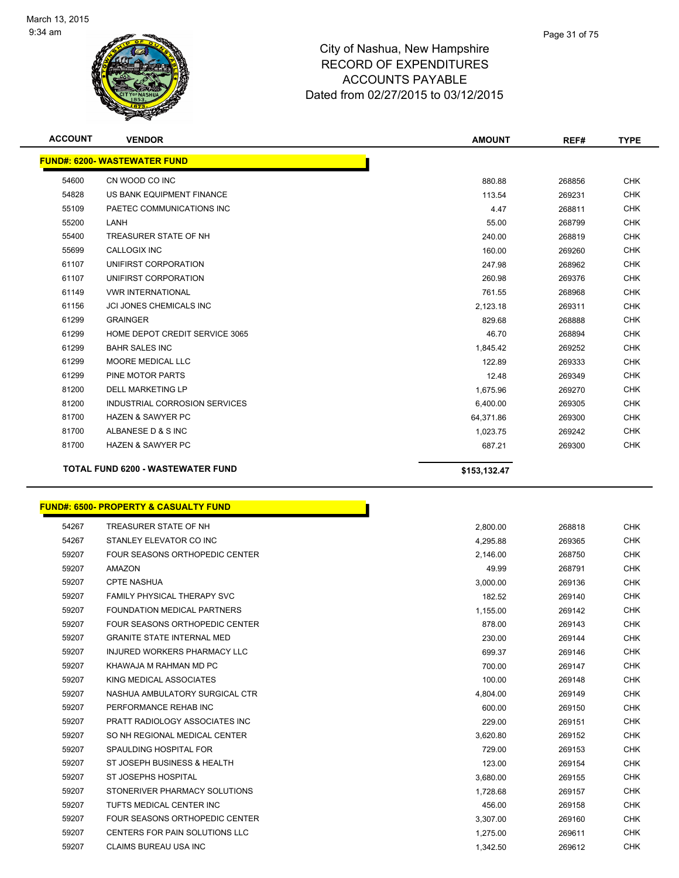

| <b>ACCOUNT</b> | <b>VENDOR</b>                            | <b>AMOUNT</b> | REF#   | <b>TYPE</b> |
|----------------|------------------------------------------|---------------|--------|-------------|
|                | <b>FUND#: 6200- WASTEWATER FUND</b>      |               |        |             |
| 54600          | CN WOOD CO INC                           | 880.88        | 268856 | <b>CHK</b>  |
| 54828          | US BANK EQUIPMENT FINANCE                | 113.54        | 269231 | <b>CHK</b>  |
| 55109          | PAETEC COMMUNICATIONS INC                | 4.47          | 268811 | <b>CHK</b>  |
| 55200          | LANH                                     | 55.00         | 268799 | <b>CHK</b>  |
| 55400          | TREASURER STATE OF NH                    | 240.00        | 268819 | <b>CHK</b>  |
| 55699          | <b>CALLOGIX INC</b>                      | 160.00        | 269260 | <b>CHK</b>  |
| 61107          | UNIFIRST CORPORATION                     | 247.98        | 268962 | <b>CHK</b>  |
| 61107          | UNIFIRST CORPORATION                     | 260.98        | 269376 | <b>CHK</b>  |
| 61149          | <b>VWR INTERNATIONAL</b>                 | 761.55        | 268968 | <b>CHK</b>  |
| 61156          | <b>JCI JONES CHEMICALS INC</b>           | 2,123.18      | 269311 | <b>CHK</b>  |
| 61299          | <b>GRAINGER</b>                          | 829.68        | 268888 | <b>CHK</b>  |
| 61299          | HOME DEPOT CREDIT SERVICE 3065           | 46.70         | 268894 | <b>CHK</b>  |
| 61299          | <b>BAHR SALES INC</b>                    | 1,845.42      | 269252 | <b>CHK</b>  |
| 61299          | <b>MOORE MEDICAL LLC</b>                 | 122.89        | 269333 | <b>CHK</b>  |
| 61299          | <b>PINE MOTOR PARTS</b>                  | 12.48         | 269349 | <b>CHK</b>  |
| 81200          | <b>DELL MARKETING LP</b>                 | 1,675.96      | 269270 | <b>CHK</b>  |
| 81200          | INDUSTRIAL CORROSION SERVICES            | 6,400.00      | 269305 | <b>CHK</b>  |
| 81700          | <b>HAZEN &amp; SAWYER PC</b>             | 64,371.86     | 269300 | <b>CHK</b>  |
| 81700          | ALBANESE D & S INC                       | 1,023.75      | 269242 | <b>CHK</b>  |
| 81700          | <b>HAZEN &amp; SAWYER PC</b>             | 687.21        | 269300 | <b>CHK</b>  |
|                | <b>TOTAL FUND 6200 - WASTEWATER FUND</b> | \$153,132.47  |        |             |

# **FUND#: 6500- PROPERTY & CASUALTY FUND**

| 54267 | TREASURER STATE OF NH                 | 2,800.00 | 268818 | <b>CHK</b> |
|-------|---------------------------------------|----------|--------|------------|
| 54267 | STANLEY ELEVATOR CO INC               | 4,295.88 | 269365 | <b>CHK</b> |
| 59207 | <b>FOUR SEASONS ORTHOPEDIC CENTER</b> | 2,146.00 | 268750 | <b>CHK</b> |
| 59207 | <b>AMAZON</b>                         | 49.99    | 268791 | <b>CHK</b> |
| 59207 | <b>CPTE NASHUA</b>                    | 3,000.00 | 269136 | <b>CHK</b> |
| 59207 | <b>FAMILY PHYSICAL THERAPY SVC</b>    | 182.52   | 269140 | <b>CHK</b> |
| 59207 | FOUNDATION MEDICAL PARTNERS           | 1,155.00 | 269142 | <b>CHK</b> |
| 59207 | FOUR SEASONS ORTHOPEDIC CENTER        | 878.00   | 269143 | <b>CHK</b> |
| 59207 | <b>GRANITE STATE INTERNAL MED</b>     | 230.00   | 269144 | <b>CHK</b> |
| 59207 | INJURED WORKERS PHARMACY LLC          | 699.37   | 269146 | <b>CHK</b> |
| 59207 | KHAWAJA M RAHMAN MD PC                | 700.00   | 269147 | <b>CHK</b> |
| 59207 | KING MEDICAL ASSOCIATES               | 100.00   | 269148 | <b>CHK</b> |
| 59207 | NASHUA AMBULATORY SURGICAL CTR        | 4,804.00 | 269149 | <b>CHK</b> |
| 59207 | PERFORMANCE REHAB INC                 | 600.00   | 269150 | <b>CHK</b> |
| 59207 | PRATT RADIOLOGY ASSOCIATES INC.       | 229.00   | 269151 | <b>CHK</b> |
| 59207 | SO NH REGIONAL MEDICAL CENTER         | 3.620.80 | 269152 | <b>CHK</b> |
| 59207 | SPAULDING HOSPITAL FOR                | 729.00   | 269153 | <b>CHK</b> |
| 59207 | ST JOSEPH BUSINESS & HEALTH           | 123.00   | 269154 | <b>CHK</b> |
| 59207 | <b>ST JOSEPHS HOSPITAL</b>            | 3,680.00 | 269155 | <b>CHK</b> |
| 59207 | STONERIVER PHARMACY SOLUTIONS         | 1.728.68 | 269157 | <b>CHK</b> |
| 59207 | TUFTS MEDICAL CENTER INC              | 456.00   | 269158 | <b>CHK</b> |
| 59207 | <b>FOUR SEASONS ORTHOPEDIC CENTER</b> | 3,307.00 | 269160 | <b>CHK</b> |
| 59207 | CENTERS FOR PAIN SOLUTIONS LLC        | 1,275.00 | 269611 | <b>CHK</b> |
| 59207 | <b>CLAIMS BUREAU USA INC</b>          | 1.342.50 | 269612 | <b>CHK</b> |

Γ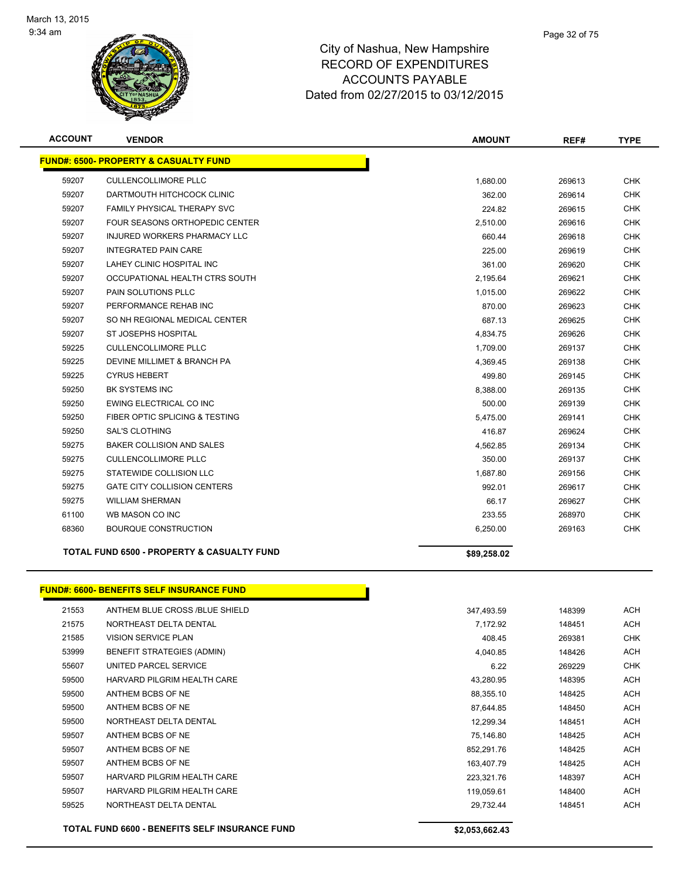

| <b>ACCOUNT</b> | <b>VENDOR</b>                                         | <b>AMOUNT</b> | REF#   | <b>TYPE</b> |
|----------------|-------------------------------------------------------|---------------|--------|-------------|
|                | <b>FUND#: 6500- PROPERTY &amp; CASUALTY FUND</b>      |               |        |             |
| 59207          | <b>CULLENCOLLIMORE PLLC</b>                           | 1,680.00      | 269613 | <b>CHK</b>  |
| 59207          | DARTMOUTH HITCHCOCK CLINIC                            | 362.00        | 269614 | <b>CHK</b>  |
| 59207          | <b>FAMILY PHYSICAL THERAPY SVC</b>                    | 224.82        | 269615 | <b>CHK</b>  |
| 59207          | <b>FOUR SEASONS ORTHOPEDIC CENTER</b>                 | 2,510.00      | 269616 | <b>CHK</b>  |
| 59207          | INJURED WORKERS PHARMACY LLC                          | 660.44        | 269618 | <b>CHK</b>  |
| 59207          | <b>INTEGRATED PAIN CARE</b>                           | 225.00        | 269619 | <b>CHK</b>  |
| 59207          | LAHEY CLINIC HOSPITAL INC                             | 361.00        | 269620 | <b>CHK</b>  |
| 59207          | OCCUPATIONAL HEALTH CTRS SOUTH                        | 2,195.64      | 269621 | <b>CHK</b>  |
| 59207          | <b>PAIN SOLUTIONS PLLC</b>                            | 1,015.00      | 269622 | <b>CHK</b>  |
| 59207          | PERFORMANCE REHAB INC                                 | 870.00        | 269623 | <b>CHK</b>  |
| 59207          | SO NH REGIONAL MEDICAL CENTER                         | 687.13        | 269625 | <b>CHK</b>  |
| 59207          | <b>ST JOSEPHS HOSPITAL</b>                            | 4,834.75      | 269626 | <b>CHK</b>  |
| 59225          | <b>CULLENCOLLIMORE PLLC</b>                           | 1,709.00      | 269137 | <b>CHK</b>  |
| 59225          | DEVINE MILLIMET & BRANCH PA                           | 4,369.45      | 269138 | <b>CHK</b>  |
| 59225          | <b>CYRUS HEBERT</b>                                   | 499.80        | 269145 | <b>CHK</b>  |
| 59250          | <b>BK SYSTEMS INC</b>                                 | 8,388.00      | 269135 | <b>CHK</b>  |
| 59250          | EWING ELECTRICAL CO INC                               | 500.00        | 269139 | <b>CHK</b>  |
| 59250          | FIBER OPTIC SPLICING & TESTING                        | 5,475.00      | 269141 | <b>CHK</b>  |
| 59250          | <b>SAL'S CLOTHING</b>                                 | 416.87        | 269624 | <b>CHK</b>  |
| 59275          | BAKER COLLISION AND SALES                             | 4,562.85      | 269134 | <b>CHK</b>  |
| 59275          | <b>CULLENCOLLIMORE PLLC</b>                           | 350.00        | 269137 | <b>CHK</b>  |
| 59275          | STATEWIDE COLLISION LLC                               | 1,687.80      | 269156 | <b>CHK</b>  |
| 59275          | <b>GATE CITY COLLISION CENTERS</b>                    | 992.01        | 269617 | <b>CHK</b>  |
| 59275          | <b>WILLIAM SHERMAN</b>                                | 66.17         | 269627 | <b>CHK</b>  |
| 61100          | WB MASON CO INC                                       | 233.55        | 268970 | <b>CHK</b>  |
| 68360          | <b>BOURQUE CONSTRUCTION</b>                           | 6,250.00      | 269163 | <b>CHK</b>  |
|                | <b>TOTAL FUND 6500 - PROPERTY &amp; CASUALTY FUND</b> | \$89,258.02   |        |             |

#### **FUND#: 6600- BENEFITS SELF INSURANCE FUND**

|       | <b>TOTAL FUND 6600 - BENEFITS SELF INSURANCE FUND</b> | \$2,053,662.43 |        |            |
|-------|-------------------------------------------------------|----------------|--------|------------|
| 59525 | NORTHEAST DELTA DENTAL                                | 29,732.44      | 148451 | <b>ACH</b> |
| 59507 | HARVARD PILGRIM HEALTH CARE                           | 119,059.61     | 148400 | ACH        |
| 59507 | HARVARD PILGRIM HEALTH CARE                           | 223,321.76     | 148397 | <b>ACH</b> |
| 59507 | ANTHEM BCBS OF NE                                     | 163,407.79     | 148425 | <b>ACH</b> |
| 59507 | ANTHEM BCBS OF NE                                     | 852,291.76     | 148425 | <b>ACH</b> |
| 59507 | ANTHEM BCBS OF NE                                     | 75,146.80      | 148425 | <b>ACH</b> |
| 59500 | NORTHEAST DELTA DENTAL                                | 12,299.34      | 148451 | <b>ACH</b> |
| 59500 | ANTHEM BCBS OF NE                                     | 87,644.85      | 148450 | <b>ACH</b> |
| 59500 | ANTHEM BCBS OF NE                                     | 88,355.10      | 148425 | <b>ACH</b> |
| 59500 | HARVARD PILGRIM HEALTH CARE                           | 43,280.95      | 148395 | <b>ACH</b> |
| 55607 | UNITED PARCEL SERVICE                                 | 6.22           | 269229 | CHK        |
| 53999 | <b>BENEFIT STRATEGIES (ADMIN)</b>                     | 4,040.85       | 148426 | <b>ACH</b> |
| 21585 | <b>VISION SERVICE PLAN</b>                            | 408.45         | 269381 | <b>CHK</b> |
| 21575 | NORTHEAST DELTA DENTAL                                | 7,172.92       | 148451 | <b>ACH</b> |
| 21553 | ANTHEM BLUE CROSS /BLUE SHIELD                        | 347,493.59     | 148399 | <b>ACH</b> |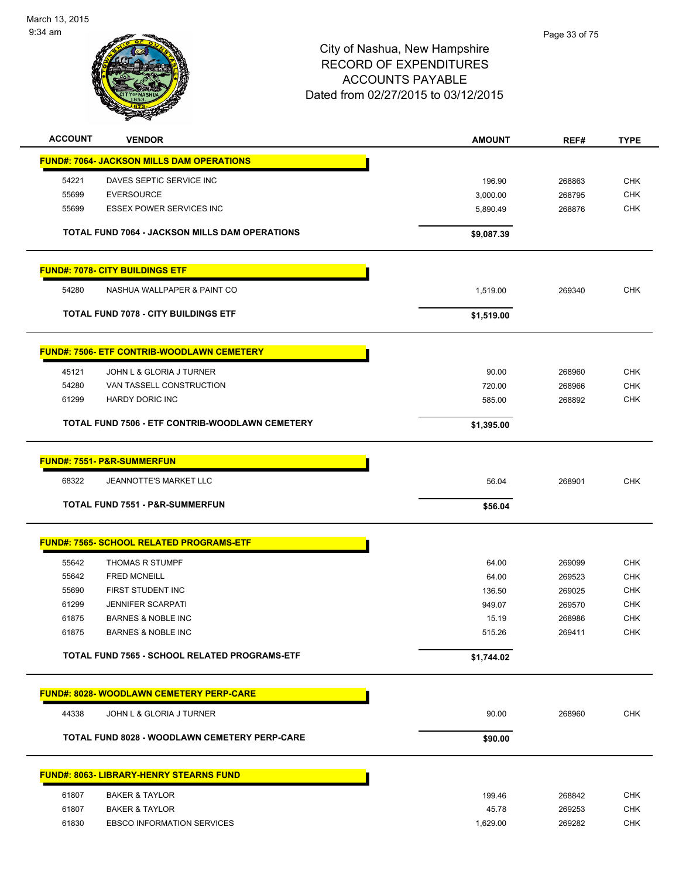

| <b>ACCOUNT</b> | <b>VENDOR</b>                                         | <b>AMOUNT</b> | REF#   | <b>TYPE</b> |
|----------------|-------------------------------------------------------|---------------|--------|-------------|
|                | <b>FUND#: 7064- JACKSON MILLS DAM OPERATIONS</b>      |               |        |             |
| 54221          | DAVES SEPTIC SERVICE INC                              | 196.90        | 268863 | <b>CHK</b>  |
| 55699          | <b>EVERSOURCE</b>                                     | 3,000.00      | 268795 | <b>CHK</b>  |
| 55699          | <b>ESSEX POWER SERVICES INC</b>                       | 5,890.49      | 268876 | <b>CHK</b>  |
|                |                                                       |               |        |             |
|                | <b>TOTAL FUND 7064 - JACKSON MILLS DAM OPERATIONS</b> | \$9,087.39    |        |             |
|                | <b>FUND#: 7078- CITY BUILDINGS ETF</b>                |               |        |             |
| 54280          | NASHUA WALLPAPER & PAINT CO                           | 1,519.00      | 269340 | <b>CHK</b>  |
|                | <b>TOTAL FUND 7078 - CITY BUILDINGS ETF</b>           | \$1,519.00    |        |             |
|                | <b>FUND#: 7506- ETF CONTRIB-WOODLAWN CEMETERY</b>     |               |        |             |
| 45121          | JOHN L & GLORIA J TURNER                              | 90.00         | 268960 | <b>CHK</b>  |
| 54280          | VAN TASSELL CONSTRUCTION                              | 720.00        | 268966 | <b>CHK</b>  |
| 61299          | HARDY DORIC INC                                       | 585.00        | 268892 | CHK         |
|                | TOTAL FUND 7506 - ETF CONTRIB-WOODLAWN CEMETERY       | \$1,395.00    |        |             |
|                |                                                       |               |        |             |
|                | <b>FUND#: 7551- P&amp;R-SUMMERFUN</b>                 |               |        |             |
| 68322          | <b>JEANNOTTE'S MARKET LLC</b>                         | 56.04         | 268901 | <b>CHK</b>  |
|                | TOTAL FUND 7551 - P&R-SUMMERFUN                       | \$56.04       |        |             |
|                | <b>FUND#: 7565- SCHOOL RELATED PROGRAMS-ETF</b>       |               |        |             |
| 55642          | <b>THOMAS R STUMPF</b>                                | 64.00         | 269099 | <b>CHK</b>  |
| 55642          | <b>FRED MCNEILL</b>                                   | 64.00         | 269523 | <b>CHK</b>  |
| 55690          | FIRST STUDENT INC                                     | 136.50        | 269025 | <b>CHK</b>  |
| 61299          | <b>JENNIFER SCARPATI</b>                              | 949.07        | 269570 | <b>CHK</b>  |
| 61875          | <b>BARNES &amp; NOBLE INC</b>                         | 15.19         | 268986 | <b>CHK</b>  |
| 61875          | <b>BARNES &amp; NOBLE INC</b>                         | 515.26        | 269411 | <b>CHK</b>  |
|                | TOTAL FUND 7565 - SCHOOL RELATED PROGRAMS-ETF         | \$1,744.02    |        |             |
|                | <b>FUND#: 8028- WOODLAWN CEMETERY PERP-CARE</b>       |               |        |             |
| 44338          | JOHN L & GLORIA J TURNER                              | 90.00         | 268960 | <b>CHK</b>  |
|                | <b>TOTAL FUND 8028 - WOODLAWN CEMETERY PERP-CARE</b>  | \$90.00       |        |             |
|                |                                                       |               |        |             |
|                | <u> FUND#: 8063- LIBRARY-HENRY STEARNS FUND</u>       |               |        |             |
| 61807          | <b>BAKER &amp; TAYLOR</b>                             | 199.46        | 268842 | <b>CHK</b>  |
| 61807          | <b>BAKER &amp; TAYLOR</b>                             | 45.78         | 269253 | <b>CHK</b>  |
| 61830          | <b>EBSCO INFORMATION SERVICES</b>                     | 1,629.00      | 269282 | <b>CHK</b>  |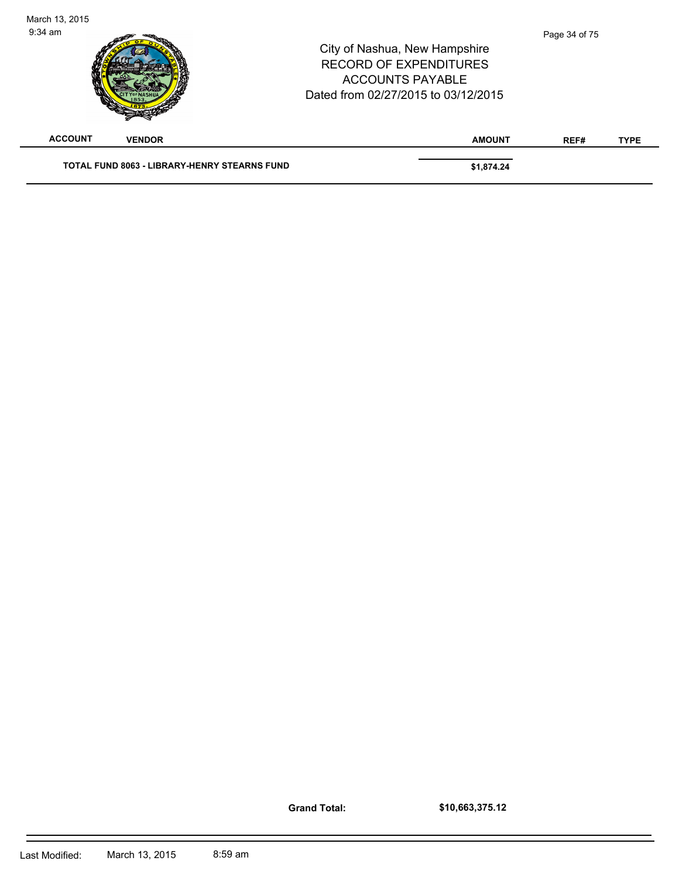| March 13, 2015<br>$9:34$ am |               |                                                     | City of Nashua, New Hampshire<br><b>RECORD OF EXPENDITURES</b><br><b>ACCOUNTS PAYABLE</b><br>Dated from 02/27/2015 to 03/12/2015 |               | Page 34 of 75 |             |
|-----------------------------|---------------|-----------------------------------------------------|----------------------------------------------------------------------------------------------------------------------------------|---------------|---------------|-------------|
| <b>ACCOUNT</b>              | <b>VENDOR</b> |                                                     |                                                                                                                                  | <b>AMOUNT</b> | REF#          | <b>TYPE</b> |
|                             |               | <b>TOTAL FUND 8063 - LIBRARY-HENRY STEARNS FUND</b> |                                                                                                                                  | \$1,874.24    |               |             |

**Grand Total:**

**\$10,663,375.12**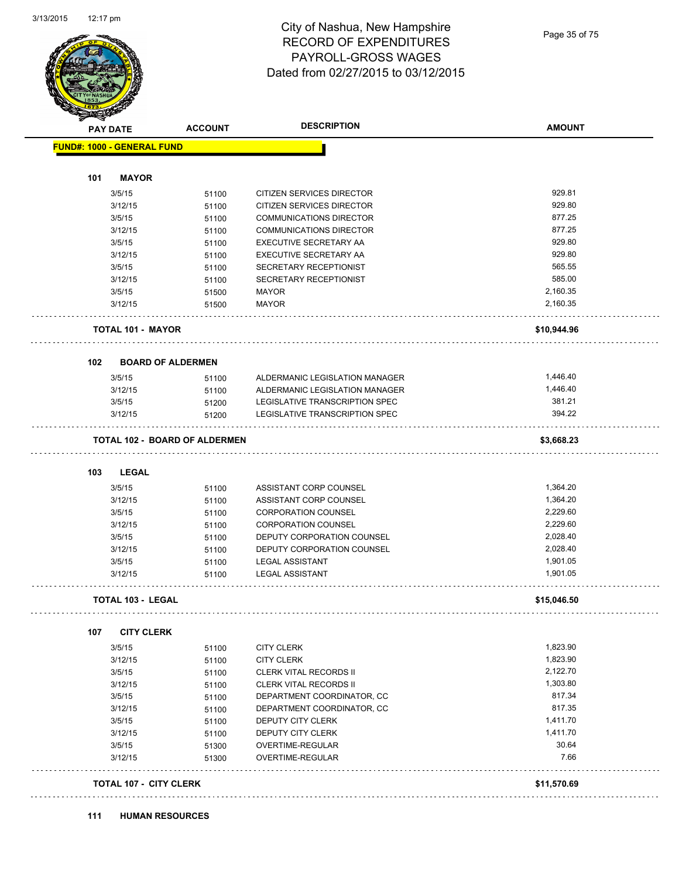

#### City of Nashua, New Hampshire RECORD OF EXPENDITURES PAYROLL-GROSS WAGES Dated from 02/27/2015 to 03/12/2015

|                                   | <b>ACCOUNT</b>                       | <b>DESCRIPTION</b>                   | <b>AMOUNT</b> |
|-----------------------------------|--------------------------------------|--------------------------------------|---------------|
| <b>FUND#: 1000 - GENERAL FUND</b> |                                      |                                      |               |
| 101<br><b>MAYOR</b>               |                                      |                                      |               |
| 3/5/15                            | 51100                                | <b>CITIZEN SERVICES DIRECTOR</b>     | 929.81        |
| 3/12/15                           | 51100                                | <b>CITIZEN SERVICES DIRECTOR</b>     | 929.80        |
| 3/5/15                            | 51100                                | <b>COMMUNICATIONS DIRECTOR</b>       | 877.25        |
| 3/12/15                           | 51100                                | COMMUNICATIONS DIRECTOR              | 877.25        |
| 3/5/15                            | 51100                                | EXECUTIVE SECRETARY AA               | 929.80        |
| 3/12/15                           | 51100                                | EXECUTIVE SECRETARY AA               | 929.80        |
| 3/5/15                            | 51100                                | SECRETARY RECEPTIONIST               | 565.55        |
| 3/12/15                           | 51100                                | SECRETARY RECEPTIONIST               | 585.00        |
| 3/5/15                            | 51500                                | MAYOR                                | 2,160.35      |
| 3/12/15                           | 51500                                | <b>MAYOR</b>                         | 2,160.35      |
|                                   |                                      |                                      |               |
| TOTAL 101 - MAYOR                 |                                      |                                      | \$10,944.96   |
| 102                               | <b>BOARD OF ALDERMEN</b>             |                                      |               |
| 3/5/15                            | 51100                                | ALDERMANIC LEGISLATION MANAGER       | 1,446.40      |
| 3/12/15                           | 51100                                | ALDERMANIC LEGISLATION MANAGER       | 1,446.40      |
| 3/5/15                            | 51200                                | LEGISLATIVE TRANSCRIPTION SPEC       | 381.21        |
| 3/12/15                           | 51200                                | LEGISLATIVE TRANSCRIPTION SPEC       | 394.22        |
|                                   | <b>TOTAL 102 - BOARD OF ALDERMEN</b> |                                      | \$3,668.23    |
|                                   |                                      |                                      |               |
| 103<br><b>LEGAL</b>               |                                      |                                      |               |
| 3/5/15                            | 51100                                | ASSISTANT CORP COUNSEL               | 1,364.20      |
| 3/12/15                           | 51100                                | ASSISTANT CORP COUNSEL               | 1,364.20      |
| 3/5/15                            | 51100                                | <b>CORPORATION COUNSEL</b>           | 2,229.60      |
| 3/12/15                           | 51100                                | <b>CORPORATION COUNSEL</b>           | 2,229.60      |
| 3/5/15                            | 51100                                | DEPUTY CORPORATION COUNSEL           | 2,028.40      |
|                                   | 51100                                | DEPUTY CORPORATION COUNSEL           |               |
| 3/12/15                           |                                      |                                      | 2,028.40      |
| 3/5/15                            | 51100                                | <b>LEGAL ASSISTANT</b>               | 1,901.05      |
| 3/12/15                           | 51100                                | <b>LEGAL ASSISTANT</b>               | 1,901.05      |
| <b>TOTAL 103 - LEGAL</b>          |                                      |                                      | \$15,046.50   |
| 107<br><b>CITY CLERK</b>          |                                      |                                      |               |
|                                   |                                      |                                      | 1,823.90      |
| 3/5/15                            | 51100                                | <b>CITY CLERK</b>                    |               |
| 3/12/15                           | 51100                                | <b>CITY CLERK</b>                    | 1,823.90      |
| 3/5/15                            | 51100                                | <b>CLERK VITAL RECORDS II</b>        | 2,122.70      |
| 3/12/15                           | 51100                                | <b>CLERK VITAL RECORDS II</b>        | 1,303.80      |
| 3/5/15                            | 51100                                | DEPARTMENT COORDINATOR, CC           | 817.34        |
| 3/12/15                           | 51100                                | DEPARTMENT COORDINATOR, CC           | 817.35        |
| 3/5/15                            | 51100                                | DEPUTY CITY CLERK                    | 1,411.70      |
| 3/12/15                           | 51100                                | DEPUTY CITY CLERK                    | 1,411.70      |
| 3/5/15<br>3/12/15                 | 51300<br>51300                       | OVERTIME-REGULAR<br>OVERTIME-REGULAR | 30.64<br>7.66 |
| <b>TOTAL 107 - CITY CLERK</b>     |                                      |                                      | \$11,570.69   |

#### **111 HUMAN RESOURCES**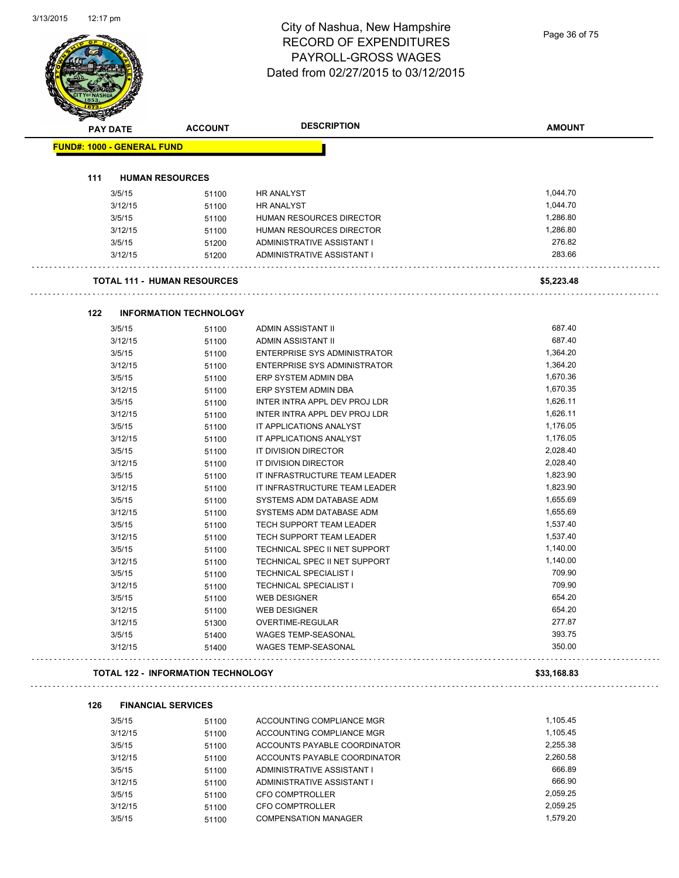#### City of Nashua, New Hampshire RECORD OF EXPENDITURES PAYROLL-GROSS WAGES Dated from 02/27/2015 to 03/12/2015

| <b>PAY DATE</b>                   | <b>ACCOUNT</b>                            | <b>DESCRIPTION</b>                  | <b>AMOUNT</b> |
|-----------------------------------|-------------------------------------------|-------------------------------------|---------------|
| <b>FUND#: 1000 - GENERAL FUND</b> |                                           |                                     |               |
|                                   |                                           |                                     |               |
| 111                               | <b>HUMAN RESOURCES</b>                    |                                     |               |
| 3/5/15                            | 51100                                     | <b>HR ANALYST</b>                   | 1,044.70      |
| 3/12/15                           | 51100                                     | <b>HR ANALYST</b>                   | 1,044.70      |
| 3/5/15                            | 51100                                     | <b>HUMAN RESOURCES DIRECTOR</b>     | 1,286.80      |
| 3/12/15                           | 51100                                     | HUMAN RESOURCES DIRECTOR            | 1,286.80      |
| 3/5/15                            | 51200                                     | ADMINISTRATIVE ASSISTANT I          | 276.82        |
| 3/12/15                           | 51200                                     | ADMINISTRATIVE ASSISTANT I          | 283.66        |
|                                   | <b>TOTAL 111 - HUMAN RESOURCES</b>        |                                     | \$5,223.48    |
| 122                               | <b>INFORMATION TECHNOLOGY</b>             |                                     |               |
| 3/5/15                            | 51100                                     | ADMIN ASSISTANT II                  | 687.40        |
| 3/12/15                           | 51100                                     | <b>ADMIN ASSISTANT II</b>           | 687.40        |
| 3/5/15                            | 51100                                     | ENTERPRISE SYS ADMINISTRATOR        | 1,364.20      |
| 3/12/15                           | 51100                                     | <b>ENTERPRISE SYS ADMINISTRATOR</b> | 1,364.20      |
| 3/5/15                            | 51100                                     | ERP SYSTEM ADMIN DBA                | 1,670.36      |
| 3/12/15                           | 51100                                     | ERP SYSTEM ADMIN DBA                | 1,670.35      |
| 3/5/15                            | 51100                                     | INTER INTRA APPL DEV PROJ LDR       | 1,626.11      |
| 3/12/15                           | 51100                                     | INTER INTRA APPL DEV PROJ LDR       | 1,626.11      |
| 3/5/15                            | 51100                                     | IT APPLICATIONS ANALYST             | 1,176.05      |
| 3/12/15                           | 51100                                     | IT APPLICATIONS ANALYST             | 1,176.05      |
| 3/5/15                            | 51100                                     | IT DIVISION DIRECTOR                | 2,028.40      |
| 3/12/15                           | 51100                                     | IT DIVISION DIRECTOR                | 2,028.40      |
| 3/5/15                            | 51100                                     | IT INFRASTRUCTURE TEAM LEADER       | 1,823.90      |
| 3/12/15                           | 51100                                     | IT INFRASTRUCTURE TEAM LEADER       | 1,823.90      |
| 3/5/15                            | 51100                                     | SYSTEMS ADM DATABASE ADM            | 1,655.69      |
| 3/12/15                           | 51100                                     | SYSTEMS ADM DATABASE ADM            | 1,655.69      |
| 3/5/15                            | 51100                                     | TECH SUPPORT TEAM LEADER            | 1,537.40      |
| 3/12/15                           | 51100                                     | TECH SUPPORT TEAM LEADER            | 1,537.40      |
| 3/5/15                            | 51100                                     | TECHNICAL SPEC II NET SUPPORT       | 1,140.00      |
| 3/12/15                           | 51100                                     | TECHNICAL SPEC II NET SUPPORT       | 1,140.00      |
| 3/5/15                            | 51100                                     | TECHNICAL SPECIALIST I              | 709.90        |
| 3/12/15                           | 51100                                     | <b>TECHNICAL SPECIALIST I</b>       | 709.90        |
| 3/5/15                            | 51100                                     | WEB DESIGNER                        | 654.20        |
| 3/12/15                           | 51100                                     | <b>WEB DESIGNER</b>                 | 654.20        |
| 3/12/15                           | 51300                                     | OVERTIME-REGULAR                    | 277.87        |
| 3/5/15                            | 51400                                     | <b>WAGES TEMP-SEASONAL</b>          | 393.75        |
| 3/12/15                           | 51400                                     | WAGES TEMP-SEASONAL                 | 350.00        |
|                                   | <b>TOTAL 122 - INFORMATION TECHNOLOGY</b> |                                     | \$33,168.83   |
| 126                               | <b>FINANCIAL SERVICES</b>                 |                                     |               |
| 3/5/15                            | 51100                                     | ACCOUNTING COMPLIANCE MGR           | 1,105.45      |
| 3/12/15                           | 51100                                     | ACCOUNTING COMPLIANCE MGR           | 1,105.45      |
| 3/5/15                            | 51100                                     | ACCOUNTS PAYABLE COORDINATOR        | 2,255.38      |
| 3/12/15                           | 51100                                     | ACCOUNTS PAYABLE COORDINATOR        | 2,260.58      |
| 3/5/15                            | 51100                                     | ADMINISTRATIVE ASSISTANT I          | 666.89        |
| 3/12/15                           | 51100                                     | ADMINISTRATIVE ASSISTANT I          | 666.90        |
| 3/5/15                            | 51100                                     | CFO COMPTROLLER                     | 2,059.25      |
| 3/12/15                           | 51100                                     | <b>CFO COMPTROLLER</b>              | 2,059.25      |
| 3/5/15                            | 51100                                     | <b>COMPENSATION MANAGER</b>         | 1,579.20      |
|                                   |                                           |                                     |               |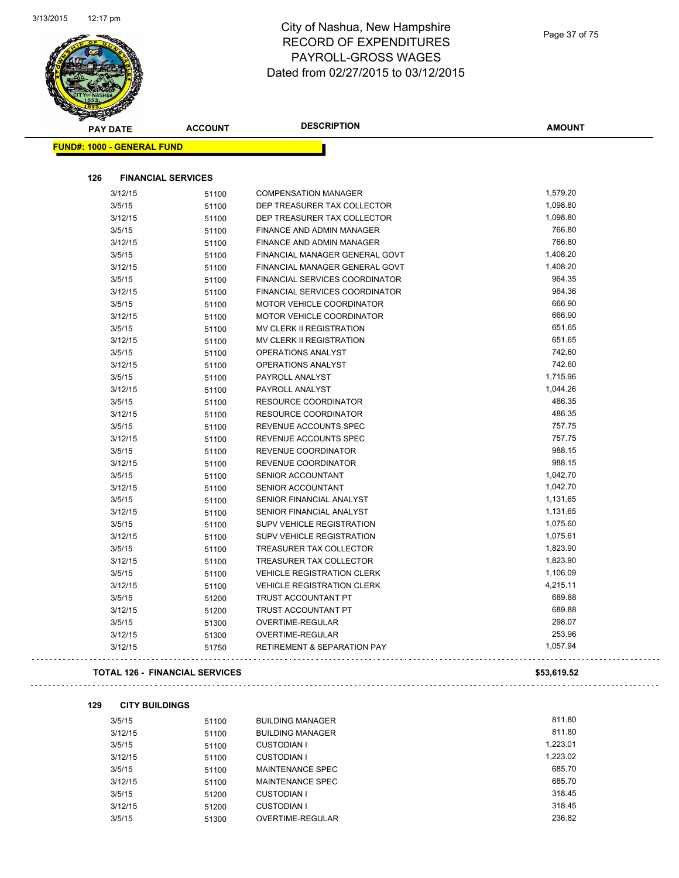

| <b>STARTED BY</b><br><b>PAY DATE</b> | <b>ACCOUNT</b>                 | <b>DESCRIPTION</b>                     | <b>AMOUNT</b> |
|--------------------------------------|--------------------------------|----------------------------------------|---------------|
| FUND#: 1000 - GENERAL FUND           |                                |                                        |               |
|                                      |                                |                                        |               |
| 126                                  | <b>FINANCIAL SERVICES</b>      |                                        |               |
| 3/12/15                              | 51100                          | <b>COMPENSATION MANAGER</b>            | 1,579.20      |
| 3/5/15                               | 51100                          | DEP TREASURER TAX COLLECTOR            | 1,098.80      |
| 3/12/15                              | 51100                          | DEP TREASURER TAX COLLECTOR            | 1,098.80      |
| 3/5/15                               | 51100                          | FINANCE AND ADMIN MANAGER              | 766.80        |
| 3/12/15                              | 51100                          | FINANCE AND ADMIN MANAGER              | 766.80        |
| 3/5/15                               | 51100                          | FINANCIAL MANAGER GENERAL GOVT         | 1,408.20      |
| 3/12/15                              | 51100                          | FINANCIAL MANAGER GENERAL GOVT         | 1,408.20      |
| 3/5/15                               | 51100                          | FINANCIAL SERVICES COORDINATOR         | 964.35        |
| 3/12/15                              | 51100                          | FINANCIAL SERVICES COORDINATOR         | 964.36        |
| 3/5/15                               | 51100                          | MOTOR VEHICLE COORDINATOR              | 666.90        |
| 3/12/15                              | 51100                          | MOTOR VEHICLE COORDINATOR              | 666.90        |
| 3/5/15                               | 51100                          | MV CLERK II REGISTRATION               | 651.65        |
| 3/12/15                              | 51100                          | MV CLERK II REGISTRATION               | 651.65        |
| 3/5/15                               | 51100                          | <b>OPERATIONS ANALYST</b>              | 742.60        |
| 3/12/15                              | 51100                          | OPERATIONS ANALYST                     | 742.60        |
| 3/5/15                               | 51100                          | PAYROLL ANALYST                        | 1,715.96      |
| 3/12/15                              | 51100                          | PAYROLL ANALYST                        | 1,044.26      |
| 3/5/15                               | 51100                          | RESOURCE COORDINATOR                   | 486.35        |
| 3/12/15                              | 51100                          | RESOURCE COORDINATOR                   | 486.35        |
| 3/5/15                               | 51100                          | REVENUE ACCOUNTS SPEC                  | 757.75        |
| 3/12/15                              | 51100                          | REVENUE ACCOUNTS SPEC                  | 757.75        |
| 3/5/15                               | 51100                          | REVENUE COORDINATOR                    | 988.15        |
| 3/12/15                              | 51100                          | REVENUE COORDINATOR                    | 988.15        |
| 3/5/15                               | 51100                          | SENIOR ACCOUNTANT                      | 1,042.70      |
| 3/12/15                              | 51100                          | SENIOR ACCOUNTANT                      | 1,042.70      |
| 3/5/15                               | 51100                          | SENIOR FINANCIAL ANALYST               | 1,131.65      |
| 3/12/15                              | 51100                          | SENIOR FINANCIAL ANALYST               | 1,131.65      |
| 3/5/15                               | 51100                          | <b>SUPV VEHICLE REGISTRATION</b>       | 1,075.60      |
| 3/12/15                              | 51100                          | <b>SUPV VEHICLE REGISTRATION</b>       | 1,075.61      |
| 3/5/15                               | 51100                          | TREASURER TAX COLLECTOR                | 1,823.90      |
| 3/12/15                              | 51100                          | TREASURER TAX COLLECTOR                | 1,823.90      |
| 3/5/15                               | 51100                          | <b>VEHICLE REGISTRATION CLERK</b>      | 1,106.09      |
| 3/12/15                              | 51100                          | <b>VEHICLE REGISTRATION CLERK</b>      | 4,215.11      |
| 3/5/15                               | 51200                          | <b>TRUST ACCOUNTANT PT</b>             | 689.88        |
| 3/12/15                              | 51200                          | TRUST ACCOUNTANT PT                    | 689.88        |
| 3/5/15                               | 51300                          | OVERTIME-REGULAR                       | 298.07        |
| 3/12/15                              | 51300                          | OVERTIME-REGULAR                       | 253.96        |
| 3/12/15                              | 51750                          | <b>RETIREMENT &amp; SEPARATION PAY</b> | 1,057.94      |
|                                      | TOTAL 126 - FINANCIAL SERVICES |                                        | \$53,619.52   |
| 129<br><b>CITY BUILDINGS</b>         |                                |                                        |               |
| 3/5/15                               | 51100                          | <b>BUILDING MANAGER</b>                | 811.80        |
| 3/12/15                              | 51100                          | <b>RUILDING MANAGER</b>                | 81180         |

|         | <b>JIIUU</b> | <u>DOILDII 10 IVII 11 10 IOLI 1</u> | <b>.</b> |
|---------|--------------|-------------------------------------|----------|
| 3/12/15 | 51100        | <b>BUILDING MANAGER</b>             | 811.80   |
| 3/5/15  | 51100        | <b>CUSTODIAN I</b>                  | 1.223.01 |
| 3/12/15 | 51100        | <b>CUSTODIAN I</b>                  | 1.223.02 |
| 3/5/15  | 51100        | MAINTENANCE SPEC                    | 685.70   |
| 3/12/15 | 51100        | MAINTENANCE SPEC                    | 685.70   |
| 3/5/15  | 51200        | <b>CUSTODIAN I</b>                  | 318.45   |
| 3/12/15 | 51200        | <b>CUSTODIAN I</b>                  | 318.45   |
| 3/5/15  | 51300        | OVERTIME-REGULAR                    | 236.82   |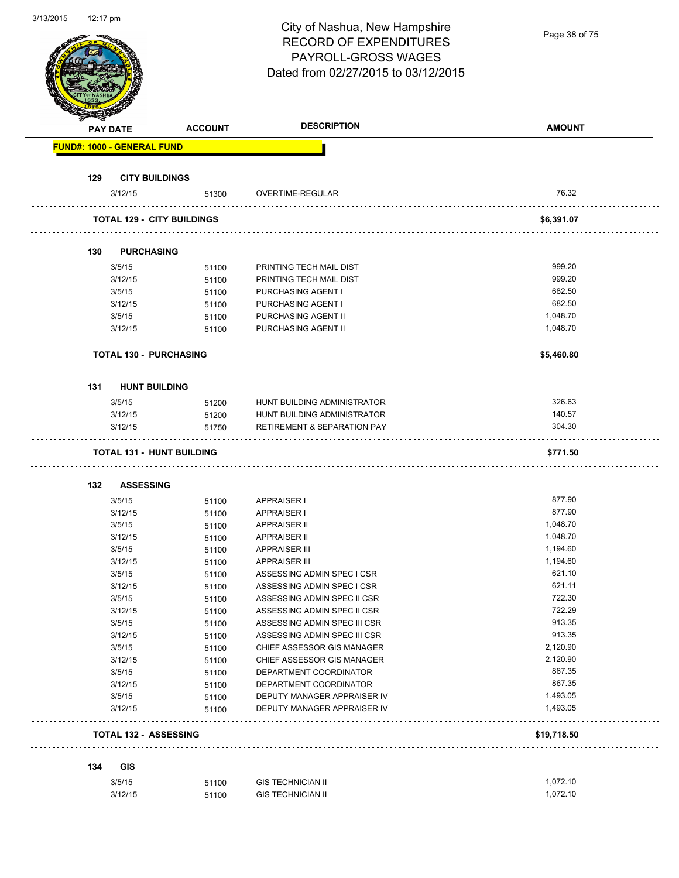| 3/13/2015 | $12.17 \text{ pm}$ |                                   |                                   | City of Nashua, New Hampshire<br><b>RECORD OF EXPENDITURES</b><br>PAYROLL-GROSS WAGES | Page 38 of 75        |
|-----------|--------------------|-----------------------------------|-----------------------------------|---------------------------------------------------------------------------------------|----------------------|
|           |                    |                                   |                                   | Dated from 02/27/2015 to 03/12/2015                                                   |                      |
|           |                    | <b>PAY DATE</b>                   | <b>ACCOUNT</b>                    | <b>DESCRIPTION</b>                                                                    | <b>AMOUNT</b>        |
|           |                    | <b>FUND#: 1000 - GENERAL FUND</b> |                                   |                                                                                       |                      |
|           | 129                | <b>CITY BUILDINGS</b>             |                                   |                                                                                       |                      |
|           |                    | 3/12/15                           | 51300                             | OVERTIME-REGULAR                                                                      | 76.32                |
|           |                    |                                   | <b>TOTAL 129 - CITY BUILDINGS</b> |                                                                                       | \$6,391.07           |
|           | 130                | <b>PURCHASING</b>                 |                                   |                                                                                       |                      |
|           |                    | 3/5/15                            | 51100                             | PRINTING TECH MAIL DIST                                                               | 999.20               |
|           |                    | 3/12/15                           | 51100                             | PRINTING TECH MAIL DIST                                                               | 999.20               |
|           |                    | 3/5/15                            | 51100                             | PURCHASING AGENT I                                                                    | 682.50               |
|           |                    | 3/12/15                           | 51100                             | PURCHASING AGENT I                                                                    | 682.50               |
|           |                    | 3/5/15                            | 51100                             | PURCHASING AGENT II                                                                   | 1,048.70             |
|           |                    | 3/12/15                           | 51100                             | PURCHASING AGENT II                                                                   | 1,048.70             |
|           |                    | <b>TOTAL 130 - PURCHASING</b>     |                                   |                                                                                       | \$5,460.80           |
|           | 131                | <b>HUNT BUILDING</b>              |                                   |                                                                                       |                      |
|           |                    | 3/5/15                            | 51200                             | HUNT BUILDING ADMINISTRATOR                                                           | 326.63               |
|           |                    | 3/12/15                           | 51200                             | HUNT BUILDING ADMINISTRATOR                                                           | 140.57               |
|           |                    | 3/12/15                           | 51750                             | <b>RETIREMENT &amp; SEPARATION PAY</b>                                                | 304.30               |
|           |                    |                                   | <b>TOTAL 131 - HUNT BUILDING</b>  |                                                                                       | \$771.50             |
|           | 132                | <b>ASSESSING</b>                  |                                   |                                                                                       |                      |
|           |                    |                                   |                                   |                                                                                       | 877.90               |
|           |                    | 3/5/15                            | 51100                             | <b>APPRAISER I</b>                                                                    |                      |
|           |                    | 3/12/15                           | 51100                             | <b>APPRAISER I</b>                                                                    | 877.90<br>1,048.70   |
|           |                    | 3/5/15                            | 51100                             | <b>APPRAISER II</b>                                                                   |                      |
|           |                    | 3/12/15                           | 51100                             | <b>APPRAISER II</b><br><b>APPRAISER III</b>                                           | 1,048.70<br>1,194.60 |
|           |                    | 3/5/15                            | 51100                             |                                                                                       |                      |
|           |                    | 3/12/15                           | 51100                             | <b>APPRAISER III</b>                                                                  | 1,194.60<br>621.10   |
|           |                    | 3/5/15                            | 51100                             | ASSESSING ADMIN SPEC I CSR                                                            | 621.11               |
|           |                    | 3/12/15                           | 51100                             | ASSESSING ADMIN SPEC I CSR                                                            | 722.30               |
|           |                    | 3/5/15                            | 51100                             | ASSESSING ADMIN SPEC II CSR                                                           |                      |
|           |                    | 3/12/15                           | 51100                             | ASSESSING ADMIN SPEC II CSR                                                           | 722.29               |
|           |                    | 3/5/15                            | 51100                             | ASSESSING ADMIN SPEC III CSR                                                          | 913.35               |
|           |                    | 3/12/15                           | 51100                             | ASSESSING ADMIN SPEC III CSR                                                          | 913.35               |
|           |                    | 3/5/15                            | 51100                             | CHIEF ASSESSOR GIS MANAGER                                                            | 2,120.90<br>2,120.90 |
|           |                    | 3/12/15                           | 51100                             | CHIEF ASSESSOR GIS MANAGER                                                            | 867.35               |
|           |                    | 3/5/15                            | 51100                             | DEPARTMENT COORDINATOR                                                                | 867.35               |
|           |                    | 3/12/15                           | 51100                             | DEPARTMENT COORDINATOR                                                                |                      |
|           |                    | 3/5/15<br>3/12/15                 | 51100<br>51100                    | DEPUTY MANAGER APPRAISER IV<br>DEPUTY MANAGER APPRAISER IV                            | 1,493.05<br>1,493.05 |
|           |                    | <b>TOTAL 132 - ASSESSING</b>      |                                   |                                                                                       | \$19,718.50          |
|           |                    |                                   |                                   |                                                                                       |                      |
|           |                    |                                   |                                   |                                                                                       |                      |
|           | 134                | <b>GIS</b><br>3/5/15              | 51100                             | <b>GIS TECHNICIAN II</b>                                                              | 1,072.10             |

3/13/2015 12:17 pm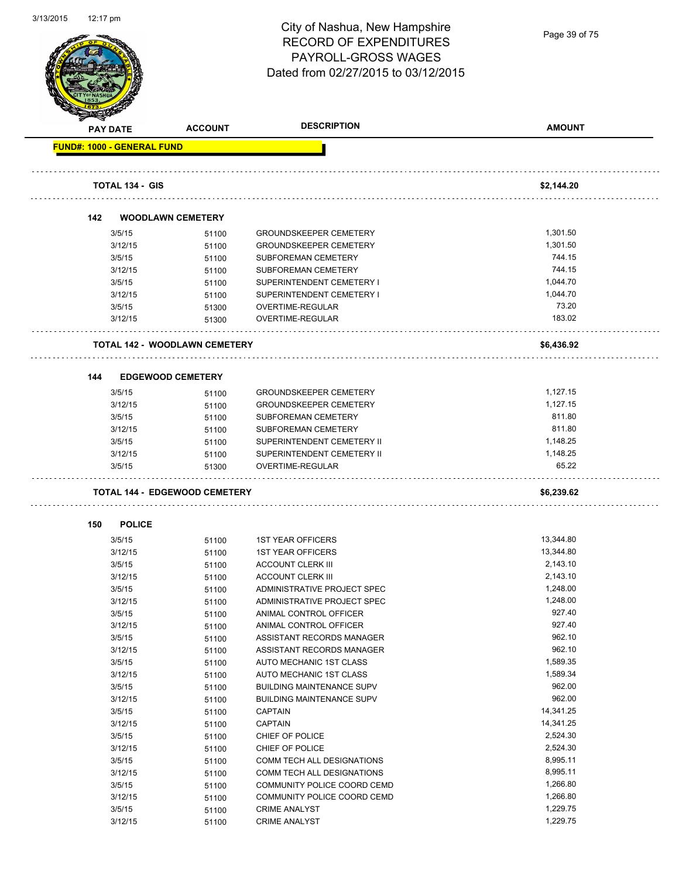

Page 39 of 75

| <b>SARALDING CARD</b>             |                        |                                      |                                  |                   |
|-----------------------------------|------------------------|--------------------------------------|----------------------------------|-------------------|
| <b>PAY DATE</b>                   |                        | <b>ACCOUNT</b>                       | <b>DESCRIPTION</b>               | <b>AMOUNT</b>     |
| <b>FUND#: 1000 - GENERAL FUND</b> |                        |                                      |                                  |                   |
|                                   | <b>TOTAL 134 - GIS</b> |                                      |                                  |                   |
|                                   |                        |                                      |                                  | \$2,144.20        |
| 142                               |                        | <b>WOODLAWN CEMETERY</b>             |                                  |                   |
|                                   | 3/5/15                 | 51100                                | <b>GROUNDSKEEPER CEMETERY</b>    | 1,301.50          |
|                                   | 3/12/15                | 51100                                | <b>GROUNDSKEEPER CEMETERY</b>    | 1,301.50          |
|                                   | 3/5/15                 | 51100                                | <b>SUBFOREMAN CEMETERY</b>       | 744.15            |
|                                   | 3/12/15                | 51100                                | SUBFOREMAN CEMETERY              | 744.15            |
|                                   | 3/5/15                 | 51100                                | SUPERINTENDENT CEMETERY I        | 1,044.70          |
|                                   | 3/12/15                | 51100                                | SUPERINTENDENT CEMETERY I        | 1,044.70          |
|                                   | 3/5/15                 | 51300                                | OVERTIME-REGULAR                 | 73.20             |
|                                   | 3/12/15                | 51300                                | OVERTIME-REGULAR                 | 183.02            |
|                                   |                        |                                      |                                  |                   |
|                                   |                        | <b>TOTAL 142 - WOODLAWN CEMETERY</b> |                                  | \$6,436.92        |
|                                   |                        |                                      |                                  |                   |
| 144                               |                        | <b>EDGEWOOD CEMETERY</b>             |                                  |                   |
|                                   | 3/5/15                 | 51100                                | <b>GROUNDSKEEPER CEMETERY</b>    | 1,127.15          |
|                                   | 3/12/15                | 51100                                | <b>GROUNDSKEEPER CEMETERY</b>    | 1,127.15          |
|                                   | 3/5/15                 | 51100                                | <b>SUBFOREMAN CEMETERY</b>       | 811.80            |
|                                   | 3/12/15                | 51100                                | SUBFOREMAN CEMETERY              | 811.80            |
|                                   | 3/5/15                 | 51100                                | SUPERINTENDENT CEMETERY II       | 1,148.25          |
|                                   | 3/12/15                | 51100                                | SUPERINTENDENT CEMETERY II       | 1,148.25<br>65.22 |
|                                   | 3/5/15                 | 51300                                | OVERTIME-REGULAR                 |                   |
|                                   |                        | <b>TOTAL 144 - EDGEWOOD CEMETERY</b> |                                  | \$6,239.62        |
| 150                               | <b>POLICE</b>          |                                      |                                  |                   |
|                                   | 3/5/15                 | 51100                                | <b>1ST YEAR OFFICERS</b>         | 13,344.80         |
|                                   | 3/12/15                | 51100                                | <b>1ST YEAR OFFICERS</b>         | 13,344.80         |
|                                   | 3/5/15                 | 51100                                | <b>ACCOUNT CLERK III</b>         | 2,143.10          |
|                                   | 3/12/15                | 51100                                | <b>ACCOUNT CLERK III</b>         | 2,143.10          |
|                                   | 3/5/15                 | 51100                                | ADMINISTRATIVE PROJECT SPEC      | 1,248.00          |
|                                   | 3/12/15                | 51100                                | ADMINISTRATIVE PROJECT SPEC      | 1,248.00          |
|                                   | 3/5/15                 | 51100                                | ANIMAL CONTROL OFFICER           | 927.40            |
|                                   | 3/12/15                | 51100                                | ANIMAL CONTROL OFFICER           | 927.40            |
|                                   | 3/5/15                 | 51100                                | ASSISTANT RECORDS MANAGER        | 962.10            |
|                                   | 3/12/15                | 51100                                | ASSISTANT RECORDS MANAGER        | 962.10            |
|                                   | 3/5/15                 | 51100                                | AUTO MECHANIC 1ST CLASS          | 1,589.35          |
|                                   | 3/12/15                | 51100                                | AUTO MECHANIC 1ST CLASS          | 1,589.34          |
|                                   | 3/5/15                 | 51100                                | <b>BUILDING MAINTENANCE SUPV</b> | 962.00            |
|                                   | 3/12/15                | 51100                                | <b>BUILDING MAINTENANCE SUPV</b> | 962.00            |
|                                   | 3/5/15                 | 51100                                | <b>CAPTAIN</b>                   | 14,341.25         |
|                                   | 3/12/15                | 51100                                | CAPTAIN                          | 14,341.25         |
|                                   | 3/5/15                 | 51100                                | CHIEF OF POLICE                  | 2,524.30          |
|                                   | 3/12/15                | 51100                                | CHIEF OF POLICE                  | 2,524.30          |
|                                   | 3/5/15                 | 51100                                | COMM TECH ALL DESIGNATIONS       | 8,995.11          |
|                                   | 3/12/15                | 51100                                | COMM TECH ALL DESIGNATIONS       | 8,995.11          |
|                                   | 3/5/15                 | 51100                                | COMMUNITY POLICE COORD CEMD      | 1,266.80          |
|                                   | 3/12/15                | 51100                                | COMMUNITY POLICE COORD CEMD      | 1,266.80          |
|                                   | 3/5/15                 | 51100                                | <b>CRIME ANALYST</b>             | 1,229.75          |
|                                   | 3/12/15                | 51100                                | <b>CRIME ANALYST</b>             | 1,229.75          |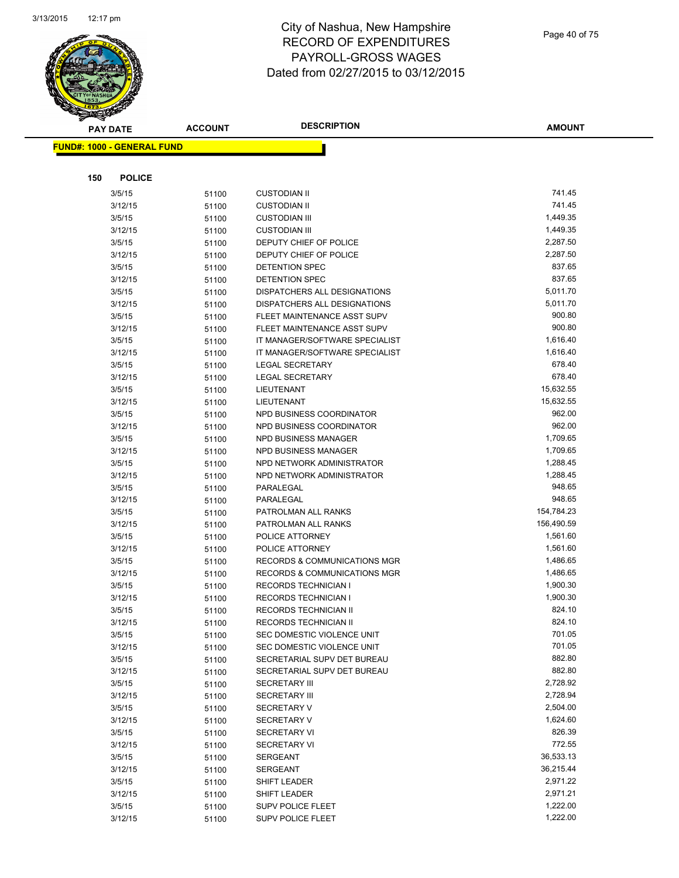

| <b>PAY DATE</b>                   | <b>ACCOUNT</b> | <b>DESCRIPTION</b>                                                     | <b>AMOUNT</b>        |
|-----------------------------------|----------------|------------------------------------------------------------------------|----------------------|
| <b>FUND#: 1000 - GENERAL FUND</b> |                |                                                                        |                      |
|                                   |                |                                                                        |                      |
|                                   |                |                                                                        |                      |
| 150<br><b>POLICE</b>              |                |                                                                        |                      |
| 3/5/15                            | 51100          | <b>CUSTODIAN II</b>                                                    | 741.45               |
| 3/12/15                           | 51100          | <b>CUSTODIAN II</b>                                                    | 741.45               |
| 3/5/15                            | 51100          | <b>CUSTODIAN III</b>                                                   | 1,449.35             |
| 3/12/15                           | 51100          | <b>CUSTODIAN III</b>                                                   | 1,449.35             |
| 3/5/15                            | 51100          | DEPUTY CHIEF OF POLICE                                                 | 2,287.50             |
| 3/12/15                           | 51100          | DEPUTY CHIEF OF POLICE                                                 | 2,287.50             |
| 3/5/15                            | 51100          | <b>DETENTION SPEC</b>                                                  | 837.65               |
| 3/12/15                           | 51100          | DETENTION SPEC                                                         | 837.65               |
| 3/5/15                            | 51100          | DISPATCHERS ALL DESIGNATIONS                                           | 5,011.70             |
| 3/12/15                           | 51100          | DISPATCHERS ALL DESIGNATIONS                                           | 5,011.70             |
| 3/5/15                            | 51100          | FLEET MAINTENANCE ASST SUPV                                            | 900.80               |
| 3/12/15                           | 51100          | FLEET MAINTENANCE ASST SUPV                                            | 900.80               |
| 3/5/15                            | 51100          | IT MANAGER/SOFTWARE SPECIALIST                                         | 1,616.40             |
| 3/12/15                           | 51100          | IT MANAGER/SOFTWARE SPECIALIST                                         | 1,616.40             |
| 3/5/15                            | 51100          | <b>LEGAL SECRETARY</b>                                                 | 678.40               |
| 3/12/15                           | 51100          | <b>LEGAL SECRETARY</b>                                                 | 678.40               |
| 3/5/15                            | 51100          | LIEUTENANT                                                             | 15,632.55            |
| 3/12/15                           | 51100          | LIEUTENANT                                                             | 15,632.55            |
| 3/5/15                            | 51100          | NPD BUSINESS COORDINATOR                                               | 962.00               |
| 3/12/15                           | 51100          | NPD BUSINESS COORDINATOR                                               | 962.00               |
| 3/5/15                            | 51100          | NPD BUSINESS MANAGER                                                   | 1,709.65             |
| 3/12/15                           | 51100          | NPD BUSINESS MANAGER                                                   | 1,709.65             |
| 3/5/15                            | 51100          | NPD NETWORK ADMINISTRATOR                                              | 1,288.45             |
| 3/12/15                           | 51100          | NPD NETWORK ADMINISTRATOR                                              | 1,288.45             |
| 3/5/15                            | 51100          | PARALEGAL                                                              | 948.65               |
| 3/12/15                           | 51100          | PARALEGAL                                                              | 948.65               |
| 3/5/15                            | 51100          | PATROLMAN ALL RANKS                                                    | 154,784.23           |
| 3/12/15                           | 51100          | PATROLMAN ALL RANKS                                                    | 156,490.59           |
| 3/5/15                            | 51100          | POLICE ATTORNEY                                                        | 1,561.60             |
| 3/12/15                           | 51100          | POLICE ATTORNEY<br><b>RECORDS &amp; COMMUNICATIONS MGR</b>             | 1,561.60<br>1,486.65 |
| 3/5/15                            | 51100          |                                                                        | 1,486.65             |
| 3/12/15                           | 51100          | <b>RECORDS &amp; COMMUNICATIONS MGR</b><br><b>RECORDS TECHNICIAN I</b> | 1,900.30             |
| 3/5/15<br>3/12/15                 | 51100          | RECORDS TECHNICIAN I                                                   | 1,900.30             |
| 3/5/15                            | 51100<br>51100 | RECORDS TECHNICIAN II                                                  | 824.10               |
| 3/12/15                           |                | RECORDS TECHNICIAN II                                                  | 824.10               |
| 3/5/15                            | 51100<br>51100 | SEC DOMESTIC VIOLENCE UNIT                                             | 701.05               |
| 3/12/15                           | 51100          | SEC DOMESTIC VIOLENCE UNIT                                             | 701.05               |
| 3/5/15                            | 51100          | SECRETARIAL SUPV DET BUREAU                                            | 882.80               |
| 3/12/15                           | 51100          | SECRETARIAL SUPV DET BUREAU                                            | 882.80               |
| 3/5/15                            | 51100          | <b>SECRETARY III</b>                                                   | 2,728.92             |
| 3/12/15                           | 51100          | <b>SECRETARY III</b>                                                   | 2,728.94             |
| 3/5/15                            | 51100          | <b>SECRETARY V</b>                                                     | 2,504.00             |
| 3/12/15                           | 51100          | <b>SECRETARY V</b>                                                     | 1,624.60             |
| 3/5/15                            | 51100          | <b>SECRETARY VI</b>                                                    | 826.39               |
| 3/12/15                           | 51100          | <b>SECRETARY VI</b>                                                    | 772.55               |
| 3/5/15                            | 51100          | <b>SERGEANT</b>                                                        | 36,533.13            |
| 3/12/15                           | 51100          | <b>SERGEANT</b>                                                        | 36,215.44            |
| 3/5/15                            | 51100          | SHIFT LEADER                                                           | 2,971.22             |
| 3/12/15                           | 51100          | SHIFT LEADER                                                           | 2,971.21             |
| 3/5/15                            | 51100          | SUPV POLICE FLEET                                                      | 1,222.00             |
| 3/12/15                           | 51100          | SUPV POLICE FLEET                                                      | 1,222.00             |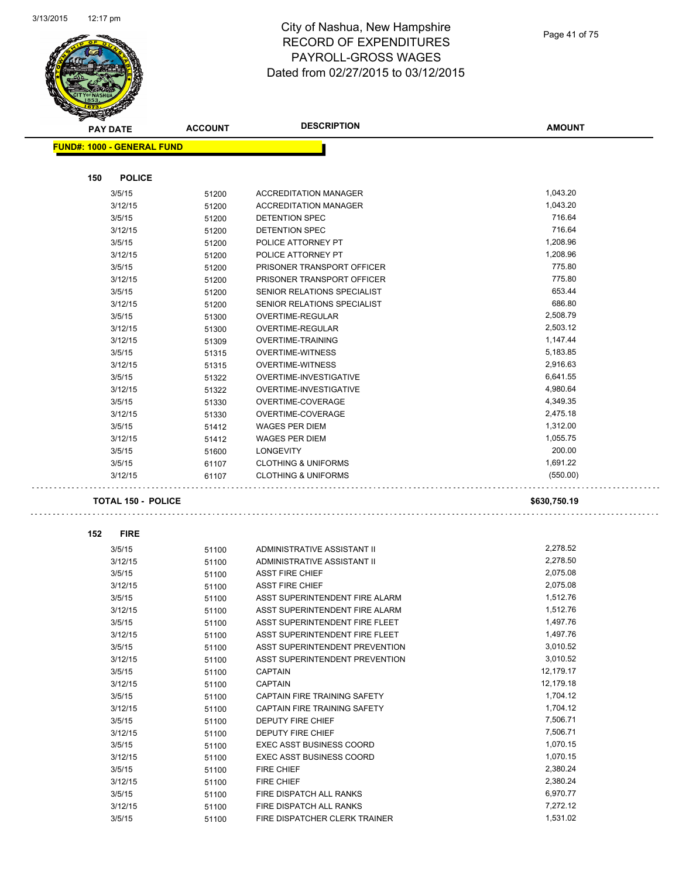$\mathbf{r}$ 



|     | <b>PAY DATE</b>                   | <b>ACCOUNT</b> | <b>DESCRIPTION</b>                    | <b>AMOUNT</b>      |
|-----|-----------------------------------|----------------|---------------------------------------|--------------------|
|     | <b>FUND#: 1000 - GENERAL FUND</b> |                |                                       |                    |
|     |                                   |                |                                       |                    |
| 150 | <b>POLICE</b>                     |                |                                       |                    |
|     | 3/5/15                            | 51200          | <b>ACCREDITATION MANAGER</b>          | 1,043.20           |
|     | 3/12/15                           | 51200          | <b>ACCREDITATION MANAGER</b>          | 1,043.20           |
|     | 3/5/15                            | 51200          | DETENTION SPEC                        | 716.64             |
|     | 3/12/15                           | 51200          | DETENTION SPEC                        | 716.64             |
|     | 3/5/15                            | 51200          | POLICE ATTORNEY PT                    | 1,208.96           |
|     | 3/12/15                           | 51200          | POLICE ATTORNEY PT                    | 1,208.96           |
|     | 3/5/15                            | 51200          | PRISONER TRANSPORT OFFICER            | 775.80             |
|     | 3/12/15                           | 51200          | PRISONER TRANSPORT OFFICER            | 775.80             |
|     | 3/5/15                            | 51200          | SENIOR RELATIONS SPECIALIST           | 653.44             |
|     | 3/12/15                           | 51200          | SENIOR RELATIONS SPECIALIST           | 686.80             |
|     | 3/5/15                            | 51300          | OVERTIME-REGULAR                      | 2,508.79           |
|     | 3/12/15                           | 51300          | OVERTIME-REGULAR                      | 2,503.12           |
|     | 3/12/15                           | 51309          | <b>OVERTIME-TRAINING</b>              | 1,147.44           |
|     | 3/5/15                            | 51315          | <b>OVERTIME-WITNESS</b>               | 5,183.85           |
|     | 3/12/15                           | 51315          | <b>OVERTIME-WITNESS</b>               | 2,916.63           |
|     | 3/5/15                            | 51322          | OVERTIME-INVESTIGATIVE                | 6,641.55           |
|     | 3/12/15                           | 51322          | OVERTIME-INVESTIGATIVE                | 4,980.64           |
|     | 3/5/15                            | 51330          | OVERTIME-COVERAGE                     | 4,349.35           |
|     | 3/12/15                           | 51330          | OVERTIME-COVERAGE                     | 2,475.18           |
|     | 3/5/15                            | 51412          | WAGES PER DIEM                        | 1,312.00           |
|     | 3/12/15                           | 51412          | <b>WAGES PER DIEM</b>                 | 1,055.75<br>200.00 |
|     | 3/5/15                            | 51600          | LONGEVITY                             | 1,691.22           |
|     | 3/5/15                            | 61107          | <b>CLOTHING &amp; UNIFORMS</b>        | (550.00)           |
|     | 3/12/15                           | 61107          | <b>CLOTHING &amp; UNIFORMS</b>        |                    |
|     | <b>TOTAL 150 - POLICE</b>         |                |                                       | \$630,750.19       |
|     |                                   |                |                                       |                    |
| 152 | <b>FIRE</b>                       |                |                                       |                    |
|     | 3/5/15                            | 51100          | <b>ADMINISTRATIVE ASSISTANT II</b>    | 2,278.52           |
|     | 3/12/15                           | 51100          | ADMINISTRATIVE ASSISTANT II           | 2,278.50           |
|     | 3/5/15                            | 51100          | <b>ASST FIRE CHIEF</b>                | 2,075.08           |
|     | 3/12/15                           | 51100          | <b>ASST FIRE CHIEF</b>                | 2,075.08           |
|     | 3/5/15                            | 51100          | ASST SUPERINTENDENT FIRE ALARM        | 1,512.76           |
|     | 3/12/15                           | 51100          | ASST SUPERINTENDENT FIRE ALARM        | 1,512.76           |
|     | 3/5/15                            | 51100          | ASST SUPERINTENDENT FIRE FLEET        | 1,497.76           |
|     | 3/12/15                           | 51100          | ASST SUPERINTENDENT FIRE FLEET        | 1,497.76           |
|     | 3/5/15                            | 51100          | <b>ASST SUPERINTENDENT PREVENTION</b> | 3,010.52           |
|     | 3/12/15                           | 51100          | ASST SUPERINTENDENT PREVENTION        | 3,010.52           |
|     | 3/5/15                            | 51100          | <b>CAPTAIN</b>                        | 12,179.17          |
|     | 3/12/15                           | 51100          | CAPTAIN                               | 12,179.18          |
|     | 3/5/15                            | 51100          | CAPTAIN FIRE TRAINING SAFETY          | 1,704.12           |
|     | 3/12/15                           | 51100          | CAPTAIN FIRE TRAINING SAFETY          | 1,704.12           |
|     | 3/5/15                            | 51100          | DEPUTY FIRE CHIEF                     | 7,506.71           |
|     | 3/12/15                           | 51100          | DEPUTY FIRE CHIEF                     | 7,506.71           |
|     | 3/5/15                            | 51100          | <b>EXEC ASST BUSINESS COORD</b>       | 1,070.15           |
|     | 3/12/15                           | 51100          | <b>EXEC ASST BUSINESS COORD</b>       | 1,070.15           |
|     | 3/5/15                            | 51100          | <b>FIRE CHIEF</b>                     | 2,380.24           |
|     | 3/12/15                           | 51100          | FIRE CHIEF                            | 2,380.24           |
|     | 3/5/15                            | 51100          | FIRE DISPATCH ALL RANKS               | 6,970.77           |
|     | 3/12/15                           | 51100          | FIRE DISPATCH ALL RANKS               | 7,272.12           |
|     | 3/5/15                            | 51100          | FIRE DISPATCHER CLERK TRAINER         | 1,531.02           |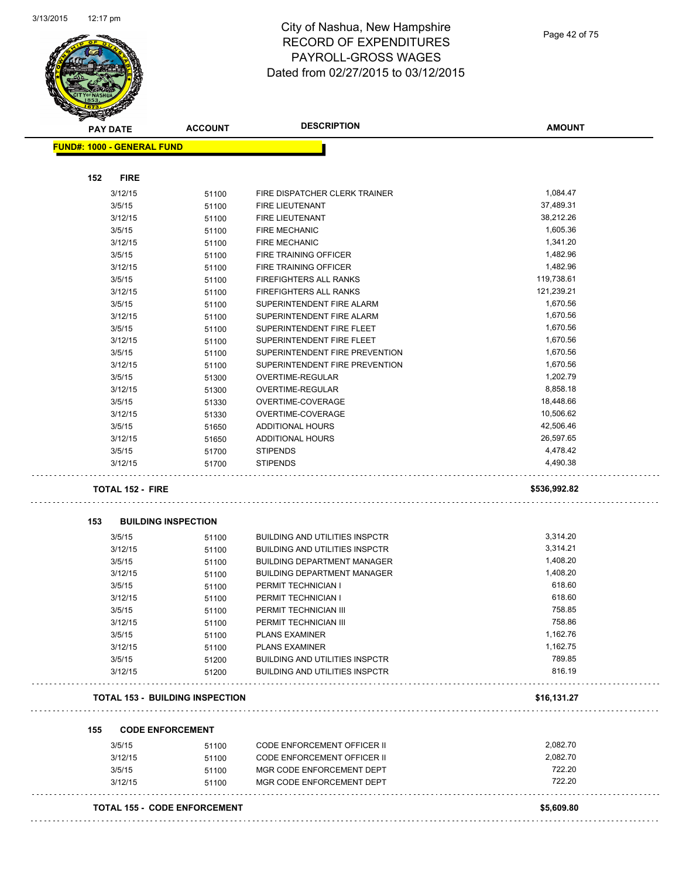

|     | <b>PAY DATE</b>                   | <b>ACCOUNT</b>                         | <b>DESCRIPTION</b>                    | <b>AMOUNT</b> |
|-----|-----------------------------------|----------------------------------------|---------------------------------------|---------------|
|     | <b>FUND#: 1000 - GENERAL FUND</b> |                                        |                                       |               |
|     |                                   |                                        |                                       |               |
| 152 | <b>FIRE</b>                       |                                        |                                       |               |
|     | 3/12/15                           | 51100                                  | FIRE DISPATCHER CLERK TRAINER         | 1,084.47      |
|     | 3/5/15                            | 51100                                  | <b>FIRE LIEUTENANT</b>                | 37,489.31     |
|     | 3/12/15                           | 51100                                  | FIRE LIEUTENANT                       | 38,212.26     |
|     | 3/5/15                            | 51100                                  | <b>FIRE MECHANIC</b>                  | 1,605.36      |
|     | 3/12/15                           | 51100                                  | <b>FIRE MECHANIC</b>                  | 1,341.20      |
|     | 3/5/15                            | 51100                                  | FIRE TRAINING OFFICER                 | 1,482.96      |
|     | 3/12/15                           | 51100                                  | FIRE TRAINING OFFICER                 | 1,482.96      |
|     | 3/5/15                            | 51100                                  | FIREFIGHTERS ALL RANKS                | 119,738.61    |
|     | 3/12/15                           | 51100                                  | <b>FIREFIGHTERS ALL RANKS</b>         | 121,239.21    |
|     | 3/5/15                            | 51100                                  | SUPERINTENDENT FIRE ALARM             | 1,670.56      |
|     | 3/12/15                           | 51100                                  | SUPERINTENDENT FIRE ALARM             | 1,670.56      |
|     | 3/5/15                            | 51100                                  | SUPERINTENDENT FIRE FLEET             | 1,670.56      |
|     | 3/12/15                           | 51100                                  | SUPERINTENDENT FIRE FLEET             | 1,670.56      |
|     | 3/5/15                            | 51100                                  | SUPERINTENDENT FIRE PREVENTION        | 1,670.56      |
|     | 3/12/15                           |                                        | SUPERINTENDENT FIRE PREVENTION        | 1,670.56      |
|     |                                   | 51100                                  | <b>OVERTIME-REGULAR</b>               | 1,202.79      |
|     | 3/5/15                            | 51300                                  |                                       |               |
|     | 3/12/15                           | 51300                                  | OVERTIME-REGULAR                      | 8,858.18      |
|     | 3/5/15                            | 51330                                  | OVERTIME-COVERAGE                     | 18,448.66     |
|     | 3/12/15                           | 51330                                  | OVERTIME-COVERAGE                     | 10,506.62     |
|     | 3/5/15                            | 51650                                  | <b>ADDITIONAL HOURS</b>               | 42,506.46     |
|     | 3/12/15                           | 51650                                  | ADDITIONAL HOURS                      | 26,597.65     |
|     | 3/5/15                            | 51700                                  | <b>STIPENDS</b>                       | 4,478.42      |
|     | 3/12/15                           | 51700                                  | <b>STIPENDS</b>                       | 4,490.38      |
|     | <b>TOTAL 152 - FIRE</b>           |                                        |                                       | \$536,992.82  |
| 153 |                                   | <b>BUILDING INSPECTION</b>             |                                       |               |
|     | 3/5/15                            | 51100                                  | <b>BUILDING AND UTILITIES INSPCTR</b> | 3,314.20      |
|     | 3/12/15                           | 51100                                  | <b>BUILDING AND UTILITIES INSPCTR</b> | 3,314.21      |
|     | 3/5/15                            | 51100                                  | <b>BUILDING DEPARTMENT MANAGER</b>    | 1,408.20      |
|     | 3/12/15                           | 51100                                  | <b>BUILDING DEPARTMENT MANAGER</b>    | 1,408.20      |
|     | 3/5/15                            | 51100                                  | PERMIT TECHNICIAN I                   | 618.60        |
|     | 3/12/15                           | 51100                                  | PERMIT TECHNICIAN I                   | 618.60        |
|     | 3/5/15                            | 51100                                  | PERMIT TECHNICIAN III                 | 758.85        |
|     | 3/12/15                           | 51100                                  | PERMIT TECHNICIAN III                 | 758.86        |
|     | 3/5/15                            | 51100                                  | <b>PLANS EXAMINER</b>                 | 1,162.76      |
|     |                                   |                                        |                                       |               |
|     |                                   |                                        |                                       |               |
|     | 3/12/15                           | 51100                                  | <b>PLANS EXAMINER</b>                 | 1,162.75      |
|     | 3/5/15                            | 51200                                  | <b>BUILDING AND UTILITIES INSPCTR</b> | 789.85        |
|     | 3/12/15                           | 51200                                  | <b>BUILDING AND UTILITIES INSPCTR</b> | 816.19        |
|     |                                   | <b>TOTAL 153 - BUILDING INSPECTION</b> |                                       | \$16,131.27   |
| 155 |                                   | <b>CODE ENFORCEMENT</b>                |                                       |               |
|     | 3/5/15                            | 51100                                  | <b>CODE ENFORCEMENT OFFICER II</b>    | 2,082.70      |
|     | 3/12/15                           |                                        | <b>CODE ENFORCEMENT OFFICER II</b>    | 2,082.70      |
|     | 3/5/15                            | 51100<br>51100                         | MGR CODE ENFORCEMENT DEPT             | 722.20        |
|     | 3/12/15                           | 51100                                  | MGR CODE ENFORCEMENT DEPT             | 722.20        |
|     |                                   | <b>TOTAL 155 - CODE ENFORCEMENT</b>    |                                       | \$5,609.80    |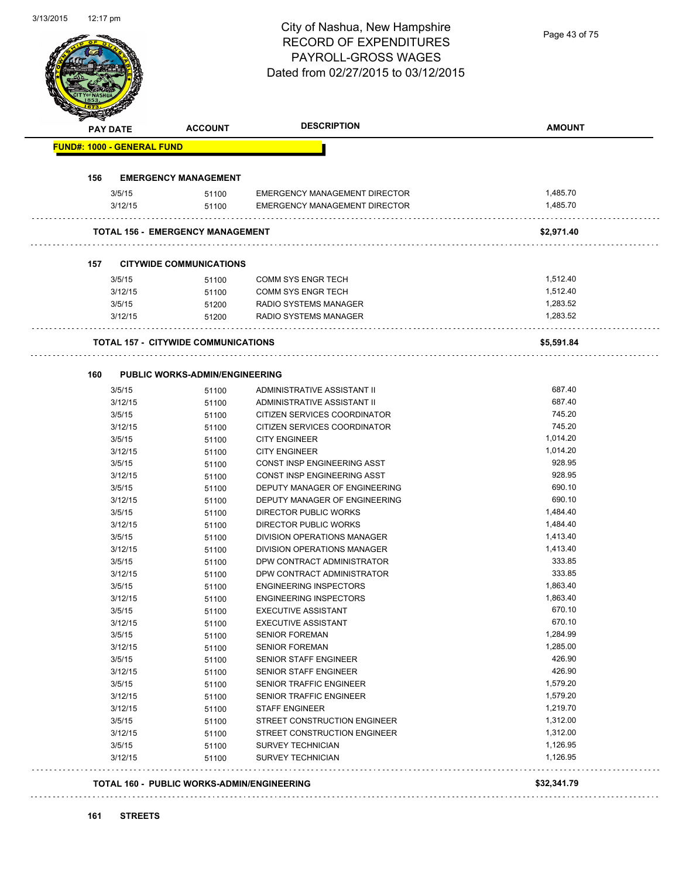# City of Nashua, New Hampshire RECORD OF EXPENDITURES PAYROLL-GROSS WAGES

| <b>PAY DATE</b> |                                   | <b>ACCOUNT</b>                             | <b>DESCRIPTION</b>                                   | <b>AMOUNT</b>        |
|-----------------|-----------------------------------|--------------------------------------------|------------------------------------------------------|----------------------|
|                 | <b>FUND#: 1000 - GENERAL FUND</b> |                                            |                                                      |                      |
| 156             |                                   | <b>EMERGENCY MANAGEMENT</b>                |                                                      |                      |
|                 | 3/5/15                            | 51100                                      | EMERGENCY MANAGEMENT DIRECTOR                        | 1,485.70             |
|                 | 3/12/15                           | 51100                                      | <b>EMERGENCY MANAGEMENT DIRECTOR</b>                 | 1,485.70             |
|                 |                                   | <b>TOTAL 156 - EMERGENCY MANAGEMENT</b>    |                                                      | \$2,971.40           |
| 157             |                                   | <b>CITYWIDE COMMUNICATIONS</b>             |                                                      |                      |
|                 | 3/5/15                            | 51100                                      | <b>COMM SYS ENGR TECH</b>                            | 1,512.40             |
|                 | 3/12/15                           | 51100                                      | COMM SYS ENGR TECH                                   | 1,512.40             |
|                 | 3/5/15                            | 51200                                      | RADIO SYSTEMS MANAGER                                | 1,283.52             |
|                 | 3/12/15                           | 51200                                      | RADIO SYSTEMS MANAGER                                | 1,283.52             |
|                 |                                   | <b>TOTAL 157 - CITYWIDE COMMUNICATIONS</b> |                                                      | \$5,591.84           |
|                 |                                   |                                            |                                                      |                      |
| 160             |                                   | <b>PUBLIC WORKS-ADMIN/ENGINEERING</b>      |                                                      |                      |
|                 | 3/5/15                            | 51100                                      | ADMINISTRATIVE ASSISTANT II                          | 687.40<br>687.40     |
|                 | 3/12/15                           | 51100                                      | ADMINISTRATIVE ASSISTANT II                          | 745.20               |
|                 | 3/5/15                            | 51100                                      | CITIZEN SERVICES COORDINATOR                         | 745.20               |
|                 | 3/12/15                           | 51100                                      | CITIZEN SERVICES COORDINATOR                         | 1,014.20             |
|                 | 3/5/15                            | 51100                                      | <b>CITY ENGINEER</b>                                 | 1,014.20             |
|                 | 3/12/15<br>3/5/15                 | 51100                                      | <b>CITY ENGINEER</b><br>CONST INSP ENGINEERING ASST  | 928.95               |
|                 | 3/12/15                           | 51100<br>51100                             | CONST INSP ENGINEERING ASST                          | 928.95               |
|                 | 3/5/15                            | 51100                                      | DEPUTY MANAGER OF ENGINEERING                        | 690.10               |
|                 | 3/12/15                           | 51100                                      | DEPUTY MANAGER OF ENGINEERING                        | 690.10               |
|                 | 3/5/15                            | 51100                                      | DIRECTOR PUBLIC WORKS                                | 1,484.40             |
|                 | 3/12/15                           | 51100                                      | DIRECTOR PUBLIC WORKS                                | 1,484.40             |
|                 | 3/5/15                            | 51100                                      | DIVISION OPERATIONS MANAGER                          | 1,413.40             |
|                 | 3/12/15                           | 51100                                      | DIVISION OPERATIONS MANAGER                          | 1,413.40             |
|                 | 3/5/15                            | 51100                                      | DPW CONTRACT ADMINISTRATOR                           | 333.85               |
|                 | 3/12/15                           | 51100                                      | DPW CONTRACT ADMINISTRATOR                           | 333.85               |
|                 | 3/5/15                            | 51100                                      | <b>ENGINEERING INSPECTORS</b>                        | 1,863.40             |
|                 | 3/12/15                           | 51100                                      | <b>ENGINEERING INSPECTORS</b>                        | 1,863.40             |
|                 | 3/5/15                            | 51100                                      | <b>EXECUTIVE ASSISTANT</b>                           | 670.10               |
|                 | 3/12/15                           | 51100                                      | <b>EXECUTIVE ASSISTANT</b>                           | 670.10               |
|                 | 3/5/15                            | 51100                                      | <b>SENIOR FOREMAN</b>                                | 1,284.99             |
|                 | 3/12/15                           | 51100                                      | <b>SENIOR FOREMAN</b>                                | 1,285.00             |
|                 | 3/5/15                            | 51100                                      | SENIOR STAFF ENGINEER                                | 426.90               |
|                 | 3/12/15                           | 51100                                      | SENIOR STAFF ENGINEER                                | 426.90               |
|                 | 3/5/15                            | 51100                                      | SENIOR TRAFFIC ENGINEER                              | 1,579.20             |
|                 | 3/12/15                           | 51100                                      | SENIOR TRAFFIC ENGINEER                              | 1,579.20             |
|                 | 3/12/15                           | 51100                                      | <b>STAFF ENGINEER</b>                                | 1,219.70             |
|                 | 3/5/15                            | 51100                                      | STREET CONSTRUCTION ENGINEER                         | 1,312.00             |
|                 | 3/12/15                           | 51100                                      | STREET CONSTRUCTION ENGINEER                         | 1,312.00             |
|                 | 3/5/15<br>3/12/15                 | 51100<br>51100                             | <b>SURVEY TECHNICIAN</b><br><b>SURVEY TECHNICIAN</b> | 1,126.95<br>1,126.95 |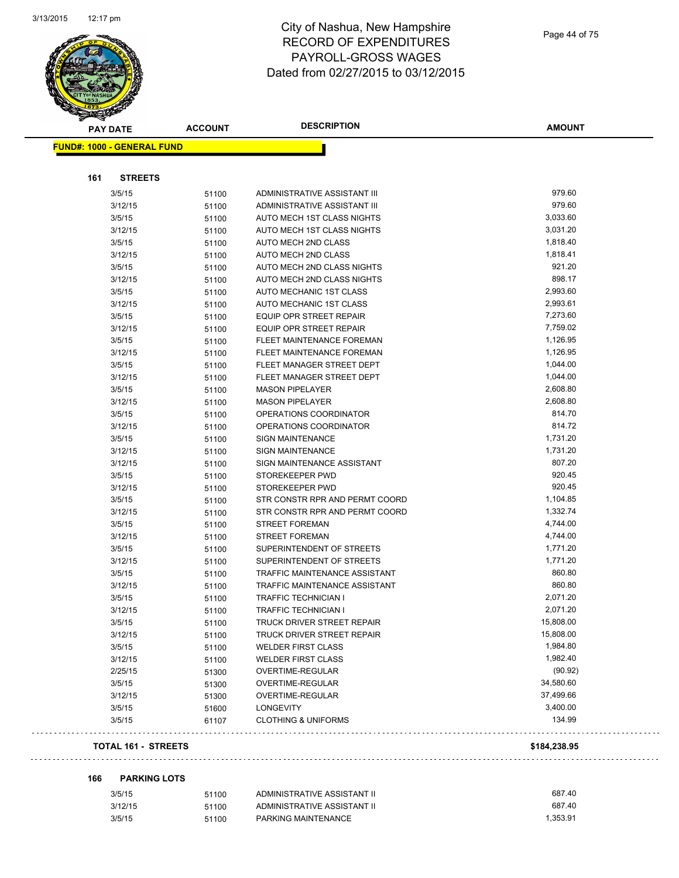

| <b>PAY DATE</b>                   | <b>ACCOUNT</b> | <b>DESCRIPTION</b>                                   | <b>AMOUNT</b>      |
|-----------------------------------|----------------|------------------------------------------------------|--------------------|
| <b>FUND#: 1000 - GENERAL FUND</b> |                |                                                      |                    |
|                                   |                |                                                      |                    |
| 161<br><b>STREETS</b>             |                |                                                      |                    |
|                                   |                |                                                      |                    |
| 3/5/15                            | 51100          | ADMINISTRATIVE ASSISTANT III                         | 979.60             |
| 3/12/15                           | 51100          | ADMINISTRATIVE ASSISTANT III                         | 979.60             |
| 3/5/15                            | 51100          | AUTO MECH 1ST CLASS NIGHTS                           | 3,033.60           |
| 3/12/15                           | 51100          | AUTO MECH 1ST CLASS NIGHTS                           | 3,031.20           |
| 3/5/15                            | 51100          | AUTO MECH 2ND CLASS                                  | 1,818.40           |
| 3/12/15                           | 51100          | <b>AUTO MECH 2ND CLASS</b>                           | 1,818.41<br>921.20 |
| 3/5/15                            | 51100          | AUTO MECH 2ND CLASS NIGHTS                           | 898.17             |
| 3/12/15                           | 51100          | AUTO MECH 2ND CLASS NIGHTS                           | 2,993.60           |
| 3/5/15                            | 51100          | AUTO MECHANIC 1ST CLASS                              | 2,993.61           |
| 3/12/15<br>3/5/15                 | 51100          | AUTO MECHANIC 1ST CLASS<br>EQUIP OPR STREET REPAIR   | 7,273.60           |
|                                   | 51100          |                                                      | 7,759.02           |
| 3/12/15                           | 51100          | EQUIP OPR STREET REPAIR<br>FLEET MAINTENANCE FOREMAN | 1,126.95           |
| 3/5/15<br>3/12/15                 | 51100          | FLEET MAINTENANCE FOREMAN                            | 1,126.95           |
|                                   | 51100          | FLEET MANAGER STREET DEPT                            | 1,044.00           |
| 3/5/15                            | 51100          |                                                      | 1,044.00           |
| 3/12/15<br>3/5/15                 | 51100          | FLEET MANAGER STREET DEPT                            | 2,608.80           |
|                                   | 51100          | <b>MASON PIPELAYER</b>                               | 2,608.80           |
| 3/12/15                           | 51100          | <b>MASON PIPELAYER</b><br>OPERATIONS COORDINATOR     | 814.70             |
| 3/5/15                            | 51100          |                                                      | 814.72             |
| 3/12/15                           | 51100          | OPERATIONS COORDINATOR<br><b>SIGN MAINTENANCE</b>    | 1,731.20           |
| 3/5/15                            | 51100          | SIGN MAINTENANCE                                     | 1,731.20           |
| 3/12/15                           | 51100          | SIGN MAINTENANCE ASSISTANT                           | 807.20             |
| 3/12/15<br>3/5/15                 | 51100          | STOREKEEPER PWD                                      | 920.45             |
| 3/12/15                           | 51100          | STOREKEEPER PWD                                      | 920.45             |
| 3/5/15                            | 51100          | STR CONSTR RPR AND PERMT COORD                       | 1,104.85           |
| 3/12/15                           | 51100          | STR CONSTR RPR AND PERMT COORD                       | 1,332.74           |
| 3/5/15                            | 51100<br>51100 | <b>STREET FOREMAN</b>                                | 4,744.00           |
| 3/12/15                           | 51100          | <b>STREET FOREMAN</b>                                | 4,744.00           |
| 3/5/15                            |                | SUPERINTENDENT OF STREETS                            | 1,771.20           |
| 3/12/15                           | 51100<br>51100 | SUPERINTENDENT OF STREETS                            | 1,771.20           |
| 3/5/15                            | 51100          | <b>TRAFFIC MAINTENANCE ASSISTANT</b>                 | 860.80             |
| 3/12/15                           | 51100          | <b>TRAFFIC MAINTENANCE ASSISTANT</b>                 | 860.80             |
| 3/5/15                            | 51100          | <b>TRAFFIC TECHNICIAN I</b>                          | 2,071.20           |
| 3/12/15                           | 51100          | <b>TRAFFIC TECHNICIAN I</b>                          | 2,071.20           |
| 3/5/15                            |                | TRUCK DRIVER STREET REPAIR                           | 15,808.00          |
| 3/12/15                           | 51100<br>51100 | TRUCK DRIVER STREET REPAIR                           | 15,808.00          |
| 3/5/15                            | 51100          | <b>WELDER FIRST CLASS</b>                            | 1,984.80           |
| 3/12/15                           | 51100          | <b>WELDER FIRST CLASS</b>                            | 1,982.40           |
| 2/25/15                           | 51300          | OVERTIME-REGULAR                                     | (90.92)            |
| 3/5/15                            | 51300          | OVERTIME-REGULAR                                     | 34,580.60          |
| 3/12/15                           | 51300          | OVERTIME-REGULAR                                     | 37,499.66          |
| 3/5/15                            | 51600          | <b>LONGEVITY</b>                                     | 3,400.00           |
| 3/5/15                            | 61107          | <b>CLOTHING &amp; UNIFORMS</b>                       | 134.99             |
|                                   |                |                                                      |                    |
| <b>TOTAL 161 - STREETS</b>        |                |                                                      | \$184,238.95       |

#### **166 PARKING LOTS**

| 3/5/15  | 51100 | ADMINISTRATIVE ASSISTANT II | 687.40   |
|---------|-------|-----------------------------|----------|
| 3/12/15 | 51100 | ADMINISTRATIVE ASSISTANT II | 687.40   |
| 3/5/15  | 51100 | PARKING MAINTENANCE         | 1.353.91 |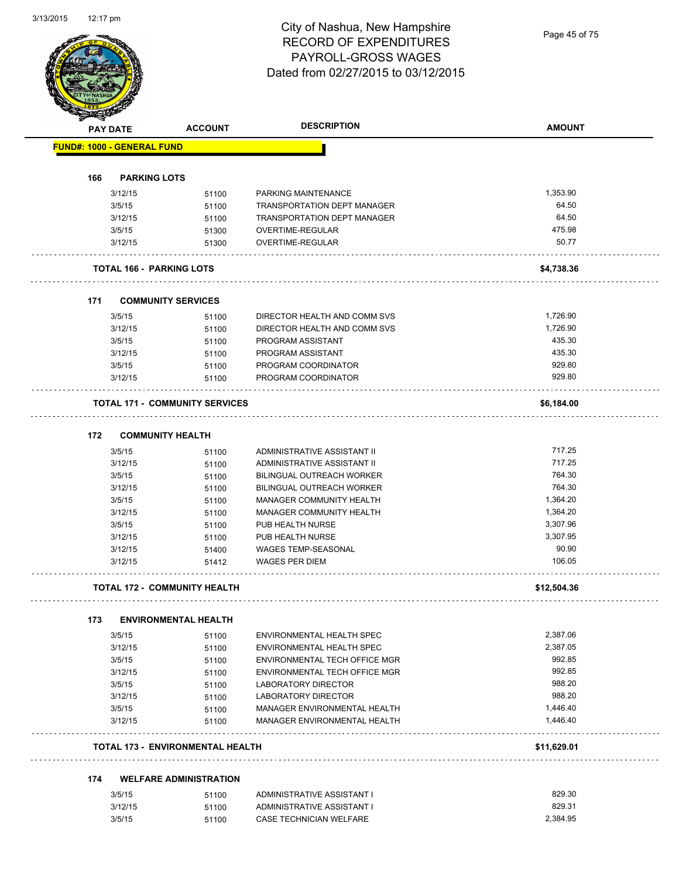Page 45 of 75

| <b>FUND#: 1000 - GENERAL FUND</b><br><b>PARKING LOTS</b><br>1,353.90<br>3/12/15<br>PARKING MAINTENANCE<br>51100<br>64.50<br>3/5/15<br><b>TRANSPORTATION DEPT MANAGER</b><br>51100<br>64.50<br>3/12/15<br>51100<br><b>TRANSPORTATION DEPT MANAGER</b><br>OVERTIME-REGULAR<br>3/5/15<br>51300<br>3/12/15<br>OVERTIME-REGULAR<br>51300<br><b>TOTAL 166 - PARKING LOTS</b><br><b>COMMUNITY SERVICES</b><br>3/5/15<br>DIRECTOR HEALTH AND COMM SVS<br>51100<br>3/12/15<br>DIRECTOR HEALTH AND COMM SVS<br>51100<br>3/5/15<br>PROGRAM ASSISTANT<br>51100<br>435.30<br>3/12/15<br>PROGRAM ASSISTANT<br>51100<br>929.80<br>PROGRAM COORDINATOR<br>3/5/15<br>51100<br>3/12/15<br>PROGRAM COORDINATOR<br>51100<br><b>TOTAL 171 - COMMUNITY SERVICES</b><br><b>COMMUNITY HEALTH</b><br>717.25<br>3/5/15<br>ADMINISTRATIVE ASSISTANT II<br>51100<br>717.25<br>3/12/15<br>ADMINISTRATIVE ASSISTANT II<br>51100<br>764.30<br>3/5/15<br>51100<br><b>BILINGUAL OUTREACH WORKER</b><br>764.30<br>3/12/15<br><b>BILINGUAL OUTREACH WORKER</b><br>51100<br>1,364.20<br>3/5/15<br>MANAGER COMMUNITY HEALTH<br>51100<br>1,364.20<br>3/12/15<br>MANAGER COMMUNITY HEALTH<br>51100<br>3,307.96<br>3/5/15<br>PUB HEALTH NURSE<br>51100<br>3,307.95<br>3/12/15<br>PUB HEALTH NURSE<br>51100<br>WAGES TEMP-SEASONAL<br>90.90<br>3/12/15<br>51400<br>106.05<br><b>WAGES PER DIEM</b><br>3/12/15<br>51412<br><b>TOTAL 172 - COMMUNITY HEALTH</b><br><b>ENVIRONMENTAL HEALTH</b><br>3/5/15<br>ENVIRONMENTAL HEALTH SPEC<br>51100<br>3/12/15<br>ENVIRONMENTAL HEALTH SPEC<br>51100<br>3/5/15<br>ENVIRONMENTAL TECH OFFICE MGR<br>51100<br>3/12/15<br>ENVIRONMENTAL TECH OFFICE MGR<br>51100<br>3/5/15<br>LABORATORY DIRECTOR<br>51100<br><b>LABORATORY DIRECTOR</b><br>3/12/15<br>51100<br>3/5/15<br>MANAGER ENVIRONMENTAL HEALTH<br>51100<br>MANAGER ENVIRONMENTAL HEALTH<br>3/12/15<br>51100<br><b>TOTAL 173 - ENVIRONMENTAL HEALTH</b><br><b>WELFARE ADMINISTRATION</b><br>3/5/15<br>ADMINISTRATIVE ASSISTANT I<br>51100<br>829.31<br>3/12/15<br>ADMINISTRATIVE ASSISTANT I<br>51100 |     | <b>PAY DATE</b> | <b>ACCOUNT</b> | <b>DESCRIPTION</b> | <b>AMOUNT</b> |
|-----------------------------------------------------------------------------------------------------------------------------------------------------------------------------------------------------------------------------------------------------------------------------------------------------------------------------------------------------------------------------------------------------------------------------------------------------------------------------------------------------------------------------------------------------------------------------------------------------------------------------------------------------------------------------------------------------------------------------------------------------------------------------------------------------------------------------------------------------------------------------------------------------------------------------------------------------------------------------------------------------------------------------------------------------------------------------------------------------------------------------------------------------------------------------------------------------------------------------------------------------------------------------------------------------------------------------------------------------------------------------------------------------------------------------------------------------------------------------------------------------------------------------------------------------------------------------------------------------------------------------------------------------------------------------------------------------------------------------------------------------------------------------------------------------------------------------------------------------------------------------------------------------------------------------------------------------------------------------------------------------------------------------------------------------------|-----|-----------------|----------------|--------------------|---------------|
|                                                                                                                                                                                                                                                                                                                                                                                                                                                                                                                                                                                                                                                                                                                                                                                                                                                                                                                                                                                                                                                                                                                                                                                                                                                                                                                                                                                                                                                                                                                                                                                                                                                                                                                                                                                                                                                                                                                                                                                                                                                           |     |                 |                |                    |               |
|                                                                                                                                                                                                                                                                                                                                                                                                                                                                                                                                                                                                                                                                                                                                                                                                                                                                                                                                                                                                                                                                                                                                                                                                                                                                                                                                                                                                                                                                                                                                                                                                                                                                                                                                                                                                                                                                                                                                                                                                                                                           |     |                 |                |                    |               |
|                                                                                                                                                                                                                                                                                                                                                                                                                                                                                                                                                                                                                                                                                                                                                                                                                                                                                                                                                                                                                                                                                                                                                                                                                                                                                                                                                                                                                                                                                                                                                                                                                                                                                                                                                                                                                                                                                                                                                                                                                                                           | 166 |                 |                |                    |               |
|                                                                                                                                                                                                                                                                                                                                                                                                                                                                                                                                                                                                                                                                                                                                                                                                                                                                                                                                                                                                                                                                                                                                                                                                                                                                                                                                                                                                                                                                                                                                                                                                                                                                                                                                                                                                                                                                                                                                                                                                                                                           |     |                 |                |                    |               |
|                                                                                                                                                                                                                                                                                                                                                                                                                                                                                                                                                                                                                                                                                                                                                                                                                                                                                                                                                                                                                                                                                                                                                                                                                                                                                                                                                                                                                                                                                                                                                                                                                                                                                                                                                                                                                                                                                                                                                                                                                                                           |     |                 |                |                    |               |
|                                                                                                                                                                                                                                                                                                                                                                                                                                                                                                                                                                                                                                                                                                                                                                                                                                                                                                                                                                                                                                                                                                                                                                                                                                                                                                                                                                                                                                                                                                                                                                                                                                                                                                                                                                                                                                                                                                                                                                                                                                                           |     |                 |                |                    |               |
|                                                                                                                                                                                                                                                                                                                                                                                                                                                                                                                                                                                                                                                                                                                                                                                                                                                                                                                                                                                                                                                                                                                                                                                                                                                                                                                                                                                                                                                                                                                                                                                                                                                                                                                                                                                                                                                                                                                                                                                                                                                           |     |                 |                |                    | 475.98        |
|                                                                                                                                                                                                                                                                                                                                                                                                                                                                                                                                                                                                                                                                                                                                                                                                                                                                                                                                                                                                                                                                                                                                                                                                                                                                                                                                                                                                                                                                                                                                                                                                                                                                                                                                                                                                                                                                                                                                                                                                                                                           |     |                 |                |                    | 50.77         |
|                                                                                                                                                                                                                                                                                                                                                                                                                                                                                                                                                                                                                                                                                                                                                                                                                                                                                                                                                                                                                                                                                                                                                                                                                                                                                                                                                                                                                                                                                                                                                                                                                                                                                                                                                                                                                                                                                                                                                                                                                                                           |     |                 |                |                    | \$4,738.36    |
|                                                                                                                                                                                                                                                                                                                                                                                                                                                                                                                                                                                                                                                                                                                                                                                                                                                                                                                                                                                                                                                                                                                                                                                                                                                                                                                                                                                                                                                                                                                                                                                                                                                                                                                                                                                                                                                                                                                                                                                                                                                           | 171 |                 |                |                    |               |
|                                                                                                                                                                                                                                                                                                                                                                                                                                                                                                                                                                                                                                                                                                                                                                                                                                                                                                                                                                                                                                                                                                                                                                                                                                                                                                                                                                                                                                                                                                                                                                                                                                                                                                                                                                                                                                                                                                                                                                                                                                                           |     |                 |                |                    | 1,726.90      |
|                                                                                                                                                                                                                                                                                                                                                                                                                                                                                                                                                                                                                                                                                                                                                                                                                                                                                                                                                                                                                                                                                                                                                                                                                                                                                                                                                                                                                                                                                                                                                                                                                                                                                                                                                                                                                                                                                                                                                                                                                                                           |     |                 |                |                    | 1,726.90      |
|                                                                                                                                                                                                                                                                                                                                                                                                                                                                                                                                                                                                                                                                                                                                                                                                                                                                                                                                                                                                                                                                                                                                                                                                                                                                                                                                                                                                                                                                                                                                                                                                                                                                                                                                                                                                                                                                                                                                                                                                                                                           |     |                 |                |                    | 435.30        |
|                                                                                                                                                                                                                                                                                                                                                                                                                                                                                                                                                                                                                                                                                                                                                                                                                                                                                                                                                                                                                                                                                                                                                                                                                                                                                                                                                                                                                                                                                                                                                                                                                                                                                                                                                                                                                                                                                                                                                                                                                                                           |     |                 |                |                    |               |
|                                                                                                                                                                                                                                                                                                                                                                                                                                                                                                                                                                                                                                                                                                                                                                                                                                                                                                                                                                                                                                                                                                                                                                                                                                                                                                                                                                                                                                                                                                                                                                                                                                                                                                                                                                                                                                                                                                                                                                                                                                                           |     |                 |                |                    |               |
|                                                                                                                                                                                                                                                                                                                                                                                                                                                                                                                                                                                                                                                                                                                                                                                                                                                                                                                                                                                                                                                                                                                                                                                                                                                                                                                                                                                                                                                                                                                                                                                                                                                                                                                                                                                                                                                                                                                                                                                                                                                           |     |                 |                |                    | 929.80        |
|                                                                                                                                                                                                                                                                                                                                                                                                                                                                                                                                                                                                                                                                                                                                                                                                                                                                                                                                                                                                                                                                                                                                                                                                                                                                                                                                                                                                                                                                                                                                                                                                                                                                                                                                                                                                                                                                                                                                                                                                                                                           |     |                 |                |                    |               |
|                                                                                                                                                                                                                                                                                                                                                                                                                                                                                                                                                                                                                                                                                                                                                                                                                                                                                                                                                                                                                                                                                                                                                                                                                                                                                                                                                                                                                                                                                                                                                                                                                                                                                                                                                                                                                                                                                                                                                                                                                                                           |     |                 |                |                    | \$6,184.00    |
|                                                                                                                                                                                                                                                                                                                                                                                                                                                                                                                                                                                                                                                                                                                                                                                                                                                                                                                                                                                                                                                                                                                                                                                                                                                                                                                                                                                                                                                                                                                                                                                                                                                                                                                                                                                                                                                                                                                                                                                                                                                           | 172 |                 |                |                    |               |
|                                                                                                                                                                                                                                                                                                                                                                                                                                                                                                                                                                                                                                                                                                                                                                                                                                                                                                                                                                                                                                                                                                                                                                                                                                                                                                                                                                                                                                                                                                                                                                                                                                                                                                                                                                                                                                                                                                                                                                                                                                                           |     |                 |                |                    |               |
|                                                                                                                                                                                                                                                                                                                                                                                                                                                                                                                                                                                                                                                                                                                                                                                                                                                                                                                                                                                                                                                                                                                                                                                                                                                                                                                                                                                                                                                                                                                                                                                                                                                                                                                                                                                                                                                                                                                                                                                                                                                           |     |                 |                |                    |               |
|                                                                                                                                                                                                                                                                                                                                                                                                                                                                                                                                                                                                                                                                                                                                                                                                                                                                                                                                                                                                                                                                                                                                                                                                                                                                                                                                                                                                                                                                                                                                                                                                                                                                                                                                                                                                                                                                                                                                                                                                                                                           |     |                 |                |                    |               |
|                                                                                                                                                                                                                                                                                                                                                                                                                                                                                                                                                                                                                                                                                                                                                                                                                                                                                                                                                                                                                                                                                                                                                                                                                                                                                                                                                                                                                                                                                                                                                                                                                                                                                                                                                                                                                                                                                                                                                                                                                                                           |     |                 |                |                    |               |
|                                                                                                                                                                                                                                                                                                                                                                                                                                                                                                                                                                                                                                                                                                                                                                                                                                                                                                                                                                                                                                                                                                                                                                                                                                                                                                                                                                                                                                                                                                                                                                                                                                                                                                                                                                                                                                                                                                                                                                                                                                                           |     |                 |                |                    |               |
|                                                                                                                                                                                                                                                                                                                                                                                                                                                                                                                                                                                                                                                                                                                                                                                                                                                                                                                                                                                                                                                                                                                                                                                                                                                                                                                                                                                                                                                                                                                                                                                                                                                                                                                                                                                                                                                                                                                                                                                                                                                           |     |                 |                |                    |               |
|                                                                                                                                                                                                                                                                                                                                                                                                                                                                                                                                                                                                                                                                                                                                                                                                                                                                                                                                                                                                                                                                                                                                                                                                                                                                                                                                                                                                                                                                                                                                                                                                                                                                                                                                                                                                                                                                                                                                                                                                                                                           |     |                 |                |                    |               |
|                                                                                                                                                                                                                                                                                                                                                                                                                                                                                                                                                                                                                                                                                                                                                                                                                                                                                                                                                                                                                                                                                                                                                                                                                                                                                                                                                                                                                                                                                                                                                                                                                                                                                                                                                                                                                                                                                                                                                                                                                                                           |     |                 |                |                    |               |
|                                                                                                                                                                                                                                                                                                                                                                                                                                                                                                                                                                                                                                                                                                                                                                                                                                                                                                                                                                                                                                                                                                                                                                                                                                                                                                                                                                                                                                                                                                                                                                                                                                                                                                                                                                                                                                                                                                                                                                                                                                                           |     |                 |                |                    |               |
|                                                                                                                                                                                                                                                                                                                                                                                                                                                                                                                                                                                                                                                                                                                                                                                                                                                                                                                                                                                                                                                                                                                                                                                                                                                                                                                                                                                                                                                                                                                                                                                                                                                                                                                                                                                                                                                                                                                                                                                                                                                           |     |                 |                |                    |               |
|                                                                                                                                                                                                                                                                                                                                                                                                                                                                                                                                                                                                                                                                                                                                                                                                                                                                                                                                                                                                                                                                                                                                                                                                                                                                                                                                                                                                                                                                                                                                                                                                                                                                                                                                                                                                                                                                                                                                                                                                                                                           |     |                 |                |                    |               |
|                                                                                                                                                                                                                                                                                                                                                                                                                                                                                                                                                                                                                                                                                                                                                                                                                                                                                                                                                                                                                                                                                                                                                                                                                                                                                                                                                                                                                                                                                                                                                                                                                                                                                                                                                                                                                                                                                                                                                                                                                                                           |     |                 |                |                    | \$12,504.36   |
|                                                                                                                                                                                                                                                                                                                                                                                                                                                                                                                                                                                                                                                                                                                                                                                                                                                                                                                                                                                                                                                                                                                                                                                                                                                                                                                                                                                                                                                                                                                                                                                                                                                                                                                                                                                                                                                                                                                                                                                                                                                           | 173 |                 |                |                    |               |
|                                                                                                                                                                                                                                                                                                                                                                                                                                                                                                                                                                                                                                                                                                                                                                                                                                                                                                                                                                                                                                                                                                                                                                                                                                                                                                                                                                                                                                                                                                                                                                                                                                                                                                                                                                                                                                                                                                                                                                                                                                                           |     |                 |                |                    | 2,387.06      |
|                                                                                                                                                                                                                                                                                                                                                                                                                                                                                                                                                                                                                                                                                                                                                                                                                                                                                                                                                                                                                                                                                                                                                                                                                                                                                                                                                                                                                                                                                                                                                                                                                                                                                                                                                                                                                                                                                                                                                                                                                                                           |     |                 |                |                    | 2,387.05      |
|                                                                                                                                                                                                                                                                                                                                                                                                                                                                                                                                                                                                                                                                                                                                                                                                                                                                                                                                                                                                                                                                                                                                                                                                                                                                                                                                                                                                                                                                                                                                                                                                                                                                                                                                                                                                                                                                                                                                                                                                                                                           |     |                 |                |                    | 992.85        |
|                                                                                                                                                                                                                                                                                                                                                                                                                                                                                                                                                                                                                                                                                                                                                                                                                                                                                                                                                                                                                                                                                                                                                                                                                                                                                                                                                                                                                                                                                                                                                                                                                                                                                                                                                                                                                                                                                                                                                                                                                                                           |     |                 |                |                    | 992.85        |
|                                                                                                                                                                                                                                                                                                                                                                                                                                                                                                                                                                                                                                                                                                                                                                                                                                                                                                                                                                                                                                                                                                                                                                                                                                                                                                                                                                                                                                                                                                                                                                                                                                                                                                                                                                                                                                                                                                                                                                                                                                                           |     |                 |                |                    | 988.20        |
|                                                                                                                                                                                                                                                                                                                                                                                                                                                                                                                                                                                                                                                                                                                                                                                                                                                                                                                                                                                                                                                                                                                                                                                                                                                                                                                                                                                                                                                                                                                                                                                                                                                                                                                                                                                                                                                                                                                                                                                                                                                           |     |                 |                |                    | 988.20        |
|                                                                                                                                                                                                                                                                                                                                                                                                                                                                                                                                                                                                                                                                                                                                                                                                                                                                                                                                                                                                                                                                                                                                                                                                                                                                                                                                                                                                                                                                                                                                                                                                                                                                                                                                                                                                                                                                                                                                                                                                                                                           |     |                 |                |                    | 1,446.40      |
|                                                                                                                                                                                                                                                                                                                                                                                                                                                                                                                                                                                                                                                                                                                                                                                                                                                                                                                                                                                                                                                                                                                                                                                                                                                                                                                                                                                                                                                                                                                                                                                                                                                                                                                                                                                                                                                                                                                                                                                                                                                           |     |                 |                |                    | 1,446.40      |
|                                                                                                                                                                                                                                                                                                                                                                                                                                                                                                                                                                                                                                                                                                                                                                                                                                                                                                                                                                                                                                                                                                                                                                                                                                                                                                                                                                                                                                                                                                                                                                                                                                                                                                                                                                                                                                                                                                                                                                                                                                                           |     |                 |                |                    | \$11,629.01   |
|                                                                                                                                                                                                                                                                                                                                                                                                                                                                                                                                                                                                                                                                                                                                                                                                                                                                                                                                                                                                                                                                                                                                                                                                                                                                                                                                                                                                                                                                                                                                                                                                                                                                                                                                                                                                                                                                                                                                                                                                                                                           | 174 |                 |                |                    |               |
|                                                                                                                                                                                                                                                                                                                                                                                                                                                                                                                                                                                                                                                                                                                                                                                                                                                                                                                                                                                                                                                                                                                                                                                                                                                                                                                                                                                                                                                                                                                                                                                                                                                                                                                                                                                                                                                                                                                                                                                                                                                           |     |                 |                |                    | 829.30        |
|                                                                                                                                                                                                                                                                                                                                                                                                                                                                                                                                                                                                                                                                                                                                                                                                                                                                                                                                                                                                                                                                                                                                                                                                                                                                                                                                                                                                                                                                                                                                                                                                                                                                                                                                                                                                                                                                                                                                                                                                                                                           |     |                 |                |                    |               |
| 3/5/15<br>CASE TECHNICIAN WELFARE<br>51100                                                                                                                                                                                                                                                                                                                                                                                                                                                                                                                                                                                                                                                                                                                                                                                                                                                                                                                                                                                                                                                                                                                                                                                                                                                                                                                                                                                                                                                                                                                                                                                                                                                                                                                                                                                                                                                                                                                                                                                                                |     |                 |                |                    | 2,384.95      |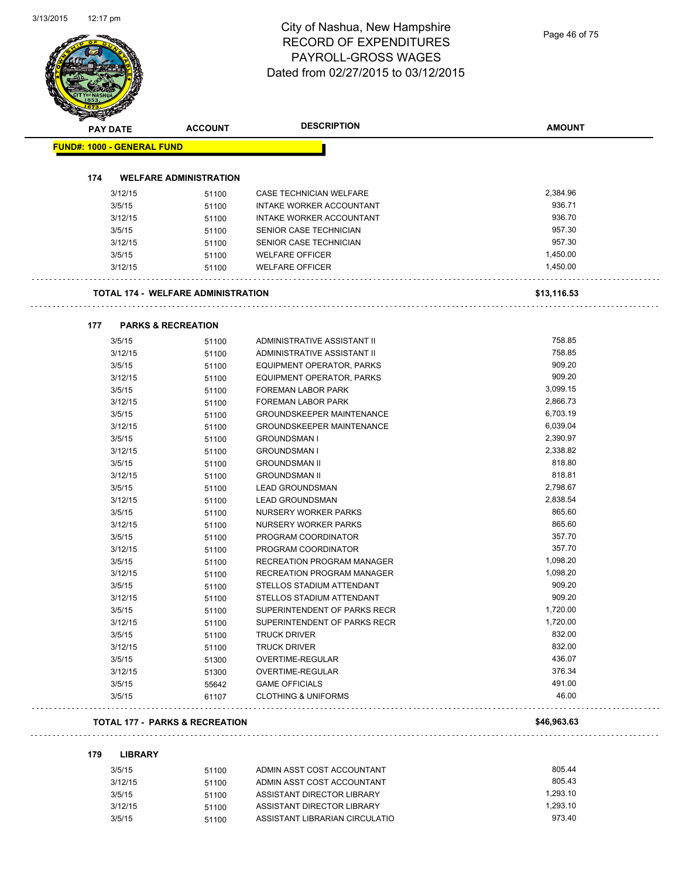| <b>PAY DATE</b>                   | <b>ACCOUNT</b>                     | <b>DESCRIPTION</b>                | <b>AMOUNT</b> |
|-----------------------------------|------------------------------------|-----------------------------------|---------------|
| <b>FUND#: 1000 - GENERAL FUND</b> |                                    |                                   |               |
| 174                               | <b>WELFARE ADMINISTRATION</b>      |                                   |               |
| 3/12/15                           | 51100                              | CASE TECHNICIAN WELFARE           | 2,384.96      |
| 3/5/15                            | 51100                              | INTAKE WORKER ACCOUNTANT          | 936.71        |
| 3/12/15                           | 51100                              | INTAKE WORKER ACCOUNTANT          | 936.70        |
| 3/5/15                            | 51100                              | SENIOR CASE TECHNICIAN            | 957.30        |
| 3/12/15                           | 51100                              | SENIOR CASE TECHNICIAN            | 957.30        |
| 3/5/15                            |                                    | <b>WELFARE OFFICER</b>            | 1,450.00      |
| 3/12/15                           | 51100<br>51100                     | <b>WELFARE OFFICER</b>            | 1,450.00      |
|                                   |                                    |                                   |               |
|                                   | TOTAL 174 - WELFARE ADMINISTRATION |                                   | \$13,116.53   |
| 177                               | <b>PARKS &amp; RECREATION</b>      |                                   |               |
| 3/5/15                            | 51100                              | ADMINISTRATIVE ASSISTANT II       | 758.85        |
| 3/12/15                           | 51100                              | ADMINISTRATIVE ASSISTANT II       | 758.85        |
| 3/5/15                            | 51100                              | EQUIPMENT OPERATOR, PARKS         | 909.20        |
| 3/12/15                           | 51100                              | <b>EQUIPMENT OPERATOR, PARKS</b>  | 909.20        |
| 3/5/15                            | 51100                              | <b>FOREMAN LABOR PARK</b>         | 3,099.15      |
| 3/12/15                           | 51100                              | FOREMAN LABOR PARK                | 2,866.73      |
| 3/5/15                            | 51100                              | <b>GROUNDSKEEPER MAINTENANCE</b>  | 6,703.19      |
| 3/12/15                           | 51100                              | <b>GROUNDSKEEPER MAINTENANCE</b>  | 6,039.04      |
| 3/5/15                            | 51100                              | <b>GROUNDSMAN I</b>               | 2,390.97      |
| 3/12/15                           | 51100                              | <b>GROUNDSMAN I</b>               | 2,338.82      |
| 3/5/15                            | 51100                              | <b>GROUNDSMAN II</b>              | 818.80        |
| 3/12/15                           | 51100                              | <b>GROUNDSMAN II</b>              | 818.81        |
| 3/5/15                            | 51100                              | <b>LEAD GROUNDSMAN</b>            | 2,798.67      |
| 3/12/15                           | 51100                              | <b>LEAD GROUNDSMAN</b>            | 2,838.54      |
| 3/5/15                            | 51100                              | NURSERY WORKER PARKS              | 865.60        |
| 3/12/15                           | 51100                              | NURSERY WORKER PARKS              | 865.60        |
| 3/5/15                            | 51100                              | PROGRAM COORDINATOR               | 357.70        |
| 3/12/15                           | 51100                              | PROGRAM COORDINATOR               | 357.70        |
| 3/5/15                            | 51100                              | <b>RECREATION PROGRAM MANAGER</b> | 1,098.20      |
| 3/12/15                           | 51100                              | RECREATION PROGRAM MANAGER        | 1,098.20      |
| 3/5/15                            | 51100                              | STELLOS STADIUM ATTENDANT         | 909.20        |
| 3/12/15                           | 51100                              | STELLOS STADIUM ATTENDANT         | 909.20        |
| 3/5/15                            | 51100                              | SUPERINTENDENT OF PARKS RECR      | 1,720.00      |
| 3/12/15                           | 51100                              | SUPERINTENDENT OF PARKS RECR      | 1,720.00      |
| 3/5/15                            | 51100                              | <b>TRUCK DRIVER</b>               | 832.00        |
| 3/12/15                           | 51100                              | <b>TRUCK DRIVER</b>               | 832.00        |
| 3/5/15                            | 51300                              | OVERTIME-REGULAR                  | 436.07        |
| 3/12/15                           | 51300                              | OVERTIME-REGULAR                  | 376.34        |
| 3/5/15                            | 55642                              | <b>GAME OFFICIALS</b>             | 491.00        |
| 3/5/15                            | 61107                              | <b>CLOTHING &amp; UNIFORMS</b>    | 46.00         |

| 3/5/15  | 51100 | ADMIN ASST COST ACCOUNTANT     | 805.44   |
|---------|-------|--------------------------------|----------|
| 3/12/15 | 51100 | ADMIN ASST COST ACCOUNTANT     | 805.43   |
| 3/5/15  | 51100 | ASSISTANT DIRECTOR LIBRARY     | 1.293.10 |
| 3/12/15 | 51100 | ASSISTANT DIRECTOR LIBRARY     | 1.293.10 |
| 3/5/15  | 51100 | ASSISTANT LIBRARIAN CIRCULATIO | 973.40   |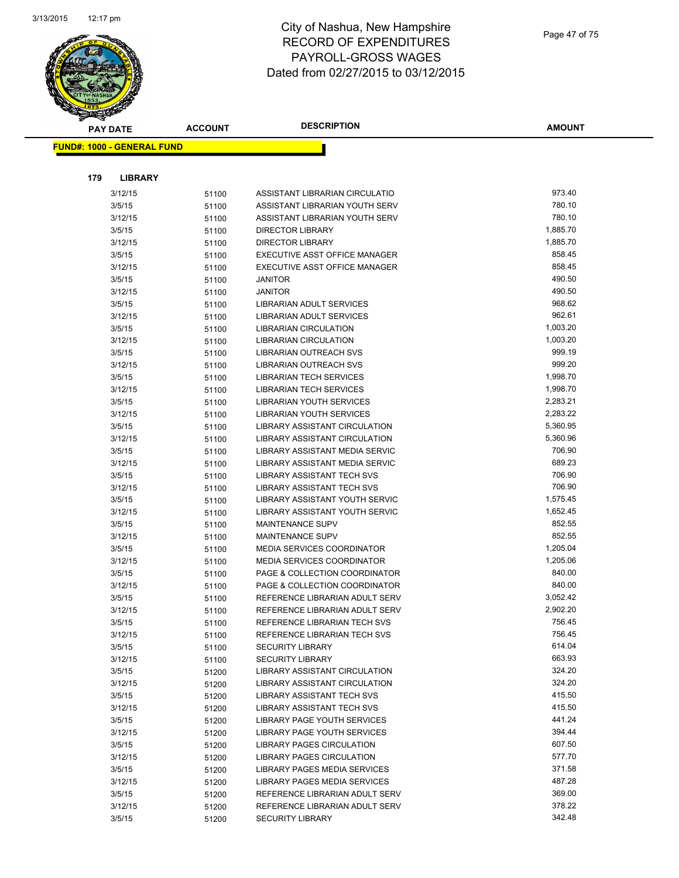

| <b>PAY DATE</b>                   | <b>ACCOUNT</b> | <b>DESCRIPTION</b>                                             | <b>AMOUNT</b>        |
|-----------------------------------|----------------|----------------------------------------------------------------|----------------------|
| <b>FUND#: 1000 - GENERAL FUND</b> |                |                                                                |                      |
|                                   |                |                                                                |                      |
|                                   |                |                                                                |                      |
| 179<br><b>LIBRARY</b>             |                |                                                                |                      |
| 3/12/15                           | 51100          | ASSISTANT LIBRARIAN CIRCULATIO                                 | 973.40               |
| 3/5/15                            | 51100          | ASSISTANT LIBRARIAN YOUTH SERV                                 | 780.10               |
| 3/12/15                           | 51100          | ASSISTANT LIBRARIAN YOUTH SERV                                 | 780.10               |
| 3/5/15                            | 51100          | <b>DIRECTOR LIBRARY</b>                                        | 1,885.70             |
| 3/12/15                           | 51100          | <b>DIRECTOR LIBRARY</b>                                        | 1,885.70             |
| 3/5/15                            | 51100          | EXECUTIVE ASST OFFICE MANAGER                                  | 858.45               |
| 3/12/15                           | 51100          | EXECUTIVE ASST OFFICE MANAGER                                  | 858.45               |
| 3/5/15                            | 51100          | JANITOR                                                        | 490.50               |
| 3/12/15                           | 51100          | JANITOR                                                        | 490.50               |
| 3/5/15                            | 51100          | LIBRARIAN ADULT SERVICES                                       | 968.62               |
| 3/12/15                           | 51100          | LIBRARIAN ADULT SERVICES                                       | 962.61               |
| 3/5/15                            | 51100          | LIBRARIAN CIRCULATION                                          | 1,003.20             |
| 3/12/15                           | 51100          | <b>LIBRARIAN CIRCULATION</b>                                   | 1,003.20             |
| 3/5/15                            | 51100          | <b>LIBRARIAN OUTREACH SVS</b>                                  | 999.19               |
| 3/12/15                           | 51100          | LIBRARIAN OUTREACH SVS                                         | 999.20               |
| 3/5/15                            | 51100          | LIBRARIAN TECH SERVICES                                        | 1,998.70             |
| 3/12/15                           | 51100          | <b>LIBRARIAN TECH SERVICES</b>                                 | 1,998.70             |
| 3/5/15                            | 51100          | LIBRARIAN YOUTH SERVICES                                       | 2,283.21             |
| 3/12/15                           | 51100          | <b>LIBRARIAN YOUTH SERVICES</b>                                | 2,283.22             |
| 3/5/15                            | 51100          | LIBRARY ASSISTANT CIRCULATION                                  | 5,360.95             |
| 3/12/15                           | 51100          | <b>LIBRARY ASSISTANT CIRCULATION</b>                           | 5,360.96             |
| 3/5/15                            | 51100          | LIBRARY ASSISTANT MEDIA SERVIC                                 | 706.90               |
| 3/12/15                           | 51100          | LIBRARY ASSISTANT MEDIA SERVIC                                 | 689.23               |
| 3/5/15                            | 51100          | LIBRARY ASSISTANT TECH SVS                                     | 706.90               |
| 3/12/15                           | 51100          | LIBRARY ASSISTANT TECH SVS                                     | 706.90               |
| 3/5/15                            | 51100          | LIBRARY ASSISTANT YOUTH SERVIC                                 | 1,575.45             |
| 3/12/15                           | 51100          | LIBRARY ASSISTANT YOUTH SERVIC                                 | 1,652.45             |
| 3/5/15                            | 51100          | <b>MAINTENANCE SUPV</b>                                        | 852.55               |
| 3/12/15                           | 51100          | <b>MAINTENANCE SUPV</b>                                        | 852.55               |
| 3/5/15                            | 51100          | <b>MEDIA SERVICES COORDINATOR</b>                              | 1,205.04             |
| 3/12/15                           | 51100          | <b>MEDIA SERVICES COORDINATOR</b>                              | 1,205.06             |
| 3/5/15                            | 51100          | PAGE & COLLECTION COORDINATOR                                  | 840.00<br>840.00     |
| 3/12/15                           | 51100          | PAGE & COLLECTION COORDINATOR                                  |                      |
| 3/5/15                            | 51100          | REFERENCE LIBRARIAN ADULT SERV                                 | 3,052.42<br>2,902.20 |
| 3/12/15<br>3/5/15                 | 51100          | REFERENCE LIBRARIAN ADULT SERV<br>REFERENCE LIBRARIAN TECH SVS | 756.45               |
| 3/12/15                           | 51100          |                                                                | 756.45               |
| 3/5/15                            | 51100          | REFERENCE LIBRARIAN TECH SVS<br><b>SECURITY LIBRARY</b>        | 614.04               |
| 3/12/15                           | 51100          | <b>SECURITY LIBRARY</b>                                        | 663.93               |
| 3/5/15                            | 51100          | LIBRARY ASSISTANT CIRCULATION                                  | 324.20               |
| 3/12/15                           | 51200          | LIBRARY ASSISTANT CIRCULATION                                  | 324.20               |
| 3/5/15                            | 51200          | LIBRARY ASSISTANT TECH SVS                                     | 415.50               |
| 3/12/15                           | 51200<br>51200 | LIBRARY ASSISTANT TECH SVS                                     | 415.50               |
| 3/5/15                            | 51200          | LIBRARY PAGE YOUTH SERVICES                                    | 441.24               |
| 3/12/15                           | 51200          | LIBRARY PAGE YOUTH SERVICES                                    | 394.44               |
| 3/5/15                            | 51200          | <b>LIBRARY PAGES CIRCULATION</b>                               | 607.50               |
| 3/12/15                           | 51200          | LIBRARY PAGES CIRCULATION                                      | 577.70               |
| 3/5/15                            | 51200          | LIBRARY PAGES MEDIA SERVICES                                   | 371.58               |
| 3/12/15                           | 51200          | LIBRARY PAGES MEDIA SERVICES                                   | 487.28               |
| 3/5/15                            | 51200          | REFERENCE LIBRARIAN ADULT SERV                                 | 369.00               |
| 3/12/15                           | 51200          | REFERENCE LIBRARIAN ADULT SERV                                 | 378.22               |
| 3/5/15                            | 51200          | <b>SECURITY LIBRARY</b>                                        | 342.48               |
|                                   |                |                                                                |                      |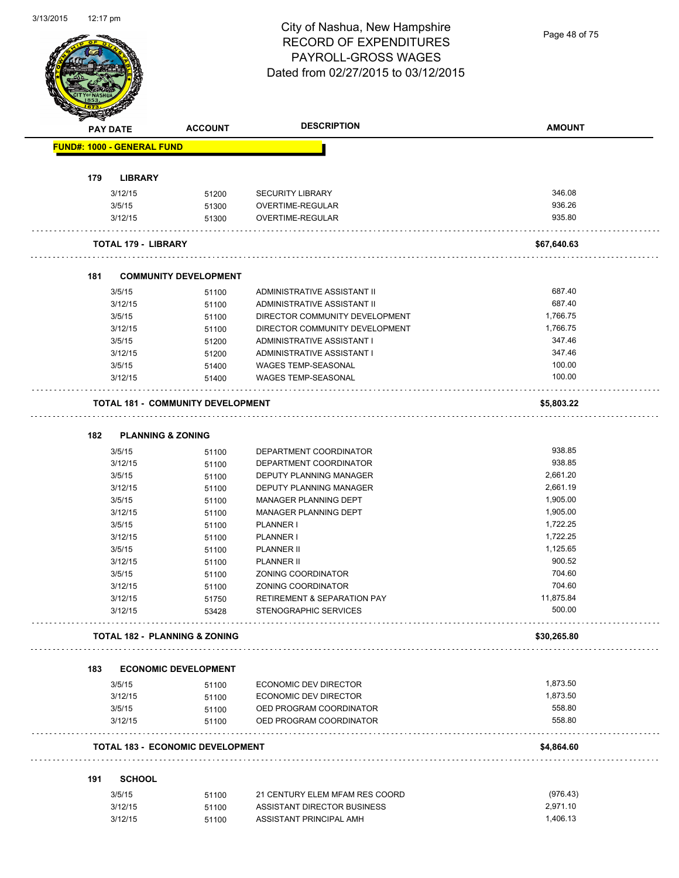|     | <b>PAY DATE</b>                   | <b>ACCOUNT</b>                           | <b>DESCRIPTION</b>                     | <b>AMOUNT</b> |
|-----|-----------------------------------|------------------------------------------|----------------------------------------|---------------|
|     | <b>FUND#: 1000 - GENERAL FUND</b> |                                          |                                        |               |
| 179 | <b>LIBRARY</b>                    |                                          |                                        |               |
|     | 3/12/15                           | 51200                                    | <b>SECURITY LIBRARY</b>                | 346.08        |
|     | 3/5/15                            | 51300                                    | OVERTIME-REGULAR                       | 936.26        |
|     | 3/12/15                           | 51300                                    | OVERTIME-REGULAR                       | 935.80        |
|     | <b>TOTAL 179 - LIBRARY</b>        |                                          |                                        | \$67,640.63   |
| 181 |                                   | <b>COMMUNITY DEVELOPMENT</b>             |                                        |               |
|     | 3/5/15                            | 51100                                    | ADMINISTRATIVE ASSISTANT II            | 687.40        |
|     | 3/12/15                           | 51100                                    | ADMINISTRATIVE ASSISTANT II            | 687.40        |
|     | 3/5/15                            | 51100                                    | DIRECTOR COMMUNITY DEVELOPMENT         | 1,766.75      |
|     | 3/12/15                           | 51100                                    | DIRECTOR COMMUNITY DEVELOPMENT         | 1,766.75      |
|     | 3/5/15                            | 51200                                    | ADMINISTRATIVE ASSISTANT I             | 347.46        |
|     | 3/12/15                           | 51200                                    | ADMINISTRATIVE ASSISTANT I             | 347.46        |
|     | 3/5/15                            | 51400                                    | <b>WAGES TEMP-SEASONAL</b>             | 100.00        |
|     | 3/12/15                           | 51400                                    | <b>WAGES TEMP-SEASONAL</b>             | 100.00        |
|     |                                   | <b>TOTAL 181 - COMMUNITY DEVELOPMENT</b> |                                        | \$5,803.22    |
| 182 | <b>PLANNING &amp; ZONING</b>      |                                          |                                        |               |
|     | 3/5/15                            | 51100                                    | DEPARTMENT COORDINATOR                 | 938.85        |
|     | 3/12/15                           | 51100                                    | DEPARTMENT COORDINATOR                 | 938.85        |
|     | 3/5/15                            | 51100                                    | DEPUTY PLANNING MANAGER                | 2,661.20      |
|     | 3/12/15                           | 51100                                    | DEPUTY PLANNING MANAGER                | 2,661.19      |
|     | 3/5/15                            | 51100                                    | MANAGER PLANNING DEPT                  | 1,905.00      |
|     | 3/12/15                           | 51100                                    | MANAGER PLANNING DEPT                  | 1,905.00      |
|     | 3/5/15                            | 51100                                    | <b>PLANNER I</b>                       | 1,722.25      |
|     | 3/12/15                           | 51100                                    | PLANNER I                              | 1,722.25      |
|     | 3/5/15                            | 51100                                    | <b>PLANNER II</b>                      | 1,125.65      |
|     | 3/12/15                           | 51100                                    | <b>PLANNER II</b>                      | 900.52        |
|     | 3/5/15                            | 51100                                    | <b>ZONING COORDINATOR</b>              | 704.60        |
|     | 3/12/15                           | 51100                                    | ZONING COORDINATOR                     | 704.60        |
|     | 3/12/15                           | 51750                                    | <b>RETIREMENT &amp; SEPARATION PAY</b> | 11,875.84     |
|     | 3/12/15                           | 53428                                    | STENOGRAPHIC SERVICES                  | 500.00        |
|     |                                   | <b>TOTAL 182 - PLANNING &amp; ZONING</b> |                                        | \$30,265.80   |
| 183 |                                   | <b>ECONOMIC DEVELOPMENT</b>              |                                        |               |
|     | 3/5/15                            | 51100                                    | ECONOMIC DEV DIRECTOR                  | 1,873.50      |
|     | 3/12/15                           | 51100                                    | ECONOMIC DEV DIRECTOR                  | 1,873.50      |
|     | 3/5/15                            | 51100                                    | OED PROGRAM COORDINATOR                | 558.80        |
|     | 3/12/15                           | 51100                                    | OED PROGRAM COORDINATOR                | 558.80        |
|     |                                   | <b>TOTAL 183 - ECONOMIC DEVELOPMENT</b>  |                                        | \$4,864.60    |
| 191 | <b>SCHOOL</b>                     |                                          |                                        |               |
|     | 3/5/15                            | 51100                                    | 21 CENTURY ELEM MFAM RES COORD         | (976.43)      |
|     | 3/12/15                           |                                          | ASSISTANT DIRECTOR BUSINESS            | 2,971.10      |
|     |                                   | 51100                                    |                                        |               |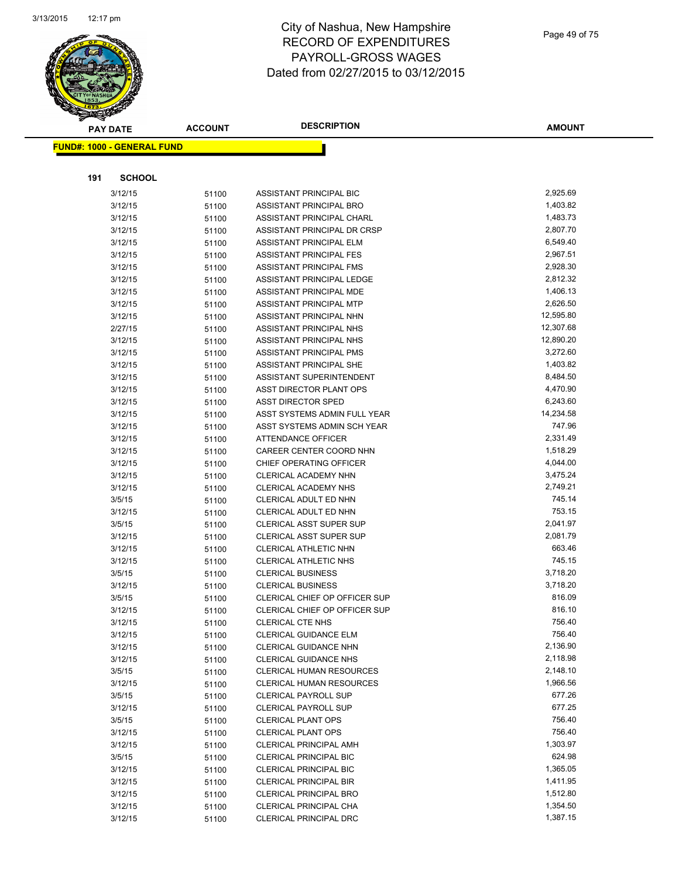

|     | <b>PAY DATE</b>                   | <b>ACCOUNT</b> | <b>DESCRIPTION</b>                                        | <b>AMOUNT</b>        |
|-----|-----------------------------------|----------------|-----------------------------------------------------------|----------------------|
|     | <b>FUND#: 1000 - GENERAL FUND</b> |                |                                                           |                      |
|     |                                   |                |                                                           |                      |
|     |                                   |                |                                                           |                      |
| 191 | <b>SCHOOL</b>                     |                |                                                           |                      |
|     | 3/12/15                           | 51100          | ASSISTANT PRINCIPAL BIC                                   | 2,925.69             |
|     | 3/12/15                           | 51100          | ASSISTANT PRINCIPAL BRO                                   | 1,403.82             |
|     | 3/12/15                           | 51100          | ASSISTANT PRINCIPAL CHARL                                 | 1,483.73             |
|     | 3/12/15                           | 51100          | ASSISTANT PRINCIPAL DR CRSP                               | 2,807.70             |
|     | 3/12/15                           | 51100          | ASSISTANT PRINCIPAL ELM                                   | 6,549.40             |
|     | 3/12/15                           | 51100          | ASSISTANT PRINCIPAL FES                                   | 2,967.51             |
|     | 3/12/15                           | 51100          | ASSISTANT PRINCIPAL FMS                                   | 2,928.30             |
|     | 3/12/15                           | 51100          | ASSISTANT PRINCIPAL LEDGE                                 | 2,812.32             |
|     | 3/12/15                           | 51100          | ASSISTANT PRINCIPAL MDE                                   | 1,406.13             |
|     | 3/12/15                           | 51100          | ASSISTANT PRINCIPAL MTP                                   | 2,626.50             |
|     | 3/12/15                           | 51100          | ASSISTANT PRINCIPAL NHN                                   | 12,595.80            |
|     | 2/27/15                           | 51100          | ASSISTANT PRINCIPAL NHS                                   | 12,307.68            |
|     | 3/12/15                           | 51100          | ASSISTANT PRINCIPAL NHS                                   | 12,890.20            |
|     | 3/12/15                           | 51100          | ASSISTANT PRINCIPAL PMS                                   | 3,272.60             |
|     | 3/12/15                           | 51100          | ASSISTANT PRINCIPAL SHE                                   | 1,403.82             |
|     | 3/12/15                           | 51100          | <b>ASSISTANT SUPERINTENDENT</b>                           | 8,484.50             |
|     | 3/12/15                           | 51100          | ASST DIRECTOR PLANT OPS                                   | 4,470.90             |
|     | 3/12/15                           | 51100          | <b>ASST DIRECTOR SPED</b>                                 | 6,243.60             |
|     | 3/12/15                           | 51100          | ASST SYSTEMS ADMIN FULL YEAR                              | 14,234.58            |
|     | 3/12/15                           | 51100          | ASST SYSTEMS ADMIN SCH YEAR                               | 747.96               |
|     | 3/12/15                           | 51100          | ATTENDANCE OFFICER                                        | 2,331.49             |
|     | 3/12/15                           | 51100          | CAREER CENTER COORD NHN                                   | 1,518.29             |
|     | 3/12/15                           | 51100          | CHIEF OPERATING OFFICER                                   | 4,044.00             |
|     | 3/12/15                           | 51100          | CLERICAL ACADEMY NHN                                      | 3,475.24             |
|     | 3/12/15                           | 51100          | CLERICAL ACADEMY NHS                                      | 2,749.21<br>745.14   |
|     | 3/5/15                            | 51100          | CLERICAL ADULT ED NHN                                     |                      |
|     | 3/12/15                           | 51100          | CLERICAL ADULT ED NHN                                     | 753.15               |
|     | 3/5/15                            | 51100          | <b>CLERICAL ASST SUPER SUP</b>                            | 2,041.97<br>2,081.79 |
|     | 3/12/15                           | 51100          | CLERICAL ASST SUPER SUP                                   | 663.46               |
|     | 3/12/15                           | 51100          | CLERICAL ATHLETIC NHN                                     | 745.15               |
|     | 3/12/15                           | 51100          | <b>CLERICAL ATHLETIC NHS</b>                              | 3,718.20             |
|     | 3/5/15<br>3/12/15                 | 51100          | <b>CLERICAL BUSINESS</b>                                  | 3,718.20             |
|     | 3/5/15                            | 51100          | <b>CLERICAL BUSINESS</b><br>CLERICAL CHIEF OP OFFICER SUP | 816.09               |
|     | 3/12/15                           | 51100          | CLERICAL CHIEF OP OFFICER SUP                             | 816.10               |
|     | 3/12/15                           | 51100          | CLERICAL CTE NHS                                          | 756.40               |
|     |                                   | 51100          | CLERICAL GUIDANCE ELM                                     | 756.40               |
|     | 3/12/15<br>3/12/15                | 51100          | <b>CLERICAL GUIDANCE NHN</b>                              | 2,136.90             |
|     | 3/12/15                           | 51100          | <b>CLERICAL GUIDANCE NHS</b>                              | 2,118.98             |
|     | 3/5/15                            | 51100          | <b>CLERICAL HUMAN RESOURCES</b>                           | 2,148.10             |
|     | 3/12/15                           | 51100<br>51100 | <b>CLERICAL HUMAN RESOURCES</b>                           | 1,966.56             |
|     | 3/5/15                            | 51100          | <b>CLERICAL PAYROLL SUP</b>                               | 677.26               |
|     | 3/12/15                           | 51100          | <b>CLERICAL PAYROLL SUP</b>                               | 677.25               |
|     | 3/5/15                            | 51100          | <b>CLERICAL PLANT OPS</b>                                 | 756.40               |
|     | 3/12/15                           | 51100          | <b>CLERICAL PLANT OPS</b>                                 | 756.40               |
|     | 3/12/15                           | 51100          | <b>CLERICAL PRINCIPAL AMH</b>                             | 1,303.97             |
|     | 3/5/15                            | 51100          | <b>CLERICAL PRINCIPAL BIC</b>                             | 624.98               |
|     | 3/12/15                           | 51100          | <b>CLERICAL PRINCIPAL BIC</b>                             | 1,365.05             |
|     | 3/12/15                           | 51100          | <b>CLERICAL PRINCIPAL BIR</b>                             | 1,411.95             |
|     | 3/12/15                           | 51100          | <b>CLERICAL PRINCIPAL BRO</b>                             | 1,512.80             |
|     | 3/12/15                           | 51100          | CLERICAL PRINCIPAL CHA                                    | 1,354.50             |
|     | 3/12/15                           | 51100          | <b>CLERICAL PRINCIPAL DRC</b>                             | 1,387.15             |
|     |                                   |                |                                                           |                      |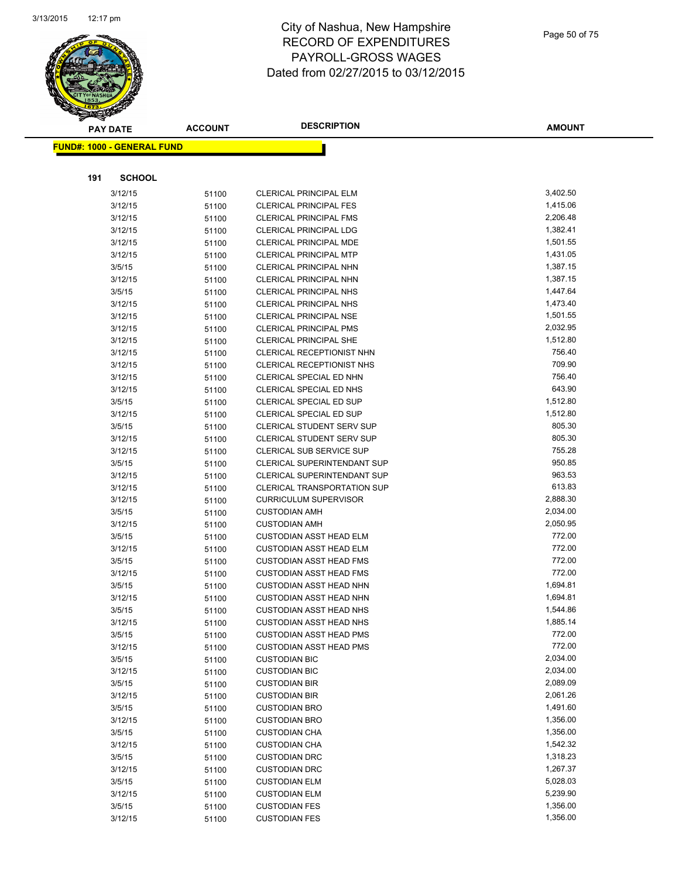

|     | <b>PAY DATE</b>                    | <b>ACCOUNT</b> | <b>DESCRIPTION</b>                                             | AMOUNT               |
|-----|------------------------------------|----------------|----------------------------------------------------------------|----------------------|
|     | <u> FUND#: 1000 - GENERAL FUND</u> |                |                                                                |                      |
|     |                                    |                |                                                                |                      |
|     |                                    |                |                                                                |                      |
| 191 | <b>SCHOOL</b>                      |                |                                                                |                      |
|     | 3/12/15                            | 51100          | <b>CLERICAL PRINCIPAL ELM</b>                                  | 3,402.50             |
|     | 3/12/15                            | 51100          | <b>CLERICAL PRINCIPAL FES</b>                                  | 1,415.06             |
|     | 3/12/15                            | 51100          | <b>CLERICAL PRINCIPAL FMS</b>                                  | 2,206.48             |
|     | 3/12/15                            | 51100          | <b>CLERICAL PRINCIPAL LDG</b>                                  | 1,382.41             |
|     | 3/12/15                            | 51100          | CLERICAL PRINCIPAL MDE                                         | 1,501.55             |
|     | 3/12/15                            | 51100          | <b>CLERICAL PRINCIPAL MTP</b>                                  | 1,431.05             |
|     | 3/5/15                             | 51100          | CLERICAL PRINCIPAL NHN                                         | 1,387.15             |
|     | 3/12/15                            | 51100          | <b>CLERICAL PRINCIPAL NHN</b>                                  | 1,387.15             |
|     | 3/5/15                             | 51100          | <b>CLERICAL PRINCIPAL NHS</b>                                  | 1,447.64             |
|     | 3/12/15                            | 51100          | <b>CLERICAL PRINCIPAL NHS</b>                                  | 1,473.40             |
|     | 3/12/15                            | 51100          | <b>CLERICAL PRINCIPAL NSE</b>                                  | 1,501.55<br>2,032.95 |
|     | 3/12/15                            | 51100          | <b>CLERICAL PRINCIPAL PMS</b><br><b>CLERICAL PRINCIPAL SHE</b> | 1,512.80             |
|     | 3/12/15                            | 51100          | <b>CLERICAL RECEPTIONIST NHN</b>                               | 756.40               |
|     | 3/12/15<br>3/12/15                 | 51100          | <b>CLERICAL RECEPTIONIST NHS</b>                               | 709.90               |
|     | 3/12/15                            | 51100          |                                                                | 756.40               |
|     | 3/12/15                            | 51100          | CLERICAL SPECIAL ED NHN<br>CLERICAL SPECIAL ED NHS             | 643.90               |
|     | 3/5/15                             | 51100          | CLERICAL SPECIAL ED SUP                                        | 1,512.80             |
|     | 3/12/15                            | 51100          | CLERICAL SPECIAL ED SUP                                        | 1,512.80             |
|     | 3/5/15                             | 51100<br>51100 | <b>CLERICAL STUDENT SERV SUP</b>                               | 805.30               |
|     | 3/12/15                            | 51100          | <b>CLERICAL STUDENT SERV SUP</b>                               | 805.30               |
|     | 3/12/15                            | 51100          | CLERICAL SUB SERVICE SUP                                       | 755.28               |
|     | 3/5/15                             | 51100          | CLERICAL SUPERINTENDANT SUP                                    | 950.85               |
|     | 3/12/15                            | 51100          | <b>CLERICAL SUPERINTENDANT SUP</b>                             | 963.53               |
|     | 3/12/15                            | 51100          | <b>CLERICAL TRANSPORTATION SUP</b>                             | 613.83               |
|     | 3/12/15                            | 51100          | <b>CURRICULUM SUPERVISOR</b>                                   | 2,888.30             |
|     | 3/5/15                             | 51100          | <b>CUSTODIAN AMH</b>                                           | 2,034.00             |
|     | 3/12/15                            | 51100          | <b>CUSTODIAN AMH</b>                                           | 2,050.95             |
|     | 3/5/15                             | 51100          | <b>CUSTODIAN ASST HEAD ELM</b>                                 | 772.00               |
|     | 3/12/15                            | 51100          | <b>CUSTODIAN ASST HEAD ELM</b>                                 | 772.00               |
|     | 3/5/15                             | 51100          | <b>CUSTODIAN ASST HEAD FMS</b>                                 | 772.00               |
|     | 3/12/15                            | 51100          | <b>CUSTODIAN ASST HEAD FMS</b>                                 | 772.00               |
|     | 3/5/15                             | 51100          | <b>CUSTODIAN ASST HEAD NHN</b>                                 | 1,694.81             |
|     | 3/12/15                            | 51100          | <b>CUSTODIAN ASST HEAD NHN</b>                                 | 1,694.81             |
|     | 3/5/15                             | 51100          | <b>CUSTODIAN ASST HEAD NHS</b>                                 | 1,544.86             |
|     | 3/12/15                            | 51100          | <b>CUSTODIAN ASST HEAD NHS</b>                                 | 1,885.14             |
|     | 3/5/15                             | 51100          | <b>CUSTODIAN ASST HEAD PMS</b>                                 | 772.00               |
|     | 3/12/15                            | 51100          | <b>CUSTODIAN ASST HEAD PMS</b>                                 | 772.00               |
|     | 3/5/15                             | 51100          | <b>CUSTODIAN BIC</b>                                           | 2,034.00             |
|     | 3/12/15                            | 51100          | <b>CUSTODIAN BIC</b>                                           | 2,034.00             |
|     | 3/5/15                             | 51100          | <b>CUSTODIAN BIR</b>                                           | 2,089.09             |
|     | 3/12/15                            | 51100          | <b>CUSTODIAN BIR</b>                                           | 2,061.26             |
|     | 3/5/15                             | 51100          | <b>CUSTODIAN BRO</b>                                           | 1,491.60             |
|     | 3/12/15                            | 51100          | <b>CUSTODIAN BRO</b>                                           | 1,356.00             |
|     | 3/5/15                             | 51100          | <b>CUSTODIAN CHA</b>                                           | 1,356.00             |
|     | 3/12/15                            | 51100          | <b>CUSTODIAN CHA</b>                                           | 1,542.32             |
|     | 3/5/15                             | 51100          | <b>CUSTODIAN DRC</b>                                           | 1,318.23             |
|     | 3/12/15                            | 51100          | <b>CUSTODIAN DRC</b>                                           | 1,267.37             |
|     | 3/5/15                             | 51100          | <b>CUSTODIAN ELM</b>                                           | 5,028.03             |
|     | 3/12/15                            | 51100          | <b>CUSTODIAN ELM</b>                                           | 5,239.90             |
|     | 3/5/15                             | 51100          | <b>CUSTODIAN FES</b>                                           | 1,356.00             |
|     | 3/12/15                            | 51100          | <b>CUSTODIAN FES</b>                                           | 1,356.00             |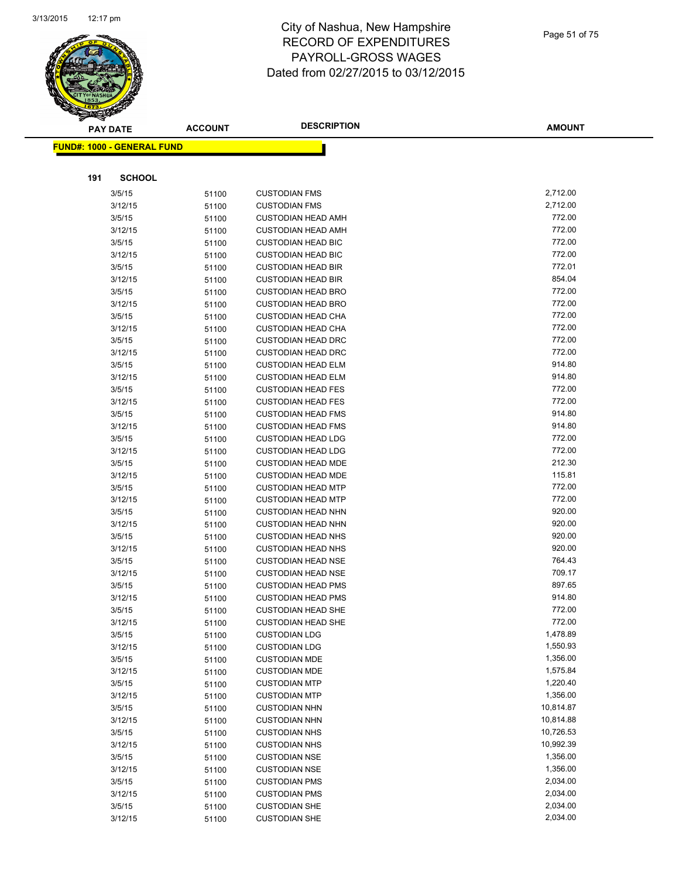

|     | <b>PAY DATE</b>                   | <b>ACCOUNT</b> | <b>DESCRIPTION</b>                                     | <b>AMOUNT</b>    |
|-----|-----------------------------------|----------------|--------------------------------------------------------|------------------|
|     | <b>FUND#: 1000 - GENERAL FUND</b> |                |                                                        |                  |
|     |                                   |                |                                                        |                  |
|     |                                   |                |                                                        |                  |
| 191 | <b>SCHOOL</b>                     |                |                                                        |                  |
|     | 3/5/15                            | 51100          | <b>CUSTODIAN FMS</b>                                   | 2,712.00         |
|     | 3/12/15                           | 51100          | <b>CUSTODIAN FMS</b>                                   | 2,712.00         |
|     | 3/5/15                            | 51100          | <b>CUSTODIAN HEAD AMH</b>                              | 772.00           |
|     | 3/12/15                           | 51100          | <b>CUSTODIAN HEAD AMH</b>                              | 772.00           |
|     | 3/5/15                            | 51100          | <b>CUSTODIAN HEAD BIC</b>                              | 772.00           |
|     | 3/12/15                           | 51100          | <b>CUSTODIAN HEAD BIC</b>                              | 772.00           |
|     | 3/5/15                            | 51100          | <b>CUSTODIAN HEAD BIR</b>                              | 772.01           |
|     | 3/12/15                           | 51100          | <b>CUSTODIAN HEAD BIR</b>                              | 854.04           |
|     | 3/5/15                            | 51100          | <b>CUSTODIAN HEAD BRO</b>                              | 772.00           |
|     | 3/12/15                           | 51100          | <b>CUSTODIAN HEAD BRO</b>                              | 772.00           |
|     | 3/5/15                            | 51100          | <b>CUSTODIAN HEAD CHA</b>                              | 772.00           |
|     | 3/12/15                           | 51100          | <b>CUSTODIAN HEAD CHA</b>                              | 772.00           |
|     | 3/5/15                            | 51100          | <b>CUSTODIAN HEAD DRC</b>                              | 772.00           |
|     | 3/12/15                           | 51100          | <b>CUSTODIAN HEAD DRC</b>                              | 772.00           |
|     | 3/5/15                            | 51100          | <b>CUSTODIAN HEAD ELM</b>                              | 914.80           |
|     | 3/12/15                           | 51100          | <b>CUSTODIAN HEAD ELM</b>                              | 914.80<br>772.00 |
|     | 3/5/15                            | 51100          | <b>CUSTODIAN HEAD FES</b>                              | 772.00           |
|     | 3/12/15                           | 51100          | <b>CUSTODIAN HEAD FES</b>                              | 914.80           |
|     | 3/5/15                            | 51100          | <b>CUSTODIAN HEAD FMS</b>                              | 914.80           |
|     | 3/12/15<br>3/5/15                 | 51100          | <b>CUSTODIAN HEAD FMS</b><br><b>CUSTODIAN HEAD LDG</b> | 772.00           |
|     |                                   | 51100          |                                                        | 772.00           |
|     | 3/12/15<br>3/5/15                 | 51100          | <b>CUSTODIAN HEAD LDG</b><br><b>CUSTODIAN HEAD MDE</b> | 212.30           |
|     | 3/12/15                           | 51100          | <b>CUSTODIAN HEAD MDE</b>                              | 115.81           |
|     | 3/5/15                            | 51100<br>51100 | <b>CUSTODIAN HEAD MTP</b>                              | 772.00           |
|     | 3/12/15                           | 51100          | <b>CUSTODIAN HEAD MTP</b>                              | 772.00           |
|     | 3/5/15                            | 51100          | <b>CUSTODIAN HEAD NHN</b>                              | 920.00           |
|     | 3/12/15                           | 51100          | <b>CUSTODIAN HEAD NHN</b>                              | 920.00           |
|     | 3/5/15                            | 51100          | <b>CUSTODIAN HEAD NHS</b>                              | 920.00           |
|     | 3/12/15                           | 51100          | <b>CUSTODIAN HEAD NHS</b>                              | 920.00           |
|     | 3/5/15                            | 51100          | <b>CUSTODIAN HEAD NSE</b>                              | 764.43           |
|     | 3/12/15                           | 51100          | <b>CUSTODIAN HEAD NSE</b>                              | 709.17           |
|     | 3/5/15                            | 51100          | <b>CUSTODIAN HEAD PMS</b>                              | 897.65           |
|     | 3/12/15                           | 51100          | <b>CUSTODIAN HEAD PMS</b>                              | 914.80           |
|     | 3/5/15                            | 51100          | <b>CUSTODIAN HEAD SHE</b>                              | 772.00           |
|     | 3/12/15                           | 51100          | <b>CUSTODIAN HEAD SHE</b>                              | 772.00           |
|     | 3/5/15                            | 51100          | <b>CUSTODIAN LDG</b>                                   | 1,478.89         |
|     | 3/12/15                           | 51100          | <b>CUSTODIAN LDG</b>                                   | 1,550.93         |
|     | 3/5/15                            | 51100          | <b>CUSTODIAN MDE</b>                                   | 1,356.00         |
|     | 3/12/15                           | 51100          | <b>CUSTODIAN MDE</b>                                   | 1,575.84         |
|     | 3/5/15                            | 51100          | <b>CUSTODIAN MTP</b>                                   | 1,220.40         |
|     | 3/12/15                           | 51100          | <b>CUSTODIAN MTP</b>                                   | 1,356.00         |
|     | 3/5/15                            | 51100          | <b>CUSTODIAN NHN</b>                                   | 10,814.87        |
|     | 3/12/15                           | 51100          | <b>CUSTODIAN NHN</b>                                   | 10,814.88        |
|     | 3/5/15                            | 51100          | <b>CUSTODIAN NHS</b>                                   | 10,726.53        |
|     | 3/12/15                           | 51100          | <b>CUSTODIAN NHS</b>                                   | 10,992.39        |
|     | 3/5/15                            | 51100          | <b>CUSTODIAN NSE</b>                                   | 1,356.00         |
|     | 3/12/15                           | 51100          | <b>CUSTODIAN NSE</b>                                   | 1,356.00         |
|     | 3/5/15                            | 51100          | <b>CUSTODIAN PMS</b>                                   | 2,034.00         |
|     | 3/12/15                           | 51100          | <b>CUSTODIAN PMS</b>                                   | 2,034.00         |
|     | 3/5/15                            | 51100          | <b>CUSTODIAN SHE</b>                                   | 2,034.00         |
|     | 3/12/15                           | 51100          | <b>CUSTODIAN SHE</b>                                   | 2,034.00         |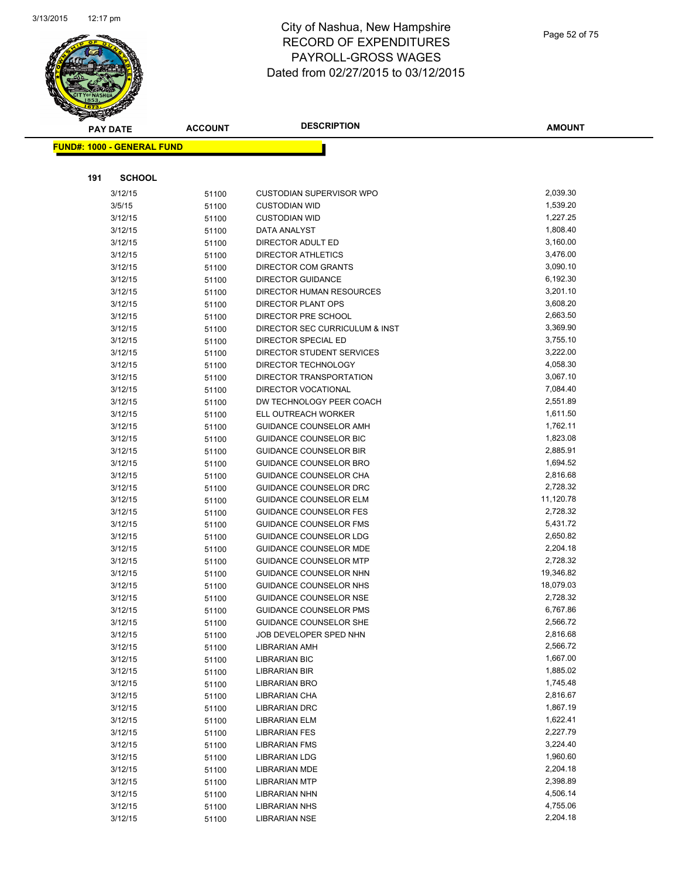

| <b>PAY DATE</b>                   | <b>ACCOUNT</b> | <b>DESCRIPTION</b>                               | <b>AMOUNT</b>        |
|-----------------------------------|----------------|--------------------------------------------------|----------------------|
| <b>FUND#: 1000 - GENERAL FUND</b> |                |                                                  |                      |
|                                   |                |                                                  |                      |
|                                   |                |                                                  |                      |
| 191<br><b>SCHOOL</b>              |                |                                                  |                      |
| 3/12/15                           | 51100          | <b>CUSTODIAN SUPERVISOR WPO</b>                  | 2,039.30             |
| 3/5/15                            | 51100          | <b>CUSTODIAN WID</b>                             | 1,539.20             |
| 3/12/15                           | 51100          | <b>CUSTODIAN WID</b>                             | 1,227.25             |
| 3/12/15                           | 51100          | DATA ANALYST                                     | 1,808.40             |
| 3/12/15                           | 51100          | DIRECTOR ADULT ED                                | 3,160.00             |
| 3/12/15                           | 51100          | DIRECTOR ATHLETICS                               | 3,476.00             |
| 3/12/15                           | 51100          | <b>DIRECTOR COM GRANTS</b>                       | 3,090.10             |
| 3/12/15                           | 51100          | <b>DIRECTOR GUIDANCE</b>                         | 6,192.30             |
| 3/12/15                           | 51100          | DIRECTOR HUMAN RESOURCES                         | 3,201.10             |
| 3/12/15                           | 51100          | <b>DIRECTOR PLANT OPS</b>                        | 3,608.20             |
| 3/12/15                           | 51100          | DIRECTOR PRE SCHOOL                              | 2,663.50             |
| 3/12/15                           | 51100          | DIRECTOR SEC CURRICULUM & INST                   | 3,369.90             |
| 3/12/15                           | 51100          | DIRECTOR SPECIAL ED                              | 3,755.10             |
| 3/12/15                           | 51100          | DIRECTOR STUDENT SERVICES                        | 3,222.00             |
| 3/12/15                           | 51100          | DIRECTOR TECHNOLOGY                              | 4,058.30             |
| 3/12/15                           | 51100          | DIRECTOR TRANSPORTATION                          | 3,067.10             |
| 3/12/15                           | 51100          | DIRECTOR VOCATIONAL                              | 7,084.40             |
| 3/12/15                           | 51100          | DW TECHNOLOGY PEER COACH                         | 2,551.89             |
| 3/12/15                           | 51100          | ELL OUTREACH WORKER                              | 1,611.50             |
| 3/12/15                           | 51100          | <b>GUIDANCE COUNSELOR AMH</b>                    | 1,762.11             |
| 3/12/15                           | 51100          | <b>GUIDANCE COUNSELOR BIC</b>                    | 1,823.08             |
| 3/12/15                           | 51100          | <b>GUIDANCE COUNSELOR BIR</b>                    | 2,885.91             |
| 3/12/15                           | 51100          | GUIDANCE COUNSELOR BRO                           | 1,694.52             |
| 3/12/15                           | 51100          | GUIDANCE COUNSELOR CHA                           | 2,816.68             |
| 3/12/15                           | 51100          | GUIDANCE COUNSELOR DRC                           | 2,728.32             |
| 3/12/15                           | 51100          | <b>GUIDANCE COUNSELOR ELM</b>                    | 11,120.78            |
| 3/12/15                           | 51100          | GUIDANCE COUNSELOR FES                           | 2,728.32             |
| 3/12/15                           | 51100          | <b>GUIDANCE COUNSELOR FMS</b>                    | 5,431.72             |
| 3/12/15                           | 51100          | GUIDANCE COUNSELOR LDG                           | 2,650.82             |
| 3/12/15                           | 51100          | <b>GUIDANCE COUNSELOR MDE</b>                    | 2,204.18             |
| 3/12/15                           | 51100          | <b>GUIDANCE COUNSELOR MTP</b>                    | 2,728.32             |
| 3/12/15                           | 51100          | GUIDANCE COUNSELOR NHN                           | 19,346.82            |
| 3/12/15                           | 51100          | GUIDANCE COUNSELOR NHS                           | 18,079.03            |
| 3/12/15                           | 51100          | GUIDANCE COUNSELOR NSE                           | 2,728.32<br>6,767.86 |
| 3/12/15                           | 51100          | <b>GUIDANCE COUNSELOR PMS</b>                    | 2,566.72             |
| 3/12/15                           | 51100          | GUIDANCE COUNSELOR SHE<br>JOB DEVELOPER SPED NHN | 2,816.68             |
| 3/12/15                           | 51100          | <b>LIBRARIAN AMH</b>                             | 2,566.72             |
| 3/12/15                           | 51100          |                                                  | 1,667.00             |
| 3/12/15                           | 51100          | <b>LIBRARIAN BIC</b>                             | 1,885.02             |
| 3/12/15<br>3/12/15                | 51100          | LIBRARIAN BIR<br><b>LIBRARIAN BRO</b>            | 1,745.48             |
| 3/12/15                           | 51100          | LIBRARIAN CHA                                    | 2,816.67             |
| 3/12/15                           | 51100          | <b>LIBRARIAN DRC</b>                             | 1,867.19             |
| 3/12/15                           | 51100<br>51100 | <b>LIBRARIAN ELM</b>                             | 1,622.41             |
| 3/12/15                           |                | <b>LIBRARIAN FES</b>                             | 2,227.79             |
| 3/12/15                           | 51100<br>51100 | <b>LIBRARIAN FMS</b>                             | 3,224.40             |
| 3/12/15                           | 51100          | <b>LIBRARIAN LDG</b>                             | 1,960.60             |
| 3/12/15                           |                | <b>LIBRARIAN MDE</b>                             | 2,204.18             |
| 3/12/15                           | 51100<br>51100 | <b>LIBRARIAN MTP</b>                             | 2,398.89             |
| 3/12/15                           | 51100          | <b>LIBRARIAN NHN</b>                             | 4,506.14             |
| 3/12/15                           | 51100          | LIBRARIAN NHS                                    | 4,755.06             |
| 3/12/15                           | 51100          | <b>LIBRARIAN NSE</b>                             | 2,204.18             |
|                                   |                |                                                  |                      |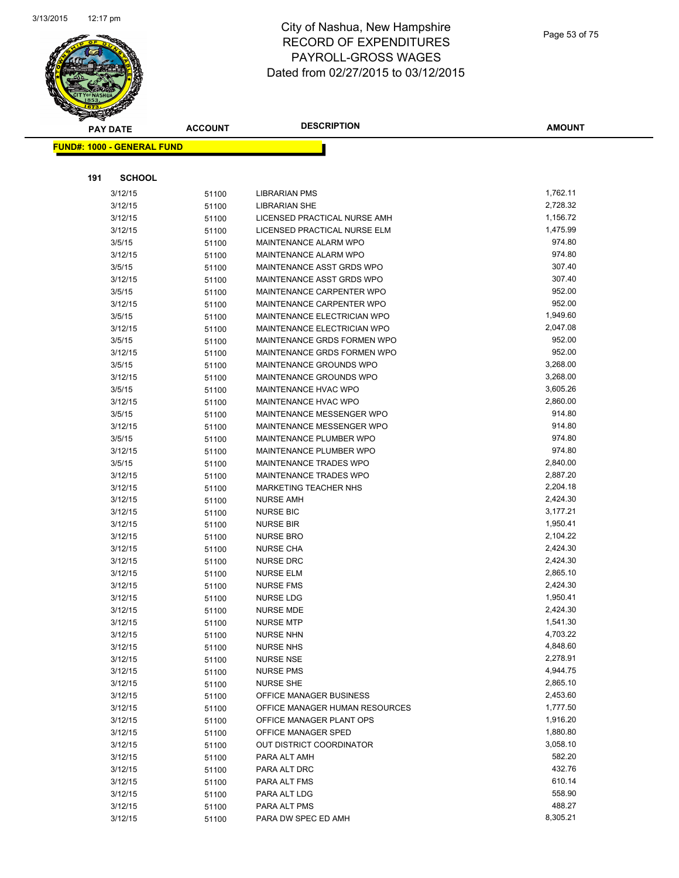

|     | <b>PAY DATE</b>                   | <b>ACCOUNT</b> | <b>DESCRIPTION</b>                                         | <b>AMOUNT</b>        |
|-----|-----------------------------------|----------------|------------------------------------------------------------|----------------------|
|     | <b>FUND#: 1000 - GENERAL FUND</b> |                |                                                            |                      |
|     |                                   |                |                                                            |                      |
|     |                                   |                |                                                            |                      |
| 191 | <b>SCHOOL</b>                     |                |                                                            |                      |
|     | 3/12/15                           | 51100          | LIBRARIAN PMS                                              | 1,762.11             |
|     | 3/12/15                           | 51100          | <b>LIBRARIAN SHE</b>                                       | 2,728.32             |
|     | 3/12/15                           | 51100          | LICENSED PRACTICAL NURSE AMH                               | 1,156.72             |
|     | 3/12/15                           | 51100          | LICENSED PRACTICAL NURSE ELM                               | 1,475.99             |
|     | 3/5/15                            | 51100          | MAINTENANCE ALARM WPO                                      | 974.80               |
|     | 3/12/15                           | 51100          | MAINTENANCE ALARM WPO                                      | 974.80               |
|     | 3/5/15                            | 51100          | MAINTENANCE ASST GRDS WPO                                  | 307.40               |
|     | 3/12/15                           | 51100          | MAINTENANCE ASST GRDS WPO                                  | 307.40               |
|     | 3/5/15                            | 51100          | MAINTENANCE CARPENTER WPO                                  | 952.00               |
|     | 3/12/15                           | 51100          | MAINTENANCE CARPENTER WPO                                  | 952.00               |
|     | 3/5/15                            | 51100          | MAINTENANCE ELECTRICIAN WPO                                | 1,949.60             |
|     | 3/12/15                           | 51100          | MAINTENANCE ELECTRICIAN WPO                                | 2,047.08             |
|     | 3/5/15                            | 51100          | MAINTENANCE GRDS FORMEN WPO                                | 952.00               |
|     | 3/12/15                           | 51100          | MAINTENANCE GRDS FORMEN WPO                                | 952.00               |
|     | 3/5/15                            | 51100          | MAINTENANCE GROUNDS WPO                                    | 3,268.00             |
|     | 3/12/15                           | 51100          | MAINTENANCE GROUNDS WPO                                    | 3,268.00             |
|     | 3/5/15                            | 51100          | MAINTENANCE HVAC WPO                                       | 3,605.26             |
|     | 3/12/15                           | 51100          | MAINTENANCE HVAC WPO                                       | 2,860.00             |
|     | 3/5/15                            | 51100          | MAINTENANCE MESSENGER WPO                                  | 914.80               |
|     | 3/12/15                           | 51100          | MAINTENANCE MESSENGER WPO                                  | 914.80               |
|     | 3/5/15                            | 51100          | MAINTENANCE PLUMBER WPO                                    | 974.80               |
|     | 3/12/15                           | 51100          | MAINTENANCE PLUMBER WPO                                    | 974.80               |
|     | 3/5/15                            | 51100          | MAINTENANCE TRADES WPO                                     | 2,840.00             |
|     | 3/12/15                           | 51100          | MAINTENANCE TRADES WPO                                     | 2,887.20             |
|     | 3/12/15                           | 51100          | <b>MARKETING TEACHER NHS</b>                               | 2,204.18             |
|     | 3/12/15                           | 51100          | <b>NURSE AMH</b>                                           | 2,424.30             |
|     | 3/12/15                           | 51100          | <b>NURSE BIC</b>                                           | 3,177.21             |
|     | 3/12/15                           | 51100          | <b>NURSE BIR</b>                                           | 1,950.41             |
|     | 3/12/15                           | 51100          | <b>NURSE BRO</b>                                           | 2,104.22             |
|     | 3/12/15                           | 51100          | <b>NURSE CHA</b>                                           | 2,424.30             |
|     | 3/12/15                           | 51100          | <b>NURSE DRC</b>                                           | 2,424.30             |
|     | 3/12/15                           | 51100          | <b>NURSE ELM</b>                                           | 2,865.10             |
|     | 3/12/15                           | 51100          | <b>NURSE FMS</b>                                           | 2,424.30             |
|     | 3/12/15                           | 51100          | NURSE LDG                                                  | 1,950.41             |
|     | 3/12/15                           | 51100          | <b>NURSE MDE</b>                                           | 2,424.30             |
|     | 3/12/15                           | 51100          | <b>NURSE MTP</b>                                           | 1,541.30             |
|     | 3/12/15                           | 51100          | <b>NURSE NHN</b>                                           | 4,703.22             |
|     | 3/12/15                           | 51100          | <b>NURSE NHS</b>                                           | 4,848.60             |
|     | 3/12/15                           | 51100          | <b>NURSE NSE</b>                                           | 2,278.91             |
|     | 3/12/15                           | 51100          | <b>NURSE PMS</b>                                           | 4,944.75             |
|     | 3/12/15                           | 51100          | <b>NURSE SHE</b>                                           | 2,865.10<br>2,453.60 |
|     | 3/12/15                           | 51100          | OFFICE MANAGER BUSINESS                                    |                      |
|     | 3/12/15                           | 51100          | OFFICE MANAGER HUMAN RESOURCES<br>OFFICE MANAGER PLANT OPS | 1,777.50             |
|     | 3/12/15                           | 51100          |                                                            | 1,916.20<br>1,880.80 |
|     | 3/12/15                           | 51100          | OFFICE MANAGER SPED                                        | 3,058.10             |
|     | 3/12/15                           | 51100          | OUT DISTRICT COORDINATOR<br>PARA ALT AMH                   | 582.20               |
|     | 3/12/15                           | 51100          |                                                            | 432.76               |
|     | 3/12/15<br>3/12/15                | 51100          | PARA ALT DRC<br>PARA ALT FMS                               | 610.14               |
|     |                                   | 51100          |                                                            | 558.90               |
|     | 3/12/15                           | 51100          | PARA ALT LDG                                               | 488.27               |
|     | 3/12/15                           | 51100          | PARA ALT PMS<br>PARA DW SPEC ED AMH                        | 8,305.21             |
|     | 3/12/15                           | 51100          |                                                            |                      |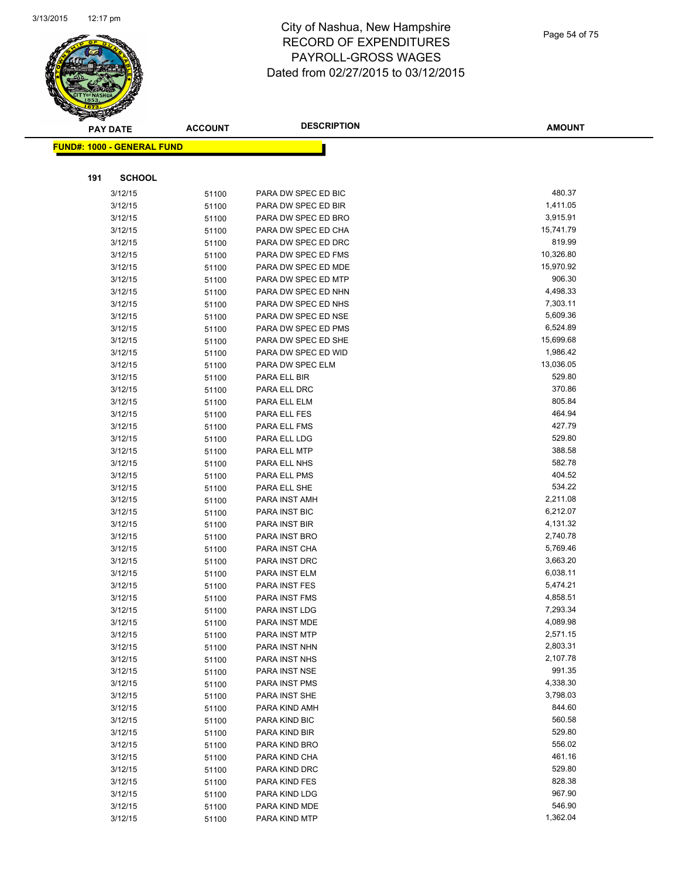

|     | <b>PAY DATE</b>                   | <b>ACCOUNT</b> | <b>DESCRIPTION</b>  | <b>AMOUNT</b> |
|-----|-----------------------------------|----------------|---------------------|---------------|
|     | <b>FUND#: 1000 - GENERAL FUND</b> |                |                     |               |
|     |                                   |                |                     |               |
| 191 | <b>SCHOOL</b>                     |                |                     |               |
|     | 3/12/15                           | 51100          | PARA DW SPEC ED BIC | 480.37        |
|     | 3/12/15                           | 51100          | PARA DW SPEC ED BIR | 1,411.05      |
|     | 3/12/15                           | 51100          | PARA DW SPEC ED BRO | 3,915.91      |
|     | 3/12/15                           | 51100          | PARA DW SPEC ED CHA | 15,741.79     |
|     | 3/12/15                           | 51100          | PARA DW SPEC ED DRC | 819.99        |
|     | 3/12/15                           | 51100          | PARA DW SPEC ED FMS | 10,326.80     |
|     | 3/12/15                           | 51100          | PARA DW SPEC ED MDE | 15,970.92     |
|     | 3/12/15                           | 51100          | PARA DW SPEC ED MTP | 906.30        |
|     | 3/12/15                           | 51100          | PARA DW SPEC ED NHN | 4,498.33      |
|     | 3/12/15                           | 51100          | PARA DW SPEC ED NHS | 7,303.11      |
|     | 3/12/15                           | 51100          | PARA DW SPEC ED NSE | 5,609.36      |
|     | 3/12/15                           | 51100          | PARA DW SPEC ED PMS | 6,524.89      |
|     | 3/12/15                           | 51100          | PARA DW SPEC ED SHE | 15,699.68     |
|     | 3/12/15                           | 51100          | PARA DW SPEC ED WID | 1,986.42      |
|     | 3/12/15                           | 51100          | PARA DW SPEC ELM    | 13,036.05     |
|     | 3/12/15                           | 51100          | PARA ELL BIR        | 529.80        |
|     | 3/12/15                           | 51100          | PARA ELL DRC        | 370.86        |
|     | 3/12/15                           | 51100          | PARA ELL ELM        | 805.84        |
|     | 3/12/15                           | 51100          | PARA ELL FES        | 464.94        |
|     | 3/12/15                           | 51100          | PARA ELL FMS        | 427.79        |
|     | 3/12/15                           | 51100          | PARA ELL LDG        | 529.80        |
|     | 3/12/15                           | 51100          | PARA ELL MTP        | 388.58        |
|     | 3/12/15                           | 51100          | PARA ELL NHS        | 582.78        |
|     | 3/12/15                           | 51100          | PARA ELL PMS        | 404.52        |
|     | 3/12/15                           | 51100          | PARA ELL SHE        | 534.22        |
|     | 3/12/15                           | 51100          | PARA INST AMH       | 2,211.08      |
|     | 3/12/15                           | 51100          | PARA INST BIC       | 6,212.07      |
|     | 3/12/15                           | 51100          | PARA INST BIR       | 4,131.32      |
|     | 3/12/15                           | 51100          | PARA INST BRO       | 2,740.78      |
|     | 3/12/15                           | 51100          | PARA INST CHA       | 5,769.46      |
|     | 3/12/15                           | 51100          | PARA INST DRC       | 3,663.20      |
|     | 3/12/15                           | 51100          | PARA INST ELM       | 6,038.11      |
|     | 3/12/15                           | 51100          | PARA INST FES       | 5,474.21      |
|     | 3/12/15                           | 51100          | PARA INST FMS       | 4,858.51      |
|     | 3/12/15                           | 51100          | PARA INST LDG       | 7,293.34      |
|     | 3/12/15                           | 51100          | PARA INST MDE       | 4,089.98      |
|     | 3/12/15                           | 51100          | PARA INST MTP       | 2,571.15      |
|     | 3/12/15                           | 51100          | PARA INST NHN       | 2,803.31      |
|     | 3/12/15                           | 51100          | PARA INST NHS       | 2,107.78      |
|     | 3/12/15                           | 51100          | PARA INST NSE       | 991.35        |
|     | 3/12/15                           | 51100          | PARA INST PMS       | 4,338.30      |
|     | 3/12/15                           | 51100          | PARA INST SHE       | 3,798.03      |
|     | 3/12/15                           | 51100          | PARA KIND AMH       | 844.60        |
|     | 3/12/15                           | 51100          | PARA KIND BIC       | 560.58        |
|     | 3/12/15                           | 51100          | PARA KIND BIR       | 529.80        |
|     | 3/12/15                           | 51100          | PARA KIND BRO       | 556.02        |
|     | 3/12/15                           | 51100          | PARA KIND CHA       | 461.16        |
|     | 3/12/15                           | 51100          | PARA KIND DRC       | 529.80        |
|     | 3/12/15                           | 51100          | PARA KIND FES       | 828.38        |
|     | 3/12/15                           | 51100          | PARA KIND LDG       | 967.90        |
|     | 3/12/15                           | 51100          | PARA KIND MDE       | 546.90        |
|     | 3/12/15                           | 51100          | PARA KIND MTP       | 1,362.04      |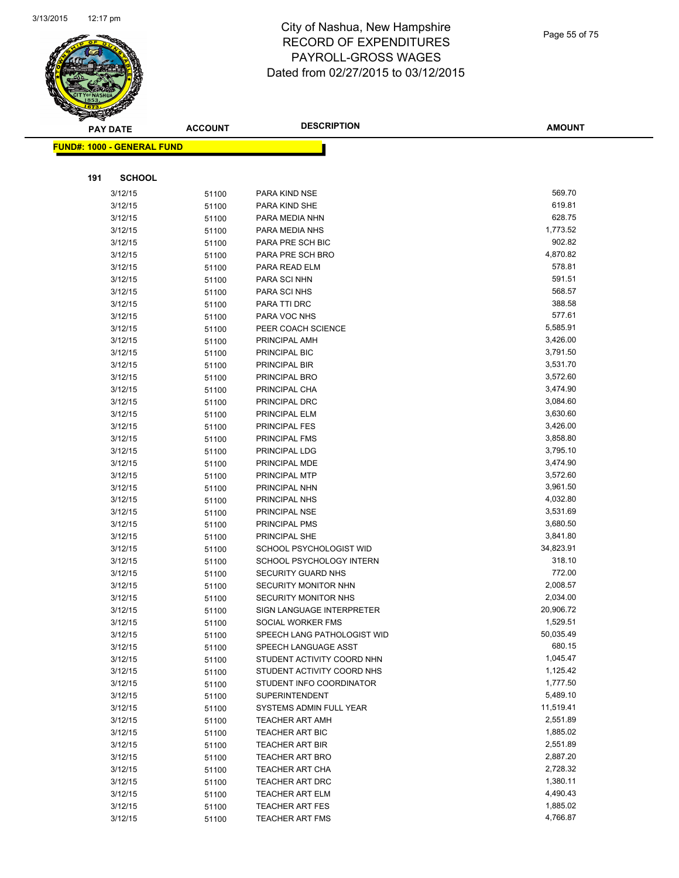

|     | <b>PAY DATE</b>            | <b>ACCOUNT</b> | <b>DESCRIPTION</b>             | <b>AMOUNT</b>        |
|-----|----------------------------|----------------|--------------------------------|----------------------|
|     | FUND#: 1000 - GENERAL FUND |                |                                |                      |
|     |                            |                |                                |                      |
|     |                            |                |                                |                      |
| 191 | <b>SCHOOL</b>              |                |                                |                      |
|     | 3/12/15                    | 51100          | PARA KIND NSE                  | 569.70               |
|     | 3/12/15                    | 51100          | PARA KIND SHE                  | 619.81               |
|     | 3/12/15                    | 51100          | PARA MEDIA NHN                 | 628.75               |
|     | 3/12/15                    | 51100          | PARA MEDIA NHS                 | 1,773.52             |
|     | 3/12/15                    | 51100          | PARA PRE SCH BIC               | 902.82               |
|     | 3/12/15                    | 51100          | PARA PRE SCH BRO               | 4,870.82             |
|     | 3/12/15                    | 51100          | PARA READ ELM                  | 578.81               |
|     | 3/12/15                    | 51100          | PARA SCI NHN                   | 591.51               |
|     | 3/12/15                    | 51100          | PARA SCI NHS                   | 568.57               |
|     | 3/12/15                    | 51100          | PARA TTI DRC                   | 388.58               |
|     | 3/12/15                    | 51100          | PARA VOC NHS                   | 577.61               |
|     | 3/12/15                    | 51100          | PEER COACH SCIENCE             | 5,585.91             |
|     | 3/12/15                    | 51100          | PRINCIPAL AMH                  | 3,426.00             |
|     | 3/12/15                    | 51100          | PRINCIPAL BIC                  | 3,791.50             |
|     | 3/12/15                    | 51100          | PRINCIPAL BIR                  | 3,531.70             |
|     | 3/12/15                    | 51100          | PRINCIPAL BRO                  | 3,572.60             |
|     | 3/12/15                    | 51100          | PRINCIPAL CHA                  | 3,474.90             |
|     | 3/12/15                    | 51100          | PRINCIPAL DRC                  | 3,084.60             |
|     | 3/12/15                    | 51100          | PRINCIPAL ELM                  | 3,630.60             |
|     | 3/12/15                    | 51100          | PRINCIPAL FES                  | 3,426.00             |
|     | 3/12/15                    | 51100          | PRINCIPAL FMS                  | 3,858.80             |
|     | 3/12/15                    | 51100          | PRINCIPAL LDG                  | 3,795.10             |
|     | 3/12/15                    | 51100          | PRINCIPAL MDE                  | 3,474.90             |
|     | 3/12/15                    | 51100          | PRINCIPAL MTP                  | 3,572.60             |
|     | 3/12/15                    | 51100          | PRINCIPAL NHN                  | 3,961.50             |
|     | 3/12/15<br>3/12/15         | 51100          | PRINCIPAL NHS                  | 4,032.80<br>3,531.69 |
|     | 3/12/15                    | 51100          | PRINCIPAL NSE<br>PRINCIPAL PMS | 3,680.50             |
|     | 3/12/15                    | 51100<br>51100 | PRINCIPAL SHE                  | 3,841.80             |
|     | 3/12/15                    | 51100          | SCHOOL PSYCHOLOGIST WID        | 34,823.91            |
|     | 3/12/15                    | 51100          | SCHOOL PSYCHOLOGY INTERN       | 318.10               |
|     | 3/12/15                    | 51100          | SECURITY GUARD NHS             | 772.00               |
|     | 3/12/15                    | 51100          | SECURITY MONITOR NHN           | 2,008.57             |
|     | 3/12/15                    | 51100          | <b>SECURITY MONITOR NHS</b>    | 2,034.00             |
|     | 3/12/15                    | 51100          | SIGN LANGUAGE INTERPRETER      | 20,906.72            |
|     | 3/12/15                    | 51100          | SOCIAL WORKER FMS              | 1,529.51             |
|     | 3/12/15                    | 51100          | SPEECH LANG PATHOLOGIST WID    | 50,035.49            |
|     | 3/12/15                    | 51100          | SPEECH LANGUAGE ASST           | 680.15               |
|     | 3/12/15                    | 51100          | STUDENT ACTIVITY COORD NHN     | 1,045.47             |
|     | 3/12/15                    | 51100          | STUDENT ACTIVITY COORD NHS     | 1,125.42             |
|     | 3/12/15                    | 51100          | STUDENT INFO COORDINATOR       | 1,777.50             |
|     | 3/12/15                    | 51100          | <b>SUPERINTENDENT</b>          | 5,489.10             |
|     | 3/12/15                    | 51100          | SYSTEMS ADMIN FULL YEAR        | 11,519.41            |
|     | 3/12/15                    | 51100          | <b>TEACHER ART AMH</b>         | 2,551.89             |
|     | 3/12/15                    | 51100          | TEACHER ART BIC                | 1,885.02             |
|     | 3/12/15                    | 51100          | <b>TEACHER ART BIR</b>         | 2,551.89             |
|     | 3/12/15                    | 51100          | <b>TEACHER ART BRO</b>         | 2,887.20             |
|     | 3/12/15                    | 51100          | <b>TEACHER ART CHA</b>         | 2,728.32             |
|     | 3/12/15                    | 51100          | <b>TEACHER ART DRC</b>         | 1,380.11             |
|     | 3/12/15                    | 51100          | <b>TEACHER ART ELM</b>         | 4,490.43             |
|     | 3/12/15                    | 51100          | <b>TEACHER ART FES</b>         | 1,885.02             |
|     | 3/12/15                    | 51100          | <b>TEACHER ART FMS</b>         | 4,766.87             |
|     |                            |                |                                |                      |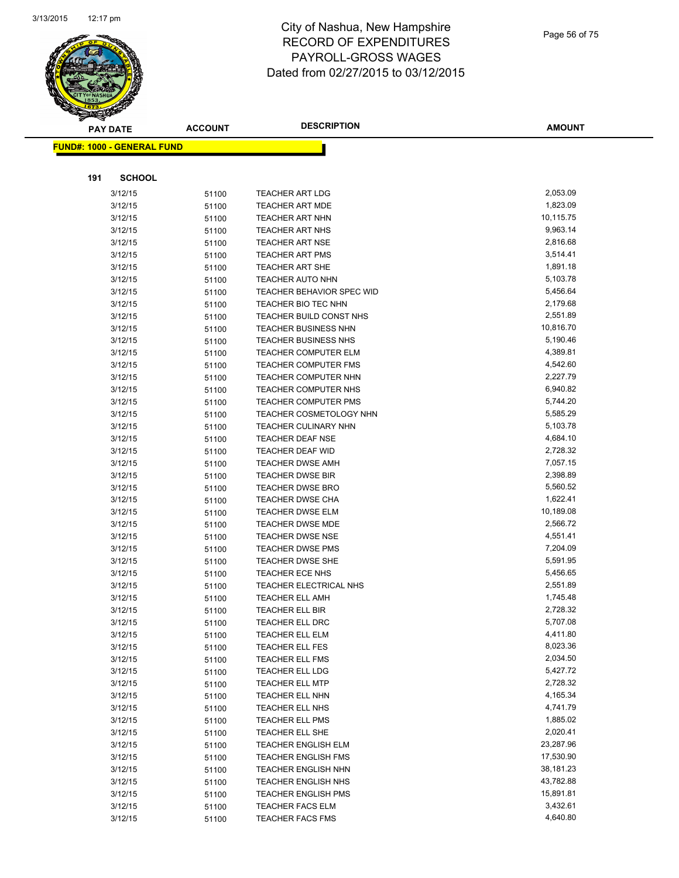

|     | <b>PAY DATE</b>                   | <b>ACCOUNT</b> | <b>DESCRIPTION</b>             | <b>AMOUNT</b> |
|-----|-----------------------------------|----------------|--------------------------------|---------------|
|     | <b>FUND#: 1000 - GENERAL FUND</b> |                |                                |               |
|     |                                   |                |                                |               |
|     |                                   |                |                                |               |
| 191 | <b>SCHOOL</b>                     |                |                                |               |
|     | 3/12/15                           | 51100          | <b>TEACHER ART LDG</b>         | 2,053.09      |
|     | 3/12/15                           | 51100          | <b>TEACHER ART MDE</b>         | 1,823.09      |
|     | 3/12/15                           | 51100          | <b>TEACHER ART NHN</b>         | 10,115.75     |
|     | 3/12/15                           | 51100          | TEACHER ART NHS                | 9,963.14      |
|     | 3/12/15                           | 51100          | <b>TEACHER ART NSE</b>         | 2,816.68      |
|     | 3/12/15                           | 51100          | <b>TEACHER ART PMS</b>         | 3,514.41      |
|     | 3/12/15                           | 51100          | TEACHER ART SHE                | 1,891.18      |
|     | 3/12/15                           | 51100          | <b>TEACHER AUTO NHN</b>        | 5,103.78      |
|     | 3/12/15                           | 51100          | TEACHER BEHAVIOR SPEC WID      | 5,456.64      |
|     | 3/12/15                           | 51100          | TEACHER BIO TEC NHN            | 2,179.68      |
|     | 3/12/15                           | 51100          | TEACHER BUILD CONST NHS        | 2,551.89      |
|     | 3/12/15                           | 51100          | <b>TEACHER BUSINESS NHN</b>    | 10,816.70     |
|     | 3/12/15                           | 51100          | TEACHER BUSINESS NHS           | 5,190.46      |
|     | 3/12/15                           | 51100          | <b>TEACHER COMPUTER ELM</b>    | 4,389.81      |
|     | 3/12/15                           | 51100          | <b>TEACHER COMPUTER FMS</b>    | 4,542.60      |
|     | 3/12/15                           | 51100          | <b>TEACHER COMPUTER NHN</b>    | 2,227.79      |
|     | 3/12/15                           | 51100          | TEACHER COMPUTER NHS           | 6,940.82      |
|     | 3/12/15                           | 51100          | TEACHER COMPUTER PMS           | 5,744.20      |
|     | 3/12/15                           | 51100          | <b>TEACHER COSMETOLOGY NHN</b> | 5,585.29      |
|     | 3/12/15                           | 51100          | <b>TEACHER CULINARY NHN</b>    | 5,103.78      |
|     | 3/12/15                           | 51100          | <b>TEACHER DEAF NSE</b>        | 4,684.10      |
|     | 3/12/15                           | 51100          | TEACHER DEAF WID               | 2,728.32      |
|     | 3/12/15                           | 51100          | <b>TEACHER DWSE AMH</b>        | 7,057.15      |
|     | 3/12/15                           | 51100          | <b>TEACHER DWSE BIR</b>        | 2,398.89      |
|     | 3/12/15                           | 51100          | TEACHER DWSE BRO               | 5,560.52      |
|     | 3/12/15                           | 51100          | TEACHER DWSE CHA               | 1,622.41      |
|     | 3/12/15                           | 51100          | <b>TEACHER DWSE ELM</b>        | 10,189.08     |
|     | 3/12/15                           | 51100          | <b>TEACHER DWSE MDE</b>        | 2,566.72      |
|     | 3/12/15                           | 51100          | <b>TEACHER DWSE NSE</b>        | 4,551.41      |
|     | 3/12/15                           | 51100          | <b>TEACHER DWSE PMS</b>        | 7,204.09      |
|     | 3/12/15                           | 51100          | <b>TEACHER DWSE SHE</b>        | 5,591.95      |
|     | 3/12/15                           | 51100          | TEACHER ECE NHS                | 5,456.65      |
|     | 3/12/15                           | 51100          | <b>TEACHER ELECTRICAL NHS</b>  | 2,551.89      |
|     | 3/12/15                           | 51100          | <b>TEACHER ELL AMH</b>         | 1,745.48      |
|     | 3/12/15                           | 51100          | <b>TEACHER ELL BIR</b>         | 2,728.32      |
|     | 3/12/15                           | 51100          | <b>TEACHER ELL DRC</b>         | 5,707.08      |
|     | 3/12/15                           | 51100          | <b>TEACHER ELL ELM</b>         | 4,411.80      |
|     | 3/12/15                           | 51100          | TEACHER ELL FES                | 8,023.36      |
|     | 3/12/15                           | 51100          | <b>TEACHER ELL FMS</b>         | 2,034.50      |
|     | 3/12/15                           | 51100          | <b>TEACHER ELL LDG</b>         | 5,427.72      |
|     | 3/12/15                           | 51100          | <b>TEACHER ELL MTP</b>         | 2,728.32      |
|     | 3/12/15                           | 51100          | <b>TEACHER ELL NHN</b>         | 4,165.34      |
|     | 3/12/15                           | 51100          | <b>TEACHER ELL NHS</b>         | 4,741.79      |
|     | 3/12/15                           | 51100          | TEACHER ELL PMS                | 1,885.02      |
|     | 3/12/15                           | 51100          | TEACHER ELL SHE                | 2,020.41      |
|     | 3/12/15                           | 51100          | <b>TEACHER ENGLISH ELM</b>     | 23,287.96     |
|     | 3/12/15                           | 51100          | <b>TEACHER ENGLISH FMS</b>     | 17,530.90     |
|     | 3/12/15                           | 51100          | <b>TEACHER ENGLISH NHN</b>     | 38,181.23     |
|     | 3/12/15                           | 51100          | <b>TEACHER ENGLISH NHS</b>     | 43,782.88     |
|     | 3/12/15                           | 51100          | <b>TEACHER ENGLISH PMS</b>     | 15,891.81     |
|     | 3/12/15                           | 51100          | <b>TEACHER FACS ELM</b>        | 3,432.61      |
|     | 3/12/15                           | 51100          | <b>TEACHER FACS FMS</b>        | 4,640.80      |
|     |                                   |                |                                |               |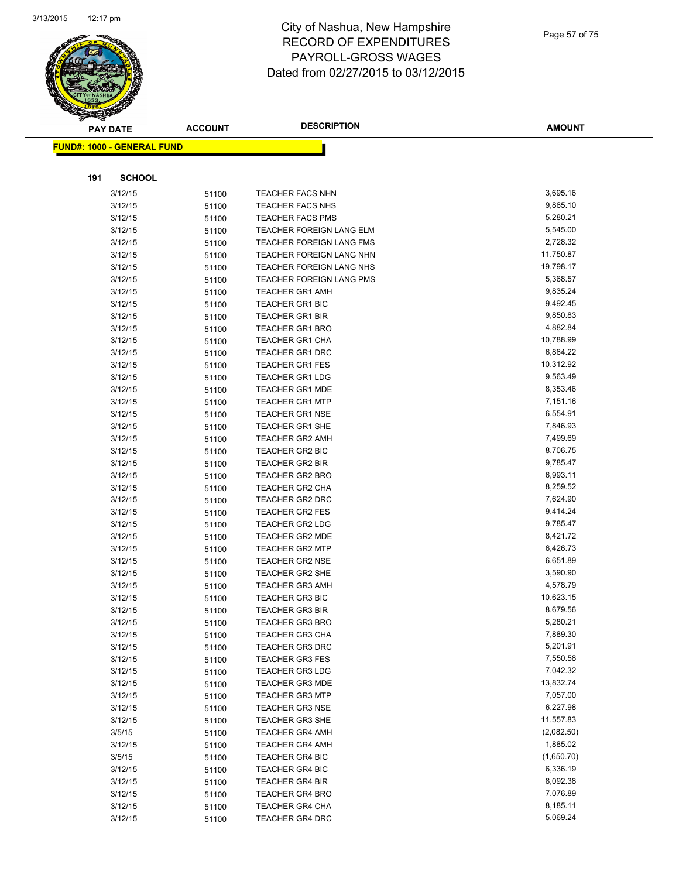

| <b>PAY DATE</b>                   | <b>ACCOUNT</b> | <b>DESCRIPTION</b>                               | <b>AMOUNT</b>        |
|-----------------------------------|----------------|--------------------------------------------------|----------------------|
| <b>FUND#: 1000 - GENERAL FUND</b> |                |                                                  |                      |
|                                   |                |                                                  |                      |
| 191<br><b>SCHOOL</b>              |                |                                                  |                      |
| 3/12/15                           | 51100          | <b>TEACHER FACS NHN</b>                          | 3,695.16             |
| 3/12/15                           | 51100          | <b>TEACHER FACS NHS</b>                          | 9,865.10             |
| 3/12/15                           | 51100          | <b>TEACHER FACS PMS</b>                          | 5,280.21             |
| 3/12/15                           | 51100          | <b>TEACHER FOREIGN LANG ELM</b>                  | 5,545.00             |
| 3/12/15                           | 51100          | <b>TEACHER FOREIGN LANG FMS</b>                  | 2,728.32             |
| 3/12/15                           | 51100          | TEACHER FOREIGN LANG NHN                         | 11,750.87            |
| 3/12/15                           | 51100          | TEACHER FOREIGN LANG NHS                         | 19,798.17            |
| 3/12/15                           | 51100          | <b>TEACHER FOREIGN LANG PMS</b>                  | 5,368.57             |
| 3/12/15                           | 51100          | <b>TEACHER GR1 AMH</b>                           | 9,835.24             |
| 3/12/15                           | 51100          | TEACHER GR1 BIC                                  | 9,492.45             |
| 3/12/15                           | 51100          | <b>TEACHER GR1 BIR</b>                           | 9,850.83             |
| 3/12/15                           | 51100          | <b>TEACHER GR1 BRO</b>                           | 4,882.84             |
| 3/12/15                           | 51100          | <b>TEACHER GR1 CHA</b>                           | 10,788.99            |
| 3/12/15                           | 51100          | <b>TEACHER GR1 DRC</b>                           | 6,864.22             |
| 3/12/15                           | 51100          | <b>TEACHER GR1 FES</b>                           | 10,312.92            |
| 3/12/15                           | 51100          | <b>TEACHER GR1 LDG</b>                           | 9,563.49             |
| 3/12/15                           | 51100          | <b>TEACHER GR1 MDE</b>                           | 8,353.46             |
| 3/12/15                           | 51100          | <b>TEACHER GR1 MTP</b>                           | 7,151.16             |
| 3/12/15                           | 51100          | <b>TEACHER GR1 NSE</b>                           | 6,554.91             |
| 3/12/15                           | 51100          | <b>TEACHER GR1 SHE</b>                           | 7,846.93             |
| 3/12/15                           | 51100          | <b>TEACHER GR2 AMH</b>                           | 7,499.69             |
| 3/12/15                           | 51100          | TEACHER GR2 BIC                                  | 8,706.75             |
| 3/12/15                           | 51100          | <b>TEACHER GR2 BIR</b>                           | 9,785.47             |
| 3/12/15                           | 51100          | <b>TEACHER GR2 BRO</b>                           | 6,993.11             |
| 3/12/15                           | 51100          | <b>TEACHER GR2 CHA</b>                           | 8,259.52             |
| 3/12/15                           | 51100          | <b>TEACHER GR2 DRC</b>                           | 7,624.90             |
| 3/12/15                           | 51100          | <b>TEACHER GR2 FES</b>                           | 9,414.24             |
| 3/12/15                           | 51100          | <b>TEACHER GR2 LDG</b>                           | 9,785.47             |
| 3/12/15                           | 51100          | <b>TEACHER GR2 MDE</b>                           | 8,421.72             |
| 3/12/15                           | 51100          | <b>TEACHER GR2 MTP</b>                           | 6,426.73             |
| 3/12/15                           | 51100          | <b>TEACHER GR2 NSE</b>                           | 6,651.89             |
| 3/12/15                           | 51100          | <b>TEACHER GR2 SHE</b>                           | 3,590.90             |
| 3/12/15                           | 51100          | <b>TEACHER GR3 AMH</b>                           | 4,578.79             |
| 3/12/15                           | 51100          | <b>TEACHER GR3 BIC</b>                           | 10,623.15            |
| 3/12/15                           | 51100          | <b>TEACHER GR3 BIR</b>                           | 8,679.56             |
| 3/12/15                           | 51100          | <b>TEACHER GR3 BRO</b>                           | 5,280.21             |
| 3/12/15                           | 51100          | <b>TEACHER GR3 CHA</b>                           | 7,889.30<br>5,201.91 |
| 3/12/15                           | 51100          | <b>TEACHER GR3 DRC</b>                           |                      |
| 3/12/15                           | 51100          | <b>TEACHER GR3 FES</b>                           | 7,550.58<br>7,042.32 |
| 3/12/15                           | 51100          | <b>TEACHER GR3 LDG</b><br><b>TEACHER GR3 MDE</b> | 13,832.74            |
| 3/12/15<br>3/12/15                | 51100          |                                                  | 7,057.00             |
| 3/12/15                           | 51100          | <b>TEACHER GR3 MTP</b><br><b>TEACHER GR3 NSE</b> | 6,227.98             |
| 3/12/15                           | 51100<br>51100 | <b>TEACHER GR3 SHE</b>                           | 11,557.83            |
| 3/5/15                            |                | <b>TEACHER GR4 AMH</b>                           | (2,082.50)           |
| 3/12/15                           | 51100          | <b>TEACHER GR4 AMH</b>                           | 1,885.02             |
| 3/5/15                            | 51100          | <b>TEACHER GR4 BIC</b>                           | (1,650.70)           |
| 3/12/15                           | 51100<br>51100 | TEACHER GR4 BIC                                  | 6,336.19             |
| 3/12/15                           | 51100          | <b>TEACHER GR4 BIR</b>                           | 8,092.38             |
| 3/12/15                           | 51100          | <b>TEACHER GR4 BRO</b>                           | 7,076.89             |
| 3/12/15                           | 51100          | TEACHER GR4 CHA                                  | 8,185.11             |
| 3/12/15                           | 51100          | TEACHER GR4 DRC                                  | 5,069.24             |
|                                   |                |                                                  |                      |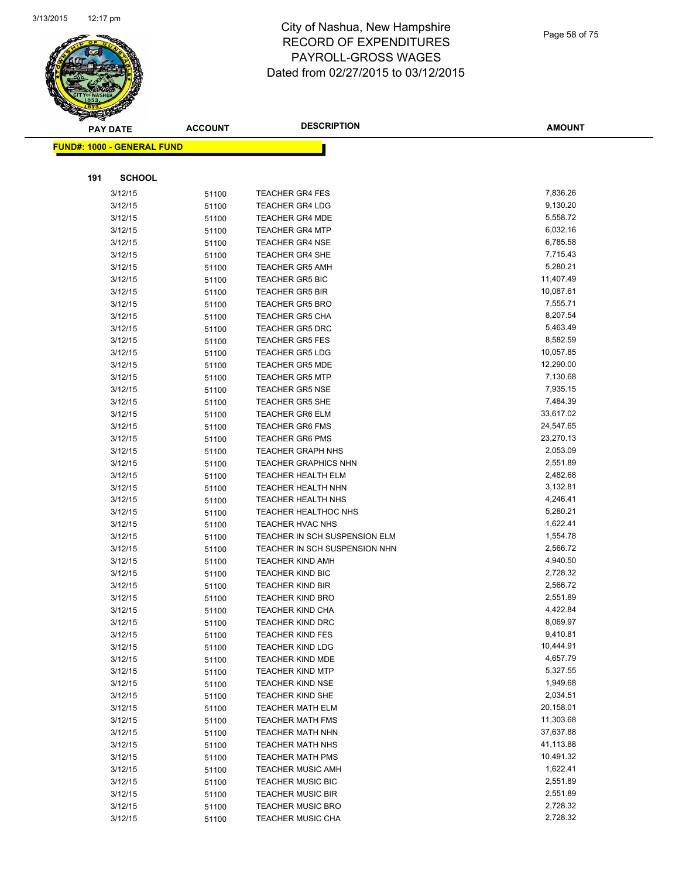

|     | <b>PAY DATE</b>                    | <b>ACCOUNT</b> | <b>DESCRIPTION</b>                                             | <b>AMOUNT</b>        |
|-----|------------------------------------|----------------|----------------------------------------------------------------|----------------------|
|     | <u> FUND#: 1000 - GENERAL FUND</u> |                |                                                                |                      |
|     |                                    |                |                                                                |                      |
|     |                                    |                |                                                                |                      |
| 191 | <b>SCHOOL</b>                      |                |                                                                |                      |
|     | 3/12/15                            | 51100          | <b>TEACHER GR4 FES</b>                                         | 7,836.26             |
|     | 3/12/15                            | 51100          | <b>TEACHER GR4 LDG</b>                                         | 9,130.20             |
|     | 3/12/15                            | 51100          | <b>TEACHER GR4 MDE</b>                                         | 5,558.72             |
|     | 3/12/15                            | 51100          | <b>TEACHER GR4 MTP</b>                                         | 6,032.16             |
|     | 3/12/15                            | 51100          | <b>TEACHER GR4 NSE</b>                                         | 6,785.58             |
|     | 3/12/15                            | 51100          | <b>TEACHER GR4 SHE</b>                                         | 7,715.43             |
|     | 3/12/15                            | 51100          | <b>TEACHER GR5 AMH</b>                                         | 5,280.21             |
|     | 3/12/15                            | 51100          | <b>TEACHER GR5 BIC</b>                                         | 11,407.49            |
|     | 3/12/15                            | 51100          | <b>TEACHER GR5 BIR</b>                                         | 10,087.61            |
|     | 3/12/15                            | 51100          | <b>TEACHER GR5 BRO</b>                                         | 7,555.71             |
|     | 3/12/15                            | 51100          | <b>TEACHER GR5 CHA</b>                                         | 8,207.54             |
|     | 3/12/15                            | 51100          | <b>TEACHER GR5 DRC</b>                                         | 5,463.49             |
|     | 3/12/15                            | 51100          | <b>TEACHER GR5 FES</b>                                         | 8,582.59             |
|     | 3/12/15                            | 51100          | <b>TEACHER GR5 LDG</b>                                         | 10,057.85            |
|     | 3/12/15                            | 51100          | <b>TEACHER GR5 MDE</b>                                         | 12,290.00            |
|     | 3/12/15                            | 51100          | <b>TEACHER GR5 MTP</b>                                         | 7,130.68             |
|     | 3/12/15                            | 51100          | <b>TEACHER GR5 NSE</b>                                         | 7,935.15             |
|     | 3/12/15                            | 51100          | <b>TEACHER GR5 SHE</b>                                         | 7,484.39             |
|     | 3/12/15                            | 51100          | <b>TEACHER GR6 ELM</b>                                         | 33,617.02            |
|     | 3/12/15                            | 51100          | <b>TEACHER GR6 FMS</b>                                         | 24,547.65            |
|     | 3/12/15                            | 51100          | <b>TEACHER GR6 PMS</b>                                         | 23,270.13            |
|     | 3/12/15                            | 51100          | <b>TEACHER GRAPH NHS</b>                                       | 2,053.09             |
|     | 3/12/15                            | 51100          | <b>TEACHER GRAPHICS NHN</b>                                    | 2,551.89             |
|     | 3/12/15                            | 51100          | TEACHER HEALTH ELM                                             | 2,482.68             |
|     | 3/12/15                            | 51100          | <b>TEACHER HEALTH NHN</b>                                      | 3,132.81             |
|     | 3/12/15                            | 51100          | <b>TEACHER HEALTH NHS</b>                                      | 4,246.41             |
|     | 3/12/15                            | 51100          | <b>TEACHER HEALTHOC NHS</b>                                    | 5,280.21             |
|     | 3/12/15                            | 51100          | <b>TEACHER HVAC NHS</b>                                        | 1,622.41<br>1,554.78 |
|     | 3/12/15                            | 51100          | TEACHER IN SCH SUSPENSION ELM<br>TEACHER IN SCH SUSPENSION NHN | 2,566.72             |
|     | 3/12/15                            | 51100          |                                                                | 4,940.50             |
|     | 3/12/15<br>3/12/15                 | 51100          | <b>TEACHER KIND AMH</b><br><b>TEACHER KIND BIC</b>             | 2,728.32             |
|     |                                    | 51100          | <b>TEACHER KIND BIR</b>                                        | 2,566.72             |
|     | 3/12/15<br>3/12/15                 | 51100          | <b>TEACHER KIND BRO</b>                                        | 2,551.89             |
|     | 3/12/15                            | 51100          | <b>TEACHER KIND CHA</b>                                        | 4,422.84             |
|     | 3/12/15                            | 51100          | TEACHER KIND DRC                                               | 8,069.97             |
|     | 3/12/15                            | 51100<br>51100 | <b>TEACHER KIND FES</b>                                        | 9,410.81             |
|     | 3/12/15                            |                | <b>TEACHER KIND LDG</b>                                        | 10,444.91            |
|     | 3/12/15                            | 51100          | TEACHER KIND MDE                                               | 4,657.79             |
|     | 3/12/15                            | 51100<br>51100 | <b>TEACHER KIND MTP</b>                                        | 5,327.55             |
|     | 3/12/15                            | 51100          | <b>TEACHER KIND NSE</b>                                        | 1,949.68             |
|     | 3/12/15                            | 51100          | <b>TEACHER KIND SHE</b>                                        | 2,034.51             |
|     | 3/12/15                            | 51100          | <b>TEACHER MATH ELM</b>                                        | 20,158.01            |
|     | 3/12/15                            | 51100          | <b>TEACHER MATH FMS</b>                                        | 11,303.68            |
|     | 3/12/15                            | 51100          | <b>TEACHER MATH NHN</b>                                        | 37,637.88            |
|     | 3/12/15                            | 51100          | <b>TEACHER MATH NHS</b>                                        | 41,113.88            |
|     | 3/12/15                            | 51100          | <b>TEACHER MATH PMS</b>                                        | 10,491.32            |
|     | 3/12/15                            | 51100          | <b>TEACHER MUSIC AMH</b>                                       | 1,622.41             |
|     | 3/12/15                            | 51100          | <b>TEACHER MUSIC BIC</b>                                       | 2,551.89             |
|     | 3/12/15                            | 51100          | <b>TEACHER MUSIC BIR</b>                                       | 2,551.89             |
|     | 3/12/15                            | 51100          | <b>TEACHER MUSIC BRO</b>                                       | 2,728.32             |
|     | 3/12/15                            | 51100          | TEACHER MUSIC CHA                                              | 2,728.32             |
|     |                                    |                |                                                                |                      |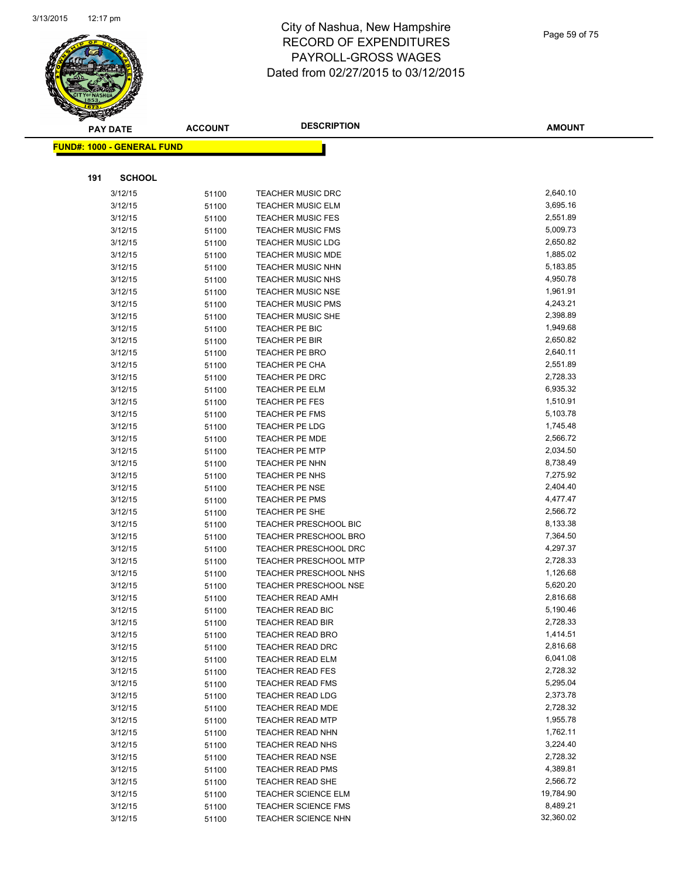

|     | <b>PAY DATE</b>                   | <b>ACCOUNT</b> | <b>DESCRIPTION</b>                                | <b>AMOUNT</b>         |
|-----|-----------------------------------|----------------|---------------------------------------------------|-----------------------|
|     | <b>FUND#: 1000 - GENERAL FUND</b> |                |                                                   |                       |
|     |                                   |                |                                                   |                       |
| 191 | <b>SCHOOL</b>                     |                |                                                   |                       |
|     | 3/12/15                           | 51100          | <b>TEACHER MUSIC DRC</b>                          | 2,640.10              |
|     | 3/12/15                           | 51100          | <b>TEACHER MUSIC ELM</b>                          | 3,695.16              |
|     | 3/12/15                           | 51100          | <b>TEACHER MUSIC FES</b>                          | 2,551.89              |
|     | 3/12/15                           | 51100          | <b>TEACHER MUSIC FMS</b>                          | 5,009.73              |
|     | 3/12/15                           | 51100          | <b>TEACHER MUSIC LDG</b>                          | 2,650.82              |
|     | 3/12/15                           | 51100          | <b>TEACHER MUSIC MDE</b>                          | 1,885.02              |
|     | 3/12/15                           | 51100          | <b>TEACHER MUSIC NHN</b>                          | 5,183.85              |
|     | 3/12/15                           | 51100          | <b>TEACHER MUSIC NHS</b>                          | 4,950.78              |
|     | 3/12/15                           | 51100          | <b>TEACHER MUSIC NSE</b>                          | 1,961.91              |
|     | 3/12/15                           | 51100          | TEACHER MUSIC PMS                                 | 4,243.21              |
|     | 3/12/15                           | 51100          | <b>TEACHER MUSIC SHE</b>                          | 2,398.89              |
|     | 3/12/15                           | 51100          | <b>TEACHER PE BIC</b>                             | 1,949.68              |
|     | 3/12/15                           | 51100          | TEACHER PE BIR                                    | 2,650.82              |
|     | 3/12/15                           | 51100          | TEACHER PE BRO                                    | 2,640.11              |
|     | 3/12/15                           | 51100          | TEACHER PE CHA                                    | 2,551.89              |
|     | 3/12/15                           | 51100          | TEACHER PE DRC                                    | 2,728.33              |
|     | 3/12/15                           | 51100          | TEACHER PE ELM                                    | 6,935.32              |
|     | 3/12/15                           | 51100          | <b>TEACHER PE FES</b>                             | 1,510.91              |
|     | 3/12/15                           | 51100          | TEACHER PE FMS                                    | 5,103.78              |
|     | 3/12/15                           | 51100          | TEACHER PE LDG                                    | 1,745.48              |
|     | 3/12/15                           | 51100          | <b>TEACHER PE MDE</b>                             | 2,566.72              |
|     | 3/12/15                           | 51100          | <b>TEACHER PE MTP</b>                             | 2,034.50              |
|     | 3/12/15                           | 51100          | TEACHER PE NHN                                    | 8,738.49              |
|     | 3/12/15                           | 51100          | TEACHER PE NHS                                    | 7,275.92              |
|     | 3/12/15                           | 51100          | <b>TEACHER PE NSE</b>                             | 2,404.40              |
|     | 3/12/15                           | 51100          | <b>TEACHER PE PMS</b>                             | 4,477.47              |
|     | 3/12/15                           | 51100          | TEACHER PE SHE                                    | 2,566.72              |
|     | 3/12/15                           | 51100          | <b>TEACHER PRESCHOOL BIC</b>                      | 8,133.38              |
|     | 3/12/15                           | 51100          | <b>TEACHER PRESCHOOL BRO</b>                      | 7,364.50              |
|     | 3/12/15                           | 51100          | <b>TEACHER PRESCHOOL DRC</b>                      | 4,297.37              |
|     | 3/12/15                           | 51100          | <b>TEACHER PRESCHOOL MTP</b>                      | 2,728.33              |
|     | 3/12/15                           | 51100          | TEACHER PRESCHOOL NHS                             | 1,126.68              |
|     | 3/12/15                           | 51100          | TEACHER PRESCHOOL NSE                             | 5,620.20              |
|     | 3/12/15                           | 51100          | TEACHER READ AMH                                  | 2,816.68              |
|     | 3/12/15                           | 51100          | TEACHER READ BIC                                  | 5,190.46              |
|     | 3/12/15                           | 51100          | <b>TEACHER READ BIR</b>                           | 2,728.33              |
|     | 3/12/15                           | 51100          | <b>TEACHER READ BRO</b>                           | 1,414.51              |
|     | 3/12/15                           | 51100          | <b>TEACHER READ DRC</b>                           | 2,816.68              |
|     | 3/12/15                           | 51100          | <b>TEACHER READ ELM</b>                           | 6,041.08              |
|     | 3/12/15                           | 51100          | <b>TEACHER READ FES</b>                           | 2,728.32              |
|     | 3/12/15                           | 51100          | <b>TEACHER READ FMS</b>                           | 5,295.04              |
|     | 3/12/15                           | 51100          | <b>TEACHER READ LDG</b>                           | 2,373.78              |
|     | 3/12/15                           | 51100          | <b>TEACHER READ MDE</b>                           | 2,728.32              |
|     | 3/12/15                           | 51100          | <b>TEACHER READ MTP</b>                           | 1,955.78              |
|     | 3/12/15                           | 51100          | TEACHER READ NHN                                  | 1,762.11              |
|     | 3/12/15                           | 51100          | <b>TEACHER READ NHS</b>                           | 3,224.40              |
|     | 3/12/15                           | 51100          | <b>TEACHER READ NSE</b>                           | 2,728.32<br>4,389.81  |
|     | 3/12/15                           | 51100          | <b>TEACHER READ PMS</b>                           |                       |
|     | 3/12/15                           | 51100          | <b>TEACHER READ SHE</b>                           | 2,566.72<br>19,784.90 |
|     | 3/12/15<br>3/12/15                | 51100          | TEACHER SCIENCE ELM<br><b>TEACHER SCIENCE FMS</b> | 8,489.21              |
|     |                                   | 51100          |                                                   | 32,360.02             |
|     | 3/12/15                           | 51100          | <b>TEACHER SCIENCE NHN</b>                        |                       |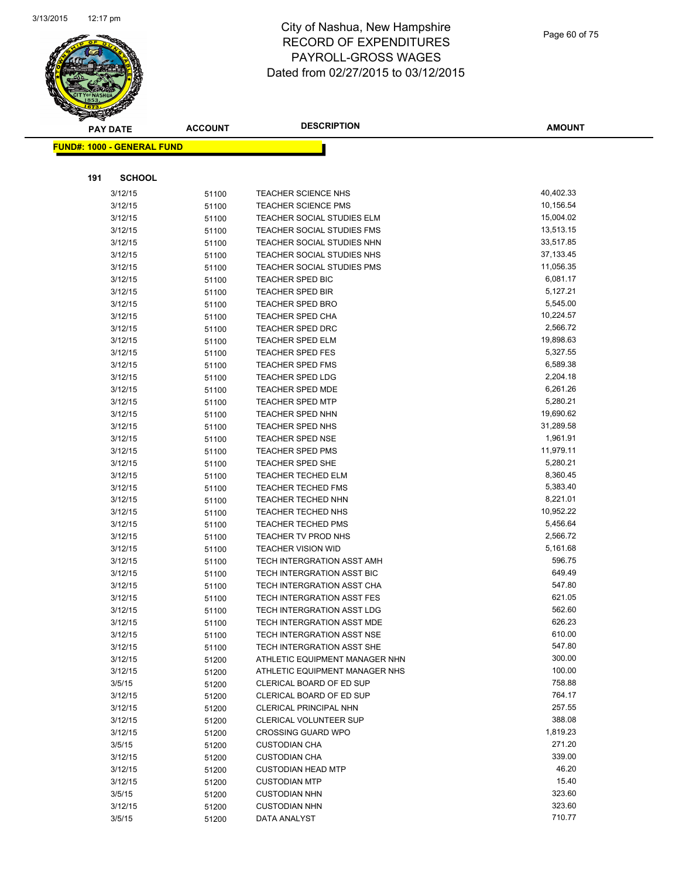

|     | <b>PAY DATE</b>                    | <b>ACCOUNT</b> | <b>DESCRIPTION</b>                                       | AMOUNT                |
|-----|------------------------------------|----------------|----------------------------------------------------------|-----------------------|
|     | <u> FUND#: 1000 - GENERAL FUND</u> |                |                                                          |                       |
|     |                                    |                |                                                          |                       |
|     |                                    |                |                                                          |                       |
| 191 | <b>SCHOOL</b>                      |                |                                                          |                       |
|     | 3/12/15                            | 51100          | TEACHER SCIENCE NHS                                      | 40,402.33             |
|     | 3/12/15                            | 51100          | <b>TEACHER SCIENCE PMS</b>                               | 10,156.54             |
|     | 3/12/15                            | 51100          | TEACHER SOCIAL STUDIES ELM                               | 15,004.02             |
|     | 3/12/15                            | 51100          | TEACHER SOCIAL STUDIES FMS                               | 13,513.15             |
|     | 3/12/15                            | 51100          | TEACHER SOCIAL STUDIES NHN                               | 33,517.85             |
|     | 3/12/15                            | 51100          | TEACHER SOCIAL STUDIES NHS                               | 37, 133. 45           |
|     | 3/12/15                            | 51100          | <b>TEACHER SOCIAL STUDIES PMS</b>                        | 11,056.35             |
|     | 3/12/15                            | 51100          | TEACHER SPED BIC                                         | 6,081.17              |
|     | 3/12/15                            | 51100          | <b>TEACHER SPED BIR</b>                                  | 5,127.21              |
|     | 3/12/15                            | 51100          | TEACHER SPED BRO                                         | 5,545.00              |
|     | 3/12/15                            | 51100          | TEACHER SPED CHA                                         | 10,224.57             |
|     | 3/12/15                            | 51100          | TEACHER SPED DRC                                         | 2,566.72              |
|     | 3/12/15                            | 51100          | <b>TEACHER SPED ELM</b>                                  | 19,898.63             |
|     | 3/12/15                            | 51100          | <b>TEACHER SPED FES</b>                                  | 5,327.55              |
|     | 3/12/15                            | 51100          | <b>TEACHER SPED FMS</b>                                  | 6,589.38              |
|     | 3/12/15                            | 51100          | <b>TEACHER SPED LDG</b>                                  | 2,204.18              |
|     | 3/12/15                            | 51100          | TEACHER SPED MDE                                         | 6,261.26              |
|     | 3/12/15                            | 51100          | <b>TEACHER SPED MTP</b>                                  | 5,280.21              |
|     | 3/12/15                            | 51100          | <b>TEACHER SPED NHN</b>                                  | 19,690.62             |
|     | 3/12/15                            | 51100          | TEACHER SPED NHS                                         | 31,289.58             |
|     | 3/12/15                            | 51100          | <b>TEACHER SPED NSE</b>                                  | 1,961.91              |
|     | 3/12/15                            | 51100          | <b>TEACHER SPED PMS</b>                                  | 11,979.11             |
|     | 3/12/15                            | 51100          | <b>TEACHER SPED SHE</b>                                  | 5,280.21              |
|     | 3/12/15                            | 51100          | <b>TEACHER TECHED ELM</b>                                | 8,360.45<br>5,383.40  |
|     | 3/12/15                            | 51100          | <b>TEACHER TECHED FMS</b>                                |                       |
|     | 3/12/15                            | 51100          | <b>TEACHER TECHED NHN</b>                                | 8,221.01<br>10,952.22 |
|     | 3/12/15                            | 51100          | <b>TEACHER TECHED NHS</b>                                | 5,456.64              |
|     | 3/12/15                            | 51100          | <b>TEACHER TECHED PMS</b>                                | 2,566.72              |
|     | 3/12/15                            | 51100          | TEACHER TV PROD NHS<br><b>TEACHER VISION WID</b>         | 5,161.68              |
|     | 3/12/15                            | 51100          |                                                          | 596.75                |
|     | 3/12/15<br>3/12/15                 | 51100          | TECH INTERGRATION ASST AMH<br>TECH INTERGRATION ASST BIC | 649.49                |
|     |                                    | 51100          | TECH INTERGRATION ASST CHA                               | 547.80                |
|     | 3/12/15<br>3/12/15                 | 51100          | TECH INTERGRATION ASST FES                               | 621.05                |
|     | 3/12/15                            | 51100<br>51100 | TECH INTERGRATION ASST LDG                               | 562.60                |
|     | 3/12/15                            |                | TECH INTERGRATION ASST MDE                               | 626.23                |
|     | 3/12/15                            | 51100<br>51100 | TECH INTERGRATION ASST NSE                               | 610.00                |
|     | 3/12/15                            | 51100          | TECH INTERGRATION ASST SHE                               | 547.80                |
|     | 3/12/15                            | 51200          | ATHLETIC EQUIPMENT MANAGER NHN                           | 300.00                |
|     | 3/12/15                            | 51200          | ATHLETIC EQUIPMENT MANAGER NHS                           | 100.00                |
|     | 3/5/15                             | 51200          | CLERICAL BOARD OF ED SUP                                 | 758.88                |
|     | 3/12/15                            | 51200          | CLERICAL BOARD OF ED SUP                                 | 764.17                |
|     | 3/12/15                            | 51200          | CLERICAL PRINCIPAL NHN                                   | 257.55                |
|     | 3/12/15                            | 51200          | CLERICAL VOLUNTEER SUP                                   | 388.08                |
|     | 3/12/15                            | 51200          | <b>CROSSING GUARD WPO</b>                                | 1,819.23              |
|     | 3/5/15                             | 51200          | <b>CUSTODIAN CHA</b>                                     | 271.20                |
|     | 3/12/15                            | 51200          | <b>CUSTODIAN CHA</b>                                     | 339.00                |
|     | 3/12/15                            | 51200          | <b>CUSTODIAN HEAD MTP</b>                                | 46.20                 |
|     | 3/12/15                            | 51200          | <b>CUSTODIAN MTP</b>                                     | 15.40                 |
|     | 3/5/15                             | 51200          | <b>CUSTODIAN NHN</b>                                     | 323.60                |
|     | 3/12/15                            | 51200          | <b>CUSTODIAN NHN</b>                                     | 323.60                |
|     | 3/5/15                             | 51200          | DATA ANALYST                                             | 710.77                |
|     |                                    |                |                                                          |                       |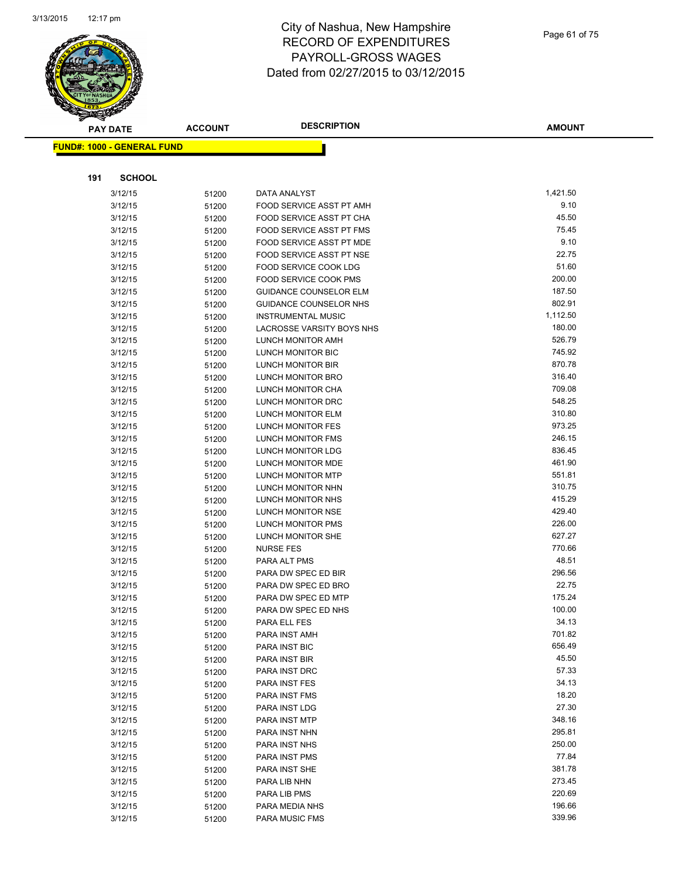

|     | <b>PAY DATE</b>                   | <b>ACCOUNT</b> | <b>DESCRIPTION</b>                            | <b>AMOUNT</b>      |
|-----|-----------------------------------|----------------|-----------------------------------------------|--------------------|
|     | <b>FUND#: 1000 - GENERAL FUND</b> |                |                                               |                    |
|     |                                   |                |                                               |                    |
|     |                                   |                |                                               |                    |
| 191 | <b>SCHOOL</b>                     |                |                                               |                    |
|     | 3/12/15                           | 51200          | DATA ANALYST                                  | 1,421.50           |
|     | 3/12/15                           | 51200          | FOOD SERVICE ASST PT AMH                      | 9.10               |
|     | 3/12/15                           | 51200          | FOOD SERVICE ASST PT CHA                      | 45.50              |
|     | 3/12/15                           | 51200          | FOOD SERVICE ASST PT FMS                      | 75.45              |
|     | 3/12/15                           | 51200          | FOOD SERVICE ASST PT MDE                      | 9.10               |
|     | 3/12/15                           | 51200          | <b>FOOD SERVICE ASST PT NSE</b>               | 22.75              |
|     | 3/12/15                           | 51200          | <b>FOOD SERVICE COOK LDG</b>                  | 51.60              |
|     | 3/12/15                           | 51200          | FOOD SERVICE COOK PMS                         | 200.00             |
|     | 3/12/15                           | 51200          | <b>GUIDANCE COUNSELOR ELM</b>                 | 187.50             |
|     | 3/12/15                           | 51200          | <b>GUIDANCE COUNSELOR NHS</b>                 | 802.91             |
|     | 3/12/15                           | 51200          | <b>INSTRUMENTAL MUSIC</b>                     | 1,112.50<br>180.00 |
|     | 3/12/15                           | 51200          | LACROSSE VARSITY BOYS NHS                     | 526.79             |
|     | 3/12/15                           | 51200          | LUNCH MONITOR AMH                             | 745.92             |
|     | 3/12/15                           | 51200          | LUNCH MONITOR BIC<br><b>LUNCH MONITOR BIR</b> | 870.78             |
|     | 3/12/15                           | 51200          |                                               | 316.40             |
|     | 3/12/15<br>3/12/15                | 51200          | LUNCH MONITOR BRO<br>LUNCH MONITOR CHA        | 709.08             |
|     |                                   | 51200          |                                               | 548.25             |
|     | 3/12/15                           | 51200          | LUNCH MONITOR DRC                             | 310.80             |
|     | 3/12/15                           | 51200          | LUNCH MONITOR ELM                             | 973.25             |
|     | 3/12/15<br>3/12/15                | 51200          | LUNCH MONITOR FES<br>LUNCH MONITOR FMS        | 246.15             |
|     | 3/12/15                           | 51200          | LUNCH MONITOR LDG                             | 836.45             |
|     | 3/12/15                           | 51200          | LUNCH MONITOR MDE                             | 461.90             |
|     | 3/12/15                           | 51200          | <b>LUNCH MONITOR MTP</b>                      | 551.81             |
|     | 3/12/15                           | 51200          | LUNCH MONITOR NHN                             | 310.75             |
|     | 3/12/15                           | 51200<br>51200 | LUNCH MONITOR NHS                             | 415.29             |
|     | 3/12/15                           |                | LUNCH MONITOR NSE                             | 429.40             |
|     | 3/12/15                           | 51200          | LUNCH MONITOR PMS                             | 226.00             |
|     | 3/12/15                           | 51200<br>51200 | LUNCH MONITOR SHE                             | 627.27             |
|     | 3/12/15                           | 51200          | <b>NURSE FES</b>                              | 770.66             |
|     | 3/12/15                           | 51200          | PARA ALT PMS                                  | 48.51              |
|     | 3/12/15                           | 51200          | PARA DW SPEC ED BIR                           | 296.56             |
|     | 3/12/15                           | 51200          | PARA DW SPEC ED BRO                           | 22.75              |
|     | 3/12/15                           | 51200          | PARA DW SPEC ED MTP                           | 175.24             |
|     | 3/12/15                           | 51200          | PARA DW SPEC ED NHS                           | 100.00             |
|     | 3/12/15                           | 51200          | PARA ELL FES                                  | 34.13              |
|     | 3/12/15                           | 51200          | PARA INST AMH                                 | 701.82             |
|     | 3/12/15                           | 51200          | PARA INST BIC                                 | 656.49             |
|     | 3/12/15                           | 51200          | PARA INST BIR                                 | 45.50              |
|     | 3/12/15                           | 51200          | PARA INST DRC                                 | 57.33              |
|     | 3/12/15                           | 51200          | PARA INST FES                                 | 34.13              |
|     | 3/12/15                           | 51200          | PARA INST FMS                                 | 18.20              |
|     | 3/12/15                           | 51200          | PARA INST LDG                                 | 27.30              |
|     | 3/12/15                           | 51200          | PARA INST MTP                                 | 348.16             |
|     | 3/12/15                           | 51200          | PARA INST NHN                                 | 295.81             |
|     | 3/12/15                           | 51200          | PARA INST NHS                                 | 250.00             |
|     | 3/12/15                           | 51200          | PARA INST PMS                                 | 77.84              |
|     | 3/12/15                           | 51200          | PARA INST SHE                                 | 381.78             |
|     | 3/12/15                           | 51200          | PARA LIB NHN                                  | 273.45             |
|     | 3/12/15                           | 51200          | PARA LIB PMS                                  | 220.69             |
|     | 3/12/15                           | 51200          | PARA MEDIA NHS                                | 196.66             |
|     | 3/12/15                           | 51200          | PARA MUSIC FMS                                | 339.96             |
|     |                                   |                |                                               |                    |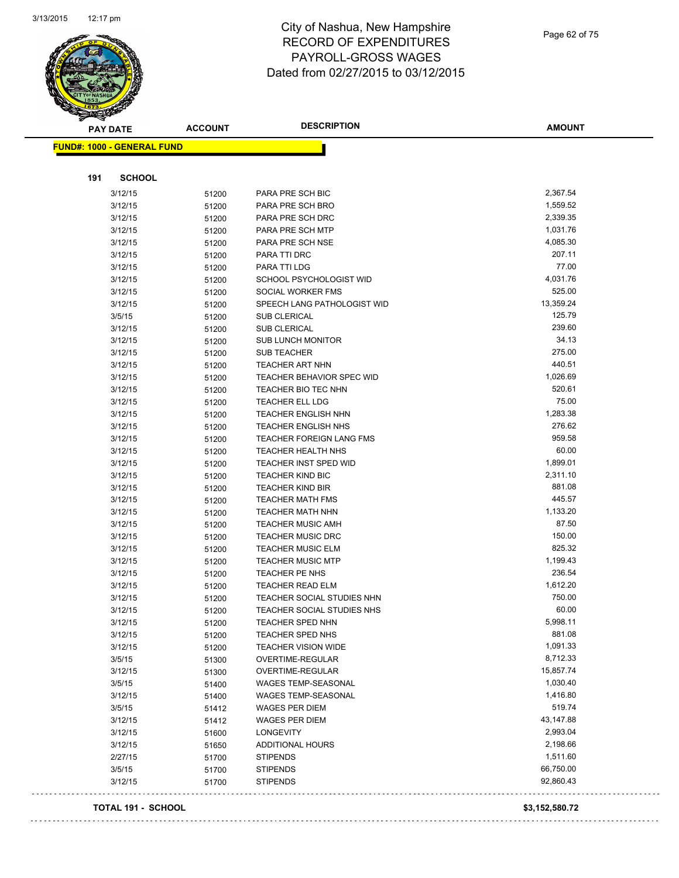

Page 62 of 75

|     | <b>PAY DATE</b>                   | <b>ACCOUNT</b> | <b>DESCRIPTION</b>                | <b>AMOUNT</b> |
|-----|-----------------------------------|----------------|-----------------------------------|---------------|
|     | <b>FUND#: 1000 - GENERAL FUND</b> |                |                                   |               |
|     |                                   |                |                                   |               |
| 191 | <b>SCHOOL</b>                     |                |                                   |               |
|     | 3/12/15                           | 51200          | PARA PRE SCH BIC                  | 2,367.54      |
|     | 3/12/15                           | 51200          | PARA PRE SCH BRO                  | 1,559.52      |
|     | 3/12/15                           | 51200          | PARA PRE SCH DRC                  | 2,339.35      |
|     | 3/12/15                           | 51200          | PARA PRE SCH MTP                  | 1,031.76      |
|     | 3/12/15                           | 51200          | PARA PRE SCH NSE                  | 4,085.30      |
|     | 3/12/15                           | 51200          | PARA TTI DRC                      | 207.11        |
|     | 3/12/15                           | 51200          | PARA TTI LDG                      | 77.00         |
|     | 3/12/15                           | 51200          | SCHOOL PSYCHOLOGIST WID           | 4,031.76      |
|     | 3/12/15                           | 51200          | SOCIAL WORKER FMS                 | 525.00        |
|     | 3/12/15                           | 51200          | SPEECH LANG PATHOLOGIST WID       | 13,359.24     |
|     | 3/5/15                            | 51200          | SUB CLERICAL                      | 125.79        |
|     | 3/12/15                           | 51200          | SUB CLERICAL                      | 239.60        |
|     | 3/12/15                           | 51200          | <b>SUB LUNCH MONITOR</b>          | 34.13         |
|     | 3/12/15                           | 51200          | SUB TEACHER                       | 275.00        |
|     | 3/12/15                           | 51200          | TEACHER ART NHN                   | 440.51        |
|     | 3/12/15                           | 51200          | TEACHER BEHAVIOR SPEC WID         | 1,026.69      |
|     | 3/12/15                           | 51200          | TEACHER BIO TEC NHN               | 520.61        |
|     | 3/12/15                           | 51200          | <b>TEACHER ELL LDG</b>            | 75.00         |
|     | 3/12/15                           | 51200          | TEACHER ENGLISH NHN               | 1,283.38      |
|     | 3/12/15                           | 51200          | <b>TEACHER ENGLISH NHS</b>        | 276.62        |
|     | 3/12/15                           | 51200          | <b>TEACHER FOREIGN LANG FMS</b>   | 959.58        |
|     | 3/12/15                           | 51200          | TEACHER HEALTH NHS                | 60.00         |
|     | 3/12/15                           | 51200          | <b>TEACHER INST SPED WID</b>      | 1,899.01      |
|     | 3/12/15                           | 51200          | <b>TEACHER KIND BIC</b>           | 2,311.10      |
|     | 3/12/15                           | 51200          | <b>TEACHER KIND BIR</b>           | 881.08        |
|     | 3/12/15                           | 51200          | <b>TEACHER MATH FMS</b>           | 445.57        |
|     | 3/12/15                           | 51200          | TEACHER MATH NHN                  | 1,133.20      |
|     | 3/12/15                           | 51200          | <b>TEACHER MUSIC AMH</b>          | 87.50         |
|     | 3/12/15                           | 51200          | <b>TEACHER MUSIC DRC</b>          | 150.00        |
|     | 3/12/15                           | 51200          | <b>TEACHER MUSIC ELM</b>          | 825.32        |
|     | 3/12/15                           | 51200          | <b>TEACHER MUSIC MTP</b>          | 1,199.43      |
|     | 3/12/15                           | 51200          | <b>TEACHER PE NHS</b>             | 236.54        |
|     | 3/12/15                           | 51200          | <b>TEACHER READ ELM</b>           | 1,612.20      |
|     | 3/12/15                           | 51200          | TEACHER SOCIAL STUDIES NHN        | 750.00        |
|     | 3/12/15                           | 51200          | <b>TEACHER SOCIAL STUDIES NHS</b> | 60.00         |
|     | 3/12/15                           | 51200          | TEACHER SPED NHN                  | 5,998.11      |
|     | 3/12/15                           | 51200          | <b>TEACHER SPED NHS</b>           | 881.08        |
|     | 3/12/15                           | 51200          | <b>TEACHER VISION WIDE</b>        | 1,091.33      |
|     | 3/5/15                            | 51300          | OVERTIME-REGULAR                  | 8,712.33      |
|     | 3/12/15                           | 51300          | OVERTIME-REGULAR                  | 15,857.74     |
|     | 3/5/15                            | 51400          | WAGES TEMP-SEASONAL               | 1,030.40      |
|     | 3/12/15                           | 51400          | WAGES TEMP-SEASONAL               | 1,416.80      |
|     | 3/5/15                            | 51412          | <b>WAGES PER DIEM</b>             | 519.74        |
|     | 3/12/15                           | 51412          | <b>WAGES PER DIEM</b>             | 43,147.88     |
|     | 3/12/15                           | 51600          | <b>LONGEVITY</b>                  | 2,993.04      |
|     | 3/12/15                           | 51650          | <b>ADDITIONAL HOURS</b>           | 2,198.66      |
|     | 2/27/15                           | 51700          | <b>STIPENDS</b>                   | 1,511.60      |
|     | 3/5/15                            | 51700          | <b>STIPENDS</b>                   | 66,750.00     |
|     | 3/12/15                           | 51700          | <b>STIPENDS</b>                   | 92,860.43     |

#### **TOTAL 191 - SCHOOL \$3,152,580.72**

 $\ddot{\phantom{1}}$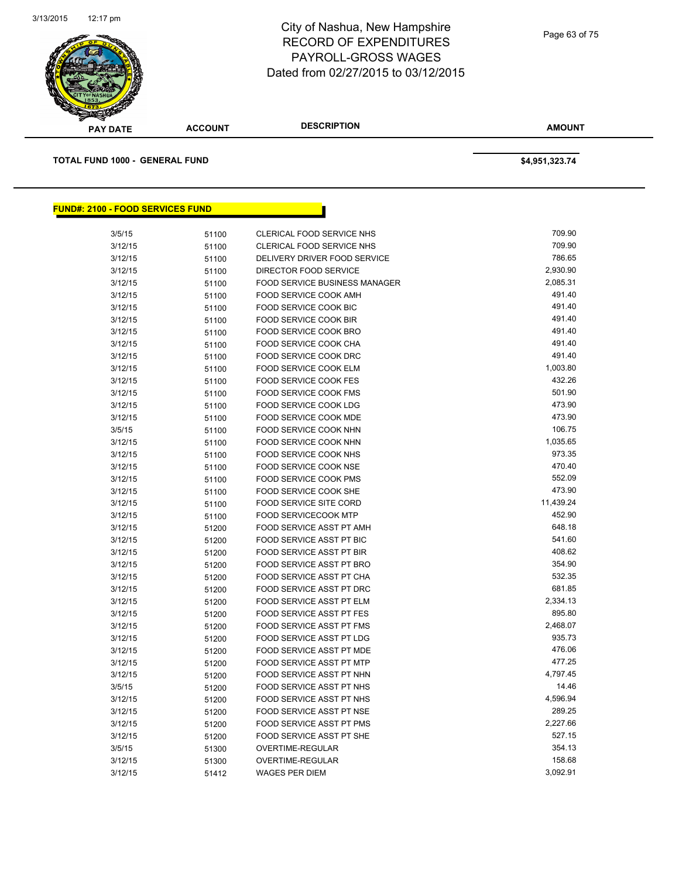

**PAY DATE ACCOUNT DESCRIPTION**

**AMOUNT**

**TOTAL FUND 1000 - GENERAL FUND \$4,951,323.74** 

| <b>FUND#: 2100 - FOOD SERVICES FUND</b> |       |                                 |           |
|-----------------------------------------|-------|---------------------------------|-----------|
| 3/5/15                                  | 51100 | CLERICAL FOOD SERVICE NHS       | 709.90    |
| 3/12/15                                 | 51100 | CLERICAL FOOD SERVICE NHS       | 709.90    |
| 3/12/15                                 | 51100 | DELIVERY DRIVER FOOD SERVICE    | 786.65    |
| 3/12/15                                 | 51100 | DIRECTOR FOOD SERVICE           | 2,930.90  |
| 3/12/15                                 | 51100 | FOOD SERVICE BUSINESS MANAGER   | 2,085.31  |
| 3/12/15                                 | 51100 | FOOD SERVICE COOK AMH           | 491.40    |
| 3/12/15                                 | 51100 | FOOD SERVICE COOK BIC           | 491.40    |
| 3/12/15                                 | 51100 | FOOD SERVICE COOK BIR           | 491.40    |
| 3/12/15                                 | 51100 | FOOD SERVICE COOK BRO           | 491.40    |
| 3/12/15                                 | 51100 | <b>FOOD SERVICE COOK CHA</b>    | 491.40    |
| 3/12/15                                 | 51100 | FOOD SERVICE COOK DRC           | 491.40    |
| 3/12/15                                 | 51100 | <b>FOOD SERVICE COOK ELM</b>    | 1,003.80  |
| 3/12/15                                 | 51100 | <b>FOOD SERVICE COOK FES</b>    | 432.26    |
| 3/12/15                                 | 51100 | FOOD SERVICE COOK FMS           | 501.90    |
| 3/12/15                                 | 51100 | FOOD SERVICE COOK LDG           | 473.90    |
| 3/12/15                                 | 51100 | FOOD SERVICE COOK MDE           | 473.90    |
| 3/5/15                                  | 51100 | FOOD SERVICE COOK NHN           | 106.75    |
| 3/12/15                                 | 51100 | <b>FOOD SERVICE COOK NHN</b>    | 1,035.65  |
| 3/12/15                                 | 51100 | FOOD SERVICE COOK NHS           | 973.35    |
| 3/12/15                                 | 51100 | FOOD SERVICE COOK NSE           | 470.40    |
| 3/12/15                                 | 51100 | <b>FOOD SERVICE COOK PMS</b>    | 552.09    |
| 3/12/15                                 | 51100 | FOOD SERVICE COOK SHE           | 473.90    |
| 3/12/15                                 | 51100 | <b>FOOD SERVICE SITE CORD</b>   | 11,439.24 |
| 3/12/15                                 | 51100 | <b>FOOD SERVICECOOK MTP</b>     | 452.90    |
| 3/12/15                                 | 51200 | FOOD SERVICE ASST PT AMH        | 648.18    |
| 3/12/15                                 | 51200 | FOOD SERVICE ASST PT BIC        | 541.60    |
| 3/12/15                                 | 51200 | <b>FOOD SERVICE ASST PT BIR</b> | 408.62    |
| 3/12/15                                 | 51200 | FOOD SERVICE ASST PT BRO        | 354.90    |
| 3/12/15                                 | 51200 | <b>FOOD SERVICE ASST PT CHA</b> | 532.35    |
| 3/12/15                                 | 51200 | FOOD SERVICE ASST PT DRC        | 681.85    |
| 3/12/15                                 | 51200 | <b>FOOD SERVICE ASST PT ELM</b> | 2,334.13  |
| 3/12/15                                 | 51200 | <b>FOOD SERVICE ASST PT FES</b> | 895.80    |
| 3/12/15                                 | 51200 | <b>FOOD SERVICE ASST PT FMS</b> | 2,468.07  |
| 3/12/15                                 | 51200 | FOOD SERVICE ASST PT LDG        | 935.73    |
| 3/12/15                                 | 51200 | FOOD SERVICE ASST PT MDE        | 476.06    |
| 3/12/15                                 | 51200 | FOOD SERVICE ASST PT MTP        | 477.25    |
| 3/12/15                                 | 51200 | FOOD SERVICE ASST PT NHN        | 4,797.45  |
| 3/5/15                                  | 51200 | FOOD SERVICE ASST PT NHS        | 14.46     |
| 3/12/15                                 | 51200 | FOOD SERVICE ASST PT NHS        | 4,596.94  |
| 3/12/15                                 | 51200 | FOOD SERVICE ASST PT NSE        | 289.25    |
| 3/12/15                                 | 51200 | FOOD SERVICE ASST PT PMS        | 2,227.66  |
| 3/12/15                                 | 51200 | FOOD SERVICE ASST PT SHE        | 527.15    |
| 3/5/15                                  | 51300 | OVERTIME-REGULAR                | 354.13    |
| 3/12/15                                 | 51300 | <b>OVERTIME-REGULAR</b>         | 158.68    |
| 3/12/15                                 | 51412 | <b>WAGES PER DIEM</b>           | 3,092.91  |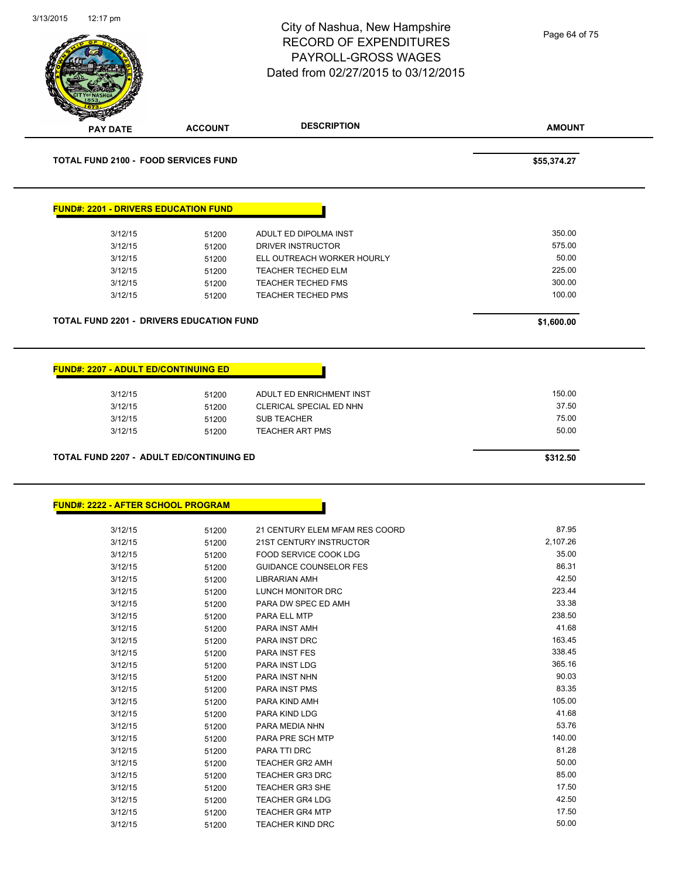| 3/13/2015<br>12:17 pm |                                                 | City of Nashua, New Hampshire<br><b>RECORD OF EXPENDITURES</b><br><b>PAYROLL-GROSS WAGES</b><br>Dated from 02/27/2015 to 03/12/2015 | Page 64 of 75    |
|-----------------------|-------------------------------------------------|-------------------------------------------------------------------------------------------------------------------------------------|------------------|
| <b>PAY DATE</b>       | <b>ACCOUNT</b>                                  | <b>DESCRIPTION</b>                                                                                                                  | <b>AMOUNT</b>    |
|                       | <b>TOTAL FUND 2100 - FOOD SERVICES FUND</b>     |                                                                                                                                     | \$55,374.27      |
|                       | <b>FUND#: 2201 - DRIVERS EDUCATION FUND</b>     |                                                                                                                                     |                  |
| 3/12/15               | 51200                                           | ADULT ED DIPOLMA INST                                                                                                               | 350.00           |
| 3/12/15               | 51200                                           | <b>DRIVER INSTRUCTOR</b>                                                                                                            | 575.00           |
| 3/12/15               | 51200                                           | ELL OUTREACH WORKER HOURLY                                                                                                          | 50.00            |
| 3/12/15               | 51200                                           | TEACHER TECHED ELM                                                                                                                  | 225.00           |
| 3/12/15<br>3/12/15    | 51200<br>51200                                  | TEACHER TECHED FMS<br><b>TEACHER TECHED PMS</b>                                                                                     | 300.00<br>100.00 |
|                       |                                                 |                                                                                                                                     |                  |
|                       | <b>TOTAL FUND 2201 - DRIVERS EDUCATION FUND</b> |                                                                                                                                     | \$1,600.00       |
|                       | <b>FUND#: 2207 - ADULT ED/CONTINUING ED</b>     |                                                                                                                                     |                  |
| 3/12/15               | 51200                                           | ADULT ED ENRICHMENT INST                                                                                                            | 150.00           |
| 3/12/15               | 51200                                           | CLERICAL SPECIAL ED NHN                                                                                                             | 37.50            |
| 3/12/15               | 51200                                           | <b>SUB TEACHER</b>                                                                                                                  | 75.00            |
| 3/12/15               | 51200                                           | <b>TEACHER ART PMS</b>                                                                                                              | 50.00            |
|                       | TOTAL FUND 2207 - ADULT ED/CONTINUING ED        |                                                                                                                                     | \$312.50         |
|                       | <b>FUND#: 2222 - AFTER SCHOOL PROGRAM</b>       |                                                                                                                                     |                  |
| 3/12/15               |                                                 | 21 CENTURY ELEM MFAM RES COORD                                                                                                      | 87.95            |
| 3/12/15               | 51200<br>51200                                  | 21ST CENTURY INSTRUCTOR                                                                                                             | 2,107.26         |
| 3/12/15               | 51200                                           | FOOD SERVICE COOK LDG                                                                                                               | 35.00            |
| 3/12/15               | 51200                                           | <b>GUIDANCE COUNSELOR FES</b>                                                                                                       | 86.31            |
| 3/12/15               | 51200                                           | LIBRARIAN AMH                                                                                                                       | 42.50            |
| 3/12/15               | 51200                                           | LUNCH MONITOR DRC                                                                                                                   | 223.44           |
| 3/12/15               | 51200                                           | PARA DW SPEC ED AMH                                                                                                                 | 33.38            |
| 3/12/15               | 51200                                           | PARA ELL MTP                                                                                                                        | 238.50           |
| 3/12/15               | 51200                                           | PARA INST AMH                                                                                                                       | 41.68            |
| 3/12/15<br>3/12/15    | 51200                                           | PARA INST DRC                                                                                                                       | 163.45<br>338.45 |
| 3/12/15               | 51200<br>51200                                  | PARA INST FES<br>PARA INST LDG                                                                                                      | 365.16           |
| 3/12/15               | 51200                                           | PARA INST NHN                                                                                                                       | 90.03            |
| 3/12/15               | 51200                                           | PARA INST PMS                                                                                                                       | 83.35            |
| 3/12/15               | 51200                                           | PARA KIND AMH                                                                                                                       | 105.00           |
| 3/12/15               | 51200                                           | PARA KIND LDG                                                                                                                       | 41.68            |
| 3/12/15               | 51200                                           | PARA MEDIA NHN                                                                                                                      | 53.76            |
| 3/12/15               | 51200                                           | PARA PRE SCH MTP                                                                                                                    | 140.00           |
| 3/12/15               | 51200                                           | PARA TTI DRC                                                                                                                        | 81.28            |
| 3/12/15               | 51200                                           | <b>TEACHER GR2 AMH</b>                                                                                                              | 50.00            |
| 3/12/15               | 51200                                           | <b>TEACHER GR3 DRC</b>                                                                                                              | 85.00            |
| 3/12/15               | 51200                                           | <b>TEACHER GR3 SHE</b>                                                                                                              | 17.50            |
| 3/12/15               | 51200                                           | <b>TEACHER GR4 LDG</b>                                                                                                              | 42.50            |

3/12/15 51200 TEACHER GR4 MTP 17.50

3/12/15 51200 TEACHER KIND DRC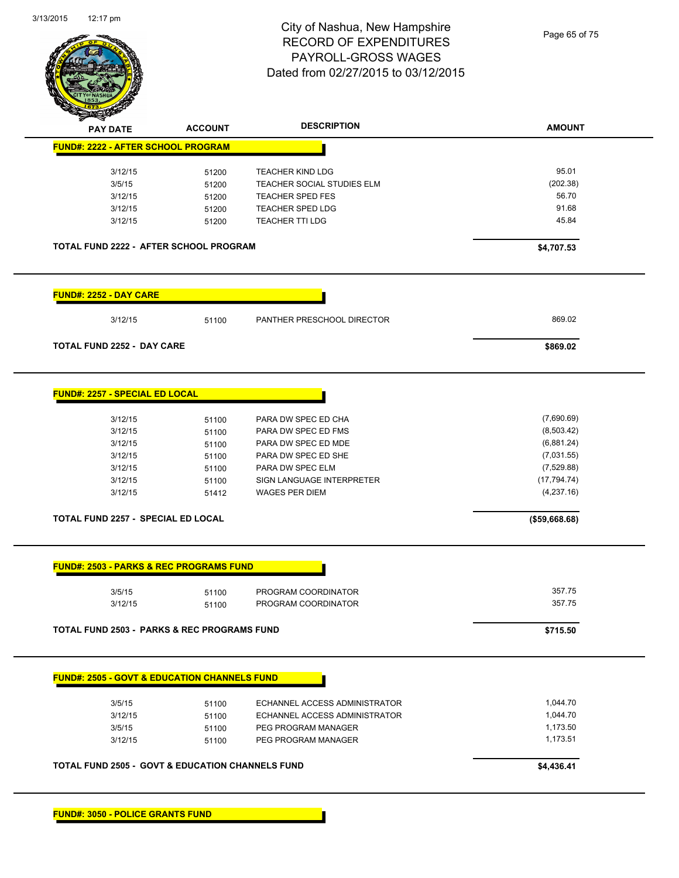

| <b>PAY DATE</b>                                        | <b>ACCOUNT</b> | <b>DESCRIPTION</b>         | <b>AMOUNT</b> |
|--------------------------------------------------------|----------------|----------------------------|---------------|
| FUND#: 2222 - AFTER SCHOOL PROGRAM                     |                |                            |               |
| 3/12/15                                                | 51200          | <b>TEACHER KIND LDG</b>    | 95.01         |
| 3/5/15                                                 | 51200          | TEACHER SOCIAL STUDIES ELM | (202.38)      |
| 3/12/15                                                | 51200          | <b>TEACHER SPED FES</b>    | 56.70         |
| 3/12/15                                                | 51200          | TEACHER SPED LDG           | 91.68         |
| 3/12/15                                                | 51200          | TEACHER TTI LDG            | 45.84         |
|                                                        |                |                            |               |
| <b>TOTAL FUND 2222 - AFTER SCHOOL PROGRAM</b>          |                |                            | \$4,707.53    |
| <b>FUND#: 2252 - DAY CARE</b>                          |                |                            |               |
| 3/12/15                                                | 51100          | PANTHER PRESCHOOL DIRECTOR | 869.02        |
| <b>TOTAL FUND 2252 - DAY CARE</b>                      |                |                            | \$869.02      |
| <b>FUND#: 2257 - SPECIAL ED LOCAL</b>                  |                |                            |               |
| 3/12/15                                                | 51100          | PARA DW SPEC ED CHA        | (7,690.69)    |
| 3/12/15                                                | 51100          | PARA DW SPEC ED FMS        | (8,503.42)    |
| 3/12/15                                                | 51100          | PARA DW SPEC ED MDE        | (6,881.24)    |
| 3/12/15                                                | 51100          | PARA DW SPEC ED SHE        | (7,031.55)    |
| 3/12/15                                                | 51100          | PARA DW SPEC ELM           | (7,529.88)    |
| 3/12/15                                                | 51100          | SIGN LANGUAGE INTERPRETER  | (17, 794.74)  |
| 3/12/15                                                | 51412          | <b>WAGES PER DIEM</b>      | (4,237.16)    |
| TOTAL FUND 2257 - SPECIAL ED LOCAL                     |                |                            | (\$59,668.68) |
| <b>FUND#: 2503 - PARKS &amp; REC PROGRAMS FUND</b>     |                |                            |               |
| 3/5/15                                                 | 51100          | PROGRAM COORDINATOR        | 357.75        |
| 3/12/15                                                | 51100          | PROGRAM COORDINATOR        | 357.75        |
| <b>TOTAL FUND 2503 - PARKS &amp; REC PROGRAMS FUND</b> |                |                            | \$715.50      |

**FUND#: 3050 - POLICE GRANTS FUND**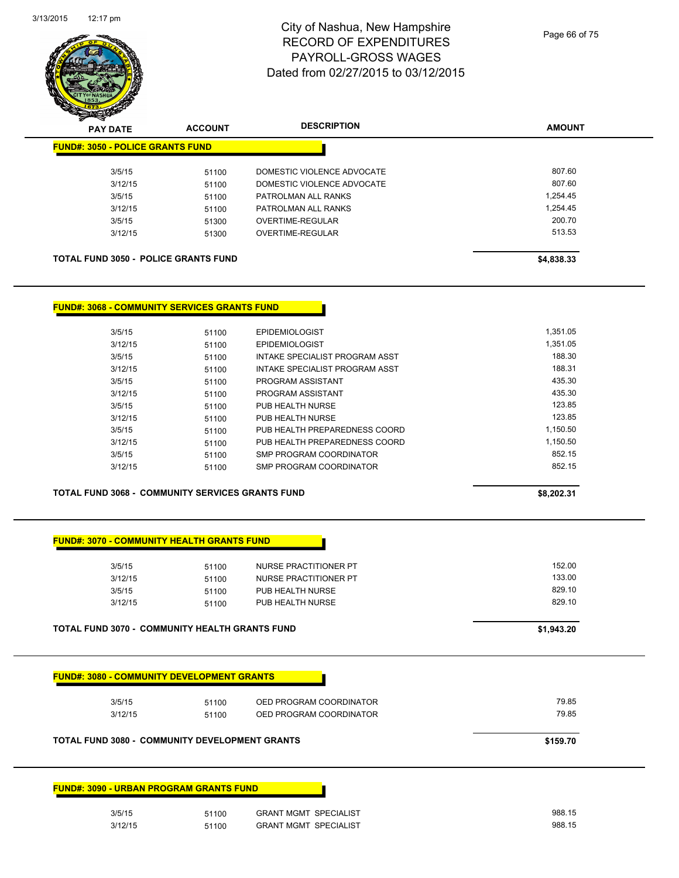

| $\mathscr{D}$ $\mathscr{D}$<br><b>PAY DATE</b> | <b>ACCOUNT</b> | <b>DESCRIPTION</b>         | <b>AMOUNT</b> |
|------------------------------------------------|----------------|----------------------------|---------------|
| <b>FUND#: 3050 - POLICE GRANTS FUND</b>        |                |                            |               |
| 3/5/15                                         | 51100          | DOMESTIC VIOLENCE ADVOCATE | 807.60        |
| 3/12/15                                        | 51100          | DOMESTIC VIOLENCE ADVOCATE | 807.60        |
| 3/5/15                                         | 51100          | PATROLMAN ALL RANKS        | 1.254.45      |
| 3/12/15                                        | 51100          | PATROLMAN ALL RANKS        | 1.254.45      |
| 3/5/15                                         | 51300          | OVERTIME-REGULAR           | 200.70        |
| 3/12/15                                        | 51300          | OVERTIME-REGULAR           | 513.53        |
|                                                |                |                            |               |
| <b>TOTAL FUND 3050 - POLICE GRANTS FUND</b>    |                |                            | \$4,838.33    |

#### **FUND#: 3068 - COMMUNITY SERVICES GRANTS FUND**

| 3/5/15  | 51100 | <b>EPIDEMIOLOGIST</b>          | 1.351.05 |
|---------|-------|--------------------------------|----------|
| 3/12/15 | 51100 | <b>EPIDEMIOLOGIST</b>          | 1.351.05 |
| 3/5/15  | 51100 | INTAKE SPECIALIST PROGRAM ASST | 188.30   |
| 3/12/15 | 51100 | INTAKE SPECIALIST PROGRAM ASST | 188.31   |
| 3/5/15  | 51100 | PROGRAM ASSISTANT              | 435.30   |
| 3/12/15 | 51100 | PROGRAM ASSISTANT              | 435.30   |
| 3/5/15  | 51100 | PUB HEALTH NURSE               | 123.85   |
| 3/12/15 | 51100 | PUB HEALTH NURSE               | 123.85   |
| 3/5/15  | 51100 | PUB HEALTH PREPAREDNESS COORD  | 1.150.50 |
| 3/12/15 | 51100 | PUB HEALTH PREPAREDNESS COORD  | 1.150.50 |
| 3/5/15  | 51100 | SMP PROGRAM COORDINATOR        | 852.15   |
| 3/12/15 | 51100 | SMP PROGRAM COORDINATOR        | 852.15   |
|         |       |                                |          |

#### **TOTAL FUND 3068 - COMMUNITY SERVICES GRANTS FUND \$8,202.31**

# **FUND#: 3070 - COMMUNITY HEALTH GRANTS FUND** 3/5/15 51100 NURSE PRACTITIONER PT 152.00 3/12/15 51100 NURSE PRACTITIONER PT 3/5/15 51100 PUB HEALTH NURSE 829.10 3/12/15 51100 PUB HEALTH NURSE 829.10 **TOTAL FUND 3070 - COMMUNITY HEALTH GRANTS FUND \$1,943.20**

| 3/5/15<br>3/12/15                                     | 51100<br>51100 | OED PROGRAM COORDINATOR<br>OED PROGRAM COORDINATOR | 79.85<br>79.85 |
|-------------------------------------------------------|----------------|----------------------------------------------------|----------------|
| <b>TOTAL FUND 3080 - COMMUNITY DEVELOPMENT GRANTS</b> |                |                                                    | \$159.70       |
|                                                       |                |                                                    |                |

3/12/15 51100 GRANT MGMT SPECIALIST 988.15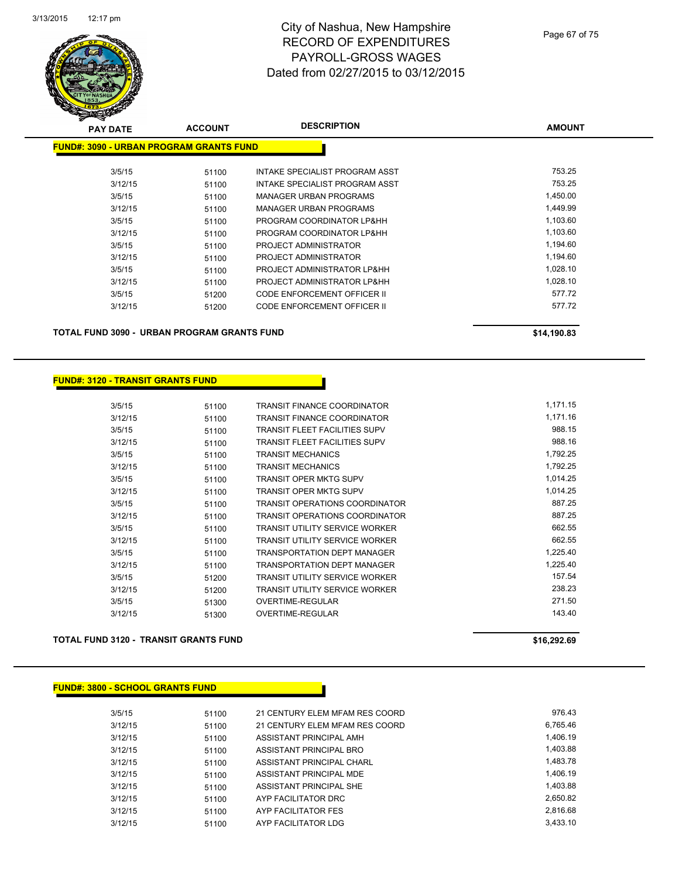

| <b>PAY DATE</b>                                | <b>ACCOUNT</b> | <b>DESCRIPTION</b>                 | <b>AMOUNT</b> |
|------------------------------------------------|----------------|------------------------------------|---------------|
| <b>FUND#: 3090 - URBAN PROGRAM GRANTS FUND</b> |                |                                    |               |
| 3/5/15                                         | 51100          | INTAKE SPECIALIST PROGRAM ASST     | 753.25        |
| 3/12/15                                        | 51100          | INTAKE SPECIALIST PROGRAM ASST     | 753.25        |
| 3/5/15                                         | 51100          | <b>MANAGER URBAN PROGRAMS</b>      | 1,450.00      |
| 3/12/15                                        | 51100          | MANAGER URBAN PROGRAMS             | 1,449.99      |
| 3/5/15                                         | 51100          | PROGRAM COORDINATOR LP&HH          | 1,103.60      |
| 3/12/15                                        | 51100          | PROGRAM COORDINATOR LP&HH          | 1,103.60      |
| 3/5/15                                         | 51100          | PROJECT ADMINISTRATOR              | 1,194.60      |
| 3/12/15                                        | 51100          | PROJECT ADMINISTRATOR              | 1,194.60      |
| 3/5/15                                         | 51100          | PROJECT ADMINISTRATOR LP&HH        | 1,028.10      |
| 3/12/15                                        | 51100          | PROJECT ADMINISTRATOR LP&HH        | 1,028.10      |
| 3/5/15                                         | 51200          | <b>CODE ENFORCEMENT OFFICER II</b> | 577.72        |
| 3/12/15                                        | 51200          | <b>CODE ENFORCEMENT OFFICER II</b> | 577.72        |
|                                                |                |                                    |               |

**TOTAL FUND 3090 - URBAN PROGRAM GRANTS FUND \$14,190.83** 

#### **FUND#: 3120 - TRANSIT GRANTS FUND**

| 3/5/15  | 51100 | TRANSIT FINANCE COORDINATOR           | 1,171.15 |
|---------|-------|---------------------------------------|----------|
| 3/12/15 | 51100 | TRANSIT FINANCE COORDINATOR           | 1,171.16 |
| 3/5/15  | 51100 | <b>TRANSIT FLEET FACILITIES SUPV</b>  | 988.15   |
| 3/12/15 | 51100 | TRANSIT FLEET FACILITIES SUPV         | 988.16   |
| 3/5/15  | 51100 | TRANSIT MECHANICS                     | 1,792.25 |
| 3/12/15 | 51100 | TRANSIT MECHANICS                     | 1,792.25 |
| 3/5/15  | 51100 | TRANSIT OPER MKTG SUPV                | 1,014.25 |
| 3/12/15 | 51100 | TRANSIT OPER MKTG SUPV                | 1,014.25 |
| 3/5/15  | 51100 | TRANSIT OPERATIONS COORDINATOR        | 887.25   |
| 3/12/15 | 51100 | TRANSIT OPERATIONS COORDINATOR        | 887.25   |
| 3/5/15  | 51100 | TRANSIT UTILITY SERVICE WORKER        | 662.55   |
| 3/12/15 | 51100 | <b>TRANSIT UTILITY SERVICE WORKER</b> | 662.55   |
| 3/5/15  | 51100 | <b>TRANSPORTATION DEPT MANAGER</b>    | 1,225.40 |
| 3/12/15 | 51100 | TRANSPORTATION DEPT MANAGER           | 1,225.40 |
| 3/5/15  | 51200 | TRANSIT UTILITY SERVICE WORKER        | 157.54   |
| 3/12/15 | 51200 | <b>TRANSIT UTILITY SERVICE WORKER</b> | 238.23   |
| 3/5/15  | 51300 | OVERTIME-REGULAR                      | 271.50   |
| 3/12/15 | 51300 | OVERTIME-REGULAR                      | 143.40   |

#### **TOTAL FUND 3120 - TRANSIT GRANTS FUND \$16,292.69 \$16,292.69**

| <b>FUND#: 3800 - SCHOOL GRANTS FUND</b> |  |
|-----------------------------------------|--|

| 3/5/15  | 51100 | 21 CENTURY ELEM MFAM RES COORD | 976.43   |
|---------|-------|--------------------------------|----------|
| 3/12/15 | 51100 | 21 CENTURY ELEM MFAM RES COORD | 6.765.46 |
| 3/12/15 | 51100 | ASSISTANT PRINCIPAL AMH        | 1.406.19 |
| 3/12/15 | 51100 | ASSISTANT PRINCIPAL BRO        | 1,403.88 |
| 3/12/15 | 51100 | ASSISTANT PRINCIPAL CHARL      | 1.483.78 |
| 3/12/15 | 51100 | ASSISTANT PRINCIPAL MDE        | 1.406.19 |
| 3/12/15 | 51100 | ASSISTANT PRINCIPAL SHE        | 1,403.88 |
| 3/12/15 | 51100 | AYP FACILITATOR DRC            | 2.650.82 |
| 3/12/15 | 51100 | AYP FACILITATOR FES            | 2.816.68 |
| 3/12/15 | 51100 | AYP FACILITATOR LDG            | 3,433.10 |
|         |       |                                |          |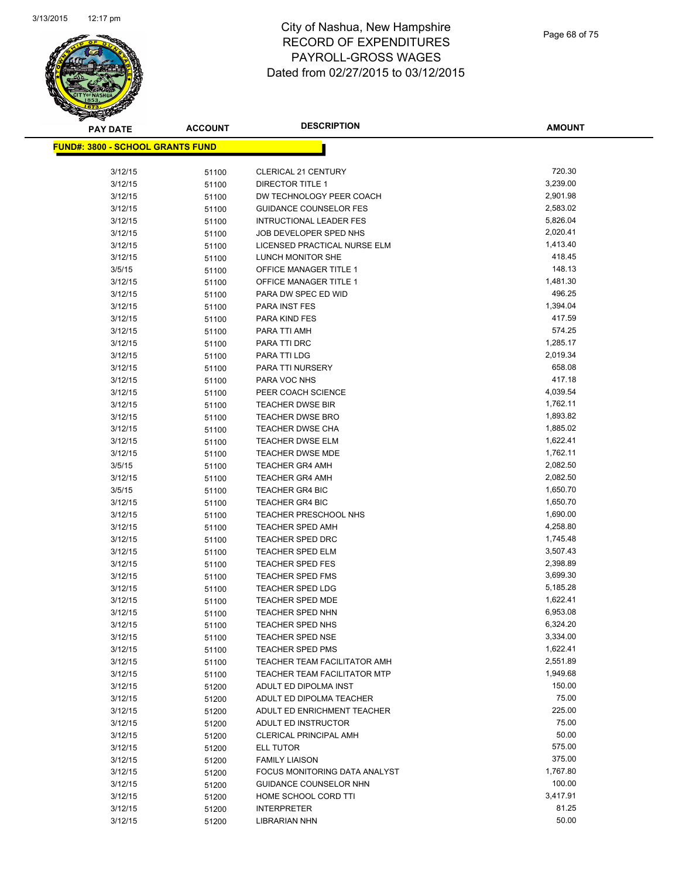

| <b>PAY DATE</b>                          | <b>ACCOUNT</b> | <b>DESCRIPTION</b>                                 | <b>AMOUNT</b>        |
|------------------------------------------|----------------|----------------------------------------------------|----------------------|
| <u> FUND#: 3800 - SCHOOL GRANTS FUND</u> |                |                                                    |                      |
|                                          |                |                                                    |                      |
| 3/12/15                                  | 51100          | <b>CLERICAL 21 CENTURY</b>                         | 720.30               |
| 3/12/15                                  | 51100          | <b>DIRECTOR TITLE 1</b>                            | 3,239.00             |
| 3/12/15                                  | 51100          | DW TECHNOLOGY PEER COACH                           | 2,901.98             |
| 3/12/15                                  | 51100          | <b>GUIDANCE COUNSELOR FES</b>                      | 2,583.02             |
| 3/12/15                                  | 51100          | <b>INTRUCTIONAL LEADER FES</b>                     | 5,826.04             |
| 3/12/15                                  | 51100          | JOB DEVELOPER SPED NHS                             | 2,020.41             |
| 3/12/15                                  | 51100          | LICENSED PRACTICAL NURSE ELM                       | 1,413.40             |
| 3/12/15                                  | 51100          | LUNCH MONITOR SHE                                  | 418.45               |
| 3/5/15                                   | 51100          | OFFICE MANAGER TITLE 1                             | 148.13               |
| 3/12/15                                  | 51100          | OFFICE MANAGER TITLE 1                             | 1,481.30             |
| 3/12/15                                  | 51100          | PARA DW SPEC ED WID                                | 496.25               |
| 3/12/15                                  | 51100          | PARA INST FES                                      | 1,394.04             |
| 3/12/15                                  | 51100          | PARA KIND FES                                      | 417.59               |
| 3/12/15                                  | 51100          | PARA TTI AMH                                       | 574.25               |
| 3/12/15                                  | 51100          | PARA TTI DRC                                       | 1,285.17             |
| 3/12/15                                  | 51100          | PARA TTI LDG                                       | 2,019.34             |
| 3/12/15                                  | 51100          | PARA TTI NURSERY                                   | 658.08               |
| 3/12/15                                  | 51100          | PARA VOC NHS                                       | 417.18               |
| 3/12/15                                  | 51100          | PEER COACH SCIENCE                                 | 4,039.54             |
| 3/12/15                                  | 51100          | <b>TEACHER DWSE BIR</b>                            | 1,762.11             |
| 3/12/15                                  | 51100          | <b>TEACHER DWSE BRO</b>                            | 1,893.82             |
| 3/12/15                                  | 51100          | TEACHER DWSE CHA                                   | 1,885.02             |
| 3/12/15                                  | 51100          | TEACHER DWSE ELM                                   | 1,622.41             |
| 3/12/15                                  | 51100          | <b>TEACHER DWSE MDE</b>                            | 1,762.11             |
| 3/5/15                                   | 51100          | <b>TEACHER GR4 AMH</b>                             | 2,082.50             |
| 3/12/15                                  | 51100          | <b>TEACHER GR4 AMH</b>                             | 2,082.50             |
| 3/5/15                                   | 51100          | <b>TEACHER GR4 BIC</b>                             | 1,650.70             |
| 3/12/15                                  | 51100          | <b>TEACHER GR4 BIC</b>                             | 1,650.70             |
| 3/12/15                                  | 51100          | <b>TEACHER PRESCHOOL NHS</b>                       | 1,690.00<br>4,258.80 |
| 3/12/15                                  | 51100          | <b>TEACHER SPED AMH</b>                            |                      |
| 3/12/15<br>3/12/15                       | 51100          | <b>TEACHER SPED DRC</b><br><b>TEACHER SPED ELM</b> | 1,745.48<br>3,507.43 |
| 3/12/15                                  | 51100          | <b>TEACHER SPED FES</b>                            | 2,398.89             |
| 3/12/15                                  | 51100<br>51100 | TEACHER SPED FMS                                   | 3,699.30             |
| 3/12/15                                  | 51100          | <b>TEACHER SPED LDG</b>                            | 5,185.28             |
| 3/12/15                                  | 51100          | TEACHER SPED MDE                                   | 1,622.41             |
| 3/12/15                                  | 51100          | <b>TEACHER SPED NHN</b>                            | 6,953.08             |
| 3/12/15                                  | 51100          | TEACHER SPED NHS                                   | 6,324.20             |
| 3/12/15                                  | 51100          | <b>TEACHER SPED NSE</b>                            | 3,334.00             |
| 3/12/15                                  | 51100          | <b>TEACHER SPED PMS</b>                            | 1,622.41             |
| 3/12/15                                  | 51100          | TEACHER TEAM FACILITATOR AMH                       | 2,551.89             |
| 3/12/15                                  | 51100          | TEACHER TEAM FACILITATOR MTP                       | 1,949.68             |
| 3/12/15                                  | 51200          | ADULT ED DIPOLMA INST                              | 150.00               |
| 3/12/15                                  | 51200          | ADULT ED DIPOLMA TEACHER                           | 75.00                |
| 3/12/15                                  | 51200          | ADULT ED ENRICHMENT TEACHER                        | 225.00               |
| 3/12/15                                  | 51200          | ADULT ED INSTRUCTOR                                | 75.00                |
| 3/12/15                                  | 51200          | <b>CLERICAL PRINCIPAL AMH</b>                      | 50.00                |
| 3/12/15                                  | 51200          | ELL TUTOR                                          | 575.00               |
| 3/12/15                                  | 51200          | <b>FAMILY LIAISON</b>                              | 375.00               |
| 3/12/15                                  | 51200          | FOCUS MONITORING DATA ANALYST                      | 1,767.80             |
| 3/12/15                                  | 51200          | GUIDANCE COUNSELOR NHN                             | 100.00               |
| 3/12/15                                  | 51200          | HOME SCHOOL CORD TTI                               | 3,417.91             |
| 3/12/15                                  | 51200          | <b>INTERPRETER</b>                                 | 81.25                |
| 3/12/15                                  | 51200          | LIBRARIAN NHN                                      | 50.00                |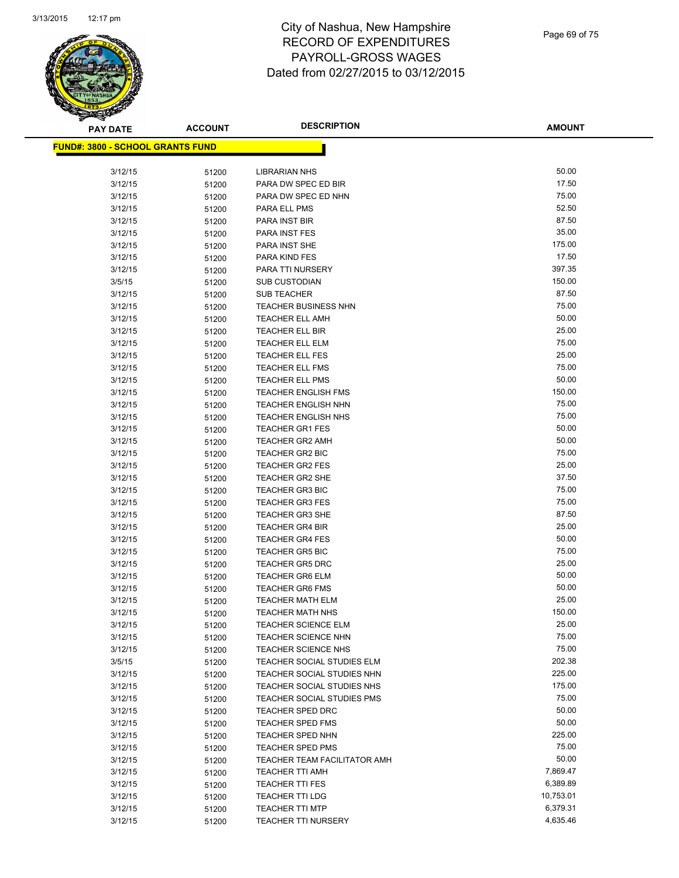

**AMOUNT**

| <b>FUND#: 3800 - SCHOOL GRANTS FUND</b> |                |                                                  |                 |
|-----------------------------------------|----------------|--------------------------------------------------|-----------------|
| 3/12/15                                 | 51200          | <b>LIBRARIAN NHS</b>                             | 50.00           |
| 3/12/15                                 | 51200          | PARA DW SPEC ED BIR                              | 17.50           |
| 3/12/15                                 |                | PARA DW SPEC ED NHN                              | 75.00           |
|                                         | 51200          |                                                  | 52.50           |
| 3/12/15                                 | 51200          | PARA ELL PMS                                     | 87.50           |
| 3/12/15                                 | 51200          | PARA INST BIR                                    |                 |
| 3/12/15                                 | 51200          | <b>PARA INST FES</b>                             | 35.00<br>175.00 |
| 3/12/15                                 | 51200          | PARA INST SHE                                    |                 |
| 3/12/15                                 | 51200          | PARA KIND FES                                    | 17.50           |
| 3/12/15                                 | 51200          | PARA TTI NURSERY                                 | 397.35          |
| 3/5/15                                  | 51200          | <b>SUB CUSTODIAN</b>                             | 150.00          |
| 3/12/15                                 | 51200          | <b>SUB TEACHER</b>                               | 87.50           |
| 3/12/15                                 | 51200          | <b>TEACHER BUSINESS NHN</b>                      | 75.00           |
| 3/12/15                                 | 51200          | <b>TEACHER ELL AMH</b>                           | 50.00           |
| 3/12/15                                 | 51200          | <b>TEACHER ELL BIR</b>                           | 25.00           |
| 3/12/15                                 | 51200          | <b>TEACHER ELL ELM</b>                           | 75.00           |
| 3/12/15                                 | 51200          | <b>TEACHER ELL FES</b>                           | 25.00           |
| 3/12/15                                 | 51200          | TEACHER ELL FMS                                  | 75.00           |
| 3/12/15                                 | 51200          | <b>TEACHER ELL PMS</b>                           | 50.00           |
| 3/12/15                                 | 51200          | <b>TEACHER ENGLISH FMS</b>                       | 150.00          |
| 3/12/15                                 | 51200          | <b>TEACHER ENGLISH NHN</b>                       | 75.00           |
| 3/12/15                                 | 51200          | <b>TEACHER ENGLISH NHS</b>                       | 75.00           |
| 3/12/15                                 | 51200          | <b>TEACHER GR1 FES</b>                           | 50.00           |
| 3/12/15                                 | 51200          | <b>TEACHER GR2 AMH</b>                           | 50.00           |
| 3/12/15                                 | 51200          | <b>TEACHER GR2 BIC</b>                           | 75.00           |
| 3/12/15                                 | 51200          | <b>TEACHER GR2 FES</b>                           | 25.00<br>37.50  |
| 3/12/15                                 | 51200          | <b>TEACHER GR2 SHE</b>                           | 75.00           |
| 3/12/15                                 | 51200          | <b>TEACHER GR3 BIC</b>                           | 75.00           |
| 3/12/15                                 | 51200          | <b>TEACHER GR3 FES</b>                           | 87.50           |
| 3/12/15<br>3/12/15                      | 51200          | <b>TEACHER GR3 SHE</b><br><b>TEACHER GR4 BIR</b> | 25.00           |
| 3/12/15                                 | 51200          | <b>TEACHER GR4 FES</b>                           | 50.00           |
| 3/12/15                                 | 51200<br>51200 | <b>TEACHER GR5 BIC</b>                           | 75.00           |
| 3/12/15                                 | 51200          | <b>TEACHER GR5 DRC</b>                           | 25.00           |
| 3/12/15                                 | 51200          | <b>TEACHER GR6 ELM</b>                           | 50.00           |
| 3/12/15                                 | 51200          | <b>TEACHER GR6 FMS</b>                           | 50.00           |
| 3/12/15                                 | 51200          | <b>TEACHER MATH ELM</b>                          | 25.00           |
| 3/12/15                                 | 51200          | <b>TEACHER MATH NHS</b>                          | 150.00          |
| 3/12/15                                 | 51200          | <b>TEACHER SCIENCE ELM</b>                       | 25.00           |
| 3/12/15                                 | 51200          | <b>TEACHER SCIENCE NHN</b>                       | 75.00           |
| 3/12/15                                 | 51200          | <b>TEACHER SCIENCE NHS</b>                       | 75.00           |
| 3/5/15                                  | 51200          | TEACHER SOCIAL STUDIES ELM                       | 202.38          |
| 3/12/15                                 | 51200          | TEACHER SOCIAL STUDIES NHN                       | 225.00          |
| 3/12/15                                 | 51200          | TEACHER SOCIAL STUDIES NHS                       | 175.00          |
| 3/12/15                                 | 51200          | TEACHER SOCIAL STUDIES PMS                       | 75.00           |
| 3/12/15                                 | 51200          | <b>TEACHER SPED DRC</b>                          | 50.00           |
| 3/12/15                                 | 51200          | <b>TEACHER SPED FMS</b>                          | 50.00           |
| 3/12/15                                 | 51200          | TEACHER SPED NHN                                 | 225.00          |
| 3/12/15                                 | 51200          | <b>TEACHER SPED PMS</b>                          | 75.00           |
| 3/12/15                                 | 51200          | <b>TEACHER TEAM FACILITATOR AMH</b>              | 50.00           |
| 3/12/15                                 | 51200          | <b>TEACHER TTI AMH</b>                           | 7,869.47        |
| 3/12/15                                 | 51200          | <b>TEACHER TTI FES</b>                           | 6,389.89        |
| 3/12/15                                 | 51200          | <b>TEACHER TTI LDG</b>                           | 10,753.01       |
| 3/12/15                                 | 51200          | <b>TEACHER TTI MTP</b>                           | 6,379.31        |
| 3/12/15                                 | 51200          | <b>TEACHER TTI NURSERY</b>                       | 4,635.46        |
|                                         |                |                                                  |                 |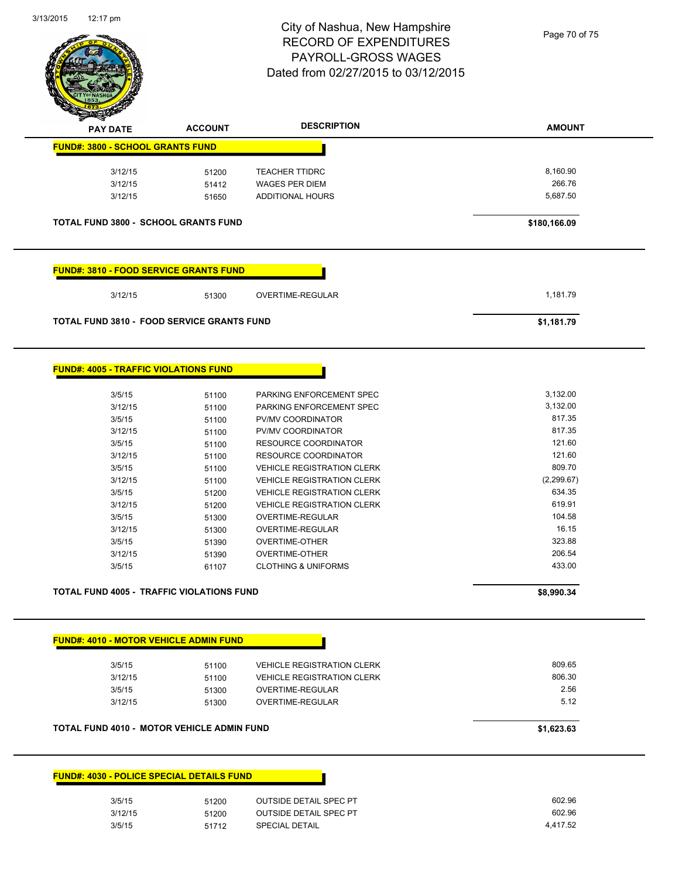

| <b>DESCRIPTION</b><br><b>ACCOUNT</b><br><b>PAY DATE</b><br><b>FUND#: 3800 - SCHOOL GRANTS FUND</b><br>3/12/15<br><b>TEACHER TTIDRC</b><br>51200<br>3/12/15<br><b>WAGES PER DIEM</b><br>51412<br><b>ADDITIONAL HOURS</b><br>3/12/15<br>51650<br><b>TOTAL FUND 3800 - SCHOOL GRANTS FUND</b><br><u> FUND#: 3810 - FOOD SERVICE GRANTS FUND</u><br>3/12/15<br>OVERTIME-REGULAR<br>51300<br><b>TOTAL FUND 3810 - FOOD SERVICE GRANTS FUND</b><br><b>FUND#: 4005 - TRAFFIC VIOLATIONS FUND</b><br>3/5/15<br>PARKING ENFORCEMENT SPEC<br>51100<br>3/12/15<br>51100<br>PARKING ENFORCEMENT SPEC<br>3/5/15<br>PV/MV COORDINATOR<br>51100<br>3/12/15<br>PV/MV COORDINATOR<br>51100<br>3/5/15<br><b>RESOURCE COORDINATOR</b><br>51100<br>3/12/15<br><b>RESOURCE COORDINATOR</b><br>51100<br>3/5/15<br><b>VEHICLE REGISTRATION CLERK</b><br>51100<br>3/12/15<br>51100<br><b>VEHICLE REGISTRATION CLERK</b><br>3/5/15<br><b>VEHICLE REGISTRATION CLERK</b><br>51200<br>3/12/15<br><b>VEHICLE REGISTRATION CLERK</b><br>51200<br>3/5/15<br>OVERTIME-REGULAR<br>51300<br>3/12/15<br>OVERTIME-REGULAR<br>51300<br>3/5/15<br><b>OVERTIME-OTHER</b><br>51390<br>3/12/15<br><b>OVERTIME-OTHER</b><br>51390<br>3/5/15<br><b>CLOTHING &amp; UNIFORMS</b><br>61107<br><b>TOTAL FUND 4005 - TRAFFIC VIOLATIONS FUND</b> | <b>AMOUNT</b><br>8,160.90<br>266.76<br>5,687.50<br>\$180,166.09<br>1,181.79<br>\$1,181.79<br>3,132.00<br>3,132.00<br>817.35<br>817.35<br>121.60 |
|---------------------------------------------------------------------------------------------------------------------------------------------------------------------------------------------------------------------------------------------------------------------------------------------------------------------------------------------------------------------------------------------------------------------------------------------------------------------------------------------------------------------------------------------------------------------------------------------------------------------------------------------------------------------------------------------------------------------------------------------------------------------------------------------------------------------------------------------------------------------------------------------------------------------------------------------------------------------------------------------------------------------------------------------------------------------------------------------------------------------------------------------------------------------------------------------------------------------------------------------------------------------------------------------------|-------------------------------------------------------------------------------------------------------------------------------------------------|
|                                                                                                                                                                                                                                                                                                                                                                                                                                                                                                                                                                                                                                                                                                                                                                                                                                                                                                                                                                                                                                                                                                                                                                                                                                                                                                   |                                                                                                                                                 |
|                                                                                                                                                                                                                                                                                                                                                                                                                                                                                                                                                                                                                                                                                                                                                                                                                                                                                                                                                                                                                                                                                                                                                                                                                                                                                                   |                                                                                                                                                 |
|                                                                                                                                                                                                                                                                                                                                                                                                                                                                                                                                                                                                                                                                                                                                                                                                                                                                                                                                                                                                                                                                                                                                                                                                                                                                                                   |                                                                                                                                                 |
|                                                                                                                                                                                                                                                                                                                                                                                                                                                                                                                                                                                                                                                                                                                                                                                                                                                                                                                                                                                                                                                                                                                                                                                                                                                                                                   |                                                                                                                                                 |
|                                                                                                                                                                                                                                                                                                                                                                                                                                                                                                                                                                                                                                                                                                                                                                                                                                                                                                                                                                                                                                                                                                                                                                                                                                                                                                   |                                                                                                                                                 |
|                                                                                                                                                                                                                                                                                                                                                                                                                                                                                                                                                                                                                                                                                                                                                                                                                                                                                                                                                                                                                                                                                                                                                                                                                                                                                                   |                                                                                                                                                 |
|                                                                                                                                                                                                                                                                                                                                                                                                                                                                                                                                                                                                                                                                                                                                                                                                                                                                                                                                                                                                                                                                                                                                                                                                                                                                                                   |                                                                                                                                                 |
|                                                                                                                                                                                                                                                                                                                                                                                                                                                                                                                                                                                                                                                                                                                                                                                                                                                                                                                                                                                                                                                                                                                                                                                                                                                                                                   |                                                                                                                                                 |
|                                                                                                                                                                                                                                                                                                                                                                                                                                                                                                                                                                                                                                                                                                                                                                                                                                                                                                                                                                                                                                                                                                                                                                                                                                                                                                   |                                                                                                                                                 |
|                                                                                                                                                                                                                                                                                                                                                                                                                                                                                                                                                                                                                                                                                                                                                                                                                                                                                                                                                                                                                                                                                                                                                                                                                                                                                                   |                                                                                                                                                 |
|                                                                                                                                                                                                                                                                                                                                                                                                                                                                                                                                                                                                                                                                                                                                                                                                                                                                                                                                                                                                                                                                                                                                                                                                                                                                                                   |                                                                                                                                                 |
|                                                                                                                                                                                                                                                                                                                                                                                                                                                                                                                                                                                                                                                                                                                                                                                                                                                                                                                                                                                                                                                                                                                                                                                                                                                                                                   |                                                                                                                                                 |
|                                                                                                                                                                                                                                                                                                                                                                                                                                                                                                                                                                                                                                                                                                                                                                                                                                                                                                                                                                                                                                                                                                                                                                                                                                                                                                   |                                                                                                                                                 |
|                                                                                                                                                                                                                                                                                                                                                                                                                                                                                                                                                                                                                                                                                                                                                                                                                                                                                                                                                                                                                                                                                                                                                                                                                                                                                                   |                                                                                                                                                 |
|                                                                                                                                                                                                                                                                                                                                                                                                                                                                                                                                                                                                                                                                                                                                                                                                                                                                                                                                                                                                                                                                                                                                                                                                                                                                                                   |                                                                                                                                                 |
|                                                                                                                                                                                                                                                                                                                                                                                                                                                                                                                                                                                                                                                                                                                                                                                                                                                                                                                                                                                                                                                                                                                                                                                                                                                                                                   |                                                                                                                                                 |
|                                                                                                                                                                                                                                                                                                                                                                                                                                                                                                                                                                                                                                                                                                                                                                                                                                                                                                                                                                                                                                                                                                                                                                                                                                                                                                   |                                                                                                                                                 |
|                                                                                                                                                                                                                                                                                                                                                                                                                                                                                                                                                                                                                                                                                                                                                                                                                                                                                                                                                                                                                                                                                                                                                                                                                                                                                                   |                                                                                                                                                 |
|                                                                                                                                                                                                                                                                                                                                                                                                                                                                                                                                                                                                                                                                                                                                                                                                                                                                                                                                                                                                                                                                                                                                                                                                                                                                                                   | 121.60                                                                                                                                          |
|                                                                                                                                                                                                                                                                                                                                                                                                                                                                                                                                                                                                                                                                                                                                                                                                                                                                                                                                                                                                                                                                                                                                                                                                                                                                                                   | 809.70                                                                                                                                          |
|                                                                                                                                                                                                                                                                                                                                                                                                                                                                                                                                                                                                                                                                                                                                                                                                                                                                                                                                                                                                                                                                                                                                                                                                                                                                                                   | (2, 299.67)                                                                                                                                     |
|                                                                                                                                                                                                                                                                                                                                                                                                                                                                                                                                                                                                                                                                                                                                                                                                                                                                                                                                                                                                                                                                                                                                                                                                                                                                                                   | 634.35                                                                                                                                          |
|                                                                                                                                                                                                                                                                                                                                                                                                                                                                                                                                                                                                                                                                                                                                                                                                                                                                                                                                                                                                                                                                                                                                                                                                                                                                                                   | 619.91                                                                                                                                          |
|                                                                                                                                                                                                                                                                                                                                                                                                                                                                                                                                                                                                                                                                                                                                                                                                                                                                                                                                                                                                                                                                                                                                                                                                                                                                                                   | 104.58                                                                                                                                          |
|                                                                                                                                                                                                                                                                                                                                                                                                                                                                                                                                                                                                                                                                                                                                                                                                                                                                                                                                                                                                                                                                                                                                                                                                                                                                                                   | 16.15                                                                                                                                           |
|                                                                                                                                                                                                                                                                                                                                                                                                                                                                                                                                                                                                                                                                                                                                                                                                                                                                                                                                                                                                                                                                                                                                                                                                                                                                                                   | 323.88                                                                                                                                          |
|                                                                                                                                                                                                                                                                                                                                                                                                                                                                                                                                                                                                                                                                                                                                                                                                                                                                                                                                                                                                                                                                                                                                                                                                                                                                                                   | 206.54                                                                                                                                          |
|                                                                                                                                                                                                                                                                                                                                                                                                                                                                                                                                                                                                                                                                                                                                                                                                                                                                                                                                                                                                                                                                                                                                                                                                                                                                                                   | 433.00                                                                                                                                          |
|                                                                                                                                                                                                                                                                                                                                                                                                                                                                                                                                                                                                                                                                                                                                                                                                                                                                                                                                                                                                                                                                                                                                                                                                                                                                                                   |                                                                                                                                                 |
|                                                                                                                                                                                                                                                                                                                                                                                                                                                                                                                                                                                                                                                                                                                                                                                                                                                                                                                                                                                                                                                                                                                                                                                                                                                                                                   | \$8,990.34                                                                                                                                      |
|                                                                                                                                                                                                                                                                                                                                                                                                                                                                                                                                                                                                                                                                                                                                                                                                                                                                                                                                                                                                                                                                                                                                                                                                                                                                                                   |                                                                                                                                                 |
| FUND#: 4010 - MOTOR VEHICLE ADMIN FUND                                                                                                                                                                                                                                                                                                                                                                                                                                                                                                                                                                                                                                                                                                                                                                                                                                                                                                                                                                                                                                                                                                                                                                                                                                                            |                                                                                                                                                 |
| 3/5/15<br><b>VEHICLE REGISTRATION CLERK</b><br>51100                                                                                                                                                                                                                                                                                                                                                                                                                                                                                                                                                                                                                                                                                                                                                                                                                                                                                                                                                                                                                                                                                                                                                                                                                                              | 809.65                                                                                                                                          |
| 3/12/15<br>51100<br><b>VEHICLE REGISTRATION CLERK</b>                                                                                                                                                                                                                                                                                                                                                                                                                                                                                                                                                                                                                                                                                                                                                                                                                                                                                                                                                                                                                                                                                                                                                                                                                                             | 806.30                                                                                                                                          |
| 3/5/15<br><b>OVERTIME-REGULAR</b><br>51300                                                                                                                                                                                                                                                                                                                                                                                                                                                                                                                                                                                                                                                                                                                                                                                                                                                                                                                                                                                                                                                                                                                                                                                                                                                        | 2.56                                                                                                                                            |
| 3/12/15<br>OVERTIME-REGULAR<br>51300                                                                                                                                                                                                                                                                                                                                                                                                                                                                                                                                                                                                                                                                                                                                                                                                                                                                                                                                                                                                                                                                                                                                                                                                                                                              | 5.12                                                                                                                                            |
| <b>TOTAL FUND 4010 - MOTOR VEHICLE ADMIN FUND</b>                                                                                                                                                                                                                                                                                                                                                                                                                                                                                                                                                                                                                                                                                                                                                                                                                                                                                                                                                                                                                                                                                                                                                                                                                                                 | \$1,623.63                                                                                                                                      |
|                                                                                                                                                                                                                                                                                                                                                                                                                                                                                                                                                                                                                                                                                                                                                                                                                                                                                                                                                                                                                                                                                                                                                                                                                                                                                                   |                                                                                                                                                 |
| <b>FUND#: 4030 - POLICE SPECIAL DETAILS FUND</b>                                                                                                                                                                                                                                                                                                                                                                                                                                                                                                                                                                                                                                                                                                                                                                                                                                                                                                                                                                                                                                                                                                                                                                                                                                                  |                                                                                                                                                 |
| 3/5/15<br><b>OUTSIDE DETAIL SPEC PT</b><br>51200                                                                                                                                                                                                                                                                                                                                                                                                                                                                                                                                                                                                                                                                                                                                                                                                                                                                                                                                                                                                                                                                                                                                                                                                                                                  | 602.96                                                                                                                                          |
| 3/12/15<br><b>OUTSIDE DETAIL SPEC PT</b><br>51200                                                                                                                                                                                                                                                                                                                                                                                                                                                                                                                                                                                                                                                                                                                                                                                                                                                                                                                                                                                                                                                                                                                                                                                                                                                 | 602.96                                                                                                                                          |
| 3/5/15<br>SPECIAL DETAIL<br>51712                                                                                                                                                                                                                                                                                                                                                                                                                                                                                                                                                                                                                                                                                                                                                                                                                                                                                                                                                                                                                                                                                                                                                                                                                                                                 |                                                                                                                                                 |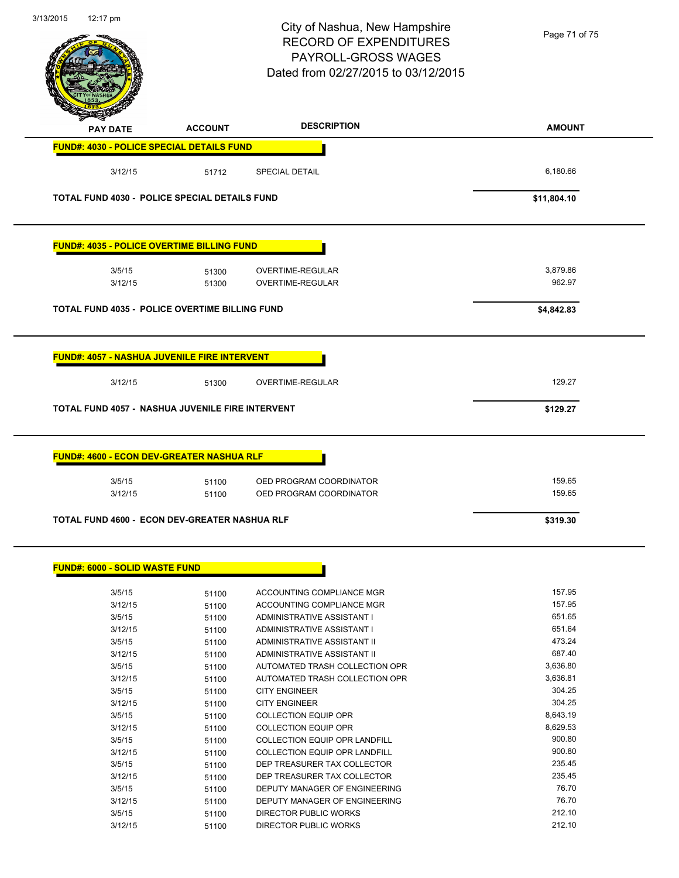| 3/13/2015<br>12:17 pm                 |                                                                                                             | City of Nashua, New Hampshire<br><b>RECORD OF EXPENDITURES</b><br>PAYROLL-GROSS WAGES<br>Dated from 02/27/2015 to 03/12/2015 | Page 71 of 75      |
|---------------------------------------|-------------------------------------------------------------------------------------------------------------|------------------------------------------------------------------------------------------------------------------------------|--------------------|
| <b>PAY DATE</b>                       | <b>ACCOUNT</b>                                                                                              | <b>DESCRIPTION</b>                                                                                                           | <b>AMOUNT</b>      |
|                                       | FUND#: 4030 - POLICE SPECIAL DETAILS FUND                                                                   |                                                                                                                              |                    |
| 3/12/15                               | 51712                                                                                                       | <b>SPECIAL DETAIL</b>                                                                                                        | 6,180.66           |
|                                       | TOTAL FUND 4030 - POLICE SPECIAL DETAILS FUND                                                               |                                                                                                                              | \$11,804.10        |
|                                       | <b>FUND#: 4035 - POLICE OVERTIME BILLING FUND</b>                                                           |                                                                                                                              |                    |
| 3/5/15<br>3/12/15                     | 51300<br>51300                                                                                              | OVERTIME-REGULAR<br>OVERTIME-REGULAR                                                                                         | 3,879.86<br>962.97 |
|                                       | <b>TOTAL FUND 4035 - POLICE OVERTIME BILLING FUND</b>                                                       |                                                                                                                              | \$4,842.83         |
|                                       | <u> FUND#: 4057 - NASHUA JUVENILE FIRE INTERVENT</u>                                                        |                                                                                                                              |                    |
| 3/12/15                               | 51300                                                                                                       | OVERTIME-REGULAR                                                                                                             | 129.27             |
|                                       |                                                                                                             |                                                                                                                              |                    |
|                                       | <b>TOTAL FUND 4057 - NASHUA JUVENILE FIRE INTERVENT</b><br><b>FUND#: 4600 - ECON DEV-GREATER NASHUA RLF</b> |                                                                                                                              | \$129.27           |
| 3/5/15<br>3/12/15                     | 51100<br>51100                                                                                              | OED PROGRAM COORDINATOR<br>OED PROGRAM COORDINATOR                                                                           | 159.65<br>159.65   |
|                                       | TOTAL FUND 4600 - ECON DEV-GREATER NASHUA RLF                                                               |                                                                                                                              | \$319.30           |
| <b>FUND#: 6000 - SOLID WASTE FUND</b> |                                                                                                             |                                                                                                                              |                    |
| 3/5/15                                | 51100                                                                                                       | ACCOUNTING COMPLIANCE MGR                                                                                                    | 157.95             |
| 3/12/15                               | 51100                                                                                                       | ACCOUNTING COMPLIANCE MGR                                                                                                    | 157.95             |
| 3/5/15                                | 51100                                                                                                       | ADMINISTRATIVE ASSISTANT I                                                                                                   | 651.65             |
| 3/12/15                               | 51100                                                                                                       | ADMINISTRATIVE ASSISTANT I                                                                                                   | 651.64             |
| 3/5/15                                | 51100                                                                                                       | ADMINISTRATIVE ASSISTANT II                                                                                                  | 473.24             |
| 3/12/15                               | 51100                                                                                                       | ADMINISTRATIVE ASSISTANT II                                                                                                  | 687.40             |
| 3/5/15                                | 51100                                                                                                       | AUTOMATED TRASH COLLECTION OPR                                                                                               | 3,636.80           |
| 3/12/15                               | 51100                                                                                                       | AUTOMATED TRASH COLLECTION OPR<br><b>CITY ENGINEER</b>                                                                       | 3,636.81<br>304.25 |
| 3/5/15                                | 51100                                                                                                       | <b>CITY ENGINEER</b>                                                                                                         | 304.25             |
| 3/12/15<br>3/5/15                     | 51100                                                                                                       | <b>COLLECTION EQUIP OPR</b>                                                                                                  | 8,643.19           |
| 3/12/15                               | 51100                                                                                                       | <b>COLLECTION EQUIP OPR</b>                                                                                                  | 8,629.53           |
| 3/5/15                                | 51100                                                                                                       | COLLECTION EQUIP OPR LANDFILL                                                                                                | 900.80             |
| 3/12/15                               | 51100                                                                                                       | COLLECTION EQUIP OPR LANDFILL                                                                                                | 900.80             |
| 3/5/15                                | 51100<br>51100                                                                                              |                                                                                                                              | 235.45             |
| 3/12/15                               | 51100                                                                                                       | DEP TREASURER TAX COLLECTOR<br>DEP TREASURER TAX COLLECTOR                                                                   | 235.45             |
| 3/5/15                                | 51100                                                                                                       | DEPUTY MANAGER OF ENGINEERING                                                                                                | 76.70              |
| 3/12/15                               | 51100                                                                                                       | DEPUTY MANAGER OF ENGINEERING                                                                                                | 76.70              |
| 3/5/15                                | 51100                                                                                                       | DIRECTOR PUBLIC WORKS                                                                                                        | 212.10             |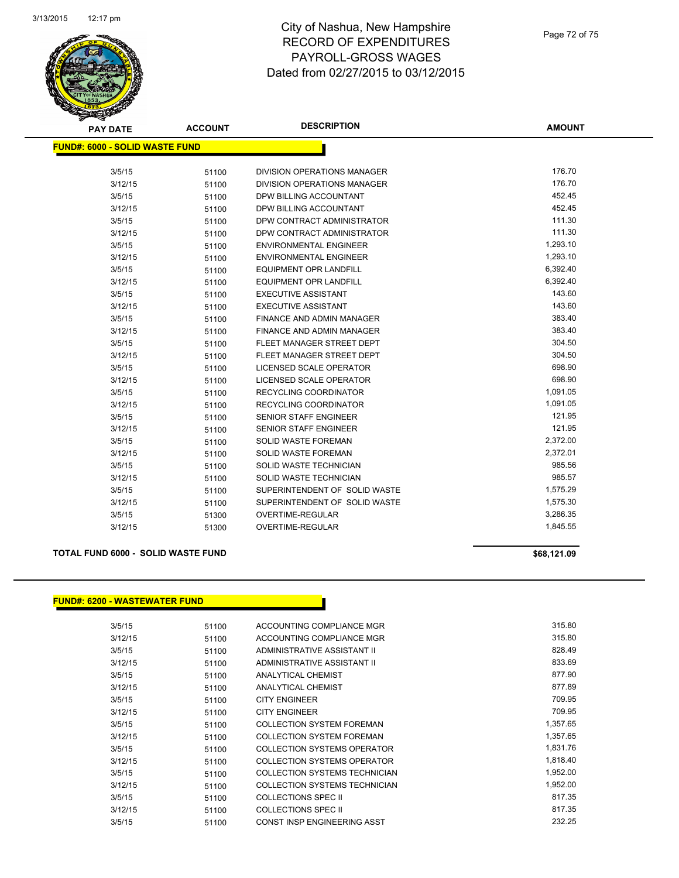

| <b>PAY DATE</b>                       | <b>ACCOUNT</b> | <b>DESCRIPTION</b>               | <b>AMOUNT</b> |
|---------------------------------------|----------------|----------------------------------|---------------|
| <b>FUND#: 6000 - SOLID WASTE FUND</b> |                |                                  |               |
|                                       |                |                                  |               |
| 3/5/15                                | 51100          | DIVISION OPERATIONS MANAGER      | 176.70        |
| 3/12/15                               | 51100          | DIVISION OPERATIONS MANAGER      | 176.70        |
| 3/5/15                                | 51100          | DPW BILLING ACCOUNTANT           | 452.45        |
| 3/12/15                               | 51100          | DPW BILLING ACCOUNTANT           | 452.45        |
| 3/5/15                                | 51100          | DPW CONTRACT ADMINISTRATOR       | 111.30        |
| 3/12/15                               | 51100          | DPW CONTRACT ADMINISTRATOR       | 111.30        |
| 3/5/15                                | 51100          | <b>ENVIRONMENTAL ENGINEER</b>    | 1,293.10      |
| 3/12/15                               | 51100          | <b>ENVIRONMENTAL ENGINEER</b>    | 1,293.10      |
| 3/5/15                                | 51100          | <b>EQUIPMENT OPR LANDFILL</b>    | 6,392.40      |
| 3/12/15                               | 51100          | <b>EQUIPMENT OPR LANDFILL</b>    | 6,392.40      |
| 3/5/15                                | 51100          | <b>EXECUTIVE ASSISTANT</b>       | 143.60        |
| 3/12/15                               | 51100          | <b>EXECUTIVE ASSISTANT</b>       | 143.60        |
| 3/5/15                                | 51100          | <b>FINANCE AND ADMIN MANAGER</b> | 383.40        |
| 3/12/15                               | 51100          | <b>FINANCE AND ADMIN MANAGER</b> | 383.40        |
| 3/5/15                                | 51100          | FLEET MANAGER STREET DEPT        | 304.50        |
| 3/12/15                               | 51100          | FLEET MANAGER STREET DEPT        | 304.50        |
| 3/5/15                                | 51100          | LICENSED SCALE OPERATOR          | 698.90        |
| 3/12/15                               | 51100          | LICENSED SCALE OPERATOR          | 698.90        |
| 3/5/15                                | 51100          | RECYCLING COORDINATOR            | 1,091.05      |
| 3/12/15                               | 51100          | <b>RECYCLING COORDINATOR</b>     | 1,091.05      |
| 3/5/15                                | 51100          | <b>SENIOR STAFF ENGINEER</b>     | 121.95        |
| 3/12/15                               | 51100          | SENIOR STAFF ENGINEER            | 121.95        |
| 3/5/15                                | 51100          | SOLID WASTE FOREMAN              | 2,372.00      |
| 3/12/15                               | 51100          | SOLID WASTE FOREMAN              | 2,372.01      |
| 3/5/15                                | 51100          | SOLID WASTE TECHNICIAN           | 985.56        |
| 3/12/15                               | 51100          | SOLID WASTE TECHNICIAN           | 985.57        |
| 3/5/15                                | 51100          | SUPERINTENDENT OF SOLID WASTE    | 1,575.29      |
| 3/12/15                               | 51100          | SUPERINTENDENT OF SOLID WASTE    | 1,575.30      |
| 3/5/15                                | 51300          | OVERTIME-REGULAR                 | 3,286.35      |
| 3/12/15                               | 51300          | <b>OVERTIME-REGULAR</b>          | 1,845.55      |

#### **TOTAL FUND 6000 - SOLID WASTE FUND \$68,121.09**

#### **FUND#: 6200 - WASTEWATER FUND**

| \$68,121.09 |  |
|-------------|--|
|-------------|--|

| 3/5/15  | 51100 | ACCOUNTING COMPLIANCE MGR        | 315.80   |
|---------|-------|----------------------------------|----------|
| 3/12/15 | 51100 | ACCOUNTING COMPLIANCE MGR        | 315.80   |
| 3/5/15  | 51100 | ADMINISTRATIVE ASSISTANT II      | 828.49   |
| 3/12/15 | 51100 | ADMINISTRATIVE ASSISTANT II      | 833.69   |
| 3/5/15  | 51100 | ANALYTICAL CHEMIST               | 877.90   |
| 3/12/15 | 51100 | ANALYTICAL CHEMIST               | 877.89   |
| 3/5/15  | 51100 | <b>CITY ENGINEER</b>             | 709.95   |
| 3/12/15 | 51100 | <b>CITY ENGINEER</b>             | 709.95   |
| 3/5/15  | 51100 | <b>COLLECTION SYSTEM FOREMAN</b> | 1,357.65 |
| 3/12/15 | 51100 | <b>COLLECTION SYSTEM FOREMAN</b> | 1,357.65 |
| 3/5/15  | 51100 | COLLECTION SYSTEMS OPERATOR      | 1,831.76 |
| 3/12/15 | 51100 | COLLECTION SYSTEMS OPERATOR      | 1,818.40 |
| 3/5/15  | 51100 | COLLECTION SYSTEMS TECHNICIAN    | 1,952.00 |
| 3/12/15 | 51100 | COLLECTION SYSTEMS TECHNICIAN    | 1,952.00 |
| 3/5/15  | 51100 | COLLECTIONS SPEC II              | 817.35   |
| 3/12/15 | 51100 | <b>COLLECTIONS SPEC II</b>       | 817.35   |
| 3/5/15  | 51100 | CONST INSP ENGINEERING ASST      | 232.25   |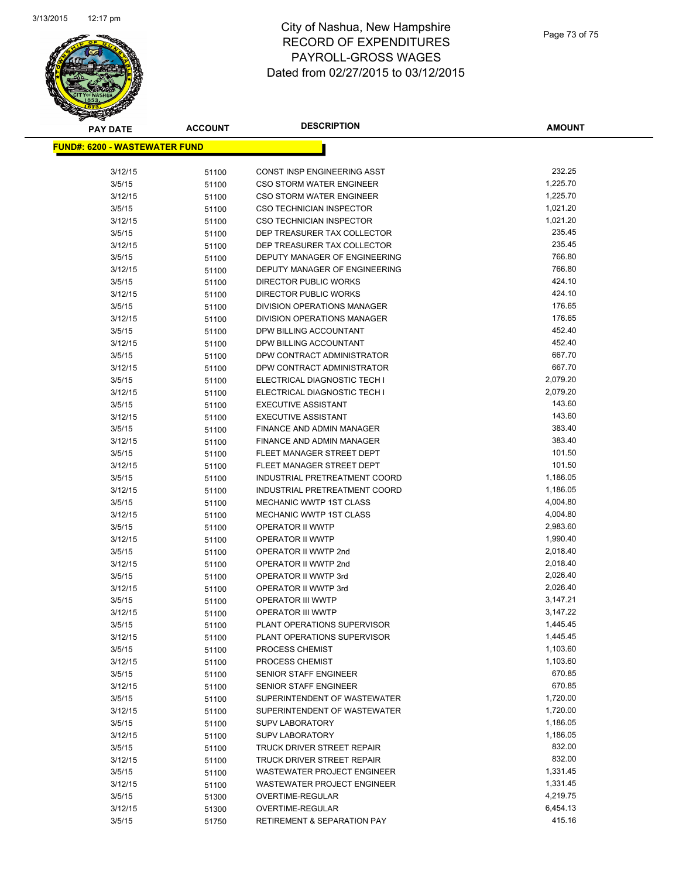

## City of Nashua, New Hampshire RECORD OF EXPENDITURES PAYROLL-GROSS WAGES Dated from 02/27/2015 to 03/12/2015

| <b>PAY DATE</b>                       | <b>ACCOUNT</b> | <b>DESCRIPTION</b>                           | <b>AMOUNT</b>        |
|---------------------------------------|----------------|----------------------------------------------|----------------------|
| <u> FUND#: 6200 - WASTEWATER FUND</u> |                |                                              |                      |
|                                       |                |                                              |                      |
| 3/12/15                               | 51100          | CONST INSP ENGINEERING ASST                  | 232.25               |
| 3/5/15                                | 51100          | <b>CSO STORM WATER ENGINEER</b>              | 1,225.70             |
| 3/12/15                               | 51100          | <b>CSO STORM WATER ENGINEER</b>              | 1,225.70             |
| 3/5/15                                | 51100          | <b>CSO TECHNICIAN INSPECTOR</b>              | 1,021.20             |
| 3/12/15                               | 51100          | <b>CSO TECHNICIAN INSPECTOR</b>              | 1,021.20             |
| 3/5/15                                | 51100          | DEP TREASURER TAX COLLECTOR                  | 235.45               |
| 3/12/15                               | 51100          | DEP TREASURER TAX COLLECTOR                  | 235.45               |
| 3/5/15                                | 51100          | DEPUTY MANAGER OF ENGINEERING                | 766.80               |
| 3/12/15                               | 51100          | DEPUTY MANAGER OF ENGINEERING                | 766.80               |
| 3/5/15                                | 51100          | DIRECTOR PUBLIC WORKS                        | 424.10               |
| 3/12/15                               | 51100          | <b>DIRECTOR PUBLIC WORKS</b>                 | 424.10               |
| 3/5/15                                | 51100          | DIVISION OPERATIONS MANAGER                  | 176.65               |
| 3/12/15                               | 51100          | DIVISION OPERATIONS MANAGER                  | 176.65               |
| 3/5/15                                | 51100          | DPW BILLING ACCOUNTANT                       | 452.40               |
| 3/12/15                               | 51100          | DPW BILLING ACCOUNTANT                       | 452.40               |
| 3/5/15                                | 51100          | DPW CONTRACT ADMINISTRATOR                   | 667.70               |
| 3/12/15                               | 51100          | DPW CONTRACT ADMINISTRATOR                   | 667.70               |
| 3/5/15                                | 51100          | ELECTRICAL DIAGNOSTIC TECH I                 | 2,079.20             |
| 3/12/15                               | 51100          | ELECTRICAL DIAGNOSTIC TECH I                 | 2,079.20             |
| 3/5/15                                | 51100          | <b>EXECUTIVE ASSISTANT</b>                   | 143.60               |
| 3/12/15                               | 51100          | <b>EXECUTIVE ASSISTANT</b>                   | 143.60               |
| 3/5/15                                | 51100          | FINANCE AND ADMIN MANAGER                    | 383.40               |
| 3/12/15                               | 51100          | FINANCE AND ADMIN MANAGER                    | 383.40               |
| 3/5/15                                | 51100          | FLEET MANAGER STREET DEPT                    | 101.50               |
| 3/12/15                               | 51100          | FLEET MANAGER STREET DEPT                    | 101.50               |
| 3/5/15                                | 51100          | INDUSTRIAL PRETREATMENT COORD                | 1,186.05             |
| 3/12/15                               | 51100          | INDUSTRIAL PRETREATMENT COORD                | 1,186.05             |
| 3/5/15                                | 51100          | MECHANIC WWTP 1ST CLASS                      | 4,004.80             |
| 3/12/15                               | 51100          | MECHANIC WWTP 1ST CLASS                      | 4,004.80             |
| 3/5/15                                | 51100          | OPERATOR II WWTP                             | 2,983.60             |
| 3/12/15                               | 51100          | OPERATOR II WWTP                             | 1,990.40<br>2,018.40 |
| 3/5/15                                | 51100          | OPERATOR II WWTP 2nd                         | 2,018.40             |
| 3/12/15                               | 51100          | OPERATOR II WWTP 2nd                         | 2,026.40             |
| 3/5/15<br>3/12/15                     | 51100          | OPERATOR II WWTP 3rd<br>OPERATOR II WWTP 3rd | 2,026.40             |
|                                       | 51100          | <b>OPERATOR III WWTP</b>                     | 3,147.21             |
| 3/5/15<br>3/12/15                     | 51100          | OPERATOR III WWTP                            | 3,147.22             |
| 3/5/15                                | 51100<br>51100 | PLANT OPERATIONS SUPERVISOR                  | 1,445.45             |
| 3/12/15                               | 51100          | PLANT OPERATIONS SUPERVISOR                  | 1,445.45             |
| 3/5/15                                | 51100          | PROCESS CHEMIST                              | 1,103.60             |
| 3/12/15                               | 51100          | PROCESS CHEMIST                              | 1,103.60             |
| 3/5/15                                | 51100          | SENIOR STAFF ENGINEER                        | 670.85               |
| 3/12/15                               | 51100          | SENIOR STAFF ENGINEER                        | 670.85               |
| 3/5/15                                | 51100          | SUPERINTENDENT OF WASTEWATER                 | 1,720.00             |
| 3/12/15                               | 51100          | SUPERINTENDENT OF WASTEWATER                 | 1,720.00             |
| 3/5/15                                | 51100          | <b>SUPV LABORATORY</b>                       | 1,186.05             |
| 3/12/15                               | 51100          | SUPV LABORATORY                              | 1,186.05             |
| 3/5/15                                | 51100          | TRUCK DRIVER STREET REPAIR                   | 832.00               |
| 3/12/15                               | 51100          | TRUCK DRIVER STREET REPAIR                   | 832.00               |
| 3/5/15                                | 51100          | WASTEWATER PROJECT ENGINEER                  | 1,331.45             |
| 3/12/15                               | 51100          | WASTEWATER PROJECT ENGINEER                  | 1,331.45             |
| 3/5/15                                | 51300          | OVERTIME-REGULAR                             | 4,219.75             |
| 3/12/15                               | 51300          | OVERTIME-REGULAR                             | 6,454.13             |
| 3/5/15                                | 51750          | RETIREMENT & SEPARATION PAY                  | 415.16               |
|                                       |                |                                              |                      |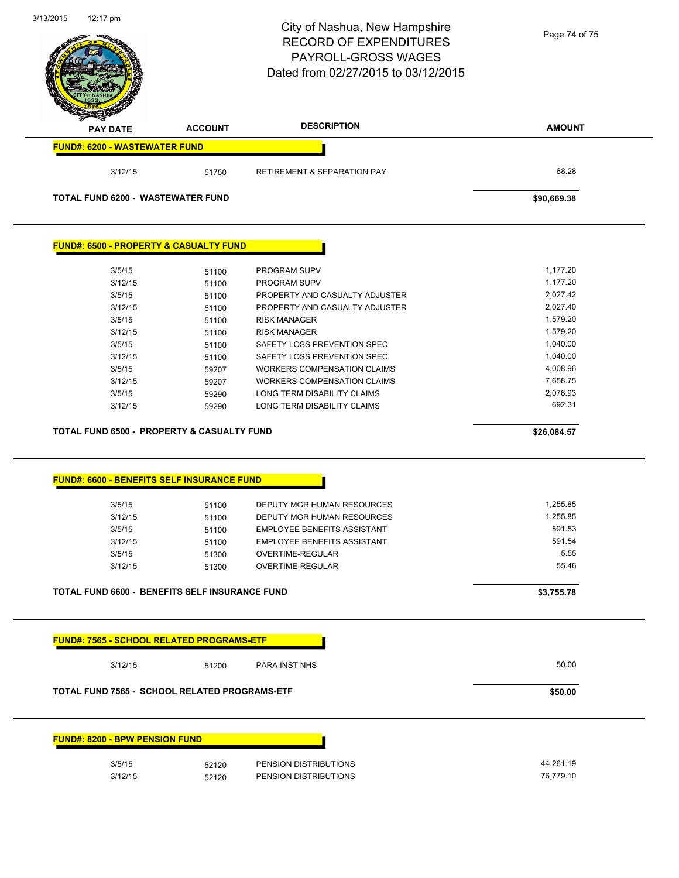|                                                                                                                                                                                                                                                     |                | City of Nashua, New Hampshire<br><b>RECORD OF EXPENDITURES</b><br>PAYROLL-GROSS WAGES<br>Dated from 02/27/2015 to 03/12/2015 | Page 74 of 75      |
|-----------------------------------------------------------------------------------------------------------------------------------------------------------------------------------------------------------------------------------------------------|----------------|------------------------------------------------------------------------------------------------------------------------------|--------------------|
| <b>PAY DATE</b>                                                                                                                                                                                                                                     | <b>ACCOUNT</b> | <b>DESCRIPTION</b>                                                                                                           | <b>AMOUNT</b>      |
| <b>FUND#: 6200 - WASTEWATER FUND</b>                                                                                                                                                                                                                |                |                                                                                                                              |                    |
| 3/12/15                                                                                                                                                                                                                                             | 51750          | <b>RETIREMENT &amp; SEPARATION PAY</b>                                                                                       | 68.28              |
| <b>TOTAL FUND 6200 - WASTEWATER FUND</b>                                                                                                                                                                                                            |                |                                                                                                                              | \$90,669.38        |
| <b>FUND#: 6500 - PROPERTY &amp; CASUALTY FUND</b>                                                                                                                                                                                                   |                |                                                                                                                              |                    |
| 3/5/15                                                                                                                                                                                                                                              | 51100          | PROGRAM SUPV                                                                                                                 | 1,177.20           |
| 3/12/15                                                                                                                                                                                                                                             | 51100          | PROGRAM SUPV                                                                                                                 | 1,177.20           |
| 3/5/15                                                                                                                                                                                                                                              | 51100          | PROPERTY AND CASUALTY ADJUSTER                                                                                               | 2,027.42           |
| 3/12/15                                                                                                                                                                                                                                             | 51100          | PROPERTY AND CASUALTY ADJUSTER                                                                                               | 2,027.40           |
| 3/5/15                                                                                                                                                                                                                                              | 51100          | <b>RISK MANAGER</b>                                                                                                          | 1,579.20           |
| 3/12/15                                                                                                                                                                                                                                             | 51100          | <b>RISK MANAGER</b>                                                                                                          | 1,579.20           |
| 3/5/15                                                                                                                                                                                                                                              | 51100          | SAFETY LOSS PREVENTION SPEC                                                                                                  | 1,040.00           |
| 3/12/15                                                                                                                                                                                                                                             | 51100          | SAFETY LOSS PREVENTION SPEC                                                                                                  | 1,040.00           |
| 3/5/15                                                                                                                                                                                                                                              | 59207          | <b>WORKERS COMPENSATION CLAIMS</b>                                                                                           | 4,008.96           |
|                                                                                                                                                                                                                                                     |                | WORKERS COMPENSATION CLAIMS                                                                                                  |                    |
| 3/12/15                                                                                                                                                                                                                                             | 59207          |                                                                                                                              | 7,658.75           |
| 3/5/15<br>3/12/15                                                                                                                                                                                                                                   | 59290<br>59290 | LONG TERM DISABILITY CLAIMS<br>LONG TERM DISABILITY CLAIMS                                                                   | 2,076.93<br>692.31 |
|                                                                                                                                                                                                                                                     |                |                                                                                                                              | \$26,084.57        |
|                                                                                                                                                                                                                                                     |                |                                                                                                                              |                    |
|                                                                                                                                                                                                                                                     |                |                                                                                                                              |                    |
| 3/5/15                                                                                                                                                                                                                                              | 51100          | DEPUTY MGR HUMAN RESOURCES                                                                                                   | 1,255.85           |
| 3/12/15                                                                                                                                                                                                                                             | 51100          | DEPUTY MGR HUMAN RESOURCES                                                                                                   | 1,255.85           |
| 3/5/15                                                                                                                                                                                                                                              | 51100          | <b>EMPLOYEE BENEFITS ASSISTANT</b>                                                                                           | 591.53             |
| 3/12/15                                                                                                                                                                                                                                             | 51100          | <b>EMPLOYEE BENEFITS ASSISTANT</b>                                                                                           | 591.54             |
| 3/5/15                                                                                                                                                                                                                                              | 51300          | OVERTIME-REGULAR                                                                                                             | 5.55               |
| 3/12/15                                                                                                                                                                                                                                             | 51300          | <b>OVERTIME-REGULAR</b>                                                                                                      | 55.46              |
|                                                                                                                                                                                                                                                     |                |                                                                                                                              | \$3,755.78         |
|                                                                                                                                                                                                                                                     |                |                                                                                                                              |                    |
| 3/12/15                                                                                                                                                                                                                                             | 51200          | PARA INST NHS                                                                                                                | 50.00              |
| <b>TOTAL FUND 6500 - PROPERTY &amp; CASUALTY FUND</b><br>FUND#: 6600 - BENEFITS SELF INSURANCE FUND<br>TOTAL FUND 6600 - BENEFITS SELF INSURANCE FUND<br>FUND#: 7565 - SCHOOL RELATED PROGRAMS-ETF<br>TOTAL FUND 7565 - SCHOOL RELATED PROGRAMS-ETF |                |                                                                                                                              | \$50.00            |
|                                                                                                                                                                                                                                                     |                |                                                                                                                              |                    |
| <b>FUND#: 8200 - BPW PENSION FUND</b>                                                                                                                                                                                                               |                |                                                                                                                              | 44,261.19          |